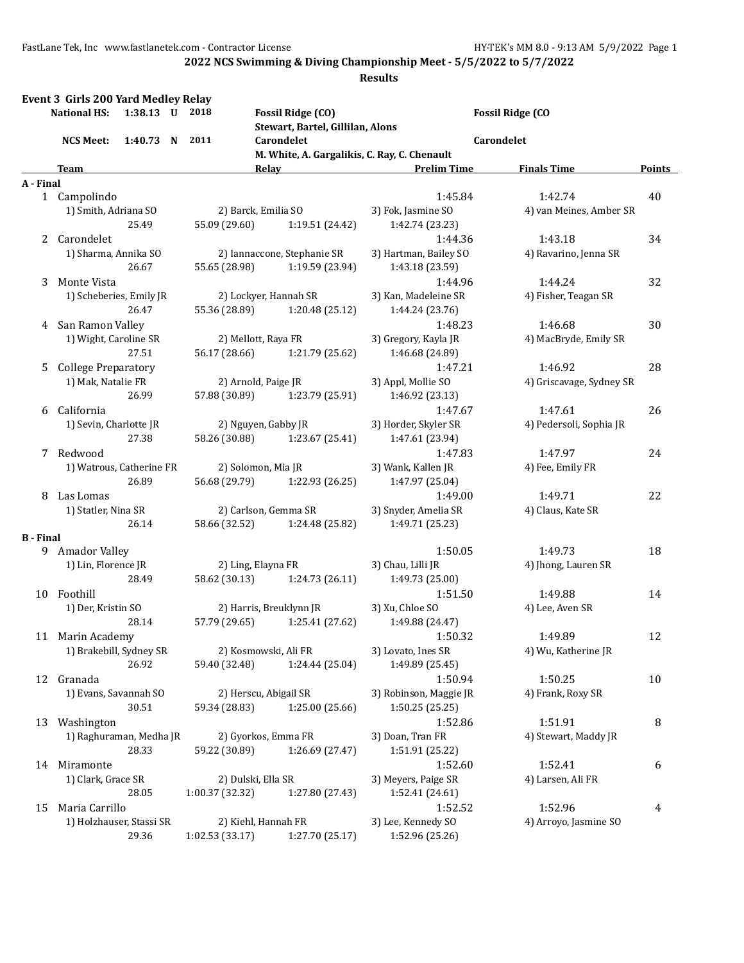| <b>Event 3 Girls 200 Yard Medley Relay</b><br><b>National HS:</b><br>1:38.13 U 2018 |                            |                                                |                    | <b>Fossil Ridge (CO)</b>                       | <b>Fossil Ridge (CO</b>                  |                          |               |  |
|-------------------------------------------------------------------------------------|----------------------------|------------------------------------------------|--------------------|------------------------------------------------|------------------------------------------|--------------------------|---------------|--|
| 1:40.73 N 2011<br><b>NCS Meet:</b>                                                  |                            | Stewart, Bartel, Gillilan, Alons<br>Carondelet |                    |                                                | Carondelet                               |                          |               |  |
|                                                                                     |                            |                                                |                    | M. White, A. Gargalikis, C. Ray, C. Chenault   |                                          |                          |               |  |
|                                                                                     | Team                       |                                                |                    | Relav                                          | <b>Prelim Time</b>                       | <b>Finals Time</b>       | <b>Points</b> |  |
| A - Final                                                                           |                            |                                                |                    |                                                |                                          |                          |               |  |
|                                                                                     | 1 Campolindo               |                                                |                    |                                                | 1:45.84                                  | 1:42.74                  | 40            |  |
|                                                                                     | 1) Smith, Adriana SO       |                                                |                    | 2) Barck, Emilia SO                            | 3) Fok, Jasmine SO                       | 4) van Meines, Amber SR  |               |  |
|                                                                                     |                            | 25.49                                          | 55.09 (29.60)      | 1:19.51 (24.42)                                | 1:42.74 (23.23)                          |                          |               |  |
|                                                                                     | 2 Carondelet               |                                                |                    |                                                | 1:44.36                                  | 1:43.18                  | 34            |  |
|                                                                                     | 1) Sharma, Annika SO       | 26.67                                          | 55.65 (28.98)      | 2) Iannaccone, Stephanie SR<br>1:19.59 (23.94) | 3) Hartman, Bailey SO<br>1:43.18 (23.59) | 4) Ravarino, Jenna SR    |               |  |
| 3                                                                                   | Monte Vista                |                                                |                    |                                                | 1:44.96                                  | 1:44.24                  | 32            |  |
|                                                                                     | 1) Scheberies, Emily JR    |                                                |                    | 2) Lockyer, Hannah SR                          | 3) Kan, Madeleine SR                     | 4) Fisher, Teagan SR     |               |  |
|                                                                                     |                            | 26.47                                          | 55.36 (28.89)      | 1:20.48(25.12)                                 | 1:44.24 (23.76)                          |                          |               |  |
| 4                                                                                   | San Ramon Valley           |                                                |                    |                                                | 1:48.23                                  | 1:46.68                  | 30            |  |
|                                                                                     | 1) Wight, Caroline SR      |                                                |                    | 2) Mellott, Raya FR                            | 3) Gregory, Kayla JR                     | 4) MacBryde, Emily SR    |               |  |
|                                                                                     |                            | 27.51                                          | 56.17 (28.66)      | 1:21.79 (25.62)                                | 1:46.68 (24.89)                          |                          |               |  |
| 5.                                                                                  | <b>College Preparatory</b> |                                                |                    |                                                | 1:47.21                                  | 1:46.92                  | 28            |  |
|                                                                                     | 1) Mak, Natalie FR         |                                                |                    | 2) Arnold, Paige JR                            | 3) Appl, Mollie SO                       | 4) Griscavage, Sydney SR |               |  |
|                                                                                     |                            | 26.99                                          |                    | 57.88 (30.89) 1:23.79 (25.91)                  | 1:46.92 (23.13)                          |                          |               |  |
| 6                                                                                   | California                 |                                                |                    |                                                | 1:47.67                                  | 1:47.61                  | 26            |  |
|                                                                                     | 1) Sevin, Charlotte JR     |                                                |                    | 2) Nguyen, Gabby JR                            | 3) Horder, Skyler SR                     | 4) Pedersoli, Sophia JR  |               |  |
|                                                                                     |                            | 27.38                                          | 58.26 (30.88)      | 1:23.67 (25.41)                                | 1:47.61 (23.94)                          |                          |               |  |
| 7                                                                                   | Redwood                    |                                                |                    |                                                | 1:47.83                                  | 1:47.97                  | 24            |  |
|                                                                                     | 1) Watrous, Catherine FR   |                                                |                    | 2) Solomon, Mia JR                             | 3) Wank, Kallen JR                       | 4) Fee, Emily FR         |               |  |
|                                                                                     |                            | 26.89                                          | 56.68 (29.79)      | 1:22.93 (26.25)                                | 1:47.97 (25.04)                          |                          |               |  |
| 8                                                                                   | Las Lomas                  |                                                |                    |                                                | 1:49.00                                  | 1:49.71                  | 22            |  |
|                                                                                     | 1) Statler, Nina SR        |                                                |                    | 2) Carlson, Gemma SR                           | 3) Snyder, Amelia SR                     | 4) Claus, Kate SR        |               |  |
|                                                                                     |                            | 26.14                                          | 58.66 (32.52)      | 1:24.48 (25.82)                                | 1:49.71 (25.23)                          |                          |               |  |
| <b>B</b> - Final                                                                    |                            |                                                |                    |                                                |                                          |                          |               |  |
|                                                                                     | 9 Amador Valley            |                                                |                    |                                                | 1:50.05                                  | 1:49.73                  | 18            |  |
|                                                                                     | 1) Lin, Florence JR        |                                                | 58.62 (30.13)      | 2) Ling, Elayna FR                             | 3) Chau, Lilli JR                        | 4) Jhong, Lauren SR      |               |  |
|                                                                                     | 10 Foothill                | 28.49                                          |                    | 1:24.73 (26.11)                                | 1:49.73 (25.00)<br>1:51.50               | 1:49.88                  | 14            |  |
|                                                                                     | 1) Der, Kristin SO         |                                                |                    | 2) Harris, Breuklynn JR                        | 3) Xu, Chloe SO                          | 4) Lee, Aven SR          |               |  |
|                                                                                     |                            | 28.14                                          | 57.79 (29.65)      | 1:25.41 (27.62)                                | 1:49.88 (24.47)                          |                          |               |  |
|                                                                                     | 11 Marin Academy           |                                                |                    |                                                | 1:50.32                                  | 1:49.89                  | 12            |  |
|                                                                                     | 1) Brakebill, Sydney SR    |                                                |                    | 2) Kosmowski, Ali FR                           | 3) Lovato, Ines SR                       | 4) Wu, Katherine JR      |               |  |
|                                                                                     |                            | 26.92                                          | 59.40 (32.48)      | 1:24.44 (25.04)                                | 1:49.89 (25.45)                          |                          |               |  |
|                                                                                     | 12 Granada                 |                                                |                    |                                                | 1:50.94                                  | 1:50.25                  | 10            |  |
|                                                                                     | 1) Evans, Savannah SO      |                                                |                    | 2) Herscu, Abigail SR                          | 3) Robinson, Maggie JR                   | 4) Frank, Roxy SR        |               |  |
|                                                                                     |                            | 30.51                                          | 59.34 (28.83)      | 1:25.00 (25.66)                                | 1:50.25 (25.25)                          |                          |               |  |
|                                                                                     | 13 Washington              |                                                |                    |                                                | 1:52.86                                  | 1:51.91                  | 8             |  |
|                                                                                     | 1) Raghuraman, Medha JR    |                                                |                    | 2) Gyorkos, Emma FR                            | 3) Doan, Tran FR                         | 4) Stewart, Maddy JR     |               |  |
|                                                                                     |                            | 28.33                                          | 59.22 (30.89)      | 1:26.69 (27.47)                                | 1:51.91 (25.22)                          |                          |               |  |
| 14                                                                                  | Miramonte                  |                                                |                    |                                                | 1:52.60                                  | 1:52.41                  | 6             |  |
|                                                                                     | 1) Clark, Grace SR         |                                                | 2) Dulski, Ella SR |                                                | 3) Meyers, Paige SR                      | 4) Larsen, Ali FR        |               |  |
|                                                                                     |                            | 28.05                                          | 1:00.37 (32.32)    | 1:27.80 (27.43)                                | 1:52.41 (24.61)                          |                          |               |  |
| 15                                                                                  | Maria Carrillo             |                                                |                    |                                                | 1:52.52                                  | 1:52.96                  | 4             |  |
|                                                                                     | 1) Holzhauser, Stassi SR   |                                                |                    | 2) Kiehl, Hannah FR                            | 3) Lee, Kennedy SO                       | 4) Arroyo, Jasmine SO    |               |  |
|                                                                                     |                            | 29.36                                          | 1:02.53 (33.17)    | 1:27.70 (25.17)                                | 1:52.96 (25.26)                          |                          |               |  |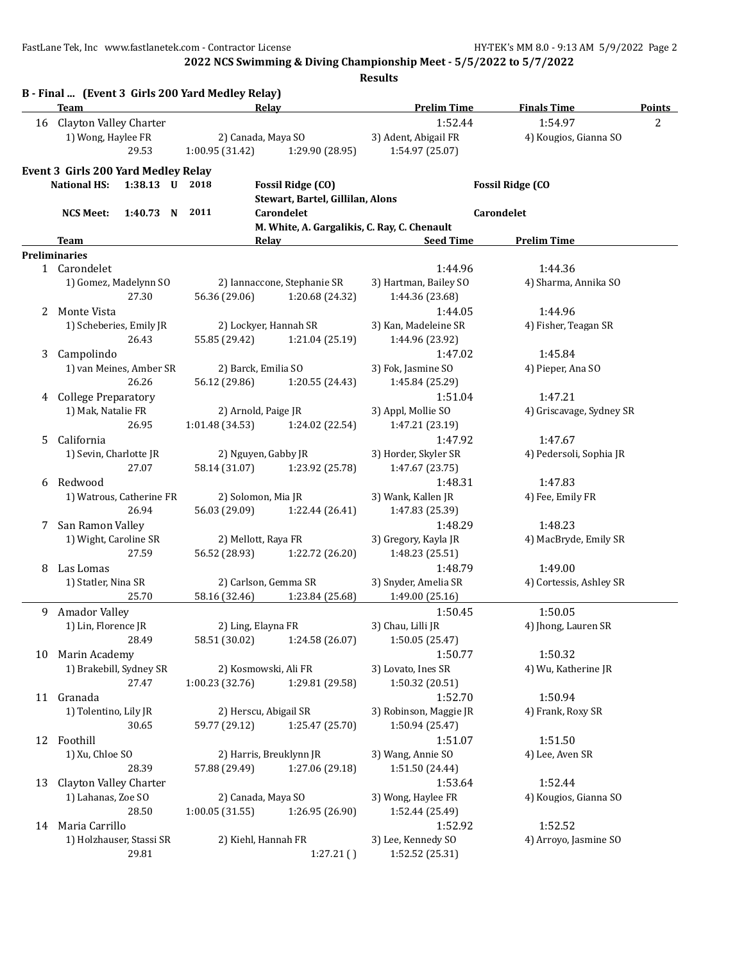**2022 NCS Swimming & Diving Championship Meet - 5/5/2022 to 5/7/2022**

|    | Team<br>Relay<br>16 Clayton Valley Charter<br>1) Wong, Haylee FR<br>2) Canada, Maya SO<br>29.53<br>1:00.95 (31.42)<br>1:29.90 (28.95) |                         | <b>Prelim Time</b>                                 | <b>Finals Time</b>               | Points                          |  |
|----|---------------------------------------------------------------------------------------------------------------------------------------|-------------------------|----------------------------------------------------|----------------------------------|---------------------------------|--|
|    |                                                                                                                                       |                         | 1:52.44<br>3) Adent, Abigail FR<br>1:54.97 (25.07) | 1:54.97<br>4) Kougios, Gianna SO | $\overline{2}$                  |  |
|    | <b>Event 3 Girls 200 Yard Medley Relay</b>                                                                                            |                         |                                                    |                                  |                                 |  |
|    | <b>National HS:</b><br>1:38.13 U 2018                                                                                                 |                         | <b>Fossil Ridge (CO)</b>                           |                                  | <b>Fossil Ridge (CO</b>         |  |
|    |                                                                                                                                       |                         | Stewart, Bartel, Gillilan, Alons                   |                                  |                                 |  |
|    | 1:40.73 N 2011<br><b>NCS Meet:</b>                                                                                                    |                         | Carondelet                                         |                                  | Carondelet                      |  |
|    |                                                                                                                                       |                         | M. White, A. Gargalikis, C. Ray, C. Chenault       |                                  |                                 |  |
|    | <b>Team</b>                                                                                                                           | Relay                   |                                                    | <b>Seed Time</b>                 | <b>Prelim Time</b>              |  |
|    | <b>Preliminaries</b>                                                                                                                  |                         |                                                    |                                  |                                 |  |
|    | 1 Carondelet                                                                                                                          |                         |                                                    | 1:44.96                          | 1:44.36                         |  |
|    | 1) Gomez, Madelynn SO<br>27.30                                                                                                        |                         | 2) Iannaccone, Stephanie SR                        | 3) Hartman, Bailey SO            | 4) Sharma, Annika SO            |  |
|    |                                                                                                                                       | 56.36 (29.06)           | 1:20.68 (24.32)                                    | 1:44.36 (23.68)                  |                                 |  |
| 2  | Monte Vista<br>1) Scheberies, Emily JR                                                                                                | 2) Lockyer, Hannah SR   |                                                    | 1:44.05<br>3) Kan, Madeleine SR  | 1:44.96<br>4) Fisher, Teagan SR |  |
|    | 26.43                                                                                                                                 | 55.85 (29.42)           | 1:21.04 (25.19)                                    | 1:44.96 (23.92)                  |                                 |  |
| 3  | Campolindo                                                                                                                            |                         |                                                    | 1:47.02                          | 1:45.84                         |  |
|    | 1) van Meines, Amber SR                                                                                                               | 2) Barck, Emilia SO     |                                                    | 3) Fok, Jasmine SO               | 4) Pieper, Ana SO               |  |
|    | 26.26                                                                                                                                 | 56.12 (29.86)           | 1:20.55 (24.43)                                    | 1:45.84 (25.29)                  |                                 |  |
| 4  | <b>College Preparatory</b>                                                                                                            |                         |                                                    | 1:51.04                          | 1:47.21                         |  |
|    | 1) Mak, Natalie FR                                                                                                                    | 2) Arnold, Paige JR     |                                                    | 3) Appl, Mollie SO               | 4) Griscavage, Sydney SR        |  |
|    | 26.95                                                                                                                                 | 1:01.48(34.53)          | 1:24.02 (22.54)                                    | 1:47.21 (23.19)                  |                                 |  |
| 5. | California                                                                                                                            |                         |                                                    | 1:47.92                          | 1:47.67                         |  |
|    | 1) Sevin, Charlotte JR                                                                                                                | 2) Nguyen, Gabby JR     |                                                    | 3) Horder, Skyler SR             | 4) Pedersoli, Sophia JR         |  |
|    | 27.07                                                                                                                                 | 58.14 (31.07)           | 1:23.92 (25.78)                                    | 1:47.67 (23.75)                  |                                 |  |
| 6  | Redwood                                                                                                                               |                         |                                                    | 1:48.31                          | 1:47.83                         |  |
|    | 1) Watrous, Catherine FR                                                                                                              | 2) Solomon, Mia JR      |                                                    | 3) Wank, Kallen JR               | 4) Fee, Emily FR                |  |
|    | 26.94                                                                                                                                 | 56.03 (29.09)           | 1:22.44 (26.41)                                    | 1:47.83 (25.39)                  |                                 |  |
| 7  | San Ramon Valley                                                                                                                      |                         |                                                    | 1:48.29                          | 1:48.23                         |  |
|    | 1) Wight, Caroline SR                                                                                                                 | 2) Mellott, Raya FR     |                                                    | 3) Gregory, Kayla JR             | 4) MacBryde, Emily SR           |  |
|    | 27.59                                                                                                                                 | 56.52 (28.93)           | 1:22.72 (26.20)                                    | 1:48.23 (25.51)                  |                                 |  |
| 8  | Las Lomas                                                                                                                             |                         |                                                    | 1:48.79                          | 1:49.00                         |  |
|    | 1) Statler, Nina SR                                                                                                                   | 2) Carlson, Gemma SR    |                                                    | 3) Snyder, Amelia SR             | 4) Cortessis, Ashley SR         |  |
|    | 25.70                                                                                                                                 | 58.16 (32.46)           | 1:23.84 (25.68)                                    | 1:49.00 (25.16)                  |                                 |  |
| 9  | Amador Valley                                                                                                                         |                         |                                                    | 1:50.45                          | 1:50.05                         |  |
|    | 1) Lin, Florence JR                                                                                                                   | 2) Ling, Elayna FR      |                                                    | 3) Chau, Lilli JR                | 4) Jhong, Lauren SR             |  |
|    | 28.49                                                                                                                                 | 58.51 (30.02)           | 1:24.58 (26.07)                                    | 1:50.05 (25.47)                  |                                 |  |
|    | 10 Marin Academy<br>1) Brakebill, Sydney SR                                                                                           | 2) Kosmowski, Ali FR    |                                                    | 1:50.77<br>3) Lovato, Ines SR    | 1:50.32<br>4) Wu, Katherine JR  |  |
|    | 27.47                                                                                                                                 | 1:00.23 (32.76)         | 1:29.81 (29.58)                                    | 1:50.32 (20.51)                  |                                 |  |
|    | 11 Granada                                                                                                                            |                         |                                                    | 1:52.70                          | 1:50.94                         |  |
|    | 1) Tolentino, Lily JR                                                                                                                 | 2) Herscu, Abigail SR   |                                                    | 3) Robinson, Maggie JR           | 4) Frank, Roxy SR               |  |
|    | 30.65                                                                                                                                 | 59.77 (29.12)           | 1:25.47 (25.70)                                    | 1:50.94 (25.47)                  |                                 |  |
| 12 | Foothill                                                                                                                              |                         |                                                    | 1:51.07                          | 1:51.50                         |  |
|    | 1) Xu, Chloe SO                                                                                                                       | 2) Harris, Breuklynn JR |                                                    | 3) Wang, Annie SO                | 4) Lee, Aven SR                 |  |
|    | 28.39                                                                                                                                 | 57.88 (29.49)           | 1:27.06 (29.18)                                    | 1:51.50 (24.44)                  |                                 |  |
| 13 | <b>Clayton Valley Charter</b>                                                                                                         |                         |                                                    | 1:53.64                          | 1:52.44                         |  |
|    | 1) Lahanas, Zoe SO                                                                                                                    | 2) Canada, Maya SO      |                                                    | 3) Wong, Haylee FR               | 4) Kougios, Gianna SO           |  |
|    | 28.50                                                                                                                                 | 1:00.05(31.55)          | 1:26.95 (26.90)                                    | 1:52.44 (25.49)                  |                                 |  |
|    | 14 Maria Carrillo                                                                                                                     |                         |                                                    | 1:52.92                          | 1:52.52                         |  |
|    | 1) Holzhauser, Stassi SR                                                                                                              | 2) Kiehl, Hannah FR     |                                                    | 3) Lee, Kennedy SO               | 4) Arroyo, Jasmine SO           |  |
|    | 29.81                                                                                                                                 |                         | 1:27.21()                                          | 1:52.52 (25.31)                  |                                 |  |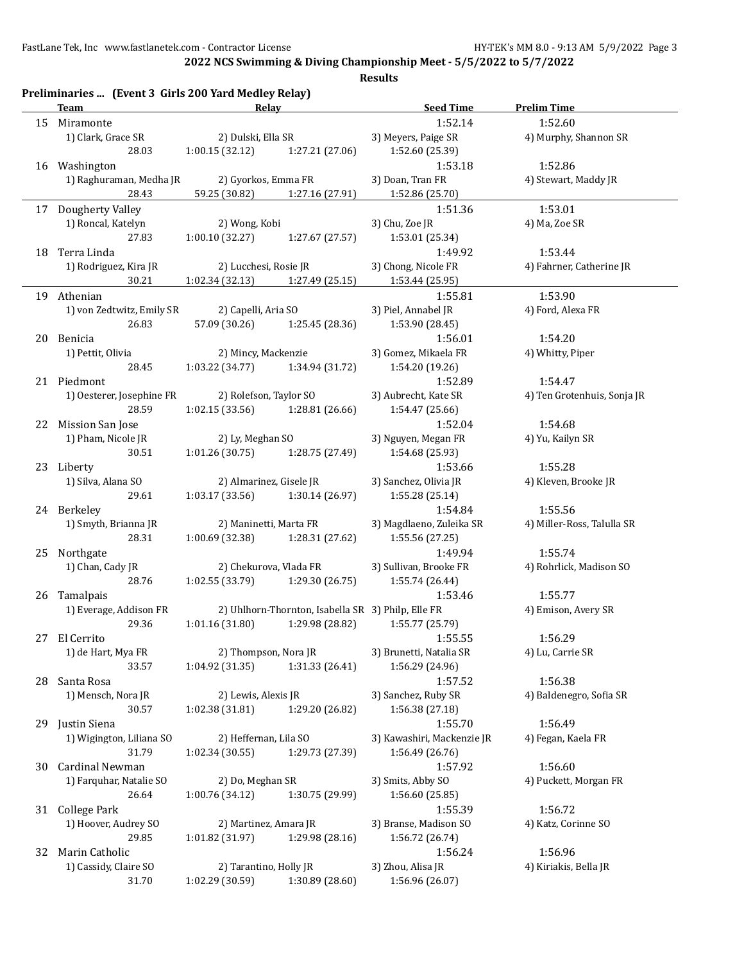|     | Preliminaries  (Event 3 Girls 200 Yard Medley Relay)<br><b>Team</b> | Relay                   |                                                    | <b>Seed Time</b>           | <b>Prelim Time</b>          |
|-----|---------------------------------------------------------------------|-------------------------|----------------------------------------------------|----------------------------|-----------------------------|
|     | 15 Miramonte                                                        |                         |                                                    | 1:52.14                    | 1:52.60                     |
|     | 1) Clark, Grace SR                                                  | 2) Dulski, Ella SR      |                                                    | 3) Meyers, Paige SR        | 4) Murphy, Shannon SR       |
|     | 28.03                                                               | 1:00.15(32.12)          | 1:27.21 (27.06)                                    | 1:52.60 (25.39)            |                             |
|     | 16 Washington                                                       |                         |                                                    | 1:53.18                    | 1:52.86                     |
|     | 1) Raghuraman, Medha JR                                             | 2) Gyorkos, Emma FR     |                                                    | 3) Doan, Tran FR           | 4) Stewart, Maddy JR        |
|     | 28.43                                                               | 59.25 (30.82)           | 1:27.16 (27.91)                                    | 1:52.86 (25.70)            |                             |
|     | 17 Dougherty Valley                                                 |                         |                                                    | 1:51.36                    | 1:53.01                     |
|     | 1) Roncal, Katelyn                                                  |                         |                                                    | 3) Chu, Zoe JR             |                             |
|     |                                                                     | 2) Wong, Kobi           |                                                    |                            | 4) Ma, Zoe SR               |
|     | 27.83                                                               | 1:00.10(32.27)          | 1:27.67 (27.57)                                    | 1:53.01 (25.34)            |                             |
|     | 18 Terra Linda                                                      |                         |                                                    | 1:49.92                    | 1:53.44                     |
|     | 1) Rodriguez, Kira JR                                               | 2) Lucchesi, Rosie JR   |                                                    | 3) Chong, Nicole FR        | 4) Fahrner, Catherine JR    |
|     | 30.21                                                               | 1:02.34 (32.13)         | 1:27.49 (25.15)                                    | 1:53.44 (25.95)            |                             |
|     | 19 Athenian                                                         |                         |                                                    | 1:55.81                    | 1:53.90                     |
|     | 1) von Zedtwitz, Emily SR                                           | 2) Capelli, Aria SO     |                                                    | 3) Piel, Annabel JR        | 4) Ford, Alexa FR           |
|     | 26.83                                                               | 57.09 (30.26)           | 1:25.45 (28.36)                                    | 1:53.90 (28.45)            |                             |
|     | 20 Benicia                                                          |                         |                                                    | 1:56.01                    | 1:54.20                     |
|     | 1) Pettit, Olivia                                                   | 2) Mincy, Mackenzie     |                                                    | 3) Gomez, Mikaela FR       | 4) Whitty, Piper            |
|     | 28.45                                                               | 1:03.22(34.77)          | 1:34.94 (31.72)                                    | 1:54.20 (19.26)            |                             |
|     | 21 Piedmont                                                         |                         |                                                    | 1:52.89                    | 1:54.47                     |
|     | 1) Oesterer, Josephine FR                                           | 2) Rolefson, Taylor SO  |                                                    | 3) Aubrecht, Kate SR       | 4) Ten Grotenhuis, Sonja JR |
|     | 28.59                                                               | 1:02.15(33.56)          | 1:28.81 (26.66)                                    | 1:54.47 (25.66)            |                             |
|     | 22 Mission San Jose                                                 |                         |                                                    | 1:52.04                    | 1:54.68                     |
|     | 1) Pham, Nicole JR                                                  | 2) Ly, Meghan SO        |                                                    | 3) Nguyen, Megan FR        | 4) Yu, Kailyn SR            |
|     | 30.51                                                               | 1:01.26(30.75)          | 1:28.75 (27.49)                                    | 1:54.68 (25.93)            |                             |
|     | 23 Liberty                                                          |                         |                                                    | 1:53.66                    | 1:55.28                     |
|     | 1) Silva, Alana SO                                                  | 2) Almarinez, Gisele JR |                                                    | 3) Sanchez, Olivia JR      | 4) Kleven, Brooke JR        |
|     | 29.61                                                               |                         |                                                    |                            |                             |
|     |                                                                     | 1:03.17(33.56)          | 1:30.14 (26.97)                                    | 1:55.28 (25.14)            |                             |
|     | 24 Berkeley                                                         |                         |                                                    | 1:54.84                    | 1:55.56                     |
|     | 1) Smyth, Brianna JR                                                | 2) Maninetti, Marta FR  |                                                    | 3) Magdlaeno, Zuleika SR   | 4) Miller-Ross, Talulla SR  |
|     | 28.31                                                               | 1:00.69(32.38)          | 1:28.31 (27.62)                                    | 1:55.56 (27.25)            |                             |
|     | 25 Northgate                                                        |                         |                                                    | 1:49.94                    | 1:55.74                     |
|     | 1) Chan, Cady JR                                                    | 2) Chekurova, Vlada FR  |                                                    | 3) Sullivan, Brooke FR     | 4) Rohrlick, Madison SO     |
|     | 28.76                                                               | 1:02.55(33.79)          | 1:29.30 (26.75)                                    | 1:55.74 (26.44)            |                             |
| 26  | Tamalpais                                                           |                         |                                                    | 1:53.46                    | 1:55.77                     |
|     | 1) Everage, Addison FR                                              |                         | 2) Uhlhorn-Thornton, Isabella SR 3) Philp, Elle FR |                            | 4) Emison, Avery SR         |
|     | 29.36                                                               | 1:01.16 (31.80)         | 1:29.98 (28.82)                                    | 1:55.77 (25.79)            |                             |
|     | 27 El Cerrito                                                       |                         |                                                    | 1:55.55                    | 1:56.29                     |
|     | 1) de Hart, Mya FR                                                  | 2) Thompson, Nora JR    |                                                    | 3) Brunetti, Natalia SR    | 4) Lu, Carrie SR            |
|     | 33.57                                                               | 1:04.92 (31.35)         | 1:31.33 (26.41)                                    | 1:56.29 (24.96)            |                             |
| 28  | Santa Rosa                                                          |                         |                                                    | 1:57.52                    | 1:56.38                     |
|     | 1) Mensch, Nora JR                                                  | 2) Lewis, Alexis JR     |                                                    | 3) Sanchez, Ruby SR        | 4) Baldenegro, Sofia SR     |
|     | 30.57                                                               | 1:02.38 (31.81)         | 1:29.20 (26.82)                                    | 1:56.38 (27.18)            |                             |
| 29. | Justin Siena                                                        |                         |                                                    | 1:55.70                    | 1:56.49                     |
|     | 1) Wigington, Liliana SO                                            | 2) Heffernan, Lila SO   |                                                    | 3) Kawashiri, Mackenzie JR | 4) Fegan, Kaela FR          |
|     | 31.79                                                               | 1:02.34(30.55)          | 1:29.73 (27.39)                                    | 1:56.49 (26.76)            |                             |
|     | Cardinal Newman                                                     |                         |                                                    | 1:57.92                    | 1:56.60                     |
| 30  |                                                                     |                         |                                                    |                            | 4) Puckett, Morgan FR       |
|     | 1) Farquhar, Natalie SO                                             | 2) Do, Meghan SR        |                                                    | 3) Smits, Abby SO          |                             |
|     | 26.64                                                               | 1:00.76 (34.12)         | 1:30.75 (29.99)                                    | 1:56.60 (25.85)            |                             |
| 31  | <b>College Park</b>                                                 |                         |                                                    | 1:55.39                    | 1:56.72                     |
|     | 1) Hoover, Audrey SO                                                | 2) Martinez, Amara JR   |                                                    | 3) Branse, Madison SO      | 4) Katz, Corinne SO         |
|     | 29.85                                                               | 1:01.82 (31.97)         | 1:29.98 (28.16)                                    | 1:56.72 (26.74)            |                             |
| 32  | Marin Catholic                                                      |                         |                                                    | 1:56.24                    | 1:56.96                     |
|     | 1) Cassidy, Claire SO                                               | 2) Tarantino, Holly JR  |                                                    | 3) Zhou, Alisa JR          | 4) Kiriakis, Bella JR       |
|     | 31.70                                                               | 1:02.29 (30.59)         | 1:30.89 (28.60)                                    | 1:56.96 (26.07)            |                             |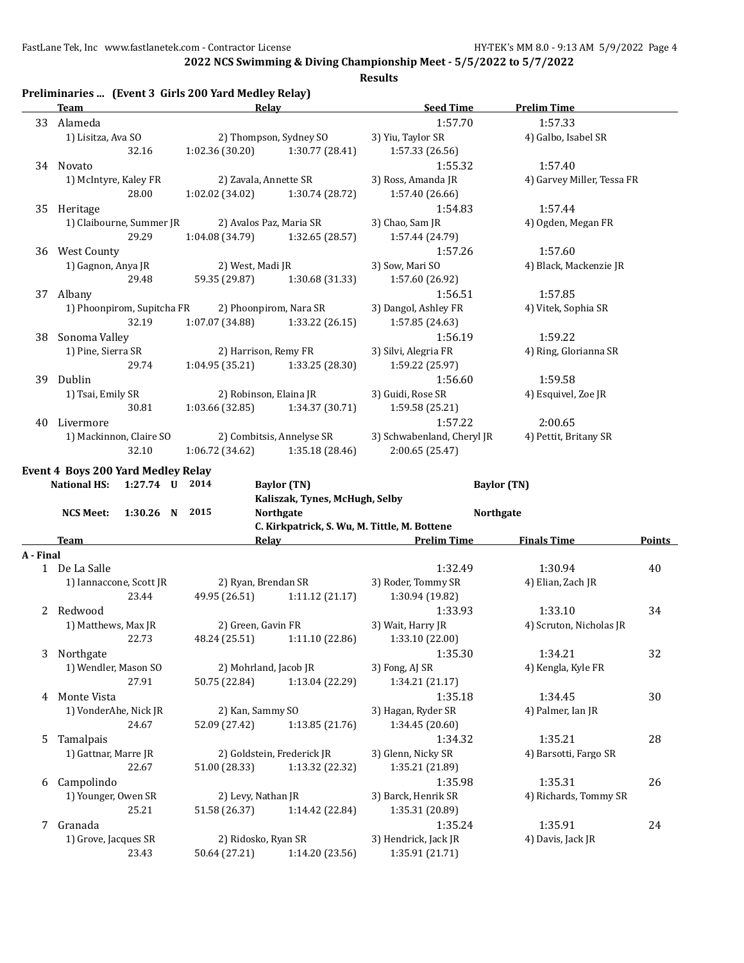**2022 NCS Swimming & Diving Championship Meet - 5/5/2022 to 5/7/2022**

|           | Preliminaries  (Event 3 Girls 200 Yard Medley Relay)<br>Team | Relay                                |                                                      | <b>Seed Time</b>                             | <b>Prelim Time</b>         |        |
|-----------|--------------------------------------------------------------|--------------------------------------|------------------------------------------------------|----------------------------------------------|----------------------------|--------|
|           | 33 Alameda                                                   |                                      |                                                      | 1:57.70                                      | 1:57.33                    |        |
|           | 1) Lisitza, Ava SO                                           |                                      | 2) Thompson, Sydney SO                               | 3) Yiu, Taylor SR                            | 4) Galbo, Isabel SR        |        |
|           | 32.16                                                        | 1:02.36(30.20)                       | 1:30.77 (28.41)                                      | 1:57.33 (26.56)                              |                            |        |
|           | 34 Novato                                                    |                                      |                                                      | 1:55.32                                      | 1:57.40                    |        |
|           | 1) McIntyre, Kaley FR                                        | 2) Zavala, Annette SR                |                                                      | 3) Ross, Amanda JR                           | 4) Garvey Miller, Tessa FR |        |
|           | 28.00                                                        | 1:02.02(34.02)                       | 1:30.74 (28.72)                                      | 1:57.40 (26.66)                              |                            |        |
|           | 35 Heritage                                                  |                                      |                                                      | 1:54.83                                      | 1:57.44                    |        |
|           | 1) Claibourne, Summer JR                                     | 2) Avalos Paz, Maria SR              |                                                      | 3) Chao, Sam JR                              | 4) Ogden, Megan FR         |        |
|           | 29.29                                                        | 1:04.08 (34.79)                      | 1:32.65 (28.57)                                      | 1:57.44 (24.79)                              |                            |        |
|           | 36 West County                                               |                                      |                                                      | 1:57.26                                      | 1:57.60                    |        |
|           | 1) Gagnon, Anya JR                                           | 2) West, Madi JR                     |                                                      | 3) Sow, Mari SO                              | 4) Black, Mackenzie JR     |        |
|           | 29.48                                                        | 59.35 (29.87)                        | 1:30.68 (31.33)                                      | 1:57.60 (26.92)                              |                            |        |
|           | 37 Albany                                                    |                                      |                                                      | 1:56.51                                      | 1:57.85                    |        |
|           | 1) Phoonpirom, Supitcha FR                                   | 2) Phoonpirom, Nara SR               |                                                      | 3) Dangol, Ashley FR                         | 4) Vitek, Sophia SR        |        |
|           | 32.19                                                        | 1:07.07 (34.88)                      | 1:33.22 (26.15)                                      | 1:57.85 (24.63)                              |                            |        |
| 38        | Sonoma Valley                                                |                                      |                                                      | 1:56.19                                      | 1:59.22                    |        |
|           | 1) Pine, Sierra SR                                           | 2) Harrison, Remy FR                 |                                                      | 3) Silvi, Alegria FR                         | 4) Ring, Glorianna SR      |        |
|           | 29.74                                                        | $1:04.95(35.21)$ $1:33.25(28.30)$    |                                                      | 1:59.22 (25.97)                              |                            |        |
|           | 39 Dublin                                                    |                                      |                                                      | 1:56.60                                      | 1:59.58                    |        |
|           | 1) Tsai, Emily SR                                            | 2) Robinson, Elaina JR               |                                                      | 3) Guidi, Rose SR                            | 4) Esquivel, Zoe JR        |        |
|           | 30.81                                                        | 1:03.66 (32.85) 1:34.37 (30.71)      |                                                      | 1:59.58 (25.21)                              |                            |        |
| 40        | Livermore                                                    |                                      |                                                      | 1:57.22                                      | 2:00.65                    |        |
|           | 1) Mackinnon, Claire SO                                      |                                      | 2) Combitsis, Annelyse SR                            | 3) Schwabenland, Cheryl JR                   | 4) Pettit, Britany SR      |        |
|           | 32.10                                                        | 1:06.72 (34.62)                      | 1:35.18 (28.46)                                      | 2:00.65 (25.47)                              |                            |        |
|           |                                                              |                                      |                                                      |                                              |                            |        |
|           | <b>Event 4 Boys 200 Yard Medley Relay</b><br>1:27.74 U 2014  |                                      |                                                      |                                              |                            |        |
|           | <b>National HS:</b>                                          |                                      | <b>Baylor</b> (TN)<br>Kaliszak, Tynes, McHugh, Selby | <b>Baylor</b> (TN)                           |                            |        |
|           | <b>NCS Meet:</b><br>1:30.26 N 2015                           |                                      |                                                      |                                              |                            |        |
|           |                                                              |                                      |                                                      |                                              |                            |        |
|           |                                                              |                                      | <b>Northgate</b>                                     | <b>Northgate</b>                             |                            |        |
|           |                                                              |                                      |                                                      | C. Kirkpatrick, S. Wu, M. Tittle, M. Bottene |                            |        |
|           | <b>Team</b>                                                  | Relay                                |                                                      | <b>Prelim Time</b>                           | <b>Finals Time</b>         |        |
|           |                                                              |                                      |                                                      |                                              |                            |        |
|           | 1 De La Salle                                                |                                      |                                                      | 1:32.49                                      | 1:30.94                    | 40     |
|           | 1) Iannaccone, Scott JR<br>23.44                             | 2) Ryan, Brendan SR                  |                                                      | 3) Roder, Tommy SR                           | 4) Elian, Zach JR          |        |
|           |                                                              | 49.95 (26.51)                        | 1:11.12(21.17)                                       | 1:30.94 (19.82)                              |                            |        |
|           | 2 Redwood                                                    |                                      |                                                      | 1:33.93                                      | 1:33.10                    | 34     |
|           | 1) Matthews, Max JR                                          | 2) Green, Gavin FR                   |                                                      | 3) Wait, Harry JR                            | 4) Scruton, Nicholas JR    |        |
|           | 22.73                                                        |                                      | 48.24 (25.51) 1:11.10 (22.86)                        | 1:33.10 (22.00)                              |                            |        |
| 3         | Northgate                                                    |                                      |                                                      | 1:35.30                                      | 1:34.21                    | 32     |
|           | 1) Wendler, Mason SO                                         | 2) Mohrland, Jacob JR                |                                                      | 3) Fong, AJ SR                               | 4) Kengla, Kyle FR         |        |
|           | 27.91                                                        | 50.75 (22.84)                        | 1:13.04 (22.29)                                      | 1:34.21 (21.17)                              |                            |        |
| 4         | Monte Vista                                                  |                                      |                                                      | 1:35.18                                      | 1:34.45                    | 30     |
|           | 1) VonderAhe, Nick JR                                        | 2) Kan, Sammy SO                     |                                                      | 3) Hagan, Ryder SR                           | 4) Palmer, Ian JR          |        |
|           | 24.67                                                        | 52.09 (27.42)                        | 1:13.85(21.76)                                       | 1:34.45 (20.60)                              |                            |        |
| 5         | Tamalpais                                                    |                                      |                                                      | 1:34.32                                      | 1:35.21                    | 28     |
|           | 1) Gattnar, Marre JR                                         |                                      | 2) Goldstein, Frederick JR                           | 3) Glenn, Nicky SR                           | 4) Barsotti, Fargo SR      |        |
|           | 22.67                                                        | 51.00 (28.33)                        | 1:13.32 (22.32)                                      | 1:35.21 (21.89)                              |                            |        |
|           | 6 Campolindo                                                 |                                      |                                                      | 1:35.98                                      | 1:35.31                    | 26     |
|           | 1) Younger, Owen SR                                          | 2) Levy, Nathan JR                   |                                                      | 3) Barck, Henrik SR                          | 4) Richards, Tommy SR      |        |
|           | 25.21                                                        |                                      | 51.58 (26.37) 1:14.42 (22.84)                        | 1:35.31 (20.89)                              |                            | Points |
|           | 7 Granada                                                    |                                      |                                                      | 1:35.24                                      | 1:35.91                    | 24     |
| A - Final | 1) Grove, Jacques SR<br>23.43                                | 2) Ridosko, Ryan SR<br>50.64 (27.21) | 1:14.20 (23.56)                                      | 3) Hendrick, Jack JR<br>1:35.91 (21.71)      | 4) Davis, Jack JR          |        |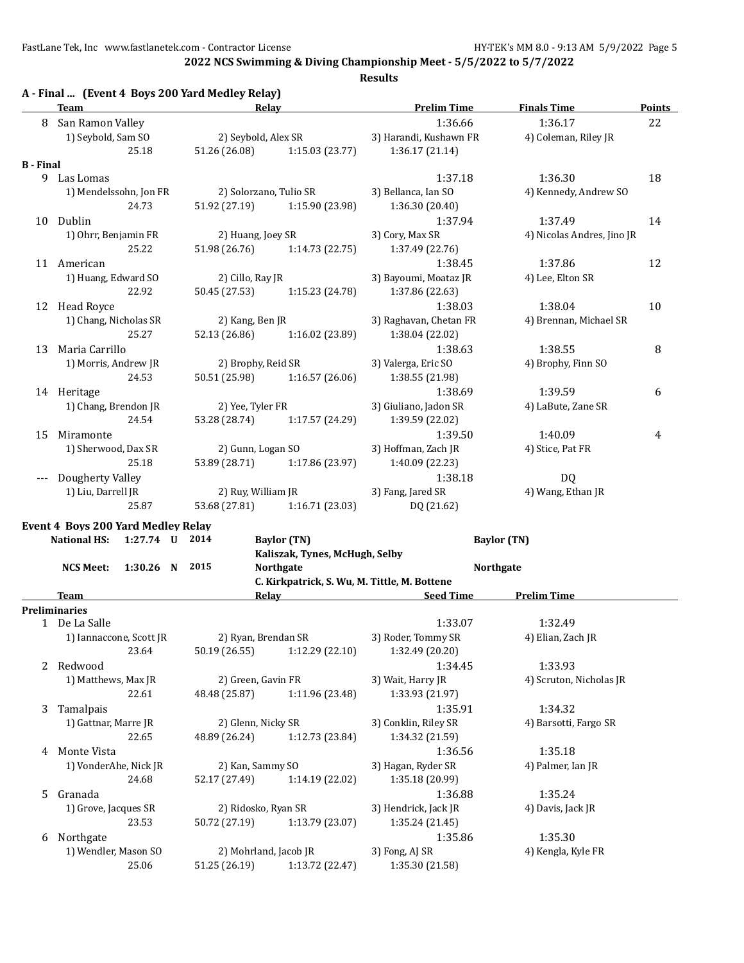**2022 NCS Swimming & Diving Championship Meet - 5/5/2022 to 5/7/2022**

|                  | A - Final  (Event 4 Boys 200 Yard Medley Relay)<br>Team | Relay                  |                                              | <b>Prelim Time</b>     | <b>Finals Time</b>         | <b>Points</b> |
|------------------|---------------------------------------------------------|------------------------|----------------------------------------------|------------------------|----------------------------|---------------|
| 8                | San Ramon Valley                                        |                        |                                              | 1:36.66                | 1:36.17                    | 22            |
|                  | 1) Seybold, Sam SO                                      | 2) Seybold, Alex SR    |                                              | 3) Harandi, Kushawn FR | 4) Coleman, Riley JR       |               |
|                  | 25.18                                                   | 51.26 (26.08)          | 1:15.03 (23.77)                              | 1:36.17(21.14)         |                            |               |
| <b>B</b> - Final |                                                         |                        |                                              |                        |                            |               |
| 9                | Las Lomas                                               |                        |                                              | 1:37.18                | 1:36.30                    | 18            |
|                  | 1) Mendelssohn, Jon FR                                  | 2) Solorzano, Tulio SR |                                              | 3) Bellanca, Ian SO    | 4) Kennedy, Andrew SO      |               |
|                  | 24.73                                                   | 51.92 (27.19)          | 1:15.90 (23.98)                              | 1:36.30 (20.40)        |                            |               |
| 10               | Dublin                                                  |                        |                                              | 1:37.94                | 1:37.49                    | 14            |
|                  | 1) Ohrr, Benjamin FR                                    | 2) Huang, Joey SR      |                                              | 3) Cory, Max SR        | 4) Nicolas Andres, Jino JR |               |
|                  | 25.22                                                   | 51.98 (26.76)          | 1:14.73(22.75)                               | 1:37.49 (22.76)        |                            |               |
|                  | 11 American                                             |                        |                                              | 1:38.45                | 1:37.86                    | 12            |
|                  | 1) Huang, Edward SO                                     | 2) Cillo, Ray JR       |                                              | 3) Bayoumi, Moataz JR  | 4) Lee, Elton SR           |               |
|                  | 22.92                                                   | 50.45 (27.53)          | 1:15.23 (24.78)                              | 1:37.86 (22.63)        |                            |               |
|                  | 12 Head Royce                                           |                        |                                              | 1:38.03                | 1:38.04                    | 10            |
|                  | 1) Chang, Nicholas SR                                   | 2) Kang, Ben JR        |                                              | 3) Raghavan, Chetan FR | 4) Brennan, Michael SR     |               |
|                  | 25.27                                                   | 52.13 (26.86)          | 1:16.02 (23.89)                              | 1:38.04 (22.02)        |                            |               |
| 13               | Maria Carrillo                                          |                        |                                              | 1:38.63                | 1:38.55                    | $\, 8$        |
|                  | 1) Morris, Andrew JR                                    | 2) Brophy, Reid SR     |                                              | 3) Valerga, Eric SO    | 4) Brophy, Finn SO         |               |
|                  | 24.53                                                   | 50.51 (25.98)          | 1:16.57(26.06)                               | 1:38.55 (21.98)        |                            |               |
|                  | 14 Heritage                                             |                        |                                              | 1:38.69                | 1:39.59                    | 6             |
|                  | 1) Chang, Brendon JR                                    | 2) Yee, Tyler FR       |                                              | 3) Giuliano, Jadon SR  | 4) LaBute, Zane SR         |               |
|                  | 24.54                                                   | 53.28 (28.74)          | 1:17.57 (24.29)                              | 1:39.59 (22.02)        |                            |               |
| 15               | Miramonte                                               |                        |                                              | 1:39.50                | 1:40.09                    | 4             |
|                  | 1) Sherwood, Dax SR                                     | 2) Gunn, Logan SO      |                                              | 3) Hoffman, Zach JR    | 4) Stice, Pat FR           |               |
|                  | 25.18                                                   | 53.89 (28.71)          | 1:17.86 (23.97)                              | 1:40.09 (22.23)        |                            |               |
|                  | Dougherty Valley                                        |                        |                                              | 1:38.18                | DQ                         |               |
|                  | 1) Liu, Darrell JR                                      | 2) Ruy, William JR     |                                              | 3) Fang, Jared SR      | 4) Wang, Ethan JR          |               |
|                  | 25.87                                                   | 53.68 (27.81)          | 1:16.71 (23.03)                              | DQ (21.62)             |                            |               |
|                  |                                                         |                        |                                              |                        |                            |               |
|                  | Event 4 Boys 200 Yard Medley Relay                      |                        |                                              |                        |                            |               |
|                  | <b>National HS:</b><br>1:27.74 U 2014                   |                        | <b>Baylor</b> (TN)                           |                        | <b>Baylor</b> (TN)         |               |
|                  |                                                         |                        | Kaliszak, Tynes, McHugh, Selby               |                        |                            |               |
|                  | 1:30.26<br><b>NCS Meet:</b><br>N                        | 2015                   | <b>Northgate</b>                             |                        | <b>Northgate</b>           |               |
|                  |                                                         |                        | C. Kirkpatrick, S. Wu, M. Tittle, M. Bottene |                        |                            |               |
|                  | Team                                                    |                        | Relay                                        | <b>Seed Time</b>       | <b>Prelim Time</b>         |               |
|                  | <b>Preliminaries</b>                                    |                        |                                              |                        |                            |               |
|                  | 1 De La Salle                                           |                        |                                              | 1:33.07                | 1:32.49                    |               |
|                  | 1) Iannaccone, Scott JR                                 | 2) Ryan, Brendan SR    |                                              | 3) Roder, Tommy SR     | 4) Elian, Zach JR          |               |
|                  | 23.64                                                   | 50.19 (26.55)          | 1:12.29 (22.10)                              | 1:32.49 (20.20)        |                            |               |
|                  | 2 Redwood                                               |                        |                                              | 1:34.45                | 1:33.93                    |               |
|                  | 1) Matthews, Max JR                                     | 2) Green, Gavin FR     |                                              | 3) Wait, Harry JR      | 4) Scruton, Nicholas JR    |               |
|                  | 22.61                                                   | 48.48 (25.87)          | 1:11.96 (23.48)                              | 1:33.93 (21.97)        |                            |               |
| 3                | Tamalpais                                               |                        |                                              | 1:35.91                | 1:34.32                    |               |
|                  | 1) Gattnar, Marre JR                                    | 2) Glenn, Nicky SR     |                                              | 3) Conklin, Riley SR   | 4) Barsotti, Fargo SR      |               |
|                  | 22.65                                                   | 48.89 (26.24)          | 1:12.73 (23.84)                              | 1:34.32 (21.59)        |                            |               |
| 4                | Monte Vista                                             |                        |                                              | 1:36.56                | 1:35.18                    |               |
|                  | 1) VonderAhe, Nick JR                                   | 2) Kan, Sammy SO       |                                              | 3) Hagan, Ryder SR     | 4) Palmer, Ian JR          |               |
|                  | 24.68                                                   | 52.17 (27.49)          | 1:14.19 (22.02)                              | 1:35.18 (20.99)        |                            |               |
| 5.               | Granada                                                 |                        |                                              | 1:36.88                | 1:35.24                    |               |
|                  | 1) Grove, Jacques SR                                    | 2) Ridosko, Ryan SR    |                                              | 3) Hendrick, Jack JR   | 4) Davis, Jack JR          |               |
|                  | 23.53                                                   | 50.72 (27.19)          | 1:13.79 (23.07)                              | 1:35.24 (21.45)        |                            |               |
| 6                | Northgate                                               |                        |                                              | 1:35.86                | 1:35.30                    |               |
|                  | 1) Wendler, Mason SO                                    | 2) Mohrland, Jacob JR  |                                              | 3) Fong, AJ SR         | 4) Kengla, Kyle FR         |               |
|                  | 25.06                                                   | 51.25 (26.19)          | 1:13.72 (22.47)                              | 1:35.30 (21.58)        |                            |               |
|                  |                                                         |                        |                                              |                        |                            |               |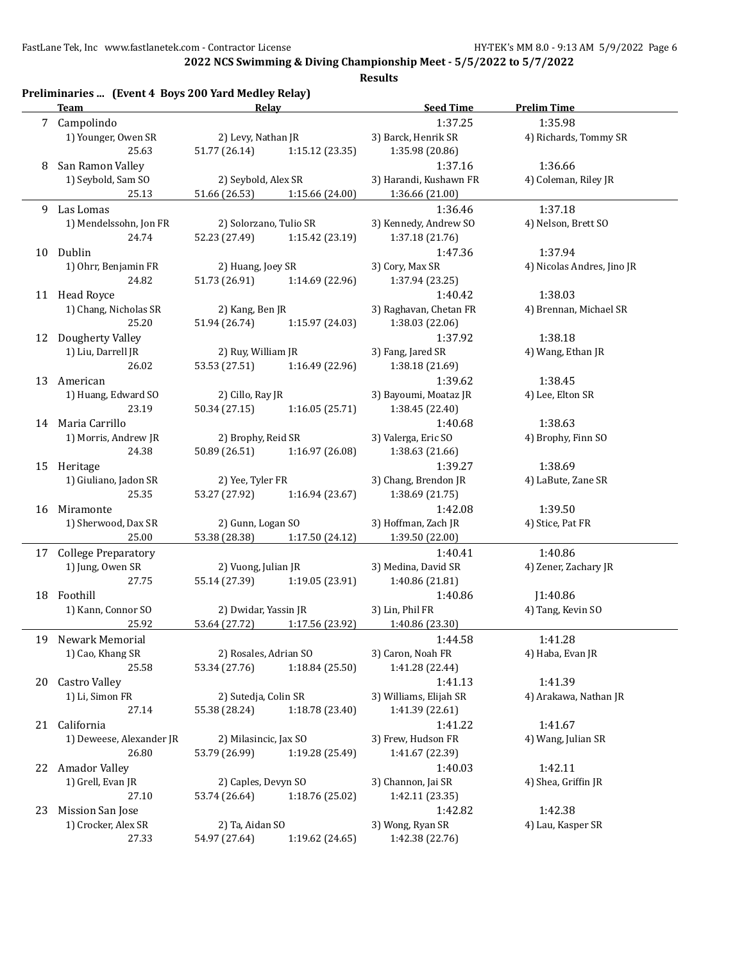**2022 NCS Swimming & Diving Championship Meet - 5/5/2022 to 5/7/2022**

|             | Team                       | Relay                             |                 | <b>Seed Time</b>       | <b>Prelim Time</b>         |
|-------------|----------------------------|-----------------------------------|-----------------|------------------------|----------------------------|
| $7^{\circ}$ | Campolindo                 |                                   |                 | 1:37.25                | 1:35.98                    |
|             | 1) Younger, Owen SR        | 2) Levy, Nathan JR                |                 | 3) Barck, Henrik SR    | 4) Richards, Tommy SR      |
|             | 25.63                      | 51.77 (26.14)                     | 1:15.12 (23.35) | 1:35.98 (20.86)        |                            |
| 8           | San Ramon Valley           |                                   |                 | 1:37.16                | 1:36.66                    |
|             | 1) Seybold, Sam SO         | 2) Seybold, Alex SR               |                 | 3) Harandi, Kushawn FR | 4) Coleman, Riley JR       |
|             | 25.13                      | 51.66 (26.53)                     | 1:15.66 (24.00) | 1:36.66 (21.00)        |                            |
| 9.          | Las Lomas                  |                                   |                 | 1:36.46                | 1:37.18                    |
|             | 1) Mendelssohn, Jon FR     | 2) Solorzano, Tulio SR            |                 | 3) Kennedy, Andrew SO  | 4) Nelson, Brett SO        |
|             | 24.74                      | 52.23 (27.49)                     | 1:15.42 (23.19) | 1:37.18 (21.76)        |                            |
|             | 10 Dublin                  |                                   |                 | 1:47.36                | 1:37.94                    |
|             | 1) Ohrr, Benjamin FR       | 2) Huang, Joey SR                 |                 | 3) Cory, Max SR        | 4) Nicolas Andres, Jino JR |
|             | 24.82                      | 51.73 (26.91)                     | 1:14.69 (22.96) | 1:37.94 (23.25)        |                            |
|             | 11 Head Royce              |                                   |                 | 1:40.42                | 1:38.03                    |
|             | 1) Chang, Nicholas SR      | 2) Kang, Ben JR                   |                 | 3) Raghavan, Chetan FR | 4) Brennan, Michael SR     |
|             | 25.20                      | 51.94 (26.74)                     | 1:15.97 (24.03) | 1:38.03 (22.06)        |                            |
|             | 12 Dougherty Valley        |                                   |                 | 1:37.92                | 1:38.18                    |
|             | 1) Liu, Darrell JR         | 2) Ruy, William JR                |                 | 3) Fang, Jared SR      | 4) Wang, Ethan JR          |
|             | 26.02                      | 53.53 (27.51)                     | 1:16.49 (22.96) | 1:38.18 (21.69)        |                            |
|             | American                   |                                   |                 | 1:39.62                |                            |
| 13          | 1) Huang, Edward SO        |                                   |                 | 3) Bayoumi, Moataz JR  | 1:38.45                    |
|             |                            | 2) Cillo, Ray JR<br>50.34 (27.15) | 1:16.05(25.71)  |                        | 4) Lee, Elton SR           |
|             | 23.19                      |                                   |                 | 1:38.45 (22.40)        |                            |
|             | 14 Maria Carrillo          |                                   |                 | 1:40.68                | 1:38.63                    |
|             | 1) Morris, Andrew JR       | 2) Brophy, Reid SR                |                 | 3) Valerga, Eric SO    | 4) Brophy, Finn SO         |
|             | 24.38                      | 50.89 (26.51)                     | 1:16.97 (26.08) | 1:38.63 (21.66)        |                            |
|             | 15 Heritage                |                                   |                 | 1:39.27                | 1:38.69                    |
|             | 1) Giuliano, Jadon SR      | 2) Yee, Tyler FR                  |                 | 3) Chang, Brendon JR   | 4) LaBute, Zane SR         |
|             | 25.35                      | 53.27 (27.92)                     | 1:16.94(23.67)  | 1:38.69 (21.75)        |                            |
| 16          | Miramonte                  |                                   |                 | 1:42.08                | 1:39.50                    |
|             | 1) Sherwood, Dax SR        | 2) Gunn, Logan SO                 |                 | 3) Hoffman, Zach JR    | 4) Stice, Pat FR           |
|             | 25.00                      | 53.38 (28.38)                     | 1:17.50 (24.12) | 1:39.50 (22.00)        |                            |
| 17          | <b>College Preparatory</b> |                                   |                 | 1:40.41                | 1:40.86                    |
|             | 1) Jung, Owen SR           | 2) Vuong, Julian JR               |                 | 3) Medina, David SR    | 4) Zener, Zachary JR       |
|             | 27.75                      | 55.14 (27.39)                     | 1:19.05(23.91)  | 1:40.86 (21.81)        |                            |
|             | 18 Foothill                |                                   |                 | 1:40.86                | J1:40.86                   |
|             | 1) Kann, Connor SO         | 2) Dwidar, Yassin JR              |                 | 3) Lin, Phil FR        | 4) Tang, Kevin SO          |
|             | 25.92                      | 53.64 (27.72)                     | 1:17.56 (23.92) | 1:40.86 (23.30)        |                            |
| 19          | Newark Memorial            |                                   |                 | 1:44.58                | 1:41.28                    |
|             | 1) Cao, Khang SR           | 2) Rosales, Adrian SO             |                 | 3) Caron, Noah FR      | 4) Haba, Evan JR           |
|             | 25.58                      | 53.34 (27.76)                     | 1:18.84(25.50)  | 1:41.28 (22.44)        |                            |
| 20          | Castro Valley              |                                   |                 | 1:41.13                | 1:41.39                    |
|             | 1) Li, Simon FR            | 2) Sutedja, Colin SR              |                 | 3) Williams, Elijah SR | 4) Arakawa, Nathan JR      |
|             | 27.14                      | 55.38 (28.24)                     | 1:18.78 (23.40) | 1:41.39 (22.61)        |                            |
| 21          | California                 |                                   |                 | 1:41.22                | 1:41.67                    |
|             | 1) Deweese, Alexander JR   | 2) Milasincic, Jax SO             |                 | 3) Frew, Hudson FR     | 4) Wang, Julian SR         |
|             | 26.80                      | 53.79 (26.99)                     | 1:19.28 (25.49) | 1:41.67 (22.39)        |                            |
|             | 22 Amador Valley           |                                   |                 | 1:40.03                | 1:42.11                    |
|             | 1) Grell, Evan JR          | 2) Caples, Devyn SO               |                 | 3) Channon, Jai SR     | 4) Shea, Griffin JR        |
|             | 27.10                      | 53.74 (26.64)                     | 1:18.76 (25.02) | 1:42.11 (23.35)        |                            |
| 23          | Mission San Jose           |                                   |                 | 1:42.82                | 1:42.38                    |
|             | 1) Crocker, Alex SR        | 2) Ta, Aidan SO                   |                 | 3) Wong, Ryan SR       | 4) Lau, Kasper SR          |
|             | 27.33                      | 54.97 (27.64)                     | 1:19.62 (24.65) | 1:42.38 (22.76)        |                            |
|             |                            |                                   |                 |                        |                            |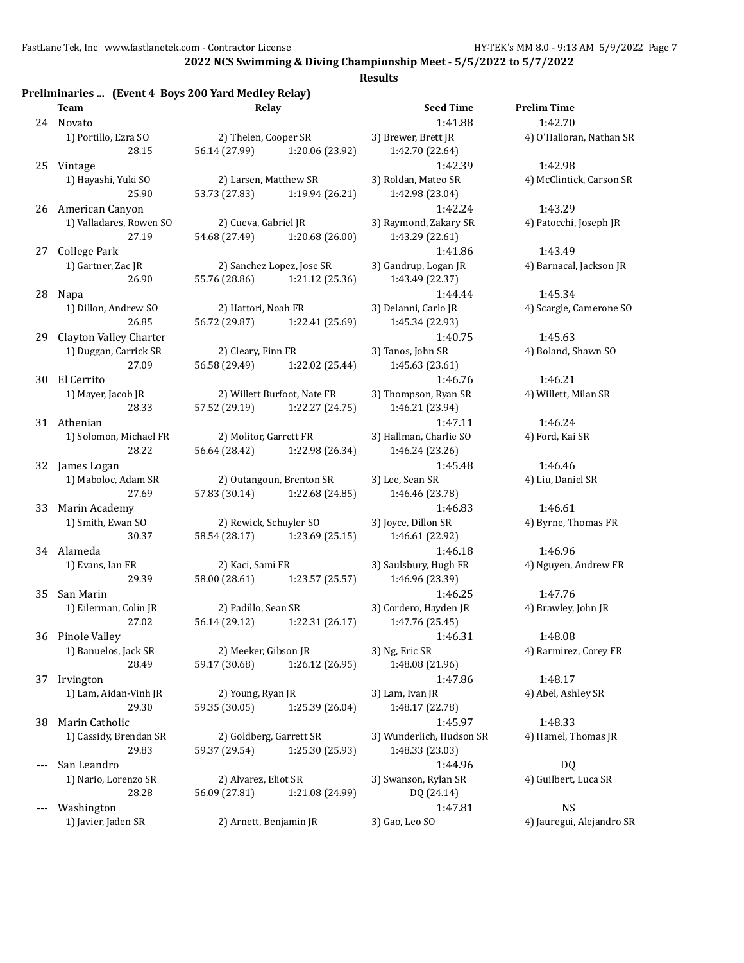**2022 NCS Swimming & Diving Championship Meet - 5/5/2022 to 5/7/2022**

| Preliminaries  (Event 4 Boys 200 Yard Medley Relay)<br><b>Team</b> | Relay                  |                             | <b>Seed Time</b>                 | <b>Prelim Time</b>              |
|--------------------------------------------------------------------|------------------------|-----------------------------|----------------------------------|---------------------------------|
| 24 Novato                                                          |                        |                             | 1:41.88                          | 1:42.70                         |
| 1) Portillo, Ezra SO                                               | 2) Thelen, Cooper SR   |                             | 3) Brewer, Brett JR              | 4) O'Halloran, Nathan SR        |
| 28.15                                                              | 56.14 (27.99)          | 1:20.06 (23.92)             | 1:42.70 (22.64)                  |                                 |
| Vintage<br>25                                                      |                        |                             | 1:42.39                          | 1:42.98                         |
| 1) Hayashi, Yuki SO                                                | 2) Larsen, Matthew SR  |                             | 3) Roldan, Mateo SR              | 4) McClintick, Carson SR        |
| 25.90                                                              | 53.73 (27.83)          | 1:19.94 (26.21)             | 1:42.98 (23.04)                  |                                 |
| 26<br>American Canyon                                              |                        |                             | 1:42.24                          | 1:43.29                         |
| 1) Valladares, Rowen SO                                            | 2) Cueva, Gabriel JR   |                             | 3) Raymond, Zakary SR            | 4) Patocchi, Joseph JR          |
| 27.19                                                              | 54.68 (27.49)          | 1:20.68(26.00)              | 1:43.29 (22.61)                  |                                 |
| 27 College Park                                                    |                        |                             | 1:41.86                          | 1:43.49                         |
| 1) Gartner, Zac JR                                                 |                        | 2) Sanchez Lopez, Jose SR   | 3) Gandrup, Logan JR             | 4) Barnacal, Jackson JR         |
| 26.90                                                              | 55.76 (28.86)          | 1:21.12(25.36)              | 1:43.49 (22.37)                  |                                 |
| 28 Napa                                                            |                        |                             | 1:44.44                          | 1:45.34                         |
| 1) Dillon, Andrew SO                                               | 2) Hattori, Noah FR    |                             | 3) Delanni, Carlo JR             | 4) Scargle, Camerone SO         |
| 26.85                                                              | 56.72 (29.87)          | 1:22.41 (25.69)             | 1:45.34 (22.93)                  |                                 |
| 29 Clayton Valley Charter                                          |                        |                             | 1:40.75                          | 1:45.63                         |
| 1) Duggan, Carrick SR                                              | 2) Cleary, Finn FR     |                             | 3) Tanos, John SR                | 4) Boland, Shawn SO             |
| 27.09                                                              | 56.58 (29.49)          | 1:22.02 (25.44)             | 1:45.63 (23.61)                  |                                 |
| 30 El Cerrito                                                      |                        |                             | 1:46.76                          | 1:46.21                         |
| 1) Mayer, Jacob JR                                                 |                        | 2) Willett Burfoot, Nate FR | 3) Thompson, Ryan SR             | 4) Willett, Milan SR            |
| 28.33                                                              | 57.52 (29.19)          | 1:22.27 (24.75)             | 1:46.21 (23.94)                  |                                 |
| 31 Athenian                                                        |                        |                             | 1:47.11                          | 1:46.24                         |
| 1) Solomon, Michael FR                                             | 2) Molitor, Garrett FR |                             | 3) Hallman, Charlie SO           | 4) Ford, Kai SR                 |
| 28.22                                                              | 56.64 (28.42)          | 1:22.98 (26.34)             | 1:46.24 (23.26)                  |                                 |
| James Logan<br>32                                                  |                        |                             | 1:45.48                          | 1:46.46                         |
| 1) Maboloc, Adam SR                                                |                        | 2) Outangoun, Brenton SR    | 3) Lee, Sean SR                  | 4) Liu, Daniel SR               |
| 27.69                                                              | 57.83 (30.14)          | 1:22.68 (24.85)             | 1:46.46 (23.78)                  |                                 |
| 33 Marin Academy                                                   |                        |                             | 1:46.83                          | 1:46.61                         |
| 1) Smith, Ewan SO                                                  | 2) Rewick, Schuyler SO |                             | 3) Joyce, Dillon SR              | 4) Byrne, Thomas FR             |
| 30.37<br>34 Alameda                                                | 58.54 (28.17)          | 1:23.69 (25.15)             | 1:46.61 (22.92)                  |                                 |
| 1) Evans, Ian FR                                                   | 2) Kaci, Sami FR       |                             | 1:46.18<br>3) Saulsbury, Hugh FR | 1:46.96<br>4) Nguyen, Andrew FR |
| 29.39                                                              | 58.00 (28.61)          | 1:23.57 (25.57)             | 1:46.96 (23.39)                  |                                 |
| San Marin<br>35                                                    |                        |                             | 1:46.25                          | 1:47.76                         |
| 1) Eilerman, Colin JR                                              | 2) Padillo, Sean SR    |                             | 3) Cordero, Hayden JR            | 4) Brawley, John JR             |
| 27.02                                                              | 56.14 (29.12)          | 1:22.31 (26.17)             | 1:47.76 (25.45)                  |                                 |
| 36 Pinole Valley                                                   |                        |                             | 1:46.31                          | 1:48.08                         |
| 1) Banuelos, Jack SR                                               | 2) Meeker, Gibson JR   |                             | 3) Ng, Eric SR                   | 4) Rarmirez, Corey FR           |
| 28.49                                                              | 59.17 (30.68)          | 1:26.12 (26.95)             | 1:48.08 (21.96)                  |                                 |
| 37 Irvington                                                       |                        |                             | 1:47.86                          | 1:48.17                         |
| 1) Lam, Aidan-Vinh JR                                              | 2) Young, Ryan JR      |                             | 3) Lam, Ivan JR                  | 4) Abel, Ashley SR              |
| 29.30                                                              | 59.35 (30.05)          | 1:25.39 (26.04)             | 1:48.17 (22.78)                  |                                 |
| Marin Catholic<br>38                                               |                        |                             | 1:45.97                          | 1:48.33                         |
| 1) Cassidy, Brendan SR                                             |                        | 2) Goldberg, Garrett SR     | 3) Wunderlich, Hudson SR         | 4) Hamel, Thomas JR             |
| 29.83                                                              | 59.37 (29.54)          | 1:25.30 (25.93)             | 1:48.33 (23.03)                  |                                 |
| San Leandro<br>$---$                                               |                        |                             | 1:44.96                          | <b>DQ</b>                       |
| 1) Nario, Lorenzo SR                                               | 2) Alvarez, Eliot SR   |                             | 3) Swanson, Rylan SR             | 4) Guilbert, Luca SR            |
| 28.28                                                              | 56.09 (27.81)          | 1:21.08 (24.99)             | DQ (24.14)                       |                                 |
| Washington<br>$---$                                                |                        |                             | 1:47.81                          | <b>NS</b>                       |
| 1) Javier, Jaden SR                                                | 2) Arnett, Benjamin JR |                             | 3) Gao, Leo SO                   | 4) Jauregui, Alejandro SR       |
|                                                                    |                        |                             |                                  |                                 |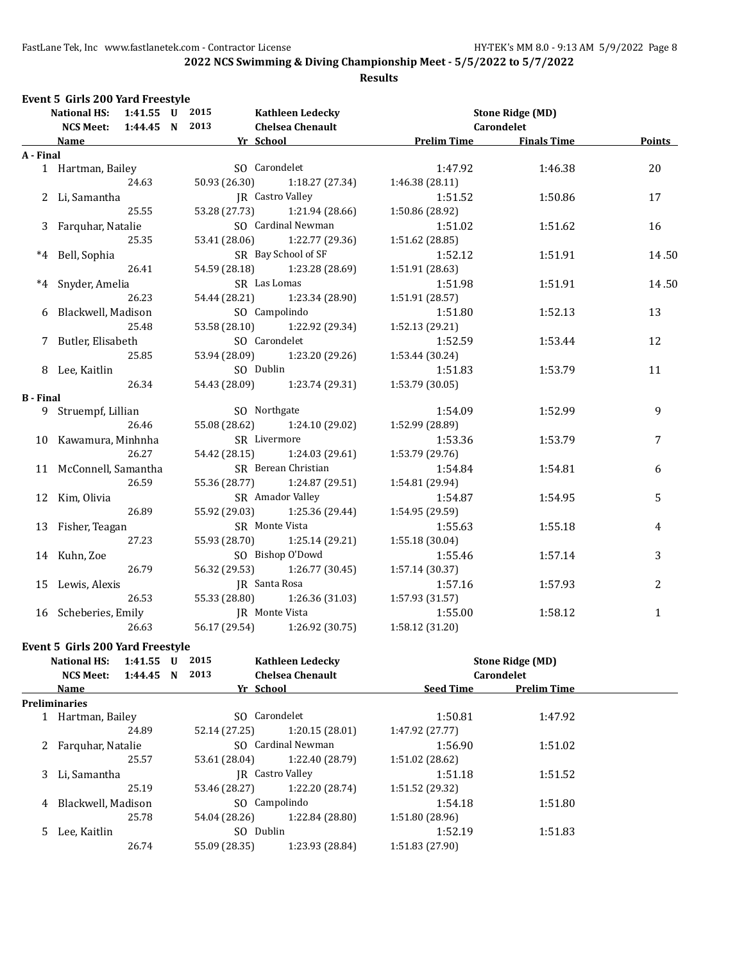**2022 NCS Swimming & Diving Championship Meet - 5/5/2022 to 5/7/2022**

#### **Results**

|                  | <b>National HS:</b><br>1:41.55 U 2015  |  |                         | <b>Kathleen Ledecky</b>         |                    | <b>Stone Ridge (MD)</b> |                |
|------------------|----------------------------------------|--|-------------------------|---------------------------------|--------------------|-------------------------|----------------|
|                  | 1:44.45 N 2013<br><b>NCS Meet:</b>     |  |                         | <b>Chelsea Chenault</b>         |                    | Carondelet              |                |
|                  | <b>Name</b>                            |  | Yr School               |                                 | <b>Prelim Time</b> | <b>Finals Time</b>      | <b>Points</b>  |
| A - Final        |                                        |  |                         |                                 |                    |                         |                |
|                  | 1 Hartman, Bailey                      |  |                         | SO Carondelet                   | 1:47.92            | 1:46.38                 | 20             |
|                  | 24.63                                  |  |                         | $50.93(26.30)$ $1:18.27(27.34)$ | 1:46.38 (28.11)    |                         |                |
|                  | 2 Li, Samantha                         |  | <b>IR</b> Castro Valley |                                 | 1:51.52            | 1:50.86                 | 17             |
|                  | 25.55                                  |  |                         | 53.28 (27.73) 1:21.94 (28.66)   | 1:50.86 (28.92)    |                         |                |
|                  | 3 Farquhar, Natalie                    |  |                         | SO Cardinal Newman              | 1:51.02            | 1:51.62                 | 16             |
|                  | 25.35                                  |  |                         | 53.41 (28.06) 1:22.77 (29.36)   | 1:51.62(28.85)     |                         |                |
|                  | *4 Bell, Sophia                        |  |                         | SR Bay School of SF             | 1:52.12            | 1:51.91                 | 14.50          |
|                  | 26.41                                  |  |                         | 54.59 (28.18) 1:23.28 (28.69)   | 1:51.91(28.63)     |                         |                |
|                  | *4 Snyder, Amelia                      |  | SR Las Lomas            |                                 | 1:51.98            | 1:51.91                 | 14.50          |
|                  | 26.23                                  |  |                         | 54.44 (28.21) 1:23.34 (28.90)   | 1:51.91 (28.57)    |                         |                |
|                  | 6 Blackwell, Madison                   |  | SO Campolindo           |                                 | 1:51.80            | 1:52.13                 | 13             |
|                  | 25.48                                  |  |                         | 53.58 (28.10) 1:22.92 (29.34)   | 1:52.13 (29.21)    |                         |                |
|                  | 7 Butler, Elisabeth                    |  | SO Carondelet           |                                 | 1:52.59            | 1:53.44                 | 12             |
|                  | 25.85                                  |  |                         | 53.94 (28.09) 1:23.20 (29.26)   | 1:53.44 (30.24)    |                         |                |
|                  | SO Dublin<br>8 Lee, Kaitlin            |  | 1:51.83                 | 1:53.79                         | 11                 |                         |                |
|                  | 26.34<br>54.43 (28.09) 1:23.74 (29.31) |  |                         | 1:53.79(30.05)                  |                    |                         |                |
| <b>B</b> - Final |                                        |  |                         |                                 |                    |                         |                |
|                  | 9 Struempf, Lillian                    |  | SO Northgate            |                                 | 1:54.09            | 1:52.99                 | 9              |
|                  | 26.46                                  |  | 55.08 (28.62)           | 1:24.10 (29.02)                 | 1:52.99 (28.89)    |                         |                |
|                  | 10 Kawamura, Minhnha                   |  | SR Livermore            |                                 | 1:53.36            | 1:53.79                 | 7              |
|                  | 26.27                                  |  | 54.42 (28.15)           | 1:24.03 (29.61)                 | 1:53.79 (29.76)    |                         |                |
|                  | 11 McConnell, Samantha                 |  |                         | SR Berean Christian             | 1:54.84            | 1:54.81                 | 6              |
|                  | 26.59                                  |  |                         | 55.36 (28.77) 1:24.87 (29.51)   | 1:54.81 (29.94)    |                         |                |
|                  | 12 Kim, Olivia                         |  |                         | SR Amador Valley                | 1:54.87            | 1:54.95                 | 5              |
|                  | 26.89                                  |  | 55.92 (29.03)           | 1:25.36 (29.44)                 | 1:54.95 (29.59)    |                         |                |
|                  | 13 Fisher, Teagan                      |  |                         | SR Monte Vista                  | 1:55.63            | 1:55.18                 | 4              |
|                  | 27.23                                  |  | 55.93 (28.70)           | 1:25.14 (29.21)                 | 1:55.18 (30.04)    |                         |                |
|                  | 14 Kuhn, Zoe                           |  |                         | SO Bishop O'Dowd                | 1:55.46            | 1:57.14                 | 3              |
|                  | 26.79                                  |  | 56.32 (29.53)           | 1:26.77 (30.45)                 | 1:57.14 (30.37)    |                         |                |
|                  | 15 Lewis, Alexis                       |  |                         | JR Santa Rosa                   | 1:57.16            | 1:57.93                 | $\overline{c}$ |
|                  | 26.53                                  |  | 55.33 (28.80)           | 1:26.36(31.03)                  | 1:57.93 (31.57)    |                         |                |
|                  | JR Monte Vista<br>16 Scheberies, Emily |  | 1:55.00                 | 1:58.12                         | $\mathbf{1}$       |                         |                |
|                  | 26.63                                  |  |                         | 56.17 (29.54) 1:26.92 (30.75)   | 1:58.12 (31.20)    |                         |                |

#### **Event 5 Girls 200 Yard Freestyle**

|   | <b>National HS:</b>  | $1:41.55$ U |  | 2015                    | <b>Kathleen Ledecky</b> |                  | <b>Stone Ridge (MD)</b> |  |
|---|----------------------|-------------|--|-------------------------|-------------------------|------------------|-------------------------|--|
|   | <b>NCS Meet:</b>     | $1:44.45$ N |  | 2013                    | <b>Chelsea Chenault</b> |                  | <b>Carondelet</b>       |  |
|   | Name                 |             |  | Yr School               |                         | <b>Seed Time</b> | <b>Prelim Time</b>      |  |
|   | <b>Preliminaries</b> |             |  |                         |                         |                  |                         |  |
|   | Hartman, Bailey      |             |  | SO Carondelet           |                         | 1:50.81          | 1:47.92                 |  |
|   |                      | 24.89       |  | 52.14 (27.25)           | 1:20.15(28.01)          | 1:47.92 (27.77)  |                         |  |
|   | 2 Farguhar, Natalie  |             |  | SO Cardinal Newman      |                         | 1:56.90          | 1:51.02                 |  |
|   |                      | 25.57       |  | 53.61 (28.04)           | 1:22.40 (28.79)         | 1:51.02 (28.62)  |                         |  |
|   | 3 Li. Samantha       |             |  | <b>IR</b> Castro Valley |                         | 1:51.18          | 1:51.52                 |  |
|   |                      | 25.19       |  | 53.46 (28.27)           | 1:22.20 (28.74)         | 1:51.52 (29.32)  |                         |  |
| 4 | Blackwell, Madison   |             |  |                         | SO Campolindo           | 1:54.18          | 1:51.80                 |  |
|   |                      | 25.78       |  | 54.04 (28.26)           | 1:22.84 (28.80)         | 1:51.80 (28.96)  |                         |  |
|   | Lee, Kaitlin<br>5.   |             |  | SO Dublin               |                         | 1:52.19          | 1:51.83                 |  |
|   |                      | 26.74       |  | 55.09 (28.35)           | 1:23.93 (28.84)         | 1:51.83(27.90)   |                         |  |
|   |                      |             |  |                         |                         |                  |                         |  |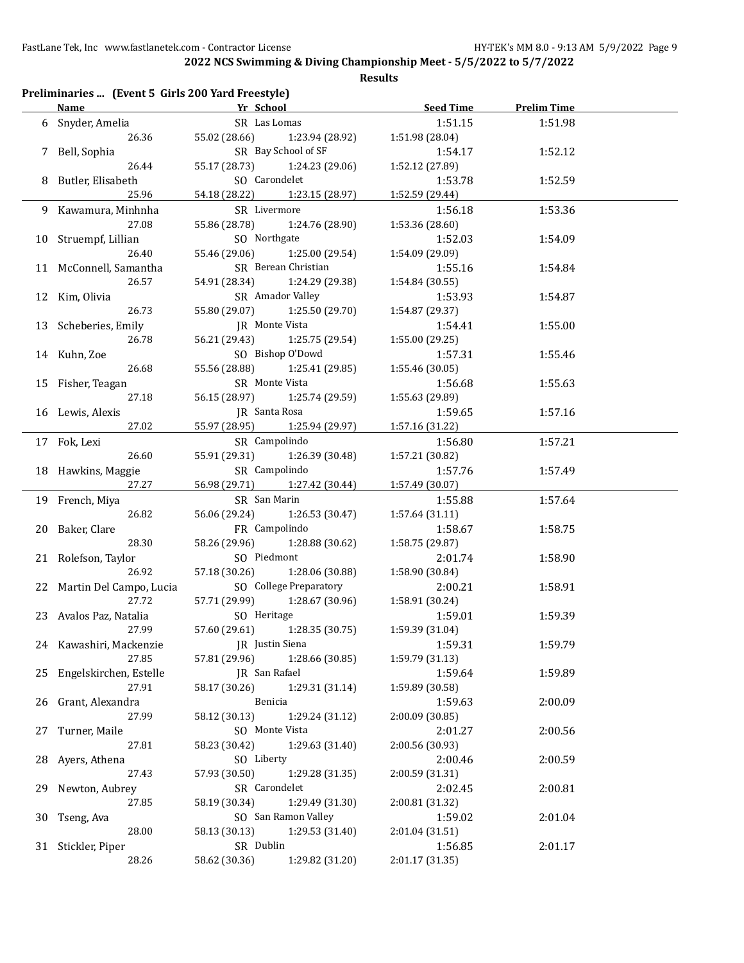|    | Preliminaries  (Event 5 Girls 200 Yard Freestyle)<br>Name | Yr School                        |                               | <b>Seed Time</b> | <b>Prelim Time</b> |  |
|----|-----------------------------------------------------------|----------------------------------|-------------------------------|------------------|--------------------|--|
| 6  | Snyder, Amelia                                            | SR Las Lomas                     |                               | 1:51.15          | 1:51.98            |  |
|    | 26.36                                                     | 55.02 (28.66)                    | 1:23.94 (28.92)               | 1:51.98 (28.04)  |                    |  |
| 7  | Bell, Sophia                                              |                                  | SR Bay School of SF           | 1:54.17          | 1:52.12            |  |
|    | 26.44                                                     | 55.17 (28.73)<br>1:24.23 (29.06) |                               | 1:52.12 (27.89)  |                    |  |
| 8  | Butler, Elisabeth                                         | SO Carondelet                    |                               | 1:53.78          | 1:52.59            |  |
|    | 25.96                                                     | 54.18 (28.22)                    | 1:23.15 (28.97)               | 1:52.59 (29.44)  |                    |  |
|    | 9 Kawamura, Minhnha                                       | SR Livermore                     |                               | 1:56.18          | 1:53.36            |  |
|    | 27.08                                                     | 55.86 (28.78)                    | 1:24.76 (28.90)               | 1:53.36 (28.60)  |                    |  |
|    | 10 Struempf, Lillian                                      | SO Northgate                     |                               | 1:52.03          | 1:54.09            |  |
|    | 26.40                                                     | 55.46 (29.06)                    | 1:25.00 (29.54)               | 1:54.09 (29.09)  |                    |  |
|    | 11 McConnell, Samantha                                    |                                  | SR Berean Christian           | 1:55.16          | 1:54.84            |  |
|    | 26.57                                                     | 54.91 (28.34)                    | 1:24.29 (29.38)               | 1:54.84 (30.55)  |                    |  |
|    | 12 Kim, Olivia                                            |                                  | SR Amador Valley              | 1:53.93          | 1:54.87            |  |
|    | 26.73                                                     | 55.80 (29.07)                    | 1:25.50 (29.70)               | 1:54.87 (29.37)  |                    |  |
|    | 13 Scheberies, Emily                                      | JR Monte Vista                   |                               | 1:54.41          | 1:55.00            |  |
|    | 26.78                                                     | 56.21 (29.43)                    | 1:25.75 (29.54)               | 1:55.00 (29.25)  |                    |  |
|    | 14 Kuhn, Zoe                                              |                                  | SO Bishop O'Dowd              | 1:57.31          | 1:55.46            |  |
|    | 26.68                                                     | 55.56 (28.88)                    | 1:25.41 (29.85)               | 1:55.46 (30.05)  |                    |  |
|    | 15 Fisher, Teagan                                         | SR Monte Vista                   |                               | 1:56.68          | 1:55.63            |  |
|    | 27.18                                                     | 56.15 (28.97)                    | 1:25.74 (29.59)               | 1:55.63 (29.89)  |                    |  |
|    | 16 Lewis, Alexis                                          | JR Santa Rosa                    |                               | 1:59.65          | 1:57.16            |  |
|    | 27.02                                                     | 55.97 (28.95)                    | 1:25.94 (29.97)               | 1:57.16 (31.22)  |                    |  |
|    | 17 Fok, Lexi                                              | SR Campolindo                    |                               | 1:56.80          | 1:57.21            |  |
|    | 26.60                                                     | 55.91 (29.31)                    | 1:26.39 (30.48)               | 1:57.21 (30.82)  |                    |  |
|    | 18 Hawkins, Maggie                                        | SR Campolindo                    |                               | 1:57.76          | 1:57.49            |  |
|    | 27.27                                                     | 56.98 (29.71)                    | 1:27.42 (30.44)               | 1:57.49 (30.07)  |                    |  |
|    | 19 French, Miya                                           | SR San Marin                     |                               | 1:55.88          | 1:57.64            |  |
|    | 26.82                                                     | 56.06 (29.24)                    | 1:26.53 (30.47)               | 1:57.64 (31.11)  |                    |  |
|    | 20 Baker, Clare                                           | FR Campolindo                    |                               | 1:58.67          | 1:58.75            |  |
|    | 28.30                                                     | 58.26 (29.96)                    | 1:28.88 (30.62)               | 1:58.75 (29.87)  |                    |  |
|    | 21 Rolefson, Taylor                                       | SO Piedmont                      |                               | 2:01.74          | 1:58.90            |  |
|    | 26.92                                                     | 57.18 (30.26)                    | 1:28.06 (30.88)               | 1:58.90 (30.84)  |                    |  |
|    | 22 Martin Del Campo, Lucia                                |                                  | SO College Preparatory        | 2:00.21          | 1:58.91            |  |
|    | 27.72                                                     | 57.71 (29.99)                    | 1:28.67 (30.96)               | 1:58.91 (30.24)  |                    |  |
|    | 23 Avalos Paz, Natalia                                    | SO Heritage                      |                               | 1:59.01          | 1:59.39            |  |
|    | 27.99                                                     |                                  | 57.60 (29.61) 1:28.35 (30.75) | 1:59.39 (31.04)  |                    |  |
|    | 24 Kawashiri, Mackenzie                                   | JR Justin Siena                  |                               | 1:59.31          | 1:59.79            |  |
|    | 27.85                                                     | 57.81 (29.96)                    | 1:28.66 (30.85)               | 1:59.79 (31.13)  |                    |  |
|    | 25 Engelskirchen, Estelle                                 | JR San Rafael                    |                               | 1:59.64          | 1:59.89            |  |
|    | 27.91                                                     | 58.17 (30.26)                    | 1:29.31 (31.14)               | 1:59.89 (30.58)  |                    |  |
|    | 26 Grant, Alexandra                                       | Benicia                          |                               | 1:59.63          | 2:00.09            |  |
|    | 27.99                                                     | 58.12 (30.13)                    | 1:29.24 (31.12)               | 2:00.09 (30.85)  |                    |  |
| 27 | Turner, Maile                                             | SO Monte Vista                   |                               | 2:01.27          | 2:00.56            |  |
|    | 27.81                                                     | 58.23 (30.42)                    | 1:29.63 (31.40)               | 2:00.56 (30.93)  |                    |  |
|    | 28 Ayers, Athena                                          | SO Liberty                       |                               | 2:00.46          | 2:00.59            |  |
|    | 27.43                                                     | 57.93 (30.50)                    | 1:29.28 (31.35)               | 2:00.59 (31.31)  |                    |  |
|    | 29 Newton, Aubrey                                         | SR Carondelet                    |                               | 2:02.45          | 2:00.81            |  |
|    | 27.85                                                     | 58.19 (30.34)                    | 1:29.49 (31.30)               | 2:00.81 (31.32)  |                    |  |
| 30 | Tseng, Ava                                                |                                  | SO San Ramon Valley           | 1:59.02          | 2:01.04            |  |
|    | 28.00                                                     | 58.13 (30.13)                    | 1:29.53 (31.40)               | 2:01.04 (31.51)  |                    |  |
|    | 31 Stickler, Piper                                        | SR Dublin                        |                               | 1:56.85          | 2:01.17            |  |
|    | 28.26                                                     | 58.62 (30.36)                    | 1:29.82 (31.20)               | 2:01.17 (31.35)  |                    |  |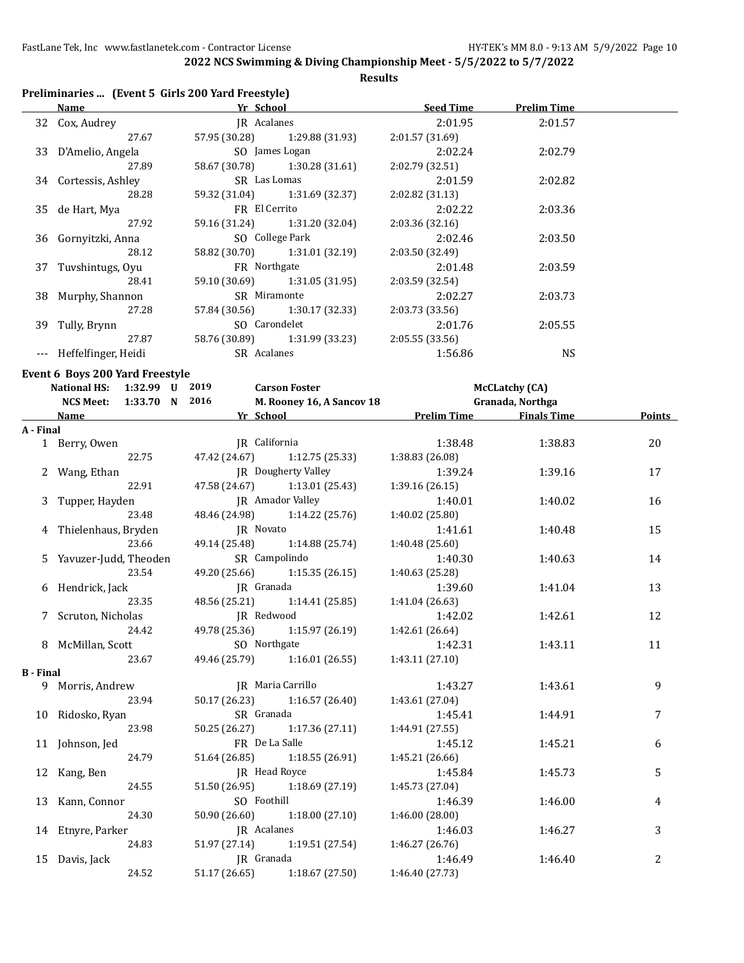#### **Results**

# **Preliminaries ... (Event 5 Girls 200 Yard Freestyle)**

|                  | <b>Name</b>                         | Yr School<br>$27.67$ 57 °                                                                                                                    |                 | <b>Prelim Time</b>    |        |
|------------------|-------------------------------------|----------------------------------------------------------------------------------------------------------------------------------------------|-----------------|-----------------------|--------|
|                  | 32 Cox, Audrey                      | JR Acalanes                                                                                                                                  | 2:01.95         | 2:01.57               |        |
|                  |                                     | 57.95 (30.28) 1:29.88 (31.93)                                                                                                                | 2:01.57 (31.69) |                       |        |
|                  |                                     | 33 D'Amelio, Angela SO James Logan                                                                                                           | 2:02.24         | 2:02.79               |        |
|                  | 27.89                               | 58.67 (30.78) 1:30.28 (31.61)                                                                                                                | 2:02.79 (32.51) |                       |        |
|                  | 34 Cortessis, Ashley SR Las Lomas   |                                                                                                                                              | 2:01.59         | 2:02.82               |        |
|                  | 28.28                               | 59.32 (31.04) 1:31.69 (32.37)                                                                                                                | 2:02.82(31.13)  |                       |        |
|                  | 35 de Hart, Mya                     | FR El Cerrito                                                                                                                                | 2:02.22         | 2:03.36               |        |
|                  | 27.92                               | 59.16 (31.24) 1:31.20 (32.04)                                                                                                                | 2:03.36(32.16)  |                       |        |
|                  |                                     | 36 Gornyitzki, Anna SO College Park                                                                                                          | 2:02.46         | 2:03.50               |        |
|                  | 28.12                               | 58.82 (30.70) 1:31.01 (32.19)                                                                                                                | 2:03.50 (32.49) |                       |        |
|                  | 37 Tuvshintugs, Oyu FR Northgate    |                                                                                                                                              | 2:01.48         | 2:03.59               |        |
|                  | 28.41                               | 59.10 (30.69) 1:31.05 (31.95)                                                                                                                | 2:03.59 (32.54) |                       |        |
|                  | 38 Murphy, Shannon SR Miramonte     |                                                                                                                                              | 2:02.27         | 2:03.73               |        |
|                  | 27.28                               | 57.84 (30.56) 1:30.17 (32.33)                                                                                                                | 2:03.73 (33.56) |                       |        |
|                  | 39 Tully, Brynn SO Carondelet       |                                                                                                                                              | 2:01.76         | 2:05.55               |        |
|                  | 27.87                               | 58.76 (30.89) 1:31.99 (33.23)                                                                                                                | 2:05.55(33.56)  |                       |        |
|                  |                                     |                                                                                                                                              |                 |                       |        |
|                  | --- Heffelfinger, Heidi SR Acalanes |                                                                                                                                              | 1:56.86         | <b>NS</b>             |        |
|                  | Event 6 Boys 200 Yard Freestyle     |                                                                                                                                              |                 |                       |        |
|                  |                                     |                                                                                                                                              |                 | <b>McCLatchy (CA)</b> |        |
|                  |                                     | National HS: 1:32.99 U 2019 Carson Foster<br>NCS Meet: 1:33.70 N 2016 M. Rooney 16,<br>M. Rooney 16, A Sancov 18<br>NCS Meet: 1:33.70 N 2016 |                 | Granada, Northga      |        |
|                  |                                     |                                                                                                                                              |                 |                       | Points |
| A - Final        |                                     |                                                                                                                                              |                 |                       |        |
|                  | 1 Berry, Owen                       | JR California                                                                                                                                | 1:38.48         | 1:38.83               | 20     |
|                  |                                     | 22.75 47.42 (24.67) 1:12.75 (25.33)                                                                                                          | 1:38.83 (26.08) |                       |        |
|                  |                                     | 2 Wang, Ethan JR Dougherty Valley                                                                                                            | 1:39.24         | 1:39.16               | 17     |
|                  | 22.91                               | 47.58 (24.67) 1:13.01 (25.43)                                                                                                                | 1:39.16(26.15)  |                       |        |
|                  |                                     | 3 Tupper, Hayden JR Amador Valley                                                                                                            | 1:40.01         | 1:40.02               | 16     |
|                  | 23.48                               | 48.46 (24.98) 1:14.22 (25.76)                                                                                                                | 1:40.02 (25.80) |                       |        |
|                  | 4 Thielenhaus, Bryden JR Novato     |                                                                                                                                              | 1:41.61         | 1:40.48               | 15     |
|                  | 23.66                               | 49.14 (25.48) 1:14.88 (25.74)                                                                                                                | 1:40.48 (25.60) |                       |        |
|                  |                                     | 5 Yavuzer-Judd, Theoden SR Campolindo                                                                                                        |                 | 1:40.63               | 14     |
|                  | 23.54                               | 49.20 (25.66) 1:15.35 (26.15)                                                                                                                | 1:40.63 (25.28) |                       |        |
|                  | 6 Hendrick, Jack Manuel JR Granada  |                                                                                                                                              | 1:39.60         | 1:41.04               | 13     |
|                  |                                     | 23.35 48.56 (25.21) 1:14.41 (25.85)                                                                                                          | 1:41.04 (26.63) |                       |        |
|                  |                                     | 7 Scruton, Nicholas JR Redwood                                                                                                               |                 | 1:42.61               | 12     |
|                  |                                     |                                                                                                                                              |                 |                       |        |
| 8                | McMillan, Scott                     | SO Northgate                                                                                                                                 | 1:42.31         | 1:43.11               | 11     |
|                  | 23.67                               | 49.46 (25.79)<br>1:16.01 (26.55)                                                                                                             | 1:43.11 (27.10) |                       |        |
| <b>B</b> - Final |                                     |                                                                                                                                              |                 |                       |        |
|                  | 9 Morris, Andrew                    | JR Maria Carrillo                                                                                                                            | 1:43.27         | 1:43.61               | 9      |
|                  | 23.94                               | 50.17 (26.23) 1:16.57 (26.40)                                                                                                                | 1:43.61 (27.04) |                       |        |
|                  | 10 Ridosko, Ryan                    | SR Granada                                                                                                                                   | 1:45.41         | 1:44.91               | 7      |
|                  | 23.98                               | 50.25 (26.27)<br>1:17.36 (27.11)                                                                                                             | 1:44.91(27.55)  |                       |        |
|                  | 11 Johnson, Jed                     | FR De La Salle                                                                                                                               | 1:45.12         | 1:45.21               | 6      |
|                  | 24.79                               | 51.64 (26.85)<br>1:18.55(26.91)                                                                                                              | 1:45.21 (26.66) |                       |        |
|                  | 12 Kang, Ben                        | JR Head Royce                                                                                                                                | 1:45.84         | 1:45.73               | 5      |
|                  | 24.55                               | 1:18.69(27.19)<br>51.50 (26.95)                                                                                                              | 1:45.73 (27.04) |                       |        |
|                  | 13 Kann, Connor                     | SO Foothill                                                                                                                                  | 1:46.39         | 1:46.00               | 4      |
|                  | 24.30                               | 50.90 (26.60)<br>1:18.00(27.10)                                                                                                              | 1:46.00 (28.00) |                       |        |
|                  | 14 Etnyre, Parker                   | JR Acalanes                                                                                                                                  | 1:46.03         | 1:46.27               | 3      |
|                  | 24.83                               | 51.97 (27.14)<br>1:19.51 (27.54)                                                                                                             | 1:46.27 (26.76) |                       |        |
|                  | 15 Davis, Jack                      | JR Granada                                                                                                                                   | 1:46.49         | 1:46.40               | 2      |
|                  | 24.52                               | 51.17 (26.65)<br>1:18.67 (27.50)                                                                                                             | 1:46.40 (27.73) |                       |        |
|                  |                                     |                                                                                                                                              |                 |                       |        |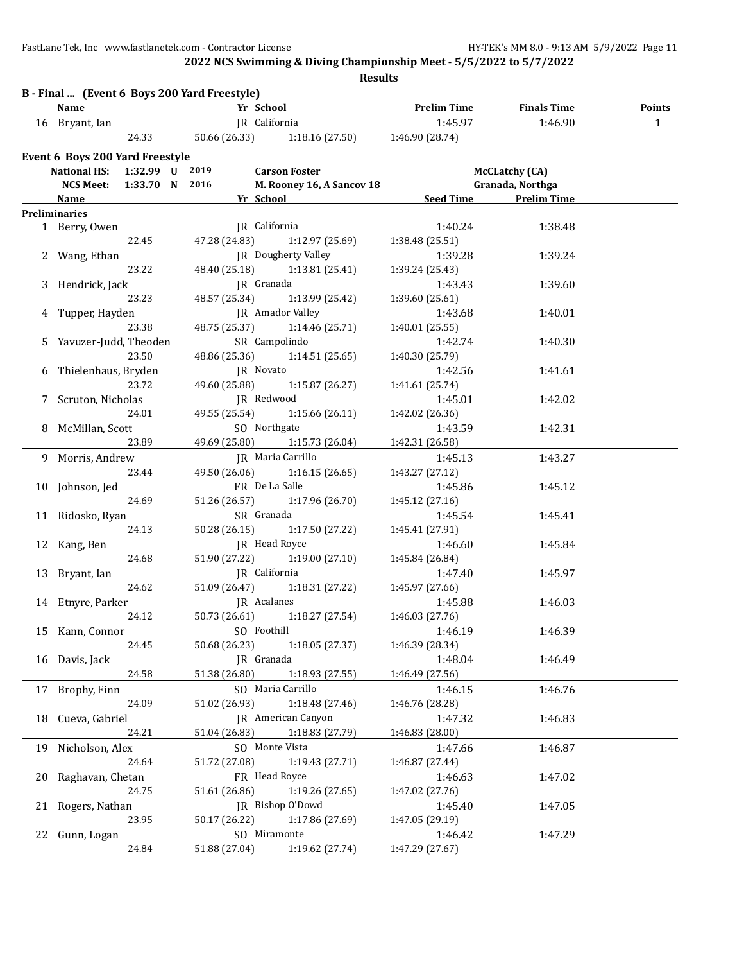**2022 NCS Swimming & Diving Championship Meet - 5/5/2022 to 5/7/2022**

|   |                                 |                |                                              | <b>Results</b>                                                                                                                                                                                                                       |                            |                       |               |
|---|---------------------------------|----------------|----------------------------------------------|--------------------------------------------------------------------------------------------------------------------------------------------------------------------------------------------------------------------------------------|----------------------------|-----------------------|---------------|
|   | <b>Name</b>                     |                | B - Final  (Event 6 Boys 200 Yard Freestyle) | <b>Example 20 Yrists and School Contract Contract Contract Contract Contract Contract Contract Contract Contract Contract Contract Contract Contract Contract Contract Contract Contract Contract Contract Contract Contract Con</b> |                            |                       | <b>Points</b> |
|   | 16 Bryant, Ian                  |                |                                              | JR California                                                                                                                                                                                                                        | 1:45.97                    | 1:46.90               | $\mathbf{1}$  |
|   |                                 | 24.33          |                                              | 50.66 (26.33) 1:18.16 (27.50) 1:46.90 (28.74)                                                                                                                                                                                        |                            |                       |               |
|   | Event 6 Boys 200 Yard Freestyle |                |                                              |                                                                                                                                                                                                                                      |                            |                       |               |
|   | National HS: 1:32.99 U 2019     |                |                                              | <b>Carson Foster</b>                                                                                                                                                                                                                 |                            | <b>McCLatchy (CA)</b> |               |
|   | <b>NCS Meet:</b>                | 1:33.70 N 2016 |                                              | M. Rooney 16, A Sancov 18                                                                                                                                                                                                            |                            | Granada, Northga      |               |
|   | <b>Name</b>                     |                |                                              | <b>The School Seed Time Brelim Time</b>                                                                                                                                                                                              |                            |                       |               |
|   | <b>Preliminaries</b>            |                |                                              |                                                                                                                                                                                                                                      |                            |                       |               |
|   | 1 Berry, Owen                   |                |                                              | JR California                                                                                                                                                                                                                        | 1:40.24                    | 1:38.48               |               |
|   |                                 | 22.45          | 47.28 (24.83)                                | 1:12.97 (25.69)                                                                                                                                                                                                                      | 1:38.48 (25.51)            |                       |               |
|   | 2 Wang, Ethan                   |                |                                              | JR Dougherty Valley                                                                                                                                                                                                                  | 1:39.28                    | 1:39.24               |               |
|   |                                 | 23.22          |                                              | 48.40 (25.18) 1:13.81 (25.41)                                                                                                                                                                                                        | 1:39.24 (25.43)            |                       |               |
|   | 3 Hendrick, Jack                |                |                                              | JR Granada                                                                                                                                                                                                                           | 1:43.43                    | 1:39.60               |               |
|   |                                 | 23.23          | 48.57 (25.34)                                | 1:13.99 (25.42)                                                                                                                                                                                                                      | 1:39.60 (25.61)            |                       |               |
|   | 4 Tupper, Hayden                |                |                                              | <b>IR</b> Amador Valley                                                                                                                                                                                                              | 1:43.68                    | 1:40.01               |               |
|   |                                 | 23.38          |                                              | 48.75 (25.37) 1:14.46 (25.71)                                                                                                                                                                                                        | 1:40.01 (25.55)            |                       |               |
|   | 5 Yavuzer-Judd, Theoden         |                |                                              | SR Campolindo                                                                                                                                                                                                                        | 1:42.74                    | 1:40.30               |               |
|   |                                 | 23.50          |                                              | 48.86 (25.36) 1:14.51 (25.65)                                                                                                                                                                                                        | 1:40.30 (25.79)            |                       |               |
| 6 | Thielenhaus, Bryden             |                |                                              | JR Novato                                                                                                                                                                                                                            | 1:42.56                    | 1:41.61               |               |
|   |                                 | 23.72          | 49.60 (25.88)                                | 1:15.87 (26.27)                                                                                                                                                                                                                      | 1:41.61 (25.74)            |                       |               |
|   | 7 Scruton, Nicholas             |                |                                              | JR Redwood                                                                                                                                                                                                                           | 1:45.01                    | 1:42.02               |               |
|   |                                 | 24.01          | 49.55 (25.54)                                | 1:15.66(26.11)                                                                                                                                                                                                                       | 1:42.02 (26.36)            |                       |               |
|   | 8 McMillan, Scott               |                |                                              | SO Northgate                                                                                                                                                                                                                         | 1:43.59                    | 1:42.31               |               |
|   |                                 | 23.89          |                                              | 49.69 (25.80) 1:15.73 (26.04)                                                                                                                                                                                                        | 1:42.31 (26.58)            |                       |               |
|   | 9 Morris, Andrew                |                |                                              | JR Maria Carrillo                                                                                                                                                                                                                    | 1:45.13                    | 1:43.27               |               |
|   |                                 | 23.44          |                                              | 49.50 (26.06) 1:16.15 (26.65)                                                                                                                                                                                                        | 1:43.27 (27.12)            |                       |               |
|   | 10 Johnson, Jed                 |                |                                              | FR De La Salle                                                                                                                                                                                                                       | 1:45.86                    | 1:45.12               |               |
|   |                                 | 24.69          |                                              | 51.26 (26.57) 1:17.96 (26.70)                                                                                                                                                                                                        | 1:45.12(27.16)             |                       |               |
|   | 11 Ridosko, Ryan                |                |                                              | SR Granada                                                                                                                                                                                                                           | 1:45.54                    | 1:45.41               |               |
|   |                                 | 24.13          |                                              | 50.28 (26.15) 1:17.50 (27.22)                                                                                                                                                                                                        | 1:45.41 (27.91)            |                       |               |
|   | 12 Kang, Ben                    |                |                                              | JR Head Royce                                                                                                                                                                                                                        | 1:46.60                    | 1:45.84               |               |
|   |                                 | 24.68          | 51.90 (27.22)                                | 1:19.00(27.10)                                                                                                                                                                                                                       | 1:45.84 (26.84)            |                       |               |
|   | 13 Bryant, Ian                  | 24.62          |                                              | JR California                                                                                                                                                                                                                        | 1:47.40                    | 1:45.97               |               |
|   | 14 Etnyre, Parker               |                | 51.09 (26.47)<br>JR Acalanes                 | 1:18.31 (27.22)                                                                                                                                                                                                                      | 1:45.97 (27.66)<br>1:45.88 |                       |               |
|   | 24.12                           |                |                                              | 50.73 (26.61) 1:18.27 (27.54)                                                                                                                                                                                                        | 1:46.03 (27.76)            | 1:46.03               |               |
|   |                                 |                |                                              | SO Foothill                                                                                                                                                                                                                          |                            |                       |               |
|   | 15 Kann, Connor                 | 24.45          | 50.68 (26.23)                                | 1:18.05 (27.37)                                                                                                                                                                                                                      | 1:46.19<br>1:46.39 (28.34) | 1:46.39               |               |
|   | 16 Davis, Jack                  |                |                                              | JR Granada                                                                                                                                                                                                                           | 1:48.04                    | 1:46.49               |               |
|   |                                 | 24.58          | 51.38 (26.80)                                | 1:18.93 (27.55)                                                                                                                                                                                                                      | 1:46.49 (27.56)            |                       |               |
|   | 17 Brophy, Finn                 |                |                                              | SO Maria Carrillo                                                                                                                                                                                                                    | 1:46.15                    | 1:46.76               |               |
|   |                                 | 24.09          | 51.02 (26.93)                                | 1:18.48 (27.46)                                                                                                                                                                                                                      | 1:46.76 (28.28)            |                       |               |
|   | 18 Cueva, Gabriel               |                |                                              | JR American Canyon                                                                                                                                                                                                                   | 1:47.32                    | 1:46.83               |               |
|   |                                 | 24.21          | 51.04 (26.83)                                | 1:18.83 (27.79)                                                                                                                                                                                                                      | 1:46.83 (28.00)            |                       |               |
|   | 19 Nicholson, Alex              |                |                                              | SO Monte Vista                                                                                                                                                                                                                       | 1:47.66                    | 1:46.87               |               |
|   |                                 | 24.64          | 51.72 (27.08)                                | 1:19.43 (27.71)                                                                                                                                                                                                                      | 1:46.87 (27.44)            |                       |               |
|   | 20 Raghavan, Chetan             |                |                                              | FR Head Royce                                                                                                                                                                                                                        | 1:46.63                    | 1:47.02               |               |
|   |                                 | 24.75          | 51.61 (26.86)                                | 1:19.26 (27.65)                                                                                                                                                                                                                      | 1:47.02 (27.76)            |                       |               |
|   | 21 Rogers, Nathan               |                |                                              | JR Bishop O'Dowd                                                                                                                                                                                                                     | 1:45.40                    | 1:47.05               |               |
|   |                                 | 23.95          | 50.17 (26.22)                                | 1:17.86 (27.69)                                                                                                                                                                                                                      | 1:47.05 (29.19)            |                       |               |
|   | 22 Gunn, Logan                  |                |                                              | SO Miramonte                                                                                                                                                                                                                         | 1:46.42                    | 1:47.29               |               |
|   |                                 | 24.84          |                                              | 51.88 (27.04) 1:19.62 (27.74)                                                                                                                                                                                                        | 1:47.29 (27.67)            |                       |               |
|   |                                 |                |                                              |                                                                                                                                                                                                                                      |                            |                       |               |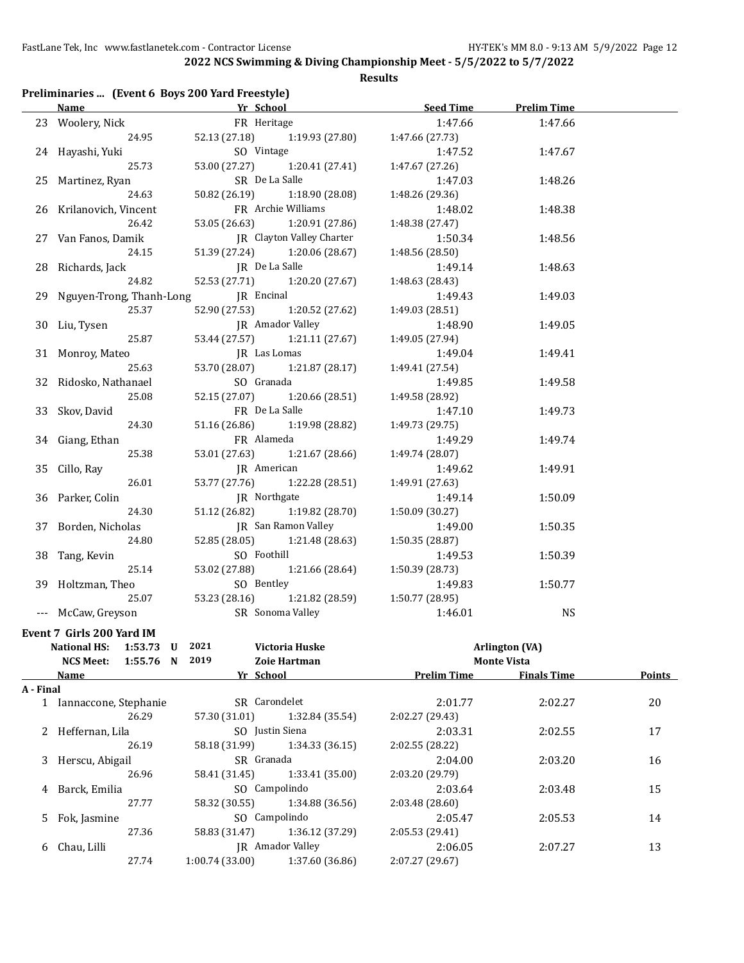| Preliminaries  (Event 6 Boys 200 Yard Freestyle) |  |  |  |  |
|--------------------------------------------------|--|--|--|--|
|--------------------------------------------------|--|--|--|--|

|           | <b>Name</b>                                                                  | <b>Example 18 Yr School</b> Service Service Service Service Service Service Service Service Service Service Service Service Service Service Service Service Service Service Service Service Service Service Service Service Service |                 | Seed Time<br><b>Prelim Time</b> |                |
|-----------|------------------------------------------------------------------------------|-------------------------------------------------------------------------------------------------------------------------------------------------------------------------------------------------------------------------------------|-----------------|---------------------------------|----------------|
|           | 23 Woolery, Nick                                                             | FR Heritage                                                                                                                                                                                                                         | 1:47.66         | 1:47.66                         |                |
|           | 24.95                                                                        | 52.13 (27.18) 1:19.93 (27.80)                                                                                                                                                                                                       | 1:47.66 (27.73) |                                 |                |
|           | 24 Hayashi, Yuki                                                             | SO Vintage                                                                                                                                                                                                                          | 1:47.52         | 1:47.67                         |                |
|           | 25.73                                                                        | 53.00 (27.27)<br>1:20.41 (27.41)                                                                                                                                                                                                    | 1:47.67 (27.26) |                                 |                |
|           | 25 Martinez, Ryan                                                            | SR De La Salle                                                                                                                                                                                                                      | 1:47.03         | 1:48.26                         |                |
|           | 24.63                                                                        | 50.82 (26.19)<br>1:18.90 (28.08)                                                                                                                                                                                                    | 1:48.26 (29.36) |                                 |                |
|           | 26 Krilanovich, Vincent                                                      | FR Archie Williams                                                                                                                                                                                                                  | 1:48.02         | 1:48.38                         |                |
|           | 26.42                                                                        | 53.05 (26.63) 1:20.91 (27.86)                                                                                                                                                                                                       | 1:48.38 (27.47) |                                 |                |
|           | 27 Van Fanos, Damik                                                          | JR Clayton Valley Charter                                                                                                                                                                                                           | 1:50.34         | 1:48.56                         |                |
|           | 24.15                                                                        | 51.39 (27.24) 1:20.06 (28.67)                                                                                                                                                                                                       | 1:48.56 (28.50) |                                 |                |
|           | 28 Richards, Jack                                                            | JR De La Salle                                                                                                                                                                                                                      | 1:49.14         | 1:48.63                         |                |
|           | 24.82                                                                        | 52.53 (27.71)<br>1:20.20 (27.67)                                                                                                                                                                                                    | 1:48.63 (28.43) |                                 |                |
|           | 29 Nguyen-Trong, Thanh-Long                                                  | JR Encinal                                                                                                                                                                                                                          | 1:49.43         | 1:49.03                         |                |
|           | 25.37                                                                        | 52.90 (27.53)<br>1:20.52 (27.62)                                                                                                                                                                                                    | 1:49.03 (28.51) |                                 |                |
|           | 30 Liu, Tysen                                                                | JR Amador Valley                                                                                                                                                                                                                    | 1:48.90         | 1:49.05                         |                |
|           | 25.87                                                                        | 53.44 (27.57) 1:21.11 (27.67)                                                                                                                                                                                                       | 1:49.05 (27.94) |                                 |                |
|           | 31 Monroy, Mateo                                                             | JR Las Lomas                                                                                                                                                                                                                        | 1:49.04         | 1:49.41                         |                |
|           | 25.63                                                                        | 1:21.87(28.17)<br>53.70 (28.07)                                                                                                                                                                                                     | 1:49.41 (27.54) |                                 |                |
| 32        | Ridosko, Nathanael                                                           | SO Granada                                                                                                                                                                                                                          | 1:49.85         | 1:49.58                         |                |
|           | 25.08                                                                        | 52.15 (27.07)<br>1:20.66 (28.51)                                                                                                                                                                                                    | 1:49.58 (28.92) |                                 |                |
|           | 33 Skov, David                                                               | FR De La Salle                                                                                                                                                                                                                      | 1:47.10         | 1:49.73                         |                |
|           | 24.30                                                                        | 51.16 (26.86) 1:19.98 (28.82)                                                                                                                                                                                                       | 1:49.73 (29.75) |                                 |                |
|           | 34 Giang, Ethan                                                              | FR Alameda                                                                                                                                                                                                                          | 1:49.29         | 1:49.74                         |                |
|           | 25.38                                                                        | 53.01 (27.63)<br>1:21.67 (28.66)                                                                                                                                                                                                    | 1:49.74 (28.07) |                                 |                |
|           | 35 Cillo, Ray                                                                | JR American                                                                                                                                                                                                                         | 1:49.62         | 1:49.91                         |                |
|           | 26.01                                                                        | 53.77 (27.76)<br>1:22.28 (28.51)                                                                                                                                                                                                    | 1:49.91 (27.63) |                                 |                |
|           | 36 Parker, Colin                                                             | JR Northgate                                                                                                                                                                                                                        | 1:49.14         | 1:50.09                         |                |
|           | 24.30                                                                        | 51.12 (26.82)<br>1:19.82 (28.70)                                                                                                                                                                                                    | 1:50.09 (30.27) |                                 |                |
|           | 37 Borden, Nicholas                                                          | JR San Ramon Valley                                                                                                                                                                                                                 | 1:49.00         | 1:50.35                         |                |
|           | 24.80                                                                        | 52.85 (28.05) 1:21.48 (28.63)                                                                                                                                                                                                       | 1:50.35 (28.87) |                                 |                |
|           | 38 Tang, Kevin                                                               | SO Foothill                                                                                                                                                                                                                         | 1:49.53         | 1:50.39                         |                |
|           | 25.14                                                                        | 53.02 (27.88)<br>1:21.66 (28.64)                                                                                                                                                                                                    | 1:50.39 (28.73) |                                 |                |
|           | 39 Holtzman, Theo                                                            | SO Bentley                                                                                                                                                                                                                          | 1:49.83         | 1:50.77                         |                |
|           | 25.07                                                                        | 53.23 (28.16)<br>1:21.82 (28.59)                                                                                                                                                                                                    | 1:50.77 (28.95) |                                 |                |
|           | --- McCaw, Greyson                                                           | SR Sonoma Valley                                                                                                                                                                                                                    | 1:46.01         | <b>NS</b>                       |                |
|           |                                                                              |                                                                                                                                                                                                                                     |                 |                                 |                |
|           | Event 7 Girls 200 Yard IM                                                    |                                                                                                                                                                                                                                     |                 |                                 |                |
|           | National HS: 1:53.73 U 2021                                                  | Victoria Huske                                                                                                                                                                                                                      |                 | <b>Arlington (VA)</b>           |                |
|           | NCS Meet: 1:55.76 N 2019                                                     | Zoie Hartman                                                                                                                                                                                                                        |                 | <b>Monte Vista</b>              |                |
|           | <b>Name</b>                                                                  | <b>Example 26 Yr School 22 Prelim Time 2016</b> Prelim Time 2016 Finals Time                                                                                                                                                        |                 |                                 | <b>Points</b>  |
| A - Final |                                                                              | SR Carondelet                                                                                                                                                                                                                       |                 |                                 |                |
|           | 1 Iannaccone, Stephanie                                                      | 57.30 (31.01) 1:32.84 (35.54) 2:02.27 (29.43)                                                                                                                                                                                       | 2:01.77         | 2:02.27                         | 20             |
|           | 26.29<br>$\Omega$ . It is $\Omega$ is a set of $\Omega$ is a set of $\Omega$ | $\overline{C}$ Luckin $\overline{C}$                                                                                                                                                                                                | $\sim$ 0.0001   | 2025                            | 4 <sub>7</sub> |

|   | 26.29             | 57.30 (31.01)   | 1:32.84 (35.54)         | 2:02.27 (29.43) |         |    |
|---|-------------------|-----------------|-------------------------|-----------------|---------|----|
|   | 2 Heffernan, Lila | SO Justin Siena |                         | 2:03.31         | 2:02.55 | 17 |
|   | 26.19             | 58.18 (31.99)   | 1:34.33(36.15)          | 2:02.55(28.22)  |         |    |
|   | 3 Herscu, Abigail | SR Granada      |                         | 2:04.00         | 2:03.20 | 16 |
|   | 26.96             | 58.41 (31.45)   | 1:33.41 (35.00)         | 2:03.20 (29.79) |         |    |
| 4 | Barck, Emilia     | SO Campolindo   |                         | 2:03.64         | 2:03.48 | 15 |
|   | 27.77             | 58.32 (30.55)   | 1:34.88 (36.56)         | 2:03.48(28.60)  |         |    |
|   | 5 Fok, Jasmine    | SO Campolindo   |                         | 2:05.47         | 2:05.53 | 14 |
|   | 27.36             | 58.83 (31.47)   | 1:36.12 (37.29)         | 2:05.53(29.41)  |         |    |
|   | 6 Chau, Lilli     |                 | <b>JR</b> Amador Valley | 2:06.05         | 2:07.27 | 13 |
|   | 27.74             | 1:00.74(33.00)  | 1:37.60 (36.86)         | 2:07.27 (29.67) |         |    |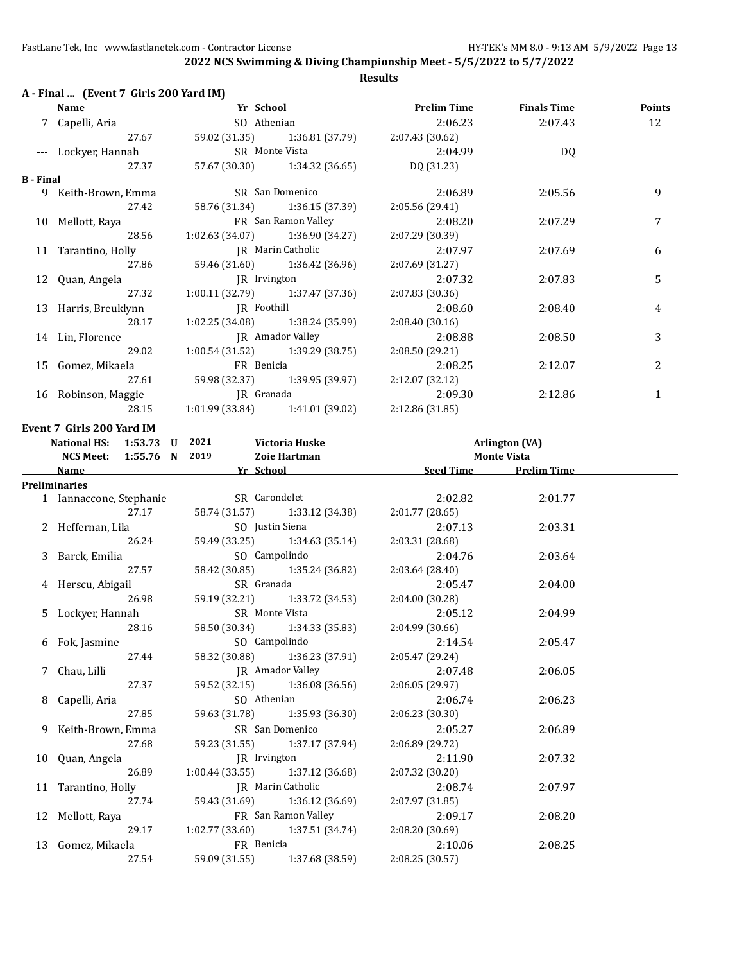|                  | A - Final  (Event 7 Girls 200 Yard IM) |                               |                                   | Name <b>Solution Strategy School Prelim Time</b> Finals Time |                       | <b>Points</b> |
|------------------|----------------------------------------|-------------------------------|-----------------------------------|--------------------------------------------------------------|-----------------------|---------------|
|                  | 7 Capelli, Aria                        | SO Athenian                   |                                   | 2:06.23                                                      | 2:07.43               | 12            |
|                  | 27.67                                  |                               | 59.02 (31.35) 1:36.81 (37.79)     | 2:07.43 (30.62)                                              |                       |               |
|                  | --- Lockyer, Hannah                    |                               | SR Monte Vista                    | 2:04.99                                                      | DQ                    |               |
|                  | 27.37                                  |                               | 57.67 (30.30) 1:34.32 (36.65)     | DQ (31.23)                                                   |                       |               |
| <b>B</b> - Final |                                        |                               |                                   |                                                              |                       |               |
|                  | 9 Keith-Brown, Emma                    |                               | SR San Domenico                   | 2:06.89                                                      | 2:05.56               | 9             |
|                  | 27.42                                  |                               | 58.76 (31.34) 1:36.15 (37.39)     | 2:05.56 (29.41)                                              |                       |               |
|                  | 10 Mellott, Raya                       |                               | FR San Ramon Valley               | 2:08.20                                                      | 2:07.29               | 7             |
|                  | 28.56                                  |                               | $1:02.63(34.07)$ $1:36.90(34.27)$ | 2:07.29 (30.39)                                              |                       |               |
|                  | 11 Tarantino, Holly                    | <b>IR</b> Marin Catholic      |                                   | 2:07.97                                                      | 2:07.69               | 6             |
|                  | 27.86                                  |                               | 59.46 (31.60) 1:36.42 (36.96)     | 2:07.69 (31.27)                                              |                       |               |
|                  | 12 Quan, Angela                        | JR Irvington                  |                                   | 2:07.32                                                      | 2:07.83               | 5             |
|                  | 27.32                                  |                               | $1:00.11(32.79)$ $1:37.47(37.36)$ | 2:07.83 (30.36)                                              |                       |               |
|                  | 13 Harris, Breuklynn                   | <b>IR</b> Foothill            |                                   | 2:08.60                                                      | 2:08.40               | 4             |
|                  | 28.17                                  |                               | $1:02.25(34.08)$ $1:38.24(35.99)$ | 2:08.40(30.16)                                               |                       |               |
|                  | 14 Lin, Florence                       | JR Amador Valley              |                                   | 2:08.88                                                      | 2:08.50               | 3             |
|                  | 29.02                                  |                               | $1:00.54(31.52)$ $1:39.29(38.75)$ | 2:08.50(29.21)                                               |                       |               |
|                  | 15 Gomez, Mikaela                      | FR Benicia                    |                                   | 2:08.25                                                      | 2:12.07               | 2             |
|                  | 27.61                                  | 59.98 (32.37) 1:39.95 (39.97) |                                   | 2:12.07 (32.12)                                              |                       |               |
|                  | 16 Robinson, Maggie                    | JR Granada                    |                                   | 2:09.30                                                      | 2:12.86               | $\mathbf{1}$  |
|                  | 28.15                                  |                               | $1:01.99(33.84)$ $1:41.01(39.02)$ | 2:12.86 (31.85)                                              |                       |               |
|                  | Event 7 Girls 200 Yard IM              |                               |                                   |                                                              |                       |               |
|                  | National HS: 1:53.73 U                 | 2021                          | <b>Victoria Huske</b>             |                                                              | <b>Arlington (VA)</b> |               |
|                  | NCS Meet: 1:55.76 N 2019               |                               | Zoie Hartman                      |                                                              | <b>Monte Vista</b>    |               |
|                  | Name Yr School                         |                               |                                   |                                                              | Seed Time Prelim Time |               |
|                  | Preliminaries                          |                               |                                   |                                                              |                       |               |
|                  | 1 Iannaccone, Stephanie                | SR Carondelet                 |                                   | 2:02.82                                                      | 2:01.77               |               |
|                  | 27.17                                  |                               | 58.74 (31.57) 1:33.12 (34.38)     | 2:01.77 (28.65)                                              |                       |               |
|                  | 2 Heffernan, Lila                      | SO Justin Siena               |                                   | 2:07.13                                                      | 2:03.31               |               |
|                  | 26.24                                  |                               | 59.49 (33.25) 1:34.63 (35.14)     | 2:03.31 (28.68)                                              |                       |               |
|                  | 3 Barck, Emilia                        | SO Campolindo                 |                                   | 2:04.76                                                      | 2:03.64               |               |
|                  | 27.57                                  |                               | 58.42 (30.85) 1:35.24 (36.82)     | 2:03.64 (28.40)                                              |                       |               |
|                  | 4 Herscu, Abigail                      | SR Granada                    |                                   | 2:05.47                                                      | 2:04.00               |               |
|                  | 26.98                                  |                               | 59.19 (32.21) 1:33.72 (34.53)     | 2:04.00(30.28)                                               |                       |               |
|                  | 5 Lockyer, Hannah                      | SR Monte Vista                |                                   | 2:05.12                                                      | 2:04.99               |               |
|                  | 28.16                                  |                               | 58.50 (30.34) 1:34.33 (35.83)     | 2:04.99 (30.66)                                              |                       |               |
|                  | 6 Fok, Jasmine                         |                               | SO Campolindo                     | 2:14.54                                                      | 2:05.47               |               |
|                  | 27.44                                  | 58.32 (30.88)                 | 1:36.23 (37.91)                   | 2:05.47 (29.24)                                              |                       |               |
|                  |                                        |                               | JR Amador Valley                  | 2:07.48                                                      | 2:06.05               |               |
| 7                | Chau, Lilli<br>27.37                   | 59.52 (32.15)                 |                                   |                                                              |                       |               |
|                  |                                        | SO Athenian                   | 1:36.08 (36.56)                   | 2:06.05 (29.97)                                              |                       |               |
| 8                | Capelli, Aria                          |                               |                                   | 2:06.74                                                      | 2:06.23               |               |
|                  | 27.85                                  | 59.63 (31.78)                 | 1:35.93 (36.30)                   | 2:06.23 (30.30)                                              |                       |               |
| 9                | Keith-Brown, Emma                      |                               | SR San Domenico                   | 2:05.27                                                      | 2:06.89               |               |
|                  | 27.68                                  | 59.23 (31.55)                 | 1:37.17 (37.94)                   | 2:06.89 (29.72)                                              |                       |               |
| 10               | Quan, Angela                           | JR Irvington                  |                                   | 2:11.90                                                      | 2:07.32               |               |
|                  | 26.89                                  | 1:00.44(33.55)                | 1:37.12 (36.68)                   | 2:07.32 (30.20)                                              |                       |               |
| 11               | Tarantino, Holly                       |                               | JR Marin Catholic                 | 2:08.74                                                      | 2:07.97               |               |
|                  | 27.74                                  | 59.43 (31.69)                 | 1:36.12 (36.69)                   | 2:07.97 (31.85)                                              |                       |               |
| 12               | Mellott, Raya                          |                               | FR San Ramon Valley               | 2:09.17                                                      | 2:08.20               |               |
|                  | 29.17                                  | 1:02.77 (33.60)               | 1:37.51 (34.74)                   | 2:08.20 (30.69)                                              |                       |               |
| 13               | Gomez, Mikaela                         | FR Benicia                    |                                   | 2:10.06                                                      | 2:08.25               |               |
|                  | 27.54                                  | 59.09 (31.55)                 | 1:37.68 (38.59)                   | 2:08.25 (30.57)                                              |                       |               |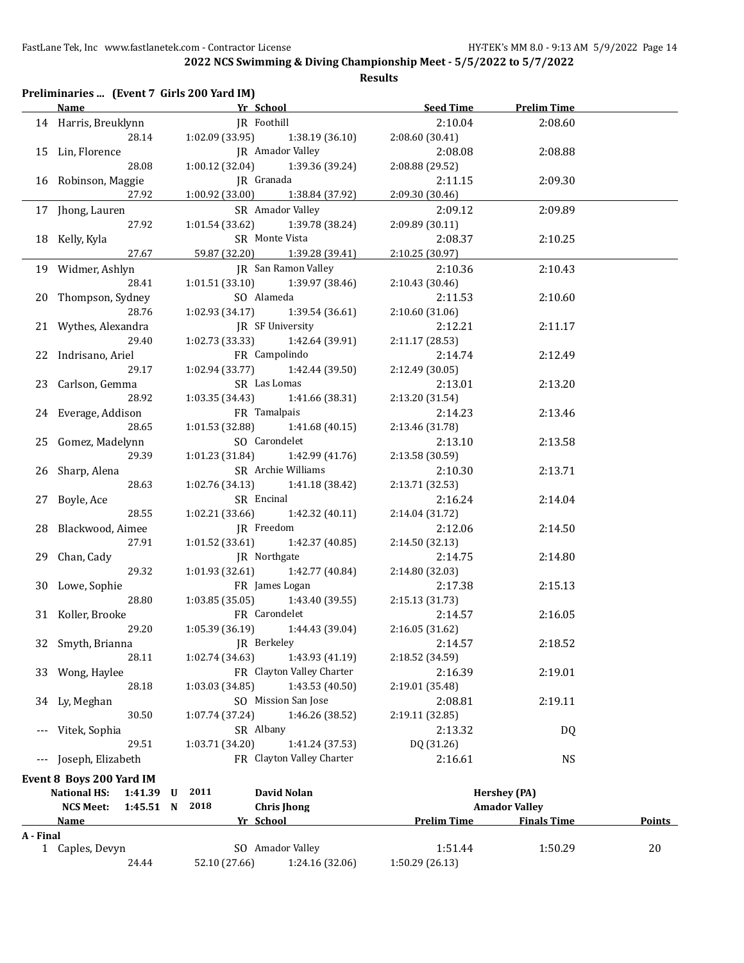|           | Preliminaries  (Event 7 Girls 200 Yard IM)<br><b>Name</b> | Yr School                                              | <b>Seed Time</b>   | <b>Prelim Time</b>   |               |
|-----------|-----------------------------------------------------------|--------------------------------------------------------|--------------------|----------------------|---------------|
|           |                                                           | JR Foothill                                            |                    |                      |               |
|           | 14 Harris, Breuklynn                                      |                                                        | 2:10.04            | 2:08.60              |               |
|           | 28.14                                                     | 1:38.19 (36.10)<br>1:02.09 (33.95)<br>JR Amador Valley | 2:08.60 (30.41)    |                      |               |
|           | 15 Lin, Florence                                          |                                                        | 2:08.08            | 2:08.88              |               |
|           | 28.08                                                     | 1:39.36 (39.24)<br>1:00.12 (32.04)                     | 2:08.88 (29.52)    |                      |               |
|           | 16 Robinson, Maggie                                       | JR Granada                                             | 2:11.15            | 2:09.30              |               |
|           | 27.92                                                     | 1:00.92(33.00)<br>1:38.84 (37.92)                      | 2:09.30 (30.46)    |                      |               |
|           | 17 Jhong, Lauren                                          | SR Amador Valley                                       | 2:09.12            | 2:09.89              |               |
|           | 27.92                                                     | 1:01.54(33.62)<br>1:39.78 (38.24)                      | 2:09.89 (30.11)    |                      |               |
|           | 18 Kelly, Kyla                                            | SR Monte Vista                                         | 2:08.37            | 2:10.25              |               |
|           | 27.67                                                     | 59.87 (32.20)<br>1:39.28 (39.41)                       | 2:10.25 (30.97)    |                      |               |
|           | 19 Widmer, Ashlyn                                         | <b>IR</b> San Ramon Valley                             | 2:10.36            | 2:10.43              |               |
|           | 28.41                                                     | 1:01.51(33.10)<br>1:39.97 (38.46)                      | 2:10.43 (30.46)    |                      |               |
| 20        | Thompson, Sydney                                          | SO Alameda                                             | 2:11.53            | 2:10.60              |               |
|           | 28.76                                                     | 1:02.93 (34.17)<br>1:39.54 (36.61)                     | 2:10.60 (31.06)    |                      |               |
|           | 21 Wythes, Alexandra                                      | JR SF University                                       | 2:12.21            | 2:11.17              |               |
|           | 29.40                                                     | 1:02.73(33.33)<br>1:42.64 (39.91)                      | 2:11.17 (28.53)    |                      |               |
| 22        | Indrisano, Ariel                                          | FR Campolindo                                          | 2:14.74            | 2:12.49              |               |
|           | 29.17                                                     | 1:02.94 (33.77)<br>1:42.44 (39.50)                     | 2:12.49 (30.05)    |                      |               |
| 23        | Carlson, Gemma                                            | SR Las Lomas                                           | 2:13.01            | 2:13.20              |               |
|           | 28.92                                                     | 1:41.66 (38.31)<br>1:03.35(34.43)                      | 2:13.20 (31.54)    |                      |               |
| 24        | Everage, Addison                                          | FR Tamalpais                                           | 2:14.23            | 2:13.46              |               |
|           | 28.65                                                     | 1:01.53 (32.88)<br>1:41.68 (40.15)                     | 2:13.46 (31.78)    |                      |               |
|           | Gomez, Madelynn                                           | SO Carondelet                                          | 2:13.10            | 2:13.58              |               |
|           | 29.39                                                     | 1:42.99 (41.76)<br>1:01.23 (31.84)                     | 2:13.58 (30.59)    |                      |               |
| 26        | Sharp, Alena                                              | SR Archie Williams                                     | 2:10.30            | 2:13.71              |               |
|           | 28.63                                                     | 1:02.76 (34.13)<br>1:41.18 (38.42)                     | 2:13.71 (32.53)    |                      |               |
| 27        | Boyle, Ace                                                | SR Encinal                                             | 2:16.24            | 2:14.04              |               |
|           | 28.55                                                     |                                                        |                    |                      |               |
|           |                                                           | 1:02.21 (33.66)<br>1:42.32 (40.11)                     | 2:14.04 (31.72)    |                      |               |
| 28        | Blackwood, Aimee                                          | JR Freedom                                             | 2:12.06            | 2:14.50              |               |
|           | 27.91                                                     | 1:01.52(33.61)<br>1:42.37 (40.85)                      | 2:14.50 (32.13)    |                      |               |
|           | 29 Chan, Cady                                             | JR Northgate                                           | 2:14.75            | 2:14.80              |               |
|           | 29.32                                                     | 1:01.93(32.61)<br>1:42.77 (40.84)                      | 2:14.80 (32.03)    |                      |               |
|           | 30 Lowe, Sophie                                           | FR James Logan                                         | 2:17.38            | 2:15.13              |               |
|           | 28.80                                                     | 1:03.85(35.05)<br>1:43.40 (39.55)                      | 2:15.13 (31.73)    |                      |               |
|           | 31 Koller, Brooke                                         | FR Carondelet                                          | 2:14.57            | 2:16.05              |               |
|           | 29.20                                                     | 1:05.39 (36.19) 1:44.43 (39.04)                        | 2:16.05 (31.62)    |                      |               |
|           | 32 Smyth, Brianna                                         | JR Berkeley                                            | 2:14.57            | 2:18.52              |               |
|           | 28.11                                                     | 1:02.74(34.63)<br>1:43.93 (41.19)                      | 2:18.52 (34.59)    |                      |               |
|           | 33 Wong, Haylee                                           | FR Clayton Valley Charter                              | 2:16.39            | 2:19.01              |               |
|           | 28.18                                                     | 1:03.03(34.85)<br>1:43.53 (40.50)                      | 2:19.01 (35.48)    |                      |               |
| 34        | Ly, Meghan                                                | SO Mission San Jose                                    | 2:08.81            | 2:19.11              |               |
|           | 30.50                                                     | 1:46.26 (38.52)<br>1:07.74 (37.24)                     | 2:19.11 (32.85)    |                      |               |
|           | Vitek, Sophia                                             | SR Albany                                              | 2:13.32            | DQ                   |               |
|           | 29.51                                                     | 1:03.71 (34.20)<br>1:41.24 (37.53)                     | DQ (31.26)         |                      |               |
|           | --- Joseph, Elizabeth                                     | FR Clayton Valley Charter                              | 2:16.61            | <b>NS</b>            |               |
|           |                                                           |                                                        |                    |                      |               |
|           | Event 8 Boys 200 Yard IM                                  |                                                        |                    |                      |               |
|           | <b>National HS:</b><br>1:41.39 U                          | 2011<br>David Nolan                                    |                    | <b>Hershey (PA)</b>  |               |
|           | <b>NCS Meet:</b><br>1:45.51 N                             | 2018<br><b>Chris Jhong</b>                             |                    | <b>Amador Valley</b> |               |
|           | <b>Name</b>                                               | Yr School                                              | <b>Prelim Time</b> | <b>Finals Time</b>   | <b>Points</b> |
| A - Final |                                                           |                                                        |                    |                      |               |
|           | 1 Caples, Devyn                                           | SO Amador Valley                                       | 1:51.44            | 1:50.29              | 20            |
|           | 24.44                                                     | 52.10 (27.66)<br>1:24.16 (32.06)                       | 1:50.29 (26.13)    |                      |               |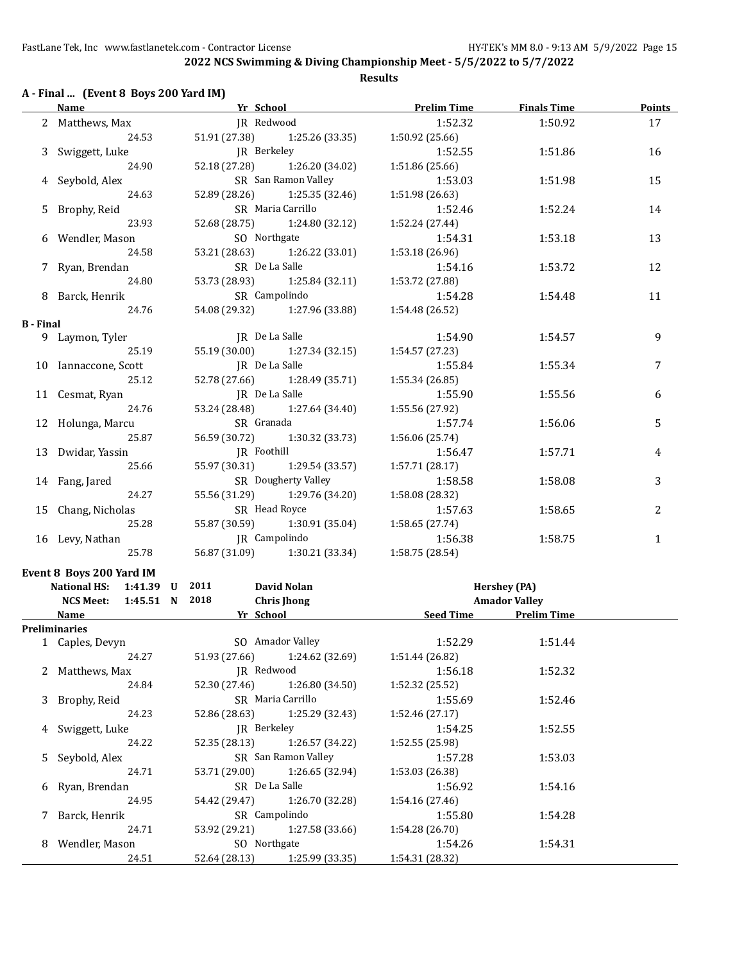#### **A - Final ... (Event 8 Boys 200 Yard IM)**

|                  | <u>Name</u>                                        | Yr School and the School and the School<br>$\label{eq:2.1} \frac{1}{\sqrt{2}}\int_{\mathbb{R}^3}\frac{1}{\sqrt{2}}\left(\frac{1}{\sqrt{2}}\right)^2\left(\frac{1}{\sqrt{2}}\right)^2\left(\frac{1}{\sqrt{2}}\right)^2\left(\frac{1}{\sqrt{2}}\right)^2\left(\frac{1}{\sqrt{2}}\right)^2.$ | <b>Prelim Time</b> | <b>Finals Time</b>                   | <b>Points</b> |
|------------------|----------------------------------------------------|-------------------------------------------------------------------------------------------------------------------------------------------------------------------------------------------------------------------------------------------------------------------------------------------|--------------------|--------------------------------------|---------------|
|                  | 2 Matthews, Max                                    | JR Redwood                                                                                                                                                                                                                                                                                | 1:52.32            | 1:50.92                              | 17            |
|                  | 24.53                                              | 51.91 (27.38)<br>1:25.26 (33.35)                                                                                                                                                                                                                                                          | 1:50.92 (25.66)    |                                      |               |
|                  | 3 Swiggett, Luke                                   | JR Berkeley                                                                                                                                                                                                                                                                               | 1:52.55            | 1:51.86                              | 16            |
|                  | 24.90                                              | 52.18 (27.28)<br>1:26.20 (34.02)                                                                                                                                                                                                                                                          | 1:51.86 (25.66)    |                                      |               |
|                  | Seybold, Alex                                      | SR San Ramon Valley                                                                                                                                                                                                                                                                       | 1:53.03            | 1:51.98                              | 15            |
|                  | 24.63                                              | 52.89 (28.26)<br>1:25.35 (32.46)                                                                                                                                                                                                                                                          | 1:51.98 (26.63)    |                                      |               |
|                  | 5 Brophy, Reid                                     | SR Maria Carrillo                                                                                                                                                                                                                                                                         | 1:52.46            | 1:52.24                              | 14            |
|                  | 23.93                                              | 52.68 (28.75)<br>1:24.80 (32.12)                                                                                                                                                                                                                                                          | 1:52.24 (27.44)    |                                      |               |
|                  | 6 Wendler, Mason                                   | SO Northgate                                                                                                                                                                                                                                                                              | 1:54.31            | 1:53.18                              | 13            |
|                  | 24.58                                              | 53.21 (28.63)<br>1:26.22 (33.01)                                                                                                                                                                                                                                                          | 1:53.18 (26.96)    |                                      |               |
|                  | 7 Ryan, Brendan                                    | SR De La Salle                                                                                                                                                                                                                                                                            | 1:54.16            | 1:53.72                              | 12            |
|                  | 24.80                                              | 53.73 (28.93)<br>1:25.84 (32.11)                                                                                                                                                                                                                                                          | 1:53.72 (27.88)    |                                      |               |
|                  | 8 Barck, Henrik                                    | SR Campolindo                                                                                                                                                                                                                                                                             | 1:54.28            | 1:54.48                              | 11            |
|                  | 24.76                                              | 54.08 (29.32) 1:27.96 (33.88)                                                                                                                                                                                                                                                             | 1:54.48 (26.52)    |                                      |               |
| <b>B</b> - Final |                                                    |                                                                                                                                                                                                                                                                                           |                    |                                      |               |
|                  | 9 Laymon, Tyler                                    | JR De La Salle                                                                                                                                                                                                                                                                            | 1:54.90            | 1:54.57                              | 9             |
|                  | 25.19                                              | 55.19 (30.00) 1:27.34 (32.15)                                                                                                                                                                                                                                                             | 1:54.57 (27.23)    |                                      |               |
|                  | 10 Iannaccone, Scott                               | JR De La Salle                                                                                                                                                                                                                                                                            | 1:55.84            | 1:55.34                              | 7             |
|                  | 25.12                                              | 52.78 (27.66) 1:28.49 (35.71)                                                                                                                                                                                                                                                             | 1:55.34 (26.85)    |                                      |               |
|                  | 11 Cesmat, Ryan                                    | JR De La Salle                                                                                                                                                                                                                                                                            | 1:55.90            | 1:55.56                              | 6             |
|                  | 24.76                                              | 53.24 (28.48) 1:27.64 (34.40)                                                                                                                                                                                                                                                             | 1:55.56 (27.92)    |                                      |               |
|                  | 12 Holunga, Marcu                                  | SR Granada                                                                                                                                                                                                                                                                                | 1:57.74            | 1:56.06                              | 5             |
|                  | 25.87                                              | 56.59 (30.72) 1:30.32 (33.73)                                                                                                                                                                                                                                                             | 1:56.06 (25.74)    |                                      |               |
|                  | 13 Dwidar, Yassin                                  | JR Foothill                                                                                                                                                                                                                                                                               | 1:56.47            | 1:57.71                              | 4             |
|                  | 25.66                                              | 55.97 (30.31) 1:29.54 (33.57)                                                                                                                                                                                                                                                             | 1:57.71 (28.17)    |                                      |               |
|                  | 14 Fang, Jared                                     | SR Dougherty Valley                                                                                                                                                                                                                                                                       | 1:58.58            | 1:58.08                              | 3             |
|                  | 24.27                                              | 55.56 (31.29) 1:29.76 (34.20)                                                                                                                                                                                                                                                             | 1:58.08 (28.32)    |                                      |               |
|                  | 15 Chang, Nicholas                                 | SR Head Royce                                                                                                                                                                                                                                                                             | 1:57.63            | 1:58.65                              | 2             |
|                  | 25.28                                              | 55.87 (30.59) 1:30.91 (35.04)                                                                                                                                                                                                                                                             | 1:58.65 (27.74)    |                                      |               |
|                  | 16 Levy, Nathan                                    | JR Campolindo                                                                                                                                                                                                                                                                             | 1:56.38            | 1:58.75                              | $\mathbf{1}$  |
|                  | 25.78                                              | 56.87 (31.09) 1:30.21 (33.34)                                                                                                                                                                                                                                                             | 1:58.75 (28.54)    |                                      |               |
|                  |                                                    |                                                                                                                                                                                                                                                                                           |                    |                                      |               |
|                  | Event 8 Boys 200 Yard IM                           |                                                                                                                                                                                                                                                                                           |                    |                                      |               |
|                  | National HS: 1:41.39 U<br>NCS Meet: 1:45.51 N 2018 | 2011<br>David Nolan<br><b>Chris Jhong</b>                                                                                                                                                                                                                                                 |                    | Hershey (PA)<br><b>Amador Valley</b> |               |
|                  | Name                                               | Yr School                                                                                                                                                                                                                                                                                 |                    | Seed Time Prelim Time                |               |
|                  | Preliminaries                                      |                                                                                                                                                                                                                                                                                           |                    |                                      |               |
|                  | 1 Caples, Devyn                                    | SO Amador Valley                                                                                                                                                                                                                                                                          | 1:52.29            | 1:51.44                              |               |
|                  | 24.27                                              | 51.93 (27.66)<br>1:24.62 (32.69)                                                                                                                                                                                                                                                          | 1:51.44 (26.82)    |                                      |               |
|                  | 2 Matthews, Max                                    | JR Redwood                                                                                                                                                                                                                                                                                | 1:56.18            | 1:52.32                              |               |
|                  | 24.84                                              | 52.30 (27.46)<br>1:26.80 (34.50)                                                                                                                                                                                                                                                          | 1:52.32 (25.52)    |                                      |               |
|                  | 3 Brophy, Reid                                     | SR Maria Carrillo                                                                                                                                                                                                                                                                         | 1:55.69            | 1:52.46                              |               |
|                  | 24.23                                              | 52.86 (28.63)<br>1:25.29 (32.43)                                                                                                                                                                                                                                                          | 1:52.46 (27.17)    |                                      |               |
|                  | Swiggett, Luke                                     | JR Berkeley                                                                                                                                                                                                                                                                               | 1:54.25            | 1:52.55                              |               |
|                  | 24.22                                              | 52.35 (28.13)<br>1:26.57 (34.22)                                                                                                                                                                                                                                                          | 1:52.55 (25.98)    |                                      |               |
| 5                | Seybold, Alex                                      | SR San Ramon Valley                                                                                                                                                                                                                                                                       | 1:57.28            | 1:53.03                              |               |
|                  | 24.71                                              | 53.71 (29.00)<br>1:26.65 (32.94)                                                                                                                                                                                                                                                          | 1:53.03 (26.38)    |                                      |               |
|                  | Ryan, Brendan                                      | SR De La Salle                                                                                                                                                                                                                                                                            | 1:56.92            | 1:54.16                              |               |
|                  | 24.95                                              | 54.42 (29.47)<br>1:26.70 (32.28)                                                                                                                                                                                                                                                          | 1:54.16 (27.46)    |                                      |               |
|                  | 7 Barck, Henrik                                    | SR Campolindo                                                                                                                                                                                                                                                                             | 1:55.80            | 1:54.28                              |               |
|                  |                                                    |                                                                                                                                                                                                                                                                                           |                    |                                      |               |

24.71 53.92 (29.21) 1:27.58 (33.66) 1:54.28 (26.70) 8 Wendler, Mason SO Northgate 1:54.26 1:54.31 24.51 52.64 (28.13) 1:25.99 (33.35) 1:54.31 (28.32)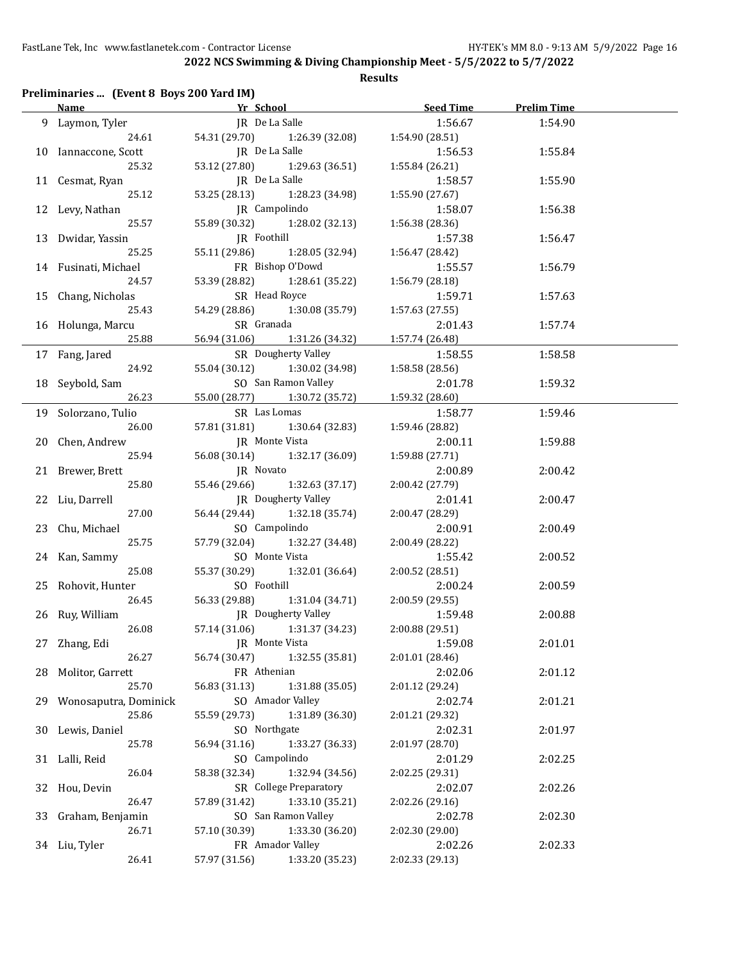| Name and the state of the state of the state of the state of the state of the state of the state of the state o |                       | <b>Example 20 Yr School</b> | <b>Seed Time</b> | <b>Prelim Time</b> |  |
|-----------------------------------------------------------------------------------------------------------------|-----------------------|-----------------------------|------------------|--------------------|--|
| 9 Laymon, Tyler                                                                                                 | JR De La Salle        |                             | 1:56.67          | 1:54.90            |  |
| 24.61                                                                                                           | 54.31 (29.70)         | 1:26.39 (32.08)             | 1:54.90 (28.51)  |                    |  |
| 10 Iannaccone, Scott                                                                                            | JR De La Salle        |                             | 1:56.53          | 1:55.84            |  |
| 25.32                                                                                                           | 53.12 (27.80)         | 1:29.63 (36.51)             | 1:55.84 (26.21)  |                    |  |
| 11 Cesmat, Ryan                                                                                                 | JR De La Salle        |                             | 1:58.57          | 1:55.90            |  |
| 25.12                                                                                                           | 53.25 (28.13)         | 1:28.23 (34.98)             | 1:55.90 (27.67)  |                    |  |
| 12 Levy, Nathan                                                                                                 | JR Campolindo         |                             | 1:58.07          | 1:56.38            |  |
| 25.57                                                                                                           | 55.89 (30.32)         | 1:28.02 (32.13)             | 1:56.38 (28.36)  |                    |  |
| 13 Dwidar, Yassin                                                                                               | JR Foothill           |                             | 1:57.38          | 1:56.47            |  |
| 25.25                                                                                                           | 55.11 (29.86)         | 1:28.05 (32.94)             | 1:56.47 (28.42)  |                    |  |
| 14 Fusinati, Michael                                                                                            |                       | FR Bishop O'Dowd            | 1:55.57          | 1:56.79            |  |
| 24.57                                                                                                           | 53.39 (28.82)         | 1:28.61 (35.22)             | 1:56.79 (28.18)  |                    |  |
| 15 Chang, Nicholas                                                                                              | SR Head Royce         |                             | 1:59.71          | 1:57.63            |  |
| 25.43                                                                                                           | 54.29 (28.86)         | 1:30.08 (35.79)             | 1:57.63 (27.55)  |                    |  |
| 16 Holunga, Marcu                                                                                               | SR Granada            |                             | 2:01.43          | 1:57.74            |  |
| 25.88                                                                                                           | 56.94 (31.06)         | 1:31.26 (34.32)             | 1:57.74 (26.48)  |                    |  |
|                                                                                                                 |                       | SR Dougherty Valley         |                  | 1:58.58            |  |
| 17 Fang, Jared                                                                                                  | 55.04 (30.12)         |                             | 1:58.55          |                    |  |
| 24.92                                                                                                           |                       | 1:30.02 (34.98)             | 1:58.58 (28.56)  |                    |  |
| 18 Seybold, Sam                                                                                                 |                       | SO San Ramon Valley         | 2:01.78          | 1:59.32            |  |
| 26.23                                                                                                           | 55.00 (28.77)         | 1:30.72 (35.72)             | 1:59.32 (28.60)  |                    |  |
| 19 Solorzano, Tulio                                                                                             | SR Las Lomas          |                             | 1:58.77          | 1:59.46            |  |
| 26.00                                                                                                           | 57.81 (31.81)         | 1:30.64 (32.83)             | 1:59.46 (28.82)  |                    |  |
| 20 Chen, Andrew                                                                                                 | <b>IR</b> Monte Vista |                             | 2:00.11          | 1:59.88            |  |
| 25.94                                                                                                           | 56.08 (30.14)         | 1:32.17 (36.09)             | 1:59.88 (27.71)  |                    |  |
| 21 Brewer, Brett                                                                                                | JR Novato             |                             | 2:00.89          | 2:00.42            |  |
| 25.80                                                                                                           | 55.46 (29.66)         | 1:32.63 (37.17)             | 2:00.42 (27.79)  |                    |  |
| 22 Liu, Darrell                                                                                                 |                       | JR Dougherty Valley         | 2:01.41          | 2:00.47            |  |
| 27.00                                                                                                           | 56.44 (29.44)         | 1:32.18 (35.74)             | 2:00.47 (28.29)  |                    |  |
| 23 Chu, Michael                                                                                                 | SO Campolindo         |                             | 2:00.91          | 2:00.49            |  |
| 25.75                                                                                                           | 57.79 (32.04)         | 1:32.27 (34.48)             | 2:00.49 (28.22)  |                    |  |
| 24 Kan, Sammy                                                                                                   | SO Monte Vista        |                             | 1:55.42          | 2:00.52            |  |
| 25.08                                                                                                           | 55.37 (30.29)         | 1:32.01 (36.64)             | 2:00.52 (28.51)  |                    |  |
| 25 Rohovit, Hunter                                                                                              | SO Foothill           |                             | 2:00.24          | 2:00.59            |  |
| 26.45                                                                                                           | 56.33 (29.88)         | 1:31.04 (34.71)             | 2:00.59 (29.55)  |                    |  |
| 26 Ruy, William                                                                                                 |                       | <b>IR</b> Dougherty Valley  | 1:59.48          | 2:00.88            |  |
| 26.08                                                                                                           | 57.14 (31.06)         | 1:31.37 (34.23)             | 2:00.88 (29.51)  |                    |  |
| 27 Zhang, Edi                                                                                                   |                       | JR Monte Vista              | 1:59.08          | 2:01.01            |  |
| 26.27                                                                                                           | 56.74 (30.47)         | 1:32.55 (35.81)             | 2:01.01 (28.46)  |                    |  |
| 28 Molitor, Garrett                                                                                             | FR Athenian           |                             | 2:02.06          | 2:01.12            |  |
| 25.70                                                                                                           | 56.83 (31.13)         | 1:31.88 (35.05)             | 2:01.12 (29.24)  |                    |  |
| 29 Wonosaputra, Dominick                                                                                        |                       | SO Amador Valley            | 2:02.74          | 2:01.21            |  |
| 25.86                                                                                                           | 55.59 (29.73)         | 1:31.89 (36.30)             | 2:01.21 (29.32)  |                    |  |
| 30 Lewis, Daniel                                                                                                | SO Northgate          |                             | 2:02.31          | 2:01.97            |  |
| 25.78                                                                                                           | 56.94 (31.16)         | 1:33.27 (36.33)             | 2:01.97 (28.70)  |                    |  |
| 31 Lalli, Reid                                                                                                  | SO Campolindo         |                             | 2:01.29          | 2:02.25            |  |
| 26.04                                                                                                           | 58.38 (32.34)         | 1:32.94 (34.56)             | 2:02.25 (29.31)  |                    |  |
| 32 Hou, Devin                                                                                                   |                       | SR College Preparatory      | 2:02.07          | 2:02.26            |  |
| 26.47                                                                                                           | 57.89 (31.42)         | 1:33.10 (35.21)             | 2:02.26 (29.16)  |                    |  |
| 33 Graham, Benjamin                                                                                             |                       | SO San Ramon Valley         | 2:02.78          | 2:02.30            |  |
| 26.71                                                                                                           | 57.10 (30.39)         | 1:33.30 (36.20)             | 2:02.30 (29.00)  |                    |  |
| 34 Liu, Tyler                                                                                                   |                       | FR Amador Valley            | 2:02.26          | 2:02.33            |  |
| 26.41                                                                                                           | 57.97 (31.56)         | 1:33.20 (35.23)             | 2:02.33 (29.13)  |                    |  |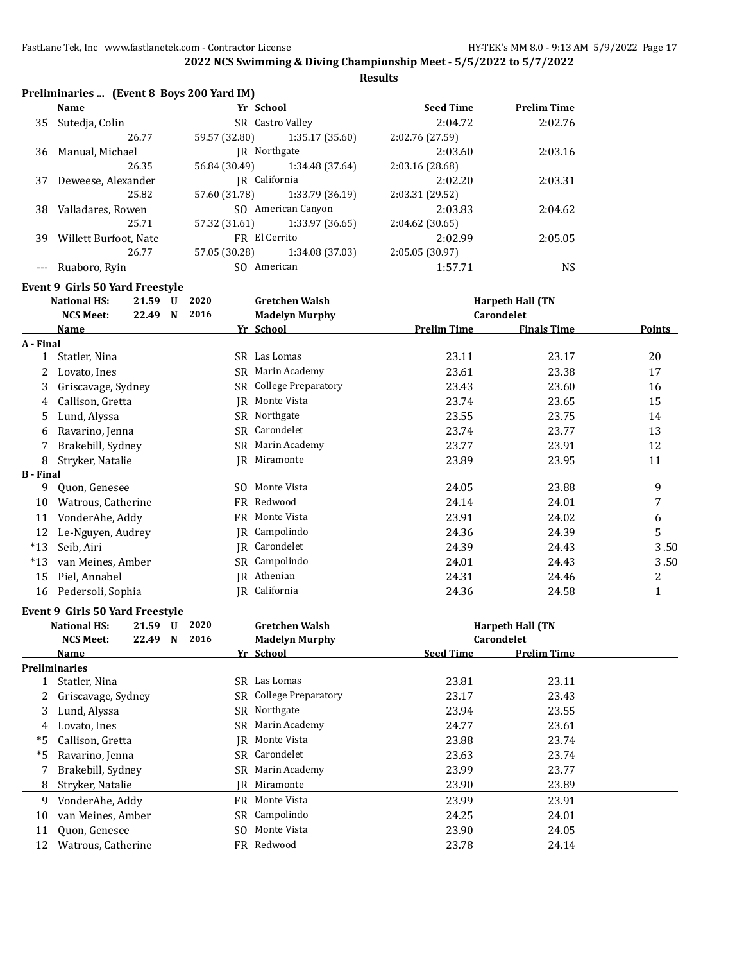**Results**

| Preliminaries  (Event 8 Boys 200 Yard IM) |  |  |  |
|-------------------------------------------|--|--|--|
|-------------------------------------------|--|--|--|

|    | Name                  | Yr School     |                    | <b>Seed Time</b> | <b>Prelim Time</b> |  |
|----|-----------------------|---------------|--------------------|------------------|--------------------|--|
| 35 | Sutedja, Colin        |               | SR Castro Valley   | 2:04.72          | 2:02.76            |  |
|    | 26.77                 | 59.57 (32.80) | 1:35.17 (35.60)    | 2:02.76 (27.59)  |                    |  |
| 36 | Manual, Michael       | IR Northgate  |                    | 2:03.60          | 2:03.16            |  |
|    | 26.35                 | 56.84 (30.49) | 1:34.48 (37.64)    | 2:03.16(28.68)   |                    |  |
| 37 | Deweese, Alexander    | IR California |                    | 2:02.20          | 2:03.31            |  |
|    | 25.82                 | 57.60 (31.78) | 1:33.79 (36.19)    | 2:03.31 (29.52)  |                    |  |
| 38 | Valladares, Rowen     |               | SO American Canyon | 2:03.83          | 2:04.62            |  |
|    | 25.71                 | 57.32 (31.61) | 1:33.97(36.65)     | 2:04.62(30.65)   |                    |  |
| 39 | Willett Burfoot, Nate | FR El Cerrito |                    | 2:02.99          | 2:05.05            |  |
|    | 26.77                 | 57.05 (30.28) | 1:34.08 (37.03)    | 2:05.05 (30.97)  |                    |  |
|    | Ruaboro, Ryin         | SO American   |                    | 1:57.71          | <b>NS</b>          |  |

#### **Event 9 Girls 50 Yard Freestyle**

|                  | <b>National HS:</b>             | 21.59 U | 2020 |    | <b>Gretchen Walsh</b>  |                    | <b>Harpeth Hall (TN</b> |               |
|------------------|---------------------------------|---------|------|----|------------------------|--------------------|-------------------------|---------------|
|                  | <b>NCS Meet:</b>                | 22.49 N | 2016 |    | <b>Madelyn Murphy</b>  |                    | Carondelet              |               |
|                  | Name                            |         |      |    | Yr School              | <b>Prelim Time</b> | <b>Finals Time</b>      | <b>Points</b> |
| A - Final        |                                 |         |      |    |                        |                    |                         |               |
| 1                | Statler, Nina                   |         |      |    | SR Las Lomas           | 23.11              | 23.17                   | 20            |
| 2                | Lovato, Ines                    |         |      |    | SR Marin Academy       | 23.61              | 23.38                   | 17            |
| 3                | Griscavage, Sydney              |         |      |    | SR College Preparatory | 23.43              | 23.60                   | 16            |
| 4                | Callison, Gretta                |         |      |    | <b>IR</b> Monte Vista  | 23.74              | 23.65                   | 15            |
| 5                | Lund, Alyssa                    |         |      |    | SR Northgate           | 23.55              | 23.75                   | 14            |
| 6                | Ravarino, Jenna                 |         |      |    | SR Carondelet          | 23.74              | 23.77                   | 13            |
| 7                | Brakebill, Sydney               |         |      |    | SR Marin Academy       | 23.77              | 23.91                   | 12            |
| 8                | Stryker, Natalie                |         |      | IR | Miramonte              | 23.89              | 23.95                   | 11            |
| <b>B</b> - Final |                                 |         |      |    |                        |                    |                         |               |
| 9                | Quon, Genesee                   |         |      |    | SO Monte Vista         | 24.05              | 23.88                   | 9             |
| 10               | Watrous, Catherine              |         |      |    | FR Redwood             | 24.14              | 24.01                   | 7             |
| 11               | VonderAhe, Addy                 |         |      |    | FR Monte Vista         | 23.91              | 24.02                   | 6             |
| 12               | Le-Nguyen, Audrey               |         |      |    | JR Campolindo          | 24.36              | 24.39                   | 5             |
| $*13$            | Seib, Airi                      |         |      |    | JR Carondelet          | 24.39              | 24.43                   | 3.50          |
| $*13$            | van Meines, Amber               |         |      |    | SR Campolindo          | 24.01              | 24.43                   | 3.50          |
| 15               | Piel, Annabel                   |         |      |    | JR Athenian            | 24.31              | 24.46                   | 2             |
| 16               | Pedersoli, Sophia               |         |      |    | IR California          | 24.36              | 24.58                   | $\mathbf{1}$  |
|                  | Event 9 Girls 50 Yard Freestyle |         |      |    |                        |                    |                         |               |
|                  | <b>National HS:</b>             | 21.59 U | 2020 |    | <b>Gretchen Walsh</b>  |                    | <b>Harpeth Hall (TN</b> |               |
|                  | <b>NCS Meet:</b>                | 22.49 N | 2016 |    | <b>Madelyn Murphy</b>  |                    | <b>Carondelet</b>       |               |
|                  | Name                            |         |      |    | Yr School              | <b>Seed Time</b>   | <b>Prelim Time</b>      |               |
|                  | <b>Preliminaries</b>            |         |      |    |                        |                    |                         |               |
| 1                | Statler, Nina                   |         |      |    | SR Las Lomas           | 23.81              | 23.11                   |               |
| 2                | Griscavage, Sydney              |         |      |    | SR College Preparatory | 23.17              | 23.43                   |               |
| 3                | Lund, Alyssa                    |         |      |    | SR Northgate           | 23.94              | 23.55                   |               |
| 4                | Lovato, Ines                    |         |      |    | SR Marin Academy       | 24.77              | 23.61                   |               |
| $*5$             | Callison, Gretta                |         |      |    | JR Monte Vista         | 23.88              | 23.74                   |               |
| $*5$             | Ravarino, Jenna                 |         |      |    | SR Carondelet          | 23.63              | 23.74                   |               |
| 7                | Brakebill, Sydney               |         |      |    | SR Marin Academy       | 23.99              | 23.77                   |               |
| 8                | Stryker, Natalie                |         |      |    | IR Miramonte           | 23.90              | 23.89                   |               |
| 9                | VonderAhe, Addy                 |         |      |    | FR Monte Vista         | 23.99              | 23.91                   |               |
| 10               | van Meines, Amber               |         |      |    | SR Campolindo          | 24.25              | 24.01                   |               |
| 11               | Quon, Genesee                   |         |      |    | SO Monte Vista         | 23.90              | 24.05                   |               |
| 12               | Watrous, Catherine              |         |      |    | FR Redwood             | 23.78              | 24.14                   |               |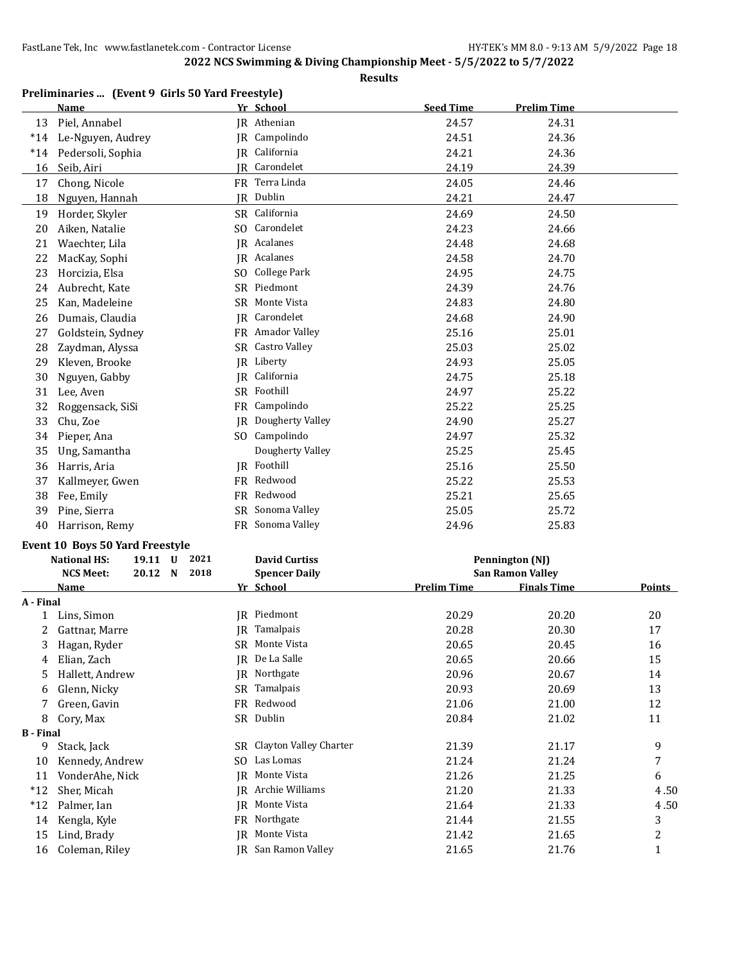| Preliminaries  (Event 9 Girls 50 Yard Freestyle) |  |  |  |  |
|--------------------------------------------------|--|--|--|--|
|--------------------------------------------------|--|--|--|--|

|                  | Name                                    |           | Yr School                         | <b>Seed Time</b>   | <b>Prelim Time</b>                            |        |
|------------------|-----------------------------------------|-----------|-----------------------------------|--------------------|-----------------------------------------------|--------|
| 13               | Piel, Annabel                           |           | JR Athenian                       | 24.57              | 24.31                                         |        |
| $*14$            | Le-Nguyen, Audrey                       |           | JR Campolindo                     | 24.51              | 24.36                                         |        |
| $*14$            | Pedersoli, Sophia                       |           | JR California                     | 24.21              | 24.36                                         |        |
| 16               | Seib, Airi                              |           | <b>IR</b> Carondelet              | 24.19              | 24.39                                         |        |
| 17               | Chong, Nicole                           |           | FR Terra Linda                    | 24.05              | 24.46                                         |        |
| 18               | Nguyen, Hannah                          |           | JR Dublin                         | 24.21              | 24.47                                         |        |
| 19               | Horder, Skyler                          |           | SR California                     | 24.69              | 24.50                                         |        |
| 20               | Aiken, Natalie                          |           | SO Carondelet                     | 24.23              | 24.66                                         |        |
| 21               | Waechter, Lila                          | IR        | Acalanes                          | 24.48              | 24.68                                         |        |
| 22               | MacKay, Sophi                           |           | JR Acalanes                       | 24.58              | 24.70                                         |        |
| 23               | Horcizia, Elsa                          |           | SO College Park                   | 24.95              | 24.75                                         |        |
| 24               | Aubrecht, Kate                          |           | SR Piedmont                       | 24.39              | 24.76                                         |        |
| 25               | Kan, Madeleine                          | SR        | Monte Vista                       | 24.83              | 24.80                                         |        |
| 26               | Dumais, Claudia                         |           | JR Carondelet                     | 24.68              | 24.90                                         |        |
| 27               | Goldstein, Sydney                       |           | FR Amador Valley                  | 25.16              | 25.01                                         |        |
| 28               | Zaydman, Alyssa                         | SR        | Castro Valley                     | 25.03              | 25.02                                         |        |
| 29               | Kleven, Brooke                          |           | JR Liberty                        | 24.93              | 25.05                                         |        |
| 30               | Nguyen, Gabby                           | IR        | California                        | 24.75              | 25.18                                         |        |
| 31               | Lee, Aven                               |           | SR Foothill                       | 24.97              | 25.22                                         |        |
| 32               | Roggensack, SiSi                        | FR        | Campolindo                        | 25.22              | 25.25                                         |        |
| 33               | Chu, Zoe                                | IR        | Dougherty Valley                  | 24.90              | 25.27                                         |        |
| 34               | Pieper, Ana                             |           | SO Campolindo                     | 24.97              | 25.32                                         |        |
| 35               | Ung, Samantha                           |           | Dougherty Valley                  | 25.25              | 25.45                                         |        |
| 36               | Harris, Aria                            |           | JR Foothill                       | 25.16              | 25.50                                         |        |
| 37               | Kallmeyer, Gwen                         |           | FR Redwood                        | 25.22              | 25.53                                         |        |
| 38               | Fee, Emily                              |           | FR Redwood                        | 25.21              | 25.65                                         |        |
| 39               | Pine, Sierra                            |           | SR Sonoma Valley                  | 25.05              | 25.72                                         |        |
| 40               | Harrison, Remy                          |           | FR Sonoma Valley                  | 24.96              | 25.83                                         |        |
|                  |                                         |           |                                   |                    |                                               |        |
|                  | Event 10 Boys 50 Yard Freestyle<br>2021 |           |                                   |                    |                                               |        |
|                  | <b>National HS:</b><br>19.11 U<br>2018  |           | <b>David Curtiss</b>              |                    | Pennington (NJ)                               |        |
|                  | <b>NCS Meet:</b><br>20.12 N<br>Name     |           | <b>Spencer Daily</b><br>Yr School | <b>Prelim Time</b> | <b>San Ramon Valley</b><br><b>Finals Time</b> | Points |
| A - Final        |                                         |           |                                   |                    |                                               |        |
| 1                | Lins, Simon                             |           | JR Piedmont                       | 20.29              | 20.20                                         | 20     |
| 2                | Gattnar, Marre                          | IR        | Tamalpais                         | 20.28              | 20.30                                         | 17     |
| 3                | Hagan, Ryder                            |           | SR Monte Vista                    | 20.65              | 20.45                                         | 16     |
| 4                | Elian, Zach                             |           | JR De La Salle                    | 20.65              | 20.66                                         | 15     |
| 5                | Hallett, Andrew                         |           | JR Northgate                      | 20.96              | 20.67                                         | 14     |
| 6                | Glenn, Nicky                            |           | SR Tamalpais                      | 20.93              | 20.69                                         | 13     |
| 7                | Green, Gavin                            | <b>FR</b> | Redwood                           | 21.06              | 21.00                                         | 12     |
| 8                | Cory, Max                               |           | SR Dublin                         | 20.84              | 21.02                                         | 11     |
| <b>B</b> - Final |                                         |           |                                   |                    |                                               |        |
| 9                | Stack, Jack                             | SR        | Clayton Valley Charter            | 21.39              | 21.17                                         | 9      |
| 10               | Kennedy, Andrew                         |           | SO Las Lomas                      | 21.24              | 21.24                                         | 7      |
| 11               | VonderAhe, Nick                         | IR        | Monte Vista                       | 21.26              | 21.25                                         | 6      |
| $*12$            | Sher, Micah                             | IR        | Archie Williams                   | 21.20              | 21.33                                         | 4.50   |
| $*12$            | Palmer, Ian                             | IR        | Monte Vista                       | 21.64              | 21.33                                         | 4.50   |
| 14               | Kengla, Kyle                            | FR        | Northgate                         | 21.44              | 21.55                                         | 3      |
| 15               | Lind, Brady                             | IR        | Monte Vista                       | 21.42              | 21.65                                         | 2      |
| 16               | Coleman, Riley                          |           | JR San Ramon Valley               | 21.65              | 21.76                                         | 1      |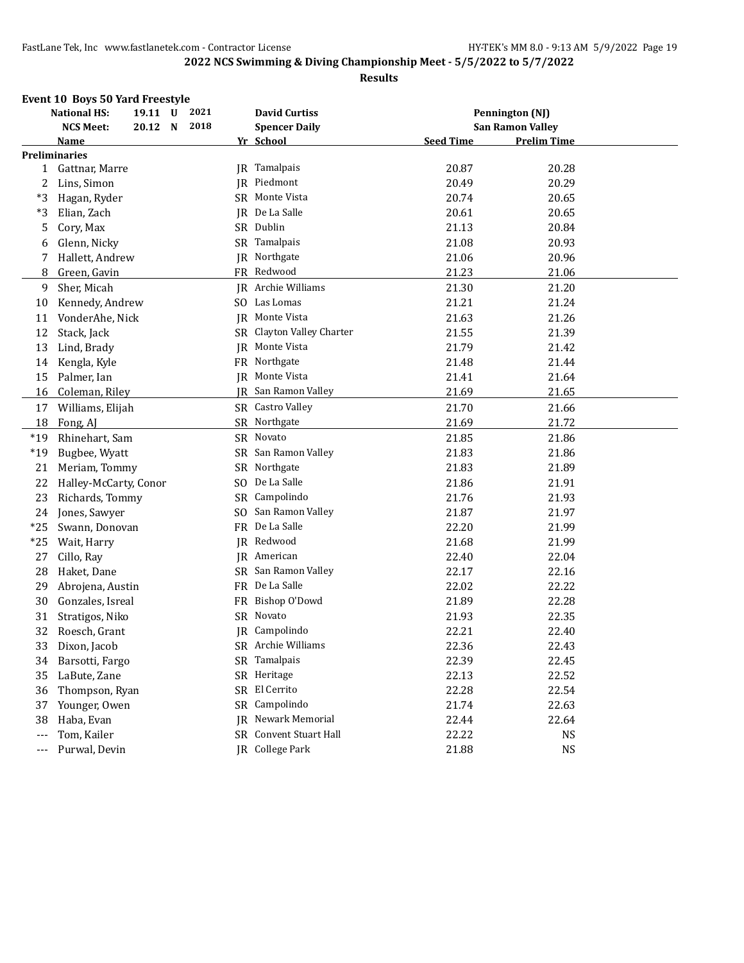|       | Event 10 Boys 50 Yard Freestyle |         |      |           |                           |                  |                         |  |
|-------|---------------------------------|---------|------|-----------|---------------------------|------------------|-------------------------|--|
|       | <b>National HS:</b>             | 19.11 U | 2021 |           | <b>David Curtiss</b>      |                  | Pennington (NJ)         |  |
|       | <b>NCS Meet:</b>                | 20.12 N | 2018 |           | <b>Spencer Daily</b>      |                  | <b>San Ramon Valley</b> |  |
|       | Name                            |         |      |           | Yr School                 | <b>Seed Time</b> | <b>Prelim Time</b>      |  |
|       | <b>Preliminaries</b>            |         |      |           |                           |                  |                         |  |
| 1     | Gattnar, Marre                  |         |      |           | JR Tamalpais              | 20.87            | 20.28                   |  |
| 2     | Lins, Simon                     |         |      |           | JR Piedmont               | 20.49            | 20.29                   |  |
| *3    | Hagan, Ryder                    |         |      |           | SR Monte Vista            | 20.74            | 20.65                   |  |
| *3    | Elian, Zach                     |         |      |           | JR De La Salle            | 20.61            | 20.65                   |  |
| 5     | Cory, Max                       |         |      |           | SR Dublin                 | 21.13            | 20.84                   |  |
| 6     | Glenn, Nicky                    |         |      |           | SR Tamalpais              | 21.08            | 20.93                   |  |
| 7     | Hallett, Andrew                 |         |      |           | JR Northgate              | 21.06            | 20.96                   |  |
| 8     | Green, Gavin                    |         |      |           | FR Redwood                | 21.23            | 21.06                   |  |
| 9     | Sher, Micah                     |         |      |           | <b>IR</b> Archie Williams | 21.30            | 21.20                   |  |
| 10    | Kennedy, Andrew                 |         |      |           | SO Las Lomas              | 21.21            | 21.24                   |  |
| 11    | VonderAhe, Nick                 |         |      |           | IR Monte Vista            | 21.63            | 21.26                   |  |
| 12    | Stack, Jack                     |         |      |           | SR Clayton Valley Charter | 21.55            | 21.39                   |  |
| 13    | Lind, Brady                     |         |      | IR        | Monte Vista               | 21.79            | 21.42                   |  |
| 14    | Kengla, Kyle                    |         |      |           | FR Northgate              | 21.48            | 21.44                   |  |
| 15    | Palmer, Ian                     |         |      |           | <b>IR</b> Monte Vista     | 21.41            | 21.64                   |  |
| 16    | Coleman, Riley                  |         |      |           | JR San Ramon Valley       | 21.69            | 21.65                   |  |
| 17    | Williams, Elijah                |         |      |           | SR Castro Valley          | 21.70            | 21.66                   |  |
| 18    | Fong, AJ                        |         |      |           | SR Northgate              | 21.69            | 21.72                   |  |
| $*19$ | Rhinehart, Sam                  |         |      |           | SR Novato                 | 21.85            | 21.86                   |  |
| $*19$ | Bugbee, Wyatt                   |         |      |           | SR San Ramon Valley       | 21.83            | 21.86                   |  |
| 21    | Meriam, Tommy                   |         |      |           | SR Northgate              | 21.83            | 21.89                   |  |
| 22    | Halley-McCarty, Conor           |         |      |           | SO De La Salle            | 21.86            | 21.91                   |  |
| 23    | Richards, Tommy                 |         |      |           | SR Campolindo             | 21.76            | 21.93                   |  |
| 24    | Jones, Sawyer                   |         |      |           | SO San Ramon Valley       | 21.87            | 21.97                   |  |
| $*25$ | Swann, Donovan                  |         |      |           | FR De La Salle            | 22.20            | 21.99                   |  |
| $*25$ | Wait, Harry                     |         |      |           | JR Redwood                | 21.68            | 21.99                   |  |
| 27    | Cillo, Ray                      |         |      |           | JR American               | 22.40            | 22.04                   |  |
| 28    | Haket, Dane                     |         |      |           | SR San Ramon Valley       | 22.17            | 22.16                   |  |
| 29    | Abrojena, Austin                |         |      |           | FR De La Salle            | 22.02            | 22.22                   |  |
| 30    | Gonzales, Isreal                |         |      |           | FR Bishop O'Dowd          | 21.89            | 22.28                   |  |
| 31    | Stratigos, Niko                 |         |      |           | SR Novato                 | 21.93            | 22.35                   |  |
| 32    | Roesch, Grant                   |         |      |           | JR Campolindo             | 22.21            | 22.40                   |  |
| 33    | Dixon, Jacob                    |         |      |           | SR Archie Williams        | 22.36            | 22.43                   |  |
| 34    | Barsotti, Fargo                 |         |      |           | SR Tamalpais              | 22.39            | 22.45                   |  |
| 35    | LaBute, Zane                    |         |      |           | SR Heritage               | 22.13            | 22.52                   |  |
| 36    | Thompson, Ryan                  |         |      | <b>SR</b> | El Cerrito                | 22.28            | 22.54                   |  |
| 37    | Younger, Owen                   |         |      |           | SR Campolindo             | 21.74            | 22.63                   |  |
| 38    | Haba, Evan                      |         |      | IR        | Newark Memorial           | 22.44            | 22.64                   |  |
| $---$ | Tom, Kailer                     |         |      |           | SR Convent Stuart Hall    | 22.22            | <b>NS</b>               |  |
| ---   | Purwal, Devin                   |         |      |           | IR College Park           | 21.88            | <b>NS</b>               |  |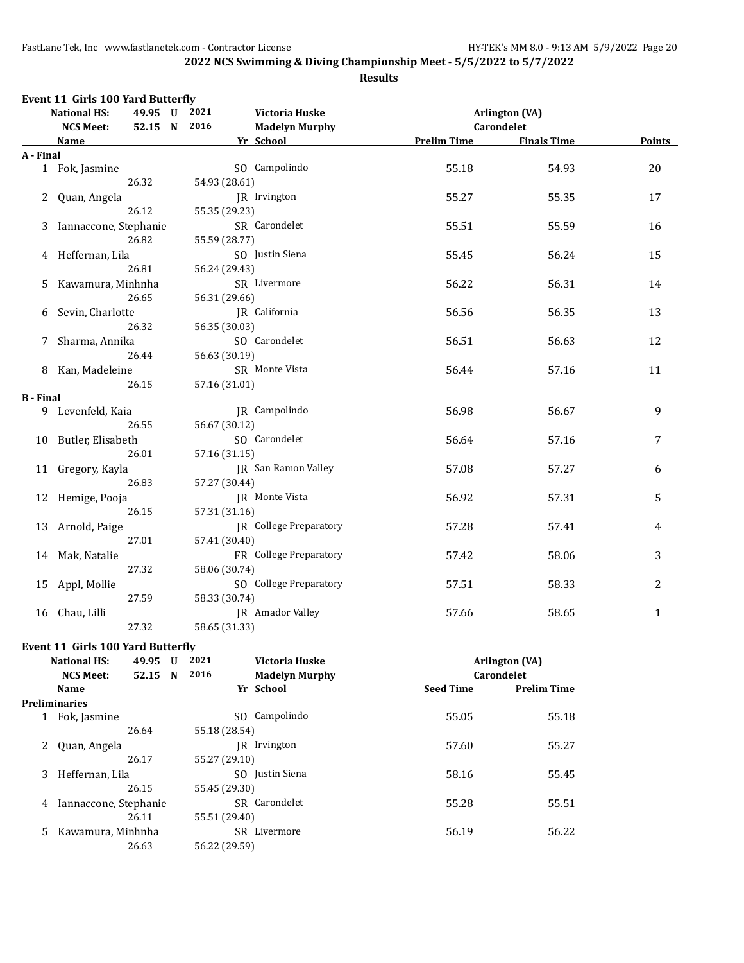### **2022 NCS Swimming & Diving Championship Meet - 5/5/2022 to 5/7/2022**

#### **Results**

|                  | Event 11 Girls 100 Yard Butterfly<br><b>National HS:</b> | 49.95 U 2021                   |                    |                                     |               |
|------------------|----------------------------------------------------------|--------------------------------|--------------------|-------------------------------------|---------------|
|                  | <b>NCS Meet:</b>                                         | Victoria Huske<br>52.15 N 2016 |                    | <b>Arlington (VA)</b><br>Carondelet |               |
|                  |                                                          | <b>Madelyn Murphy</b>          |                    | <b>Finals Time</b>                  | <b>Points</b> |
| A - Final        | <b>Name</b>                                              | Yr School                      | <b>Prelim Time</b> |                                     |               |
|                  | 1 Fok, Jasmine                                           | SO Campolindo                  | 55.18              | 54.93                               | 20            |
|                  | 26.32                                                    | 54.93 (28.61)                  |                    |                                     |               |
| 2                | Quan, Angela                                             | JR Irvington                   | 55.27              | 55.35                               | 17            |
|                  | 26.12                                                    | 55.35 (29.23)                  |                    |                                     |               |
| 3                | Iannaccone, Stephanie                                    | SR Carondelet                  | 55.51              | 55.59                               | 16            |
|                  | 26.82                                                    | 55.59 (28.77)                  |                    |                                     |               |
|                  | 4 Heffernan, Lila                                        | SO Justin Siena                | 55.45              | 56.24                               | 15            |
|                  | 26.81                                                    | 56.24 (29.43)                  |                    |                                     |               |
| 5                | Kawamura, Minhnha                                        | SR Livermore                   | 56.22              | 56.31                               | 14            |
|                  | 26.65                                                    | 56.31 (29.66)                  |                    |                                     |               |
| 6                | Sevin, Charlotte                                         | JR California                  | 56.56              | 56.35                               | 13            |
|                  | 26.32                                                    | 56.35 (30.03)                  |                    |                                     |               |
| 7                | Sharma, Annika                                           | SO Carondelet                  | 56.51              | 56.63                               | 12            |
|                  | 26.44                                                    | 56.63 (30.19)                  |                    |                                     |               |
|                  | 8 Kan, Madeleine                                         | SR Monte Vista                 | 56.44              | 57.16                               | 11            |
|                  | 26.15                                                    | 57.16 (31.01)                  |                    |                                     |               |
| <b>B</b> - Final |                                                          |                                |                    |                                     |               |
|                  | 9 Levenfeld, Kaia                                        | IR Campolindo                  | 56.98              | 56.67                               | 9             |
|                  | 26.55                                                    | 56.67 (30.12)                  |                    |                                     |               |
|                  | 10 Butler, Elisabeth                                     | SO Carondelet                  | 56.64              | 57.16                               | 7             |
|                  | 26.01                                                    | 57.16 (31.15)                  |                    |                                     |               |
|                  | 11 Gregory, Kayla                                        | <b>IR</b> San Ramon Valley     | 57.08              | 57.27                               | 6             |
|                  | 26.83                                                    | 57.27 (30.44)                  |                    |                                     |               |
|                  | 12 Hemige, Pooja                                         | JR Monte Vista                 | 56.92              | 57.31                               | 5             |
|                  | 26.15                                                    | 57.31 (31.16)                  |                    |                                     |               |
|                  | 13 Arnold, Paige                                         | JR College Preparatory         | 57.28              | 57.41                               | 4             |
|                  | 27.01                                                    | 57.41 (30.40)                  |                    |                                     |               |
|                  | 14 Mak, Natalie                                          | FR College Preparatory         | 57.42              | 58.06                               | 3             |
|                  | 27.32                                                    | 58.06 (30.74)                  |                    |                                     |               |
|                  | 15 Appl, Mollie                                          | SO College Preparatory         | 57.51              | 58.33                               | 2             |
|                  | 27.59                                                    | 58.33 (30.74)                  |                    |                                     |               |
| 16               | Chau, Lilli                                              | <b>JR</b> Amador Valley        | 57.66              | 58.65                               | $\mathbf{1}$  |
|                  | 27.32                                                    | 58.65 (31.33)                  |                    |                                     |               |

### **Event 11 Girls 100 Yard Butterfly**

| <b>National HS:</b><br><b>NCS Meet:</b> | 49.95<br>52.15 | U<br>N | 2021<br>2016  | Victoria Huske<br><b>Madelyn Murphy</b> |                  | Arlington (VA)<br><b>Carondelet</b> |  |
|-----------------------------------------|----------------|--------|---------------|-----------------------------------------|------------------|-------------------------------------|--|
| Name                                    |                |        |               | Yr School                               | <b>Seed Time</b> | <b>Prelim Time</b>                  |  |
| <b>Preliminaries</b>                    |                |        |               |                                         |                  |                                     |  |
| Fok, Jasmine                            |                |        |               | SO Campolindo                           | 55.05            | 55.18                               |  |
|                                         | 26.64          |        | 55.18 (28.54) |                                         |                  |                                     |  |
| 2 Quan, Angela                          |                |        |               | IR Irvington                            | 57.60            | 55.27                               |  |
|                                         | 26.17          |        | 55.27 (29.10) |                                         |                  |                                     |  |
| Heffernan. Lila<br>3                    |                |        |               | SO Justin Siena                         | 58.16            | 55.45                               |  |
|                                         | 26.15          |        | 55.45 (29.30) |                                         |                  |                                     |  |
| Iannaccone, Stephanie<br>4              |                |        |               | SR Carondelet                           | 55.28            | 55.51                               |  |
|                                         | 26.11          |        | 55.51 (29.40) |                                         |                  |                                     |  |
| Kawamura, Minhnha<br>5                  |                |        |               | SR Livermore                            | 56.19            | 56.22                               |  |
|                                         | 26.63          |        | 56.22 (29.59) |                                         |                  |                                     |  |
|                                         |                |        |               |                                         |                  |                                     |  |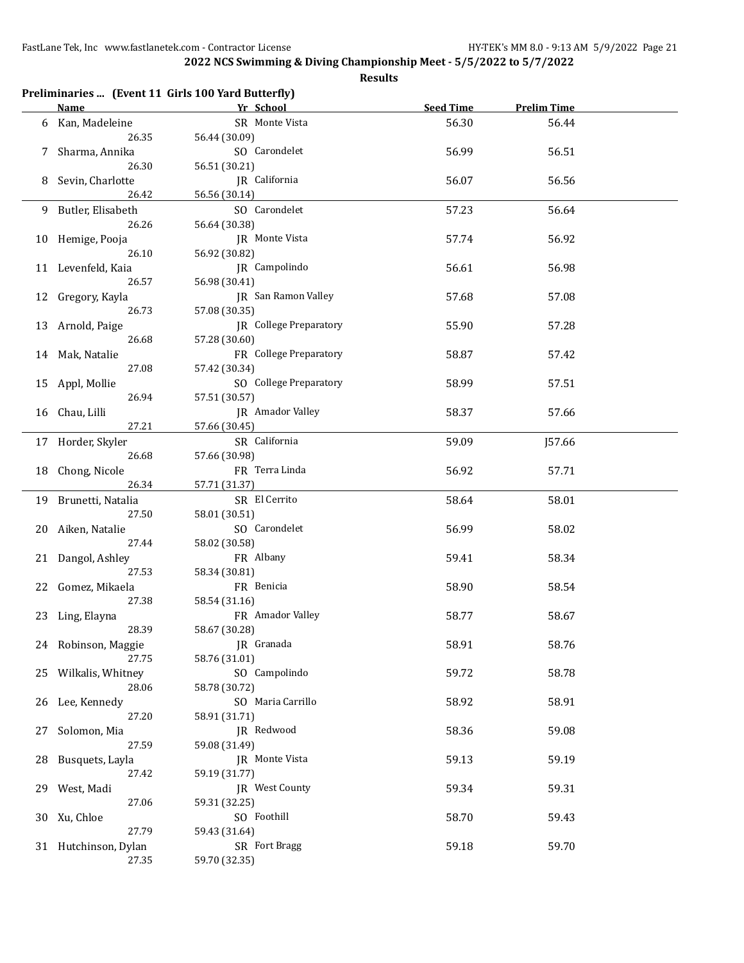|    |                      | Preliminaries  (Event 11 Girls 100 Yard Butterfly) |                  |                    |  |
|----|----------------------|----------------------------------------------------|------------------|--------------------|--|
|    | <b>Name</b>          | Yr School                                          | <b>Seed Time</b> | <b>Prelim Time</b> |  |
| 6  | Kan, Madeleine       | SR Monte Vista                                     | 56.30            | 56.44              |  |
|    | 26.35                | 56.44 (30.09)                                      |                  |                    |  |
| 7  | Sharma, Annika       | SO Carondelet                                      | 56.99            | 56.51              |  |
|    | 26.30                | 56.51 (30.21)                                      |                  |                    |  |
| 8  | Sevin, Charlotte     | JR California                                      | 56.07            | 56.56              |  |
|    | 26.42                | 56.56 (30.14)                                      |                  |                    |  |
|    | 9 Butler, Elisabeth  | SO Carondelet                                      | 57.23            | 56.64              |  |
|    | 26.26                | 56.64 (30.38)                                      |                  |                    |  |
|    | 10 Hemige, Pooja     | JR Monte Vista                                     | 57.74            | 56.92              |  |
|    | 26.10                | 56.92 (30.82)                                      |                  |                    |  |
|    | 11 Levenfeld, Kaia   | JR Campolindo                                      | 56.61            | 56.98              |  |
|    | 26.57                | 56.98 (30.41)                                      |                  |                    |  |
| 12 | Gregory, Kayla       | JR San Ramon Valley                                | 57.68            | 57.08              |  |
|    | 26.73                | 57.08 (30.35)                                      |                  |                    |  |
|    | 13 Arnold, Paige     | JR College Preparatory                             | 55.90            | 57.28              |  |
|    | 26.68                | 57.28 (30.60)                                      |                  |                    |  |
|    | 14 Mak, Natalie      | FR College Preparatory                             | 58.87            | 57.42              |  |
|    | 27.08                | 57.42 (30.34)                                      |                  |                    |  |
|    |                      |                                                    |                  |                    |  |
|    | 15 Appl, Mollie      | SO College Preparatory                             | 58.99            | 57.51              |  |
|    | 26.94                | 57.51 (30.57)                                      |                  |                    |  |
|    | 16 Chau, Lilli       | JR Amador Valley                                   | 58.37            | 57.66              |  |
|    | 27.21                | 57.66 (30.45)                                      |                  |                    |  |
|    | 17 Horder, Skyler    | SR California                                      | 59.09            | J57.66             |  |
|    | 26.68                | 57.66 (30.98)                                      |                  |                    |  |
| 18 | Chong, Nicole        | FR Terra Linda                                     | 56.92            | 57.71              |  |
|    | 26.34                | 57.71 (31.37)                                      |                  |                    |  |
|    | 19 Brunetti, Natalia | SR El Cerrito                                      | 58.64            | 58.01              |  |
|    | 27.50                | 58.01 (30.51)                                      |                  |                    |  |
| 20 | Aiken, Natalie       | SO Carondelet                                      | 56.99            | 58.02              |  |
|    | 27.44                | 58.02 (30.58)                                      |                  |                    |  |
| 21 | Dangol, Ashley       | FR Albany                                          | 59.41            | 58.34              |  |
|    | 27.53                | 58.34 (30.81)                                      |                  |                    |  |
| 22 | Gomez, Mikaela       | FR Benicia                                         | 58.90            | 58.54              |  |
|    | 27.38                | 58.54 (31.16)                                      |                  |                    |  |
|    | 23 Ling, Elayna      | FR Amador Valley                                   | 58.77            | 58.67              |  |
|    | 28.39                | 58.67 (30.28)                                      |                  |                    |  |
|    | 24 Robinson, Maggie  | JR Granada                                         | 58.91            | 58.76              |  |
|    | 27.75                | 58.76 (31.01)                                      |                  |                    |  |
|    | 25 Wilkalis, Whitney | SO Campolindo                                      | 59.72            | 58.78              |  |
|    | 28.06                |                                                    |                  |                    |  |
|    |                      | 58.78 (30.72)                                      |                  |                    |  |
| 26 | Lee, Kennedy         | SO Maria Carrillo                                  | 58.92            | 58.91              |  |
|    | 27.20                | 58.91 (31.71)                                      |                  |                    |  |
| 27 | Solomon, Mia         | JR Redwood                                         | 58.36            | 59.08              |  |
|    | 27.59                | 59.08 (31.49)                                      |                  |                    |  |
| 28 | Busquets, Layla      | JR Monte Vista                                     | 59.13            | 59.19              |  |
|    | 27.42                | 59.19 (31.77)                                      |                  |                    |  |
| 29 | West, Madi           | JR West County                                     | 59.34            | 59.31              |  |
|    | 27.06                | 59.31 (32.25)                                      |                  |                    |  |
|    | 30 Xu, Chloe         | SO Foothill                                        | 58.70            | 59.43              |  |
|    | 27.79                | 59.43 (31.64)                                      |                  |                    |  |
|    | 31 Hutchinson, Dylan | SR Fort Bragg                                      | 59.18            | 59.70              |  |
|    | 27.35                | 59.70 (32.35)                                      |                  |                    |  |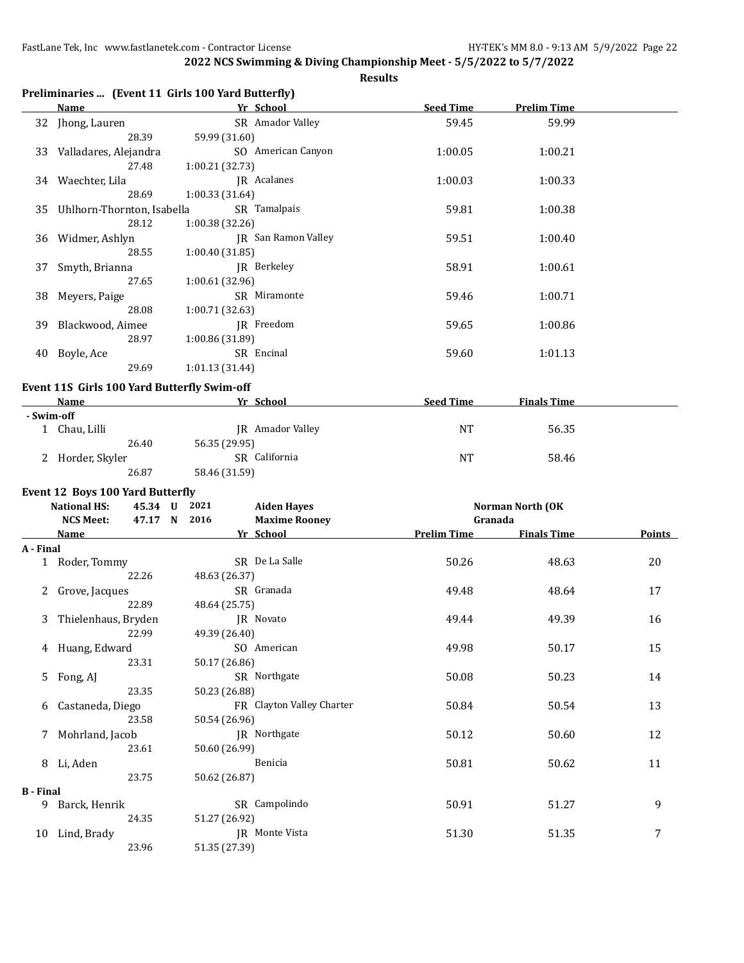|                  |                                                     | Preliminaries  (Event 11 Girls 100 Yard Butterfly) |                    |                    |        |
|------------------|-----------------------------------------------------|----------------------------------------------------|--------------------|--------------------|--------|
|                  | <b>Name</b>                                         | Yr School                                          | <b>Seed Time</b>   | <b>Prelim Time</b> |        |
|                  | 32 Jhong, Lauren<br>28.39                           | SR Amador Valley<br>59.99 (31.60)                  | 59.45              | 59.99              |        |
| 33               | Valladares, Alejandra<br>27.48                      | SO American Canyon<br>1:00.21 (32.73)              | 1:00.05            | 1:00.21            |        |
|                  | 34 Waechter, Lila                                   | JR Acalanes                                        | 1:00.03            | 1:00.33            |        |
| 35               | 28.69<br>Uhlhorn-Thornton, Isabella                 | 1:00.33 (31.64)<br>SR Tamalpais                    | 59.81              | 1:00.38            |        |
|                  | 28.12<br>36 Widmer, Ashlyn                          | 1:00.38 (32.26)<br>JR San Ramon Valley             | 59.51              | 1:00.40            |        |
| 37               | 28.55<br>Smyth, Brianna                             | 1:00.40 (31.85)<br>JR Berkeley                     | 58.91              | 1:00.61            |        |
| 38               | 27.65<br>Meyers, Paige                              | 1:00.61 (32.96)<br>SR Miramonte                    | 59.46              | 1:00.71            |        |
| 39               | 28.08<br>Blackwood, Aimee                           | 1:00.71 (32.63)<br>JR Freedom                      | 59.65              | 1:00.86            |        |
|                  | 28.97<br>40 Boyle, Ace                              | 1:00.86 (31.89)<br>SR Encinal                      | 59.60              | 1:01.13            |        |
|                  | 29.69                                               | 1:01.13 (31.44)                                    |                    |                    |        |
|                  | Event 11S Girls 100 Yard Butterfly Swim-off<br>Name | Yr School                                          | <b>Seed Time</b>   | <b>Finals Time</b> |        |
|                  | - Swim-off                                          |                                                    |                    |                    |        |
|                  | 1 Chau, Lilli<br>26.40                              | JR Amador Valley<br>56.35 (29.95)                  | <b>NT</b>          | 56.35              |        |
|                  | 2 Horder, Skyler<br>26.87                           | SR California<br>58.46 (31.59)                     | <b>NT</b>          | 58.46              |        |
|                  | Event 12 Boys 100 Yard Butterfly                    |                                                    |                    |                    |        |
|                  | <b>National HS:</b><br>45.34 U                      | 2021<br><b>Aiden Hayes</b>                         |                    | Norman North (OK   |        |
|                  | <b>NCS Meet:</b>                                    | 47.17 N 2016<br><b>Maxime Rooney</b>               | Granada            |                    |        |
|                  | Name                                                | Yr School                                          | <b>Prelim Time</b> | <b>Finals Time</b> | Points |
| A - Final        |                                                     |                                                    |                    |                    |        |
|                  | 1 Roder, Tommy<br>22.26                             | SR De La Salle<br>48.63 (26.37)                    | 50.26              | 48.63              | 20     |
| 2                | Grove, Jacques<br>22.89                             | SR Granada<br>48.64 (25.75)                        | 49.48              | 48.64              | 17     |
| 3                | Thielenhaus, Bryden<br>22.99                        | JR Novato<br>49.39 (26.40)                         | 49.44              | 49.39              | 16     |
|                  | 4 Huang, Edward                                     | SO American                                        | 49.98              | 50.17              | 15     |
| 5.               | 23.31<br>Fong, AJ                                   | 50.17 (26.86)<br>SR Northgate                      | 50.08              | 50.23              | 14     |
| 6                | 23.35<br>Castaneda, Diego                           | 50.23 (26.88)<br>FR Clayton Valley Charter         | 50.84              | 50.54              | 13     |
|                  | 23.58<br>7 Mohrland, Jacob                          | 50.54 (26.96)<br>JR Northgate                      | 50.12              | 50.60              | 12     |
|                  | 23.61<br>8 Li, Aden                                 | 50.60 (26.99)<br>Benicia                           | 50.81              | 50.62              | 11     |
|                  | 23.75                                               | 50.62 (26.87)                                      |                    |                    |        |
| <b>B</b> - Final |                                                     |                                                    |                    |                    |        |
|                  | 9 Barck, Henrik                                     | SR Campolindo                                      | 50.91              | 51.27              | 9      |
|                  | 24.35<br>10 Lind, Brady                             | 51.27 (26.92)<br>JR Monte Vista                    | 51.30              | 51.35              | 7      |
|                  | 23.96                                               | 51.35 (27.39)                                      |                    |                    |        |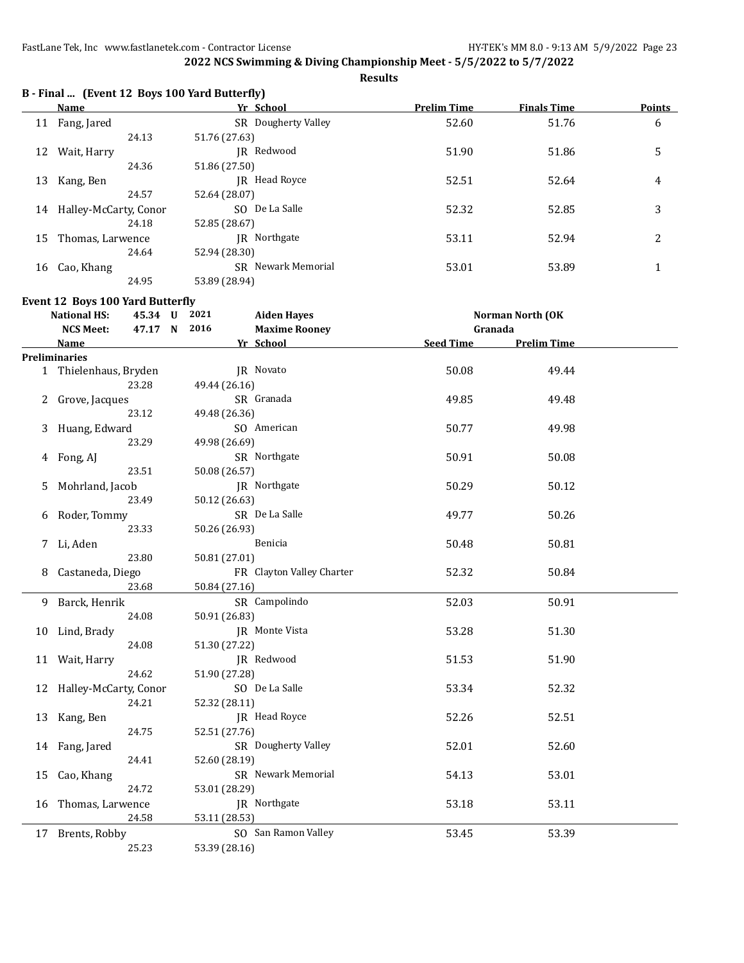**Results**

|  |  |  | B - Final  (Event 12 Boys 100 Yard Butterfly) |
|--|--|--|-----------------------------------------------|
|--|--|--|-----------------------------------------------|

|    | Name                     | Yr School                 | <b>Prelim Time</b> | <b>Finals Time</b> | <b>Points</b> |
|----|--------------------------|---------------------------|--------------------|--------------------|---------------|
|    | 11 Fang, Jared           | SR Dougherty Valley       | 52.60              | 51.76              | 6             |
|    | 24.13                    | 51.76 (27.63)             |                    |                    |               |
| 12 | Wait, Harry              | IR Redwood                | 51.90              | 51.86              | 5             |
|    | 24.36                    | 51.86 (27.50)             |                    |                    |               |
| 13 | Kang, Ben                | IR Head Royce             | 52.51              | 52.64              | 4             |
|    | 24.57                    | 52.64 (28.07)             |                    |                    |               |
|    | 14 Halley-McCarty, Conor | SO De La Salle            | 52.32              | 52.85              | 3             |
|    | 24.18                    | 52.85 (28.67)             |                    |                    |               |
| 15 | Thomas, Larwence         | IR Northgate              | 53.11              | 52.94              | 2             |
|    | 24.64                    | 52.94 (28.30)             |                    |                    |               |
| 16 | Cao, Khang               | <b>SR</b> Newark Memorial | 53.01              | 53.89              |               |
|    | 24.95                    | 53.89 (28.94)             |                    |                    |               |

**Event 12 Boys 100 Yard Butterfly**

|    | <b>National HS:</b>      | 45.34 U | 2021          | <b>Aiden Hayes</b>        |                  | Norman North (OK   |  |
|----|--------------------------|---------|---------------|---------------------------|------------------|--------------------|--|
|    | <b>NCS Meet:</b>         | 47.17 N | 2016          | <b>Maxime Rooney</b>      | Granada          |                    |  |
|    | Name                     |         |               | Yr School                 | <b>Seed Time</b> | <b>Prelim Time</b> |  |
|    | <b>Preliminaries</b>     |         |               |                           |                  |                    |  |
|    | 1 Thielenhaus, Bryden    |         |               | JR Novato                 | 50.08            | 49.44              |  |
|    | 23.28                    |         | 49.44 (26.16) |                           |                  |                    |  |
| 2  | Grove, Jacques           |         |               | SR Granada                | 49.85            | 49.48              |  |
|    | 23.12                    |         | 49.48 (26.36) |                           |                  |                    |  |
| 3  | Huang, Edward            |         |               | SO American               | 50.77            | 49.98              |  |
|    | 23.29                    |         | 49.98 (26.69) |                           |                  |                    |  |
| 4  | Fong, AJ                 |         |               | SR Northgate              | 50.91            | 50.08              |  |
|    | 23.51                    |         | 50.08 (26.57) |                           |                  |                    |  |
| 5  | Mohrland, Jacob          |         |               | JR Northgate              | 50.29            | 50.12              |  |
|    | 23.49                    |         | 50.12 (26.63) |                           |                  |                    |  |
| 6  | Roder, Tommy             |         |               | SR De La Salle            | 49.77            | 50.26              |  |
|    | 23.33                    |         | 50.26 (26.93) |                           |                  |                    |  |
| 7  | Li, Aden                 |         |               | Benicia                   | 50.48            | 50.81              |  |
|    | 23.80                    |         | 50.81 (27.01) |                           |                  |                    |  |
| 8  | Castaneda, Diego         |         |               | FR Clayton Valley Charter | 52.32            | 50.84              |  |
|    | 23.68                    |         | 50.84 (27.16) |                           |                  |                    |  |
| 9  | Barck, Henrik            |         |               | SR Campolindo             | 52.03            | 50.91              |  |
|    | 24.08                    |         | 50.91 (26.83) |                           |                  |                    |  |
| 10 | Lind, Brady              |         |               | JR Monte Vista            | 53.28            | 51.30              |  |
|    | 24.08                    |         | 51.30 (27.22) |                           |                  |                    |  |
|    | 11 Wait, Harry           |         |               | JR Redwood                | 51.53            | 51.90              |  |
|    | 24.62                    |         | 51.90 (27.28) |                           |                  |                    |  |
|    | 12 Halley-McCarty, Conor |         |               | SO De La Salle            | 53.34            | 52.32              |  |
|    | 24.21                    |         | 52.32 (28.11) |                           |                  |                    |  |
| 13 | Kang, Ben                |         |               | JR Head Royce             | 52.26            | 52.51              |  |
|    | 24.75                    |         | 52.51 (27.76) |                           |                  |                    |  |
|    | 14 Fang, Jared           |         |               | SR Dougherty Valley       | 52.01            | 52.60              |  |
|    | 24.41                    |         | 52.60 (28.19) |                           |                  |                    |  |
| 15 | Cao, Khang               |         |               | SR Newark Memorial        | 54.13            | 53.01              |  |
|    | 24.72                    |         | 53.01 (28.29) |                           |                  |                    |  |
|    | 16 Thomas, Larwence      |         |               | JR Northgate              | 53.18            | 53.11              |  |
|    | 24.58                    |         | 53.11 (28.53) |                           |                  |                    |  |
|    | 17 Brents, Robby         |         |               | SO San Ramon Valley       | 53.45            | 53.39              |  |
|    | 25.23                    |         | 53.39 (28.16) |                           |                  |                    |  |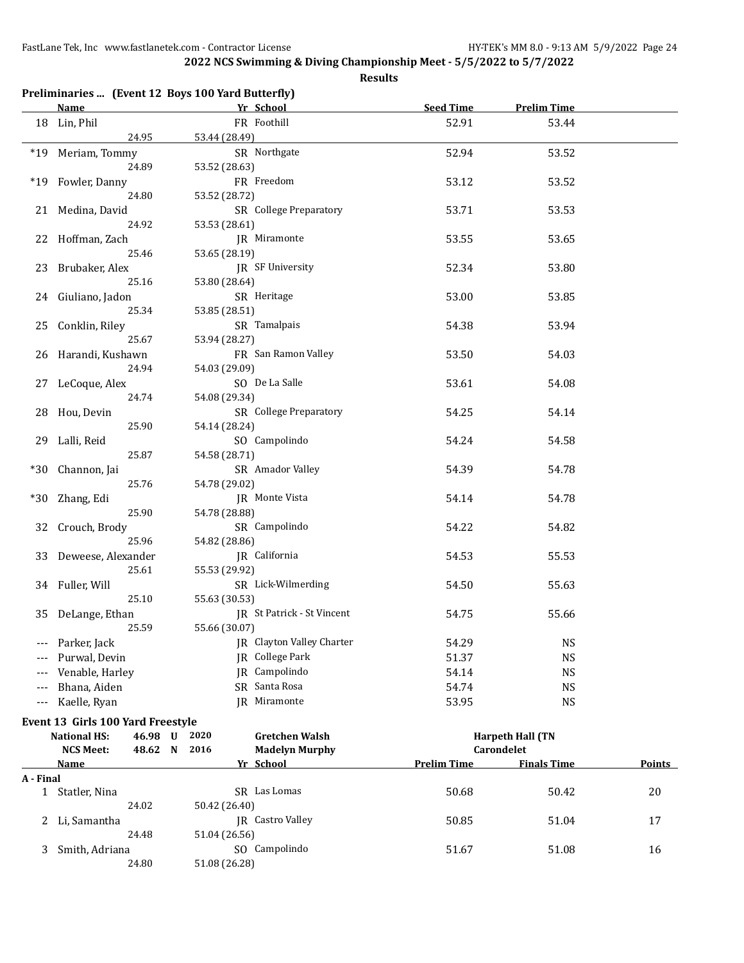| Preliminaries  (Event 12 Boys 100 Yard Butterfly) |  |  |  |
|---------------------------------------------------|--|--|--|
|---------------------------------------------------|--|--|--|

|           | <b>Name</b>                       | Yr School                                         | Seed Time          | <b>Prelim Time</b>      |               |
|-----------|-----------------------------------|---------------------------------------------------|--------------------|-------------------------|---------------|
|           | 18 Lin, Phil                      | FR Foothill                                       | 52.91              | 53.44                   |               |
|           | 24.95                             | 53.44 (28.49)                                     |                    |                         |               |
|           | *19 Meriam, Tommy                 | SR Northgate                                      | 52.94              | 53.52                   |               |
|           | 24.89                             | 53.52 (28.63)                                     |                    |                         |               |
|           | *19 Fowler, Danny                 | FR Freedom                                        | 53.12              | 53.52                   |               |
|           | 24.80                             | 53.52 (28.72)                                     |                    |                         |               |
|           | 21 Medina, David                  | SR College Preparatory                            | 53.71              | 53.53                   |               |
|           | 24.92                             | 53.53 (28.61)                                     |                    |                         |               |
|           | 22 Hoffman, Zach                  | JR Miramonte                                      | 53.55              | 53.65                   |               |
|           |                                   |                                                   |                    |                         |               |
|           | 25.46                             | 53.65 (28.19)                                     |                    |                         |               |
|           | 23 Brubaker, Alex                 | <b>IR</b> SF University                           | 52.34              | 53.80                   |               |
|           | 25.16                             | 53.80 (28.64)                                     |                    |                         |               |
|           | 24 Giuliano, Jadon                | SR Heritage                                       | 53.00              | 53.85                   |               |
|           | 25.34                             | 53.85 (28.51)                                     |                    |                         |               |
|           | 25 Conklin, Riley                 | SR Tamalpais                                      | 54.38              | 53.94                   |               |
|           | 25.67                             | 53.94 (28.27)                                     |                    |                         |               |
|           | 26 Harandi, Kushawn               | FR San Ramon Valley                               | 53.50              | 54.03                   |               |
|           | 24.94                             | 54.03 (29.09)                                     |                    |                         |               |
|           | 27 LeCoque, Alex                  | SO De La Salle                                    | 53.61              | 54.08                   |               |
|           | 24.74                             | 54.08 (29.34)                                     |                    |                         |               |
|           | 28 Hou, Devin                     | SR College Preparatory                            | 54.25              | 54.14                   |               |
|           | 25.90                             | 54.14 (28.24)                                     |                    |                         |               |
|           | 29 Lalli, Reid                    | SO Campolindo                                     | 54.24              | 54.58                   |               |
|           | 25.87                             | 54.58 (28.71)                                     |                    |                         |               |
|           | *30 Channon, Jai                  | SR Amador Valley                                  | 54.39              | 54.78                   |               |
|           | 25.76                             | 54.78 (29.02)                                     |                    |                         |               |
| $*30$     | Zhang, Edi                        | JR Monte Vista                                    | 54.14              | 54.78                   |               |
|           | 25.90                             | 54.78 (28.88)                                     |                    |                         |               |
|           | 32 Crouch, Brody                  | SR Campolindo                                     | 54.22              | 54.82                   |               |
|           | 25.96                             | 54.82 (28.86)                                     |                    |                         |               |
|           | 33 Deweese, Alexander             | JR California                                     | 54.53              | 55.53                   |               |
|           | 25.61                             | 55.53 (29.92)                                     |                    |                         |               |
|           | 34 Fuller, Will                   | SR Lick-Wilmerding                                | 54.50              | 55.63                   |               |
|           | 25.10                             | 55.63 (30.53)                                     |                    |                         |               |
|           |                                   | JR St Patrick - St Vincent                        |                    | 55.66                   |               |
|           | 35 DeLange, Ethan                 |                                                   | 54.75              |                         |               |
|           | 25.59                             | 55.66 (30.07)<br><b>IR</b> Clayton Valley Charter |                    |                         |               |
|           | --- Parker, Jack                  |                                                   | 54.29              | <b>NS</b>               |               |
|           | Purwal, Devin                     | JR College Park                                   | 51.37              | <b>NS</b>               |               |
|           | Venable, Harley                   | JR Campolindo                                     | 54.14              | <b>NS</b>               |               |
|           | Bhana, Aiden                      | SR Santa Rosa                                     | 54.74              | <b>NS</b>               |               |
| $---$     | Kaelle, Ryan                      | JR Miramonte                                      | 53.95              | <b>NS</b>               |               |
|           | Event 13 Girls 100 Yard Freestyle |                                                   |                    |                         |               |
|           | <b>National HS:</b><br>46.98 U    | 2020<br><b>Gretchen Walsh</b>                     |                    | <b>Harpeth Hall (TN</b> |               |
|           | <b>NCS Meet:</b><br>48.62 N       | 2016<br><b>Madelyn Murphy</b>                     |                    | Carondelet              |               |
|           | <u>Name</u>                       | Yr School                                         | <b>Prelim Time</b> | <b>Finals Time</b>      | <b>Points</b> |
| A - Final |                                   |                                                   |                    |                         |               |
|           | 1 Statler, Nina                   | SR Las Lomas                                      | 50.68              | 50.42                   | 20            |
|           | 24.02                             | 50.42 (26.40)                                     |                    |                         |               |
| 2.        | Li, Samantha                      | JR Castro Valley                                  | 50.85              | 51.04                   | 17            |
|           | 24.48                             | 51.04 (26.56)                                     |                    |                         |               |
| 3.        | Smith, Adriana                    | SO Campolindo                                     | 51.67              | 51.08                   | 16            |
|           | 24.80                             | 51.08 (26.28)                                     |                    |                         |               |
|           |                                   |                                                   |                    |                         |               |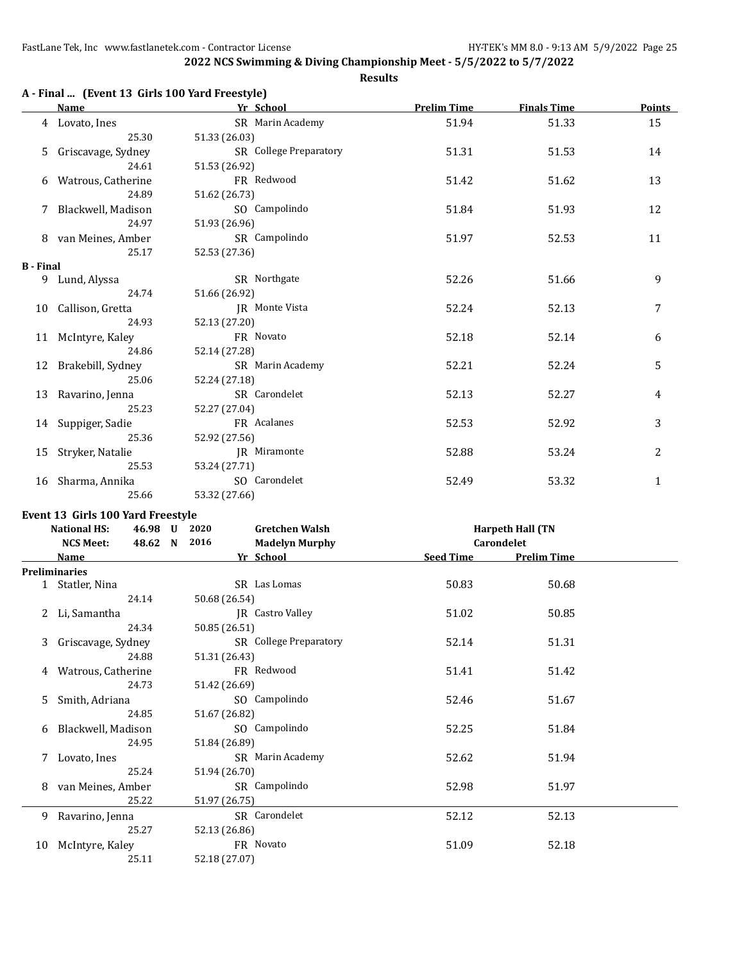**Results**

|                  | A - Final  (Event 13 Girls 100 Yard Freestyle) |                                        |                    |                    |                |
|------------------|------------------------------------------------|----------------------------------------|--------------------|--------------------|----------------|
|                  | Name                                           | <b>Example 2018</b> School Press, 2018 | <b>Prelim Time</b> | <b>Finals Time</b> | Points         |
|                  | 4 Lovato, Ines                                 | SR Marin Academy                       | 51.94              | 51.33              | 15             |
|                  | 25.30                                          | 51.33 (26.03)                          |                    |                    |                |
| 5                | Griscavage, Sydney                             | SR College Preparatory                 | 51.31              | 51.53              | 14             |
|                  | 24.61                                          | 51.53 (26.92)                          |                    |                    |                |
|                  | 6 Watrous, Catherine                           | FR Redwood                             | 51.42              | 51.62              | 13             |
|                  | 24.89                                          | 51.62 (26.73)                          |                    |                    |                |
|                  | 7 Blackwell, Madison                           | SO Campolindo                          | 51.84              | 51.93              | 12             |
|                  | 24.97                                          | 51.93 (26.96)                          |                    |                    |                |
|                  | 8 van Meines, Amber                            | SR Campolindo                          | 51.97              | 52.53              | 11             |
|                  | 25.17                                          | 52.53 (27.36)                          |                    |                    |                |
| <b>B</b> - Final |                                                |                                        |                    |                    |                |
|                  | 9 Lund, Alyssa                                 | SR Northgate                           | 52.26              | 51.66              | 9              |
|                  | 24.74                                          | 51.66 (26.92)                          |                    |                    |                |
|                  | 10 Callison, Gretta                            | IR Monte Vista                         | 52.24              | 52.13              | 7              |
|                  | 24.93                                          | 52.13 (27.20)                          |                    |                    |                |
|                  | 11 McIntyre, Kaley                             | FR Novato                              | 52.18              | 52.14              | 6              |
|                  | 24.86                                          | 52.14 (27.28)                          |                    |                    |                |
|                  | 12 Brakebill, Sydney                           | SR Marin Academy                       | 52.21              | 52.24              | 5              |
|                  | 25.06                                          | 52.24 (27.18)                          |                    |                    |                |
|                  | 13 Ravarino, Jenna                             | SR Carondelet                          | 52.13              | 52.27              | $\overline{4}$ |
|                  | 25.23                                          | 52.27 (27.04)                          |                    |                    |                |
|                  | 14 Suppiger, Sadie                             | FR Acalanes                            | 52.53              | 52.92              | 3              |
|                  | 25.36                                          | 52.92 (27.56)                          |                    |                    |                |
|                  | 15 Stryker, Natalie                            | <b>IR</b> Miramonte                    | 52.88              | 53.24              | 2              |
|                  | 25.53                                          | 53.24 (27.71)                          |                    |                    |                |
|                  | 16 Sharma, Annika                              | SO Carondelet                          | 52.49              | 53.32              | $\mathbf{1}$   |
|                  | 25.66                                          | 53.32 (27.66)                          |                    |                    |                |
|                  |                                                |                                        |                    |                    |                |

#### **Event 13 Girls 100 Yard Freestyle**

**B - Final**

|    | <b>National HS:</b>  | 46.98 U | 2020          | <b>Gretchen Walsh</b>   |                  | <b>Harpeth Hall (TN</b> |  |
|----|----------------------|---------|---------------|-------------------------|------------------|-------------------------|--|
|    | <b>NCS Meet:</b>     | 48.62 N | 2016          | <b>Madelyn Murphy</b>   |                  | Carondelet              |  |
|    | <b>Name</b>          |         |               | Yr School               | <b>Seed Time</b> | <b>Prelim Time</b>      |  |
|    | <b>Preliminaries</b> |         |               |                         |                  |                         |  |
|    | 1 Statler, Nina      |         |               | SR Las Lomas            | 50.83            | 50.68                   |  |
|    | 24.14                |         | 50.68 (26.54) |                         |                  |                         |  |
|    | 2 Li, Samantha       |         |               | <b>IR</b> Castro Valley | 51.02            | 50.85                   |  |
|    | 24.34                |         | 50.85 (26.51) |                         |                  |                         |  |
| 3  | Griscavage, Sydney   |         |               | SR College Preparatory  | 52.14            | 51.31                   |  |
|    | 24.88                |         | 51.31 (26.43) |                         |                  |                         |  |
| 4  | Watrous, Catherine   |         |               | FR Redwood              | 51.41            | 51.42                   |  |
|    | 24.73                |         | 51.42 (26.69) |                         |                  |                         |  |
| 5. | Smith, Adriana       |         |               | SO Campolindo           | 52.46            | 51.67                   |  |
|    | 24.85                |         | 51.67 (26.82) |                         |                  |                         |  |
| 6  | Blackwell, Madison   |         |               | SO Campolindo           | 52.25            | 51.84                   |  |
|    | 24.95                |         | 51.84 (26.89) |                         |                  |                         |  |
| 7  | Lovato, Ines         |         |               | SR Marin Academy        | 52.62            | 51.94                   |  |
|    | 25.24                |         | 51.94 (26.70) |                         |                  |                         |  |
| 8  | van Meines, Amber    |         |               | SR Campolindo           | 52.98            | 51.97                   |  |
|    | 25.22                |         | 51.97 (26.75) |                         |                  |                         |  |
| 9  | Ravarino, Jenna      |         |               | SR Carondelet           | 52.12            | 52.13                   |  |
|    | 25.27                |         | 52.13 (26.86) |                         |                  |                         |  |
| 10 | McIntyre, Kaley      |         |               | FR Novato               | 51.09            | 52.18                   |  |
|    | 25.11                |         | 52.18 (27.07) |                         |                  |                         |  |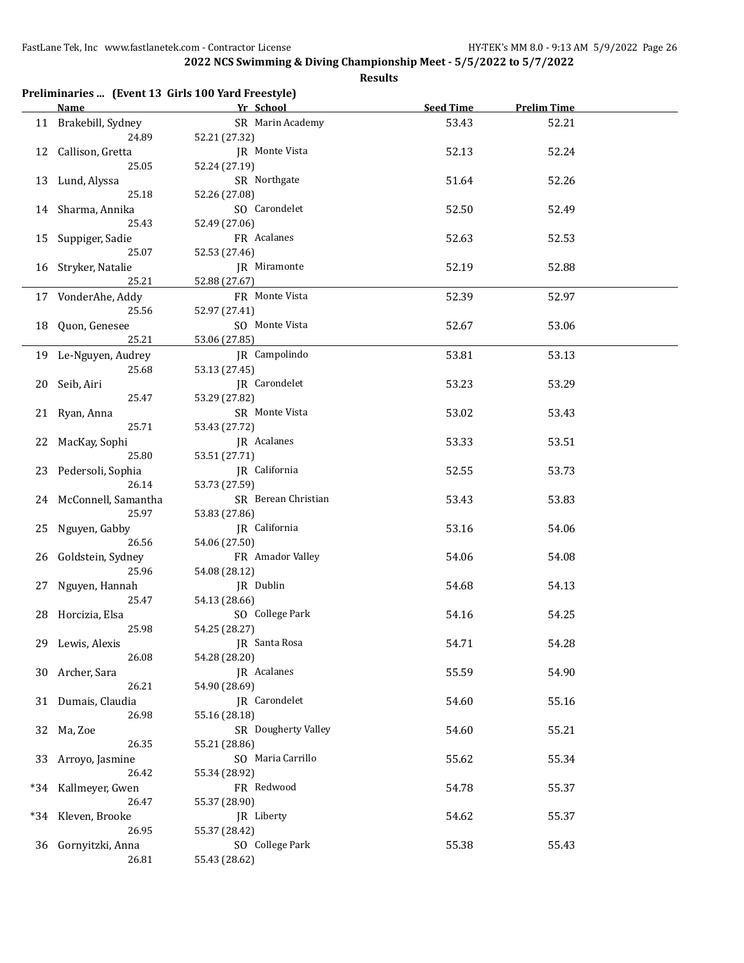|     | Preliminaries  (Event 13 Girls 100 Yard Freestyle) |                     |                  |                    |  |
|-----|----------------------------------------------------|---------------------|------------------|--------------------|--|
|     | <b>Name</b>                                        | Yr School           | <b>Seed Time</b> | <b>Prelim Time</b> |  |
|     | 11 Brakebill, Sydney                               | SR Marin Academy    | 53.43            | 52.21              |  |
|     | 24.89                                              | 52.21 (27.32)       |                  |                    |  |
| 12  | Callison, Gretta                                   | JR Monte Vista      | 52.13            | 52.24              |  |
|     | 25.05                                              | 52.24 (27.19)       |                  |                    |  |
|     | 13 Lund, Alyssa                                    | SR Northgate        | 51.64            | 52.26              |  |
|     | 25.18                                              | 52.26 (27.08)       |                  |                    |  |
|     | 14 Sharma, Annika                                  | SO Carondelet       | 52.50            | 52.49              |  |
|     | 25.43                                              | 52.49 (27.06)       |                  |                    |  |
| 15  | Suppiger, Sadie                                    | FR Acalanes         | 52.63            | 52.53              |  |
|     | 25.07                                              | 52.53 (27.46)       |                  |                    |  |
|     |                                                    |                     |                  |                    |  |
|     | 16 Stryker, Natalie                                | JR Miramonte        | 52.19            | 52.88              |  |
|     | 25.21                                              | 52.88 (27.67)       |                  |                    |  |
|     | 17 VonderAhe, Addy                                 | FR Monte Vista      | 52.39            | 52.97              |  |
|     | 25.56                                              | 52.97 (27.41)       |                  |                    |  |
| 18  | Quon, Genesee                                      | SO Monte Vista      | 52.67            | 53.06              |  |
|     | 25.21                                              | 53.06 (27.85)       |                  |                    |  |
|     | 19 Le-Nguyen, Audrey                               | JR Campolindo       | 53.81            | 53.13              |  |
|     | 25.68                                              | 53.13 (27.45)       |                  |                    |  |
| 20  | Seib, Airi                                         | JR Carondelet       | 53.23            | 53.29              |  |
|     | 25.47                                              | 53.29 (27.82)       |                  |                    |  |
|     |                                                    | SR Monte Vista      |                  |                    |  |
|     | 21 Ryan, Anna                                      |                     | 53.02            | 53.43              |  |
|     | 25.71                                              | 53.43 (27.72)       |                  |                    |  |
| 22  | MacKay, Sophi                                      | JR Acalanes         | 53.33            | 53.51              |  |
|     | 25.80                                              | 53.51 (27.71)       |                  |                    |  |
| 23  | Pedersoli, Sophia                                  | JR California       | 52.55            | 53.73              |  |
|     | 26.14                                              | 53.73 (27.59)       |                  |                    |  |
|     | 24 McConnell, Samantha                             | SR Berean Christian | 53.43            | 53.83              |  |
|     | 25.97                                              | 53.83 (27.86)       |                  |                    |  |
| 25  | Nguyen, Gabby                                      | JR California       | 53.16            | 54.06              |  |
|     | 26.56                                              | 54.06 (27.50)       |                  |                    |  |
| 26  | Goldstein, Sydney                                  | FR Amador Valley    | 54.06            | 54.08              |  |
|     | 25.96                                              | 54.08 (28.12)       |                  |                    |  |
|     |                                                    | JR Dublin           |                  |                    |  |
| 27  | Nguyen, Hannah                                     |                     | 54.68            | 54.13              |  |
|     | 25.47                                              | 54.13 (28.66)       |                  |                    |  |
|     | 28 Horcizia, Elsa                                  | SO College Park     | 54.16            | 54.25              |  |
|     | 25.98                                              | 54.25 (28.27)       |                  |                    |  |
|     | 29 Lewis, Alexis                                   | JR Santa Rosa       | 54.71            | 54.28              |  |
|     | 26.08                                              | 54.28 (28.20)       |                  |                    |  |
| 30  | Archer, Sara                                       | JR Acalanes         | 55.59            | 54.90              |  |
|     | 26.21                                              | 54.90 (28.69)       |                  |                    |  |
|     | 31 Dumais, Claudia                                 | JR Carondelet       | 54.60            | 55.16              |  |
|     | 26.98                                              | 55.16 (28.18)       |                  |                    |  |
|     | 32 Ma, Zoe                                         | SR Dougherty Valley | 54.60            | 55.21              |  |
|     | 26.35                                              | 55.21 (28.86)       |                  |                    |  |
|     |                                                    | SO Maria Carrillo   | 55.62            | 55.34              |  |
| 33  | Arroyo, Jasmine                                    |                     |                  |                    |  |
|     | 26.42                                              | 55.34 (28.92)       |                  |                    |  |
| *34 | Kallmeyer, Gwen                                    | FR Redwood          | 54.78            | 55.37              |  |
|     | 26.47                                              | 55.37 (28.90)       |                  |                    |  |
| *34 | Kleven, Brooke                                     | JR Liberty          | 54.62            | 55.37              |  |
|     | 26.95                                              | 55.37 (28.42)       |                  |                    |  |
| 36  | Gornyitzki, Anna                                   | SO College Park     | 55.38            | 55.43              |  |
|     | 26.81                                              | 55.43 (28.62)       |                  |                    |  |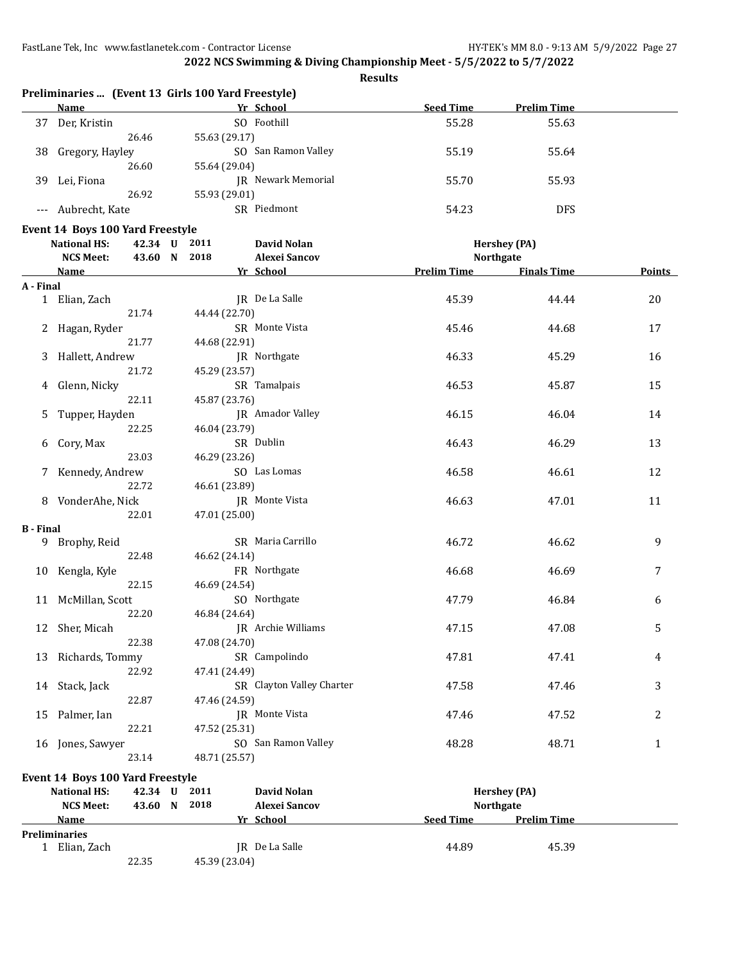**2022 NCS Swimming & Diving Championship Meet - 5/5/2022 to 5/7/2022**

|                  |                                     | <b>Results</b>                                                  |                    |                     |        |
|------------------|-------------------------------------|-----------------------------------------------------------------|--------------------|---------------------|--------|
|                  | <b>Name</b>                         | Preliminaries  (Event 13 Girls 100 Yard Freestyle)<br>Yr School | <b>Seed Time</b>   | <b>Prelim Time</b>  |        |
|                  | 37 Der, Kristin                     | SO Foothill                                                     | 55.28              | 55.63               |        |
|                  | 26.46                               | 55.63 (29.17)                                                   |                    |                     |        |
|                  |                                     | SO San Ramon Valley                                             |                    |                     |        |
| 38               | Gregory, Hayley                     |                                                                 | 55.19              | 55.64               |        |
|                  | 26.60                               | 55.64 (29.04)                                                   |                    |                     |        |
| 39               | Lei, Fiona                          | JR Newark Memorial                                              | 55.70              | 55.93               |        |
|                  | 26.92                               | 55.93 (29.01)                                                   |                    |                     |        |
| $---$            | Aubrecht, Kate                      | SR Piedmont                                                     | 54.23              | <b>DFS</b>          |        |
|                  | Event 14 Boys 100 Yard Freestyle    |                                                                 |                    |                     |        |
|                  | <b>National HS:</b><br>42.34 U 2011 | <b>David Nolan</b>                                              |                    | <b>Hershey (PA)</b> |        |
|                  | 43.60 N 2018<br><b>NCS Meet:</b>    | <b>Alexei Sancov</b>                                            |                    | <b>Northgate</b>    |        |
|                  | Name                                | Yr School                                                       | <b>Prelim Time</b> | <b>Finals Time</b>  | Points |
| A - Final        |                                     |                                                                 |                    |                     |        |
|                  | 1 Elian, Zach                       | JR De La Salle                                                  | 45.39              | 44.44               | 20     |
|                  | 21.74                               | 44.44 (22.70)                                                   |                    |                     |        |
|                  | 2 Hagan, Ryder                      | SR Monte Vista                                                  | 45.46              | 44.68               | 17     |
|                  | 21.77                               | 44.68 (22.91)                                                   |                    |                     |        |
| 3                | Hallett, Andrew                     | JR Northgate                                                    | 46.33              | 45.29               | 16     |
|                  | 21.72                               | 45.29 (23.57)                                                   |                    |                     |        |
| 4                | Glenn, Nicky                        | SR Tamalpais                                                    | 46.53              | 45.87               | 15     |
|                  | 22.11                               | 45.87 (23.76)                                                   |                    |                     |        |
| 5                | Tupper, Hayden                      | JR Amador Valley                                                | 46.15              | 46.04               | 14     |
|                  | 22.25                               | 46.04 (23.79)                                                   |                    |                     |        |
| 6                | Cory, Max                           | SR Dublin                                                       | 46.43              | 46.29               | 13     |
|                  | 23.03                               | 46.29 (23.26)                                                   |                    |                     |        |
| 7                | Kennedy, Andrew                     | SO Las Lomas                                                    | 46.58              | 46.61               | 12     |
|                  | 22.72                               | 46.61 (23.89)                                                   |                    |                     |        |
|                  | 8 VonderAhe, Nick                   | JR Monte Vista                                                  | 46.63              | 47.01               | 11     |
|                  | 22.01                               | 47.01 (25.00)                                                   |                    |                     |        |
|                  |                                     |                                                                 |                    |                     |        |
| <b>B</b> - Final | 9 Brophy, Reid                      | SR Maria Carrillo                                               | 46.72              | 46.62               | 9      |
|                  | 22.48                               | 46.62 (24.14)                                                   |                    |                     |        |
|                  | 10 Kengla, Kyle                     | FR Northgate                                                    | 46.68              | 46.69               | 7      |
|                  | 22.15                               | 46.69 (24.54)                                                   |                    |                     |        |
|                  | 11 McMillan, Scott                  | SO Northgate                                                    |                    |                     |        |
|                  |                                     |                                                                 | 47.79              | 46.84               | 6      |
|                  | 22.20                               | 46.84 (24.64)<br>JR Archie Williams                             |                    |                     |        |
|                  | 12 Sher, Micah                      |                                                                 | 47.15              | 47.08               | 5      |
|                  | 22.38                               | 47.08 (24.70)                                                   |                    |                     |        |
| 13               | Richards, Tommy                     | SR Campolindo                                                   | 47.81              | 47.41               | 4      |
|                  | 22.92                               | 47.41 (24.49)                                                   |                    |                     |        |
|                  | 14 Stack, Jack                      | SR Clayton Valley Charter                                       | 47.58              | 47.46               | 3      |
|                  | 22.87                               | 47.46 (24.59)                                                   |                    |                     |        |
| 15               | Palmer, Ian                         | JR Monte Vista                                                  | 47.46              | 47.52               | 2      |
|                  | 22.21                               | 47.52 (25.31)                                                   |                    |                     |        |
|                  | 16 Jones, Sawyer                    | SO San Ramon Valley                                             | 48.28              | 48.71               | 1      |
|                  | 23.14                               | 48.71 (25.57)                                                   |                    |                     |        |
|                  | Event 14 Boys 100 Yard Freestyle    |                                                                 |                    |                     |        |
|                  | 42.34 U 2011<br><b>National HS:</b> | David Nolan                                                     |                    | <b>Hershey (PA)</b> |        |
|                  | NCS Meet.<br>43.60 N 2018           | Alexei Sancov                                                   |                    | <b>Northgate</b>    |        |

**NCS Meet: 43.60 N 2018 Alexei Sancov Northgate Name Yr School Seed Time Prelim Time Preliminaries** 1 Elian, Zach **JR** De La Salle 44.89 45.39 45.39 22.35 45.39 (23.04)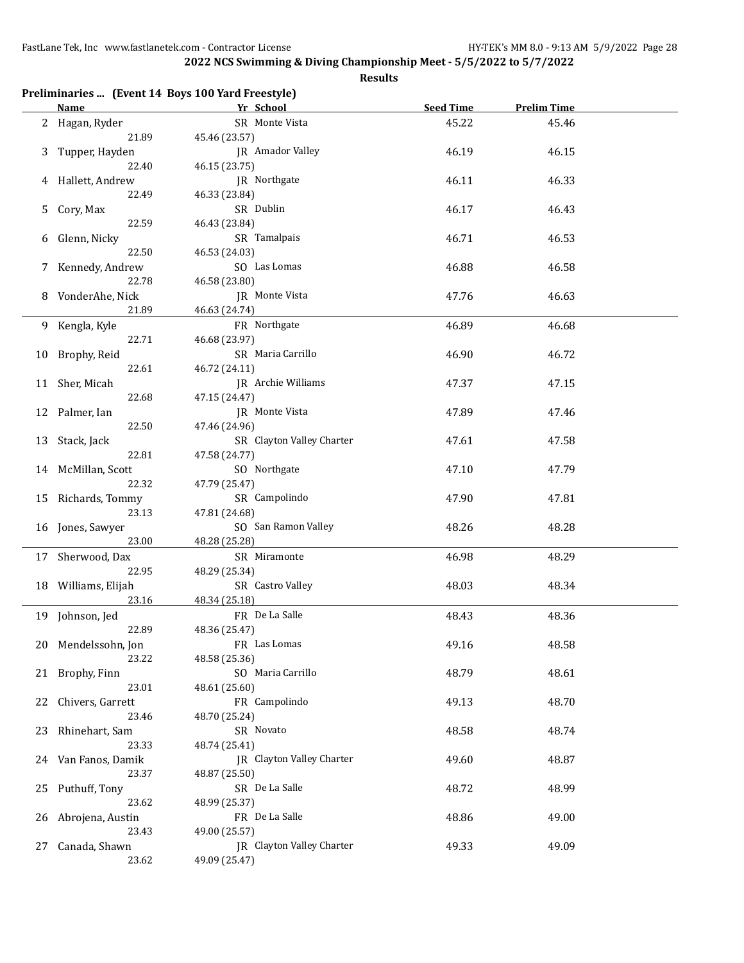|    | Name                  | Preliminaries  (Event 14 Boys 100 Yard Freestyle)<br>Yr School | <b>Seed Time</b> | <b>Prelim Time</b> |  |
|----|-----------------------|----------------------------------------------------------------|------------------|--------------------|--|
|    | 2 Hagan, Ryder        | SR Monte Vista                                                 | 45.22            | 45.46              |  |
|    | 21.89                 | 45.46 (23.57)                                                  |                  |                    |  |
| 3  | Tupper, Hayden        | JR Amador Valley                                               | 46.19            | 46.15              |  |
|    | 22.40                 | 46.15 (23.75)                                                  |                  |                    |  |
| 4  | Hallett, Andrew       | JR Northgate                                                   | 46.11            | 46.33              |  |
|    | 22.49                 | 46.33 (23.84)                                                  |                  |                    |  |
| 5  | Cory, Max             | SR Dublin                                                      | 46.17            | 46.43              |  |
|    | 22.59                 | 46.43 (23.84)                                                  |                  |                    |  |
| 6  | Glenn, Nicky          | SR Tamalpais                                                   | 46.71            | 46.53              |  |
|    | 22.50                 | 46.53 (24.03)                                                  |                  |                    |  |
| 7  | Kennedy, Andrew       | SO Las Lomas                                                   | 46.88            | 46.58              |  |
|    | 22.78                 | 46.58 (23.80)                                                  |                  |                    |  |
| 8  | VonderAhe, Nick       | JR Monte Vista                                                 | 47.76            | 46.63              |  |
|    | 21.89                 | 46.63 (24.74)                                                  |                  |                    |  |
| 9. | Kengla, Kyle          | FR Northgate                                                   | 46.89            | 46.68              |  |
|    | 22.71                 | 46.68 (23.97)                                                  |                  |                    |  |
| 10 | Brophy, Reid<br>22.61 | SR Maria Carrillo                                              | 46.90            | 46.72              |  |
|    | 11 Sher, Micah        | 46.72 (24.11)<br>JR Archie Williams                            | 47.37            | 47.15              |  |
|    | 22.68                 | 47.15 (24.47)                                                  |                  |                    |  |
|    | 12 Palmer, Ian        | JR Monte Vista                                                 | 47.89            | 47.46              |  |
|    | 22.50                 | 47.46 (24.96)                                                  |                  |                    |  |
| 13 | Stack, Jack           | SR Clayton Valley Charter                                      | 47.61            | 47.58              |  |
|    | 22.81                 | 47.58 (24.77)                                                  |                  |                    |  |
|    | 14 McMillan, Scott    | SO Northgate                                                   | 47.10            | 47.79              |  |
|    | 22.32                 | 47.79 (25.47)                                                  |                  |                    |  |
|    | 15 Richards, Tommy    | SR Campolindo                                                  | 47.90            | 47.81              |  |
|    | 23.13                 | 47.81 (24.68)                                                  |                  |                    |  |
|    | 16 Jones, Sawyer      | SO San Ramon Valley                                            | 48.26            | 48.28              |  |
|    | 23.00                 | 48.28 (25.28)                                                  |                  |                    |  |
|    | 17 Sherwood, Dax      | SR Miramonte                                                   | 46.98            | 48.29              |  |
|    | 22.95                 | 48.29 (25.34)                                                  |                  |                    |  |
|    | 18 Williams, Elijah   | SR Castro Valley                                               | 48.03            | 48.34              |  |
|    | 23.16                 | 48.34 (25.18)                                                  |                  |                    |  |
|    | 19 Johnson, Jed       | FR De La Salle                                                 | 48.43            | 48.36              |  |
|    | 22.89                 | 48.36 (25.47)                                                  |                  |                    |  |
|    | 20 Mendelssohn, Jon   | FR Las Lomas                                                   | 49.16            | 48.58              |  |
|    | 23.22                 | 48.58 (25.36)<br>SO Maria Carrillo                             | 48.79            | 48.61              |  |
| 21 | Brophy, Finn<br>23.01 | 48.61 (25.60)                                                  |                  |                    |  |
| 22 | Chivers, Garrett      | FR Campolindo                                                  | 49.13            | 48.70              |  |
|    | 23.46                 | 48.70 (25.24)                                                  |                  |                    |  |
| 23 | Rhinehart, Sam        | SR Novato                                                      | 48.58            | 48.74              |  |
|    | 23.33                 | 48.74 (25.41)                                                  |                  |                    |  |
| 24 | Van Fanos, Damik      | JR Clayton Valley Charter                                      | 49.60            | 48.87              |  |
|    | 23.37                 | 48.87 (25.50)                                                  |                  |                    |  |
| 25 | Puthuff, Tony         | SR De La Salle                                                 | 48.72            | 48.99              |  |
|    | 23.62                 | 48.99 (25.37)                                                  |                  |                    |  |
| 26 | Abrojena, Austin      | FR De La Salle                                                 | 48.86            | 49.00              |  |
|    | 23.43                 | 49.00 (25.57)                                                  |                  |                    |  |
| 27 | Canada, Shawn         | JR Clayton Valley Charter                                      | 49.33            | 49.09              |  |
|    | 23.62                 | 49.09 (25.47)                                                  |                  |                    |  |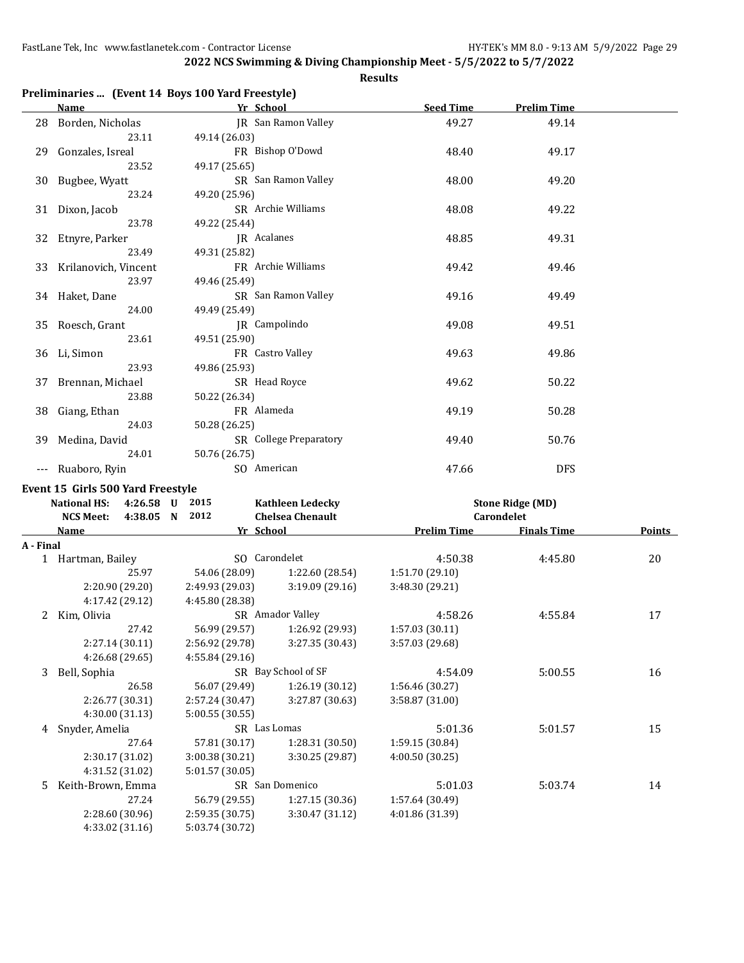|         | <b>Name</b>                                                         |                 | Yr School                                          | <b>Seed Time</b>   | <b>Prelim Time</b>                    |
|---------|---------------------------------------------------------------------|-----------------|----------------------------------------------------|--------------------|---------------------------------------|
|         | 28 Borden, Nicholas                                                 |                 | <b>JR</b> San Ramon Valley                         | 49.27              | 49.14                                 |
|         | 23.11                                                               | 49.14 (26.03)   |                                                    |                    |                                       |
| 29      | Gonzales, Isreal                                                    |                 | FR Bishop O'Dowd                                   | 48.40              | 49.17                                 |
|         | 23.52                                                               | 49.17 (25.65)   |                                                    |                    |                                       |
| 30      | Bugbee, Wyatt                                                       |                 | SR San Ramon Valley                                | 48.00              | 49.20                                 |
|         | 23.24                                                               | 49.20 (25.96)   |                                                    |                    |                                       |
| 31      | Dixon, Jacob                                                        |                 | SR Archie Williams                                 | 48.08              | 49.22                                 |
|         | 23.78                                                               | 49.22 (25.44)   |                                                    |                    |                                       |
| 32      | Etnyre, Parker                                                      |                 | JR Acalanes                                        | 48.85              | 49.31                                 |
|         | 23.49                                                               | 49.31 (25.82)   |                                                    |                    |                                       |
| 33      | Krilanovich, Vincent                                                |                 | FR Archie Williams                                 | 49.42              | 49.46                                 |
|         | 23.97                                                               | 49.46 (25.49)   |                                                    |                    |                                       |
| 34      | Haket, Dane                                                         |                 | SR San Ramon Valley                                | 49.16              | 49.49                                 |
|         | 24.00                                                               | 49.49 (25.49)   |                                                    |                    |                                       |
| 35      | Roesch, Grant                                                       |                 | JR Campolindo                                      | 49.08              | 49.51                                 |
|         | 23.61                                                               | 49.51 (25.90)   |                                                    |                    |                                       |
| 36      | Li, Simon                                                           |                 | FR Castro Valley                                   | 49.63              | 49.86                                 |
|         | 23.93                                                               | 49.86 (25.93)   |                                                    |                    |                                       |
| 37      | Brennan, Michael                                                    |                 | SR Head Royce                                      | 49.62              | 50.22                                 |
|         | 23.88                                                               | 50.22 (26.34)   |                                                    |                    |                                       |
| 38      | Giang, Ethan                                                        |                 | FR Alameda                                         | 49.19              | 50.28                                 |
|         | 24.03                                                               | 50.28 (26.25)   |                                                    |                    |                                       |
| 39      | Medina, David                                                       |                 | SR College Preparatory                             | 49.40              | 50.76                                 |
|         | 24.01                                                               | 50.76 (26.75)   |                                                    |                    |                                       |
|         | --- Ruaboro, Ryin                                                   |                 | SO American                                        | 47.66              | <b>DFS</b>                            |
|         |                                                                     |                 |                                                    |                    |                                       |
|         | ent 15 Girls 500 Yard Freestyle<br><b>National HS:</b><br>4:26.58 U | 2015            |                                                    |                    |                                       |
|         | 4:38.05 N                                                           | 2012            | <b>Kathleen Ledecky</b><br><b>Chelsea Chenault</b> |                    | <b>Stone Ridge (MD)</b><br>Carondelet |
|         | <b>NCS Meet:</b><br><b>Name</b>                                     |                 | Yr School                                          | <b>Prelim Time</b> | <b>Finals Time</b>                    |
| · Final |                                                                     |                 |                                                    |                    |                                       |
|         | 1 Hartman, Bailey                                                   |                 | SO Carondelet                                      | 4:50.38            | 4:45.80                               |
|         | 25.97                                                               | 54.06 (28.09)   | 1:22.60 (28.54)                                    | 1:51.70 (29.10)    |                                       |
|         | 2:20.90 (29.20)                                                     | 2:49.93 (29.03) | 3:19.09(29.16)                                     | 3:48.30 (29.21)    |                                       |
|         | 4:17.42 (29.12)                                                     | 4:45.80 (28.38) |                                                    |                    |                                       |
| 2       | Kim, Olivia                                                         |                 | SR Amador Valley                                   | 4:58.26            | 4:55.84                               |
|         | 27.42                                                               | 56.99 (29.57)   | 1:26.92 (29.93)                                    | 1:57.03 (30.11)    |                                       |
|         | 2:27.14 (30.11)                                                     | 2:56.92 (29.78) | 3:27.35 (30.43)                                    | 3:57.03 (29.68)    |                                       |
|         | 4:26.68 (29.65)                                                     | 4:55.84(29.16)  |                                                    |                    |                                       |
| 3       | Bell, Sophia                                                        |                 | SR Bay School of SF                                | 4:54.09            | 5:00.55                               |
|         | 26.58                                                               | 56.07 (29.49)   | 1:26.19(30.12)                                     | 1:56.46 (30.27)    |                                       |
|         | 2:26.77 (30.31)                                                     | 2:57.24 (30.47) | 3:27.87 (30.63)                                    | 3:58.87 (31.00)    |                                       |
|         |                                                                     |                 |                                                    |                    |                                       |

|      | Preliminaries  (Event 14 Boys 100 Yard Freestyle) |
|------|---------------------------------------------------|
| Namo | Vr School                                         |

|           | 36 Li, Simon                          |                 | FR Castro Valley        | 49.63              | 49.86                   |               |
|-----------|---------------------------------------|-----------------|-------------------------|--------------------|-------------------------|---------------|
|           | 23.93                                 | 49.86 (25.93)   |                         |                    |                         |               |
|           | 37 Brennan, Michael                   |                 | SR Head Royce           | 49.62              | 50.22                   |               |
|           | 23.88                                 | 50.22 (26.34)   |                         |                    |                         |               |
|           | 38 Giang, Ethan                       | FR Alameda      |                         | 49.19              | 50.28                   |               |
|           | 24.03                                 | 50.28 (26.25)   |                         |                    |                         |               |
|           | 39 Medina, David                      |                 | SR College Preparatory  | 49.40              | 50.76                   |               |
|           | 24.01                                 | 50.76 (26.75)   |                         |                    |                         |               |
|           | Ruaboro, Ryin                         | SO American     |                         | 47.66              | <b>DFS</b>              |               |
|           | Event 15 Girls 500 Yard Freestyle     |                 |                         |                    |                         |               |
|           | <b>National HS:</b><br>4:26.58 U 2015 |                 | <b>Kathleen Ledecky</b> |                    | <b>Stone Ridge (MD)</b> |               |
|           | <b>NCS Meet:</b><br>4:38.05 N         | 2012            | <b>Chelsea Chenault</b> |                    | Carondelet              |               |
|           | Name                                  | Yr School       |                         | <b>Prelim Time</b> | <b>Finals Time</b>      | <b>Points</b> |
| A - Final |                                       |                 |                         |                    |                         |               |
|           | 1 Hartman, Bailey                     | SO Carondelet   |                         | 4:50.38            | 4:45.80                 | 20            |
|           | 25.97                                 | 54.06 (28.09)   | 1:22.60 (28.54)         | 1:51.70 (29.10)    |                         |               |
|           | 2:20.90 (29.20)                       | 2:49.93 (29.03) | 3:19.09(29.16)          | 3:48.30 (29.21)    |                         |               |
|           | 4:17.42 (29.12)                       | 4:45.80 (28.38) |                         |                    |                         |               |
| 2         | Kim, Olivia                           |                 | SR Amador Valley        | 4:58.26            | 4:55.84                 | 17            |
|           | 27.42                                 | 56.99 (29.57)   | 1:26.92 (29.93)         | 1:57.03(30.11)     |                         |               |
|           | 2:27.14(30.11)                        | 2:56.92 (29.78) | 3:27.35 (30.43)         | 3:57.03 (29.68)    |                         |               |
|           | 4:26.68 (29.65)                       | 4:55.84 (29.16) |                         |                    |                         |               |
| 3         | Bell, Sophia                          |                 | SR Bay School of SF     | 4:54.09            | 5:00.55                 | 16            |
|           | 26.58                                 | 56.07 (29.49)   | 1:26.19(30.12)          | 1:56.46 (30.27)    |                         |               |
|           | 2:26.77 (30.31)                       | 2:57.24(30.47)  | 3:27.87 (30.63)         | 3:58.87 (31.00)    |                         |               |
|           | 4:30.00 (31.13)                       | 5:00.55 (30.55) |                         |                    |                         |               |
| 4         | Snyder, Amelia                        | SR Las Lomas    |                         | 5:01.36            | 5:01.57                 | 15            |
|           | 27.64                                 | 57.81 (30.17)   | 1:28.31 (30.50)         | 1:59.15 (30.84)    |                         |               |
|           | 2:30.17 (31.02)                       | 3:00.38 (30.21) | 3:30.25 (29.87)         | 4:00.50 (30.25)    |                         |               |
|           | 4:31.52 (31.02)                       | 5:01.57 (30.05) |                         |                    |                         |               |
| 5         | Keith-Brown, Emma                     |                 | SR San Domenico         | 5:01.03            | 5:03.74                 | 14            |
|           | 27.24                                 | 56.79 (29.55)   | 1:27.15(30.36)          | 1:57.64 (30.49)    |                         |               |
|           | 2:28.60 (30.96)                       | 2:59.35 (30.75) | 3:30.47 (31.12)         | 4:01.86 (31.39)    |                         |               |
|           | 4:33.02 (31.16)                       | 5:03.74 (30.72) |                         |                    |                         |               |
|           |                                       |                 |                         |                    |                         |               |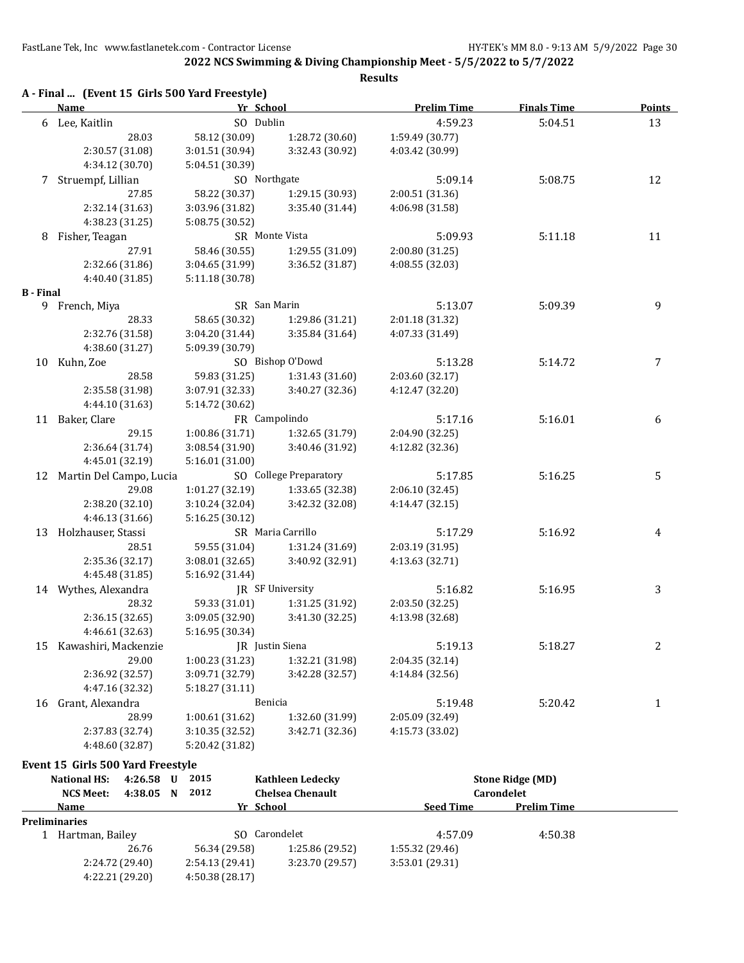**2022 NCS Swimming & Diving Championship Meet - 5/5/2022 to 5/7/2022 Results**

|                  | A - Final  (Event 15 Girls 500 Yard Freestyle)<br><b>Name</b> | Yr School                        |                                    | <b>Prelim Time</b> | <b>Finals Time</b> | <b>Points</b> |
|------------------|---------------------------------------------------------------|----------------------------------|------------------------------------|--------------------|--------------------|---------------|
|                  | 6 Lee, Kaitlin                                                | SO Dublin                        |                                    | 4:59.23            | 5:04.51            | 13            |
|                  | 28.03                                                         | 58.12 (30.09)                    | 1:28.72 (30.60)                    | 1:59.49 (30.77)    |                    |               |
|                  | 2:30.57 (31.08)                                               | 3:01.51 (30.94)                  | 3:32.43 (30.92)                    | 4:03.42 (30.99)    |                    |               |
|                  | 4:34.12 (30.70)                                               | 5:04.51 (30.39)                  |                                    |                    |                    |               |
| 7                | Struempf, Lillian                                             | SO Northgate                     |                                    | 5:09.14            | 5:08.75            | 12            |
|                  | 27.85                                                         | 58.22 (30.37)                    | 1:29.15 (30.93)                    | 2:00.51 (31.36)    |                    |               |
|                  | 2:32.14 (31.63)                                               | 3:03.96 (31.82)                  | 3:35.40 (31.44)                    | 4:06.98 (31.58)    |                    |               |
|                  | 4:38.23 (31.25)                                               | 5:08.75 (30.52)                  |                                    |                    |                    |               |
| 8                | Fisher, Teagan                                                |                                  | SR Monte Vista                     | 5:09.93            | 5:11.18            | 11            |
|                  | 27.91                                                         | 58.46 (30.55)                    | 1:29.55 (31.09)                    | 2:00.80 (31.25)    |                    |               |
|                  | 2:32.66 (31.86)                                               | 3:04.65 (31.99)                  | 3:36.52 (31.87)                    | 4:08.55 (32.03)    |                    |               |
|                  | 4:40.40 (31.85)                                               | 5:11.18 (30.78)                  |                                    |                    |                    |               |
| <b>B</b> - Final |                                                               |                                  |                                    |                    |                    |               |
|                  | 9 French, Miya                                                | SR San Marin                     |                                    | 5:13.07            | 5:09.39            | 9             |
|                  | 28.33                                                         | 58.65 (30.32)                    | 1:29.86 (31.21)                    | 2:01.18 (31.32)    |                    |               |
|                  | 2:32.76 (31.58)                                               | 3:04.20 (31.44)                  | 3:35.84 (31.64)                    | 4:07.33 (31.49)    |                    |               |
|                  | 4:38.60 (31.27)                                               | 5:09.39 (30.79)                  |                                    |                    |                    |               |
| 10               | Kuhn, Zoe                                                     |                                  | SO Bishop O'Dowd                   | 5:13.28            | 5:14.72            | 7             |
|                  | 28.58                                                         | 59.83 (31.25)                    | 1:31.43 (31.60)                    | 2:03.60 (32.17)    |                    |               |
|                  | 2:35.58 (31.98)                                               | 3:07.91 (32.33)                  | 3:40.27 (32.36)                    | 4:12.47 (32.20)    |                    |               |
|                  | 4:44.10 (31.63)                                               | 5:14.72 (30.62)<br>FR Campolindo |                                    |                    |                    |               |
|                  | 11 Baker, Clare                                               |                                  |                                    | 5:17.16            | 5:16.01            | 6             |
|                  | 29.15                                                         | 1:00.86 (31.71)                  | 1:32.65 (31.79)                    | 2:04.90 (32.25)    |                    |               |
|                  | 2:36.64 (31.74)                                               | 3:08.54 (31.90)                  | 3:40.46 (31.92)                    | 4:12.82 (32.36)    |                    |               |
|                  | 4:45.01 (32.19)                                               | 5:16.01 (31.00)                  |                                    |                    |                    |               |
| 12               | Martin Del Campo, Lucia                                       |                                  | SO College Preparatory             | 5:17.85            | 5:16.25            | 5             |
|                  | 29.08                                                         | 1:01.27 (32.19)                  | 1:33.65 (32.38)                    | 2:06.10 (32.45)    |                    |               |
|                  | 2:38.20 (32.10)                                               | 3:10.24 (32.04)                  | 3:42.32 (32.08)                    | 4:14.47 (32.15)    |                    |               |
|                  | 4:46.13 (31.66)                                               | 5:16.25 (30.12)                  |                                    |                    |                    |               |
|                  | 13 Holzhauser, Stassi<br>28.51                                |                                  | SR Maria Carrillo                  | 5:17.29            | 5:16.92            | 4             |
|                  |                                                               | 59.55 (31.04)<br>3:08.01 (32.65) | 1:31.24 (31.69)<br>3:40.92 (32.91) | 2:03.19 (31.95)    |                    |               |
|                  | 2:35.36 (32.17)<br>4:45.48 (31.85)                            | 5:16.92 (31.44)                  |                                    | 4:13.63 (32.71)    |                    |               |
|                  | 14 Wythes, Alexandra                                          |                                  | JR SF University                   | 5:16.82            | 5:16.95            | 3             |
|                  | 28.32                                                         | 59.33 (31.01)                    | 1:31.25 (31.92)                    | 2:03.50 (32.25)    |                    |               |
|                  | 2:36.15(32.65)                                                | 3:09.05 (32.90)                  | 3:41.30 (32.25)                    | 4:13.98 (32.68)    |                    |               |
|                  | 4:46.61 (32.63)                                               | 5:16.95 (30.34)                  |                                    |                    |                    |               |
|                  | 15 Kawashiri, Mackenzie                                       |                                  | JR Justin Siena                    | 5:19.13            | 5:18.27            | 2             |
|                  | 29.00                                                         | 1:00.23 (31.23)                  | 1:32.21 (31.98)                    | 2:04.35 (32.14)    |                    |               |
|                  | 2:36.92 (32.57)                                               | 3:09.71 (32.79)                  | 3:42.28 (32.57)                    | 4:14.84 (32.56)    |                    |               |
|                  | 4:47.16 (32.32)                                               | 5:18.27 (31.11)                  |                                    |                    |                    |               |
|                  | 16 Grant, Alexandra                                           |                                  | Benicia                            | 5:19.48            | 5:20.42            | 1             |
|                  | 28.99                                                         | 1:00.61 (31.62)                  | 1:32.60 (31.99)                    | 2:05.09 (32.49)    |                    |               |
|                  | 2:37.83 (32.74)                                               | 3:10.35 (32.52)                  | 3:42.71 (32.36)                    | 4:15.73 (33.02)    |                    |               |
|                  | 4:48.60 (32.87)                                               | 5:20.42 (31.82)                  |                                    |                    |                    |               |
|                  |                                                               |                                  |                                    |                    |                    |               |

| <b>National HS:</b>  | 4:26.58         | U | 2015            | <b>Kathleen Ledecky</b> |                  | <b>Stone Ridge (MD)</b> |  |
|----------------------|-----------------|---|-----------------|-------------------------|------------------|-------------------------|--|
| <b>NCS Meet:</b>     | 4:38.05         | N | 2012            | <b>Chelsea Chenault</b> |                  | Carondelet              |  |
| Name                 |                 |   |                 | Yr School               | <b>Seed Time</b> | <b>Prelim Time</b>      |  |
| <b>Preliminaries</b> |                 |   |                 |                         |                  |                         |  |
| Hartman, Bailey      |                 |   | SO.             | Carondelet              | 4:57.09          | 4:50.38                 |  |
|                      | 26.76           |   | 56.34 (29.58)   | 1:25.86 (29.52)         | 1:55.32 (29.46)  |                         |  |
|                      | 2:24.72 (29.40) |   | 2:54.13(29.41)  | 3:23.70 (29.57)         | 3:53.01 (29.31)  |                         |  |
|                      | 4:22.21 (29.20) |   | 4:50.38 (28.17) |                         |                  |                         |  |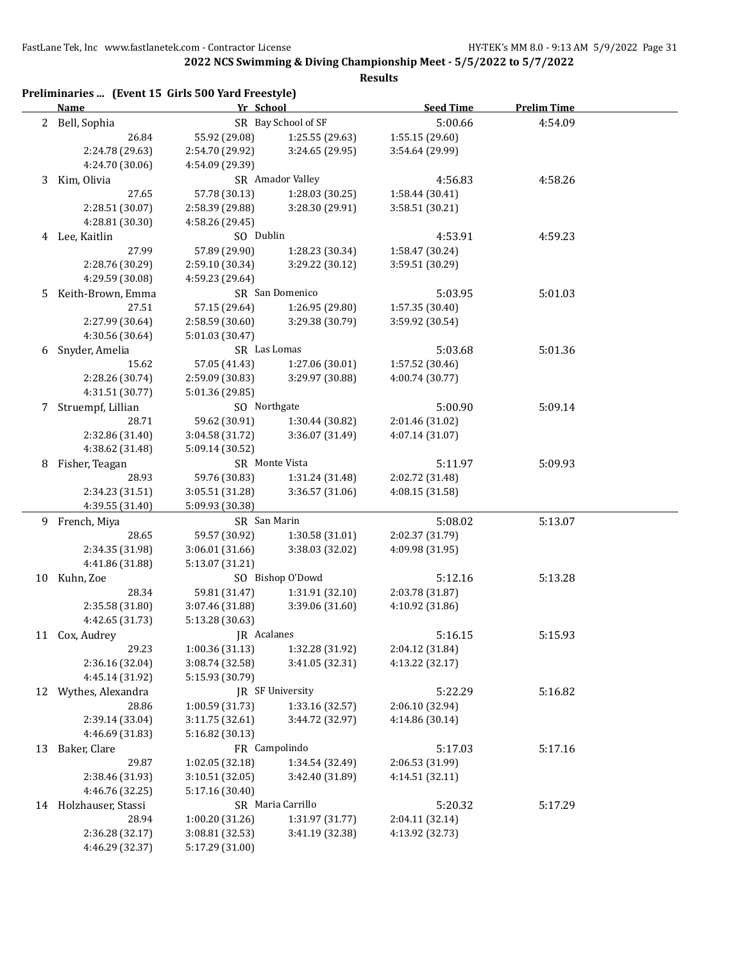**2022 NCS Swimming & Diving Championship Meet - 5/5/2022 to 5/7/2022**

|                | Preliminaries  (Event 15 Girls 500 Yard Freestyle)<br><b>Name</b> | Yr School       |                     | <b>Seed Time</b> | <b>Prelim Time</b> |
|----------------|-------------------------------------------------------------------|-----------------|---------------------|------------------|--------------------|
| $\overline{2}$ | Bell, Sophia                                                      |                 | SR Bay School of SF | 5:00.66          | 4:54.09            |
|                | 26.84                                                             | 55.92 (29.08)   | 1:25.55 (29.63)     | 1:55.15 (29.60)  |                    |
|                | 2:24.78 (29.63)                                                   | 2:54.70 (29.92) | 3:24.65 (29.95)     | 3:54.64 (29.99)  |                    |
|                | 4:24.70 (30.06)                                                   | 4:54.09 (29.39) |                     |                  |                    |
| 3              | Kim, Olivia                                                       |                 | SR Amador Valley    | 4:56.83          | 4:58.26            |
|                | 27.65                                                             | 57.78 (30.13)   | 1:28.03 (30.25)     | 1:58.44 (30.41)  |                    |
|                | 2:28.51 (30.07)                                                   | 2:58.39 (29.88) | 3:28.30 (29.91)     | 3:58.51 (30.21)  |                    |
|                | 4:28.81 (30.30)                                                   | 4:58.26 (29.45) |                     |                  |                    |
|                | 4 Lee, Kaitlin                                                    | SO Dublin       |                     | 4:53.91          | 4:59.23            |
|                | 27.99                                                             | 57.89 (29.90)   | 1:28.23 (30.34)     | 1:58.47 (30.24)  |                    |
|                | 2:28.76 (30.29)                                                   | 2:59.10 (30.34) | 3:29.22 (30.12)     | 3:59.51 (30.29)  |                    |
|                | 4:29.59 (30.08)                                                   | 4:59.23 (29.64) |                     |                  |                    |
| 5              | Keith-Brown, Emma                                                 |                 | SR San Domenico     | 5:03.95          | 5:01.03            |
|                | 27.51                                                             | 57.15 (29.64)   | 1:26.95 (29.80)     | 1:57.35 (30.40)  |                    |
|                | 2:27.99 (30.64)                                                   | 2:58.59 (30.60) | 3:29.38 (30.79)     | 3:59.92 (30.54)  |                    |
|                | 4:30.56 (30.64)                                                   | 5:01.03 (30.47) |                     |                  |                    |
| 6              | Snyder, Amelia                                                    | SR Las Lomas    |                     | 5:03.68          | 5:01.36            |
|                | 15.62                                                             | 57.05 (41.43)   | 1:27.06 (30.01)     | 1:57.52 (30.46)  |                    |
|                | 2:28.26 (30.74)                                                   | 2:59.09 (30.83) | 3:29.97 (30.88)     | 4:00.74 (30.77)  |                    |
|                | 4:31.51 (30.77)                                                   | 5:01.36 (29.85) |                     |                  |                    |
| 7              | Struempf, Lillian                                                 | SO Northgate    |                     | 5:00.90          | 5:09.14            |
|                | 28.71                                                             | 59.62 (30.91)   | 1:30.44 (30.82)     | 2:01.46 (31.02)  |                    |
|                | 2:32.86 (31.40)                                                   | 3:04.58 (31.72) | 3:36.07 (31.49)     | 4:07.14 (31.07)  |                    |
|                | 4:38.62 (31.48)                                                   | 5:09.14 (30.52) |                     |                  |                    |
| 8              | Fisher, Teagan                                                    |                 | SR Monte Vista      | 5:11.97          | 5:09.93            |
|                | 28.93                                                             | 59.76 (30.83)   | 1:31.24 (31.48)     | 2:02.72 (31.48)  |                    |
|                | 2:34.23 (31.51)                                                   | 3:05.51 (31.28) | 3:36.57 (31.06)     | 4:08.15 (31.58)  |                    |
|                | 4:39.55 (31.40)                                                   | 5:09.93 (30.38) |                     |                  |                    |
|                | 9 French, Miya                                                    | SR San Marin    |                     | 5:08.02          | 5:13.07            |
|                | 28.65                                                             | 59.57 (30.92)   | 1:30.58 (31.01)     | 2:02.37 (31.79)  |                    |
|                | 2:34.35 (31.98)                                                   | 3:06.01 (31.66) | 3:38.03 (32.02)     | 4:09.98 (31.95)  |                    |
|                | 4:41.86 (31.88)                                                   | 5:13.07 (31.21) |                     |                  |                    |
| 10             | Kuhn, Zoe                                                         |                 | SO Bishop O'Dowd    | 5:12.16          | 5:13.28            |
|                | 28.34                                                             | 59.81 (31.47)   | 1:31.91 (32.10)     | 2:03.78 (31.87)  |                    |
|                | 2:35.58 (31.80)                                                   | 3:07.46 (31.88) | 3:39.06 (31.60)     | 4:10.92 (31.86)  |                    |
|                | 4:42.65 (31.73)                                                   | 5:13.28 (30.63) |                     |                  |                    |
| 11             | Cox, Audrey                                                       | JR Acalanes     |                     | 5:16.15          | 5:15.93            |
|                | 29.23                                                             | 1:00.36 (31.13) | 1:32.28 (31.92)     | 2:04.12 (31.84)  |                    |
|                | 2:36.16 (32.04)                                                   | 3:08.74 (32.58) | 3:41.05 (32.31)     | 4:13.22 (32.17)  |                    |
|                | 4:45.14 (31.92)                                                   | 5:15.93 (30.79) |                     |                  |                    |
| 12             | Wythes, Alexandra                                                 |                 | JR SF University    | 5:22.29          | 5:16.82            |
|                | 28.86                                                             | 1:00.59 (31.73) | 1:33.16 (32.57)     | 2:06.10 (32.94)  |                    |
|                | 2:39.14 (33.04)                                                   | 3:11.75(32.61)  | 3:44.72 (32.97)     | 4:14.86 (30.14)  |                    |
|                |                                                                   |                 |                     |                  |                    |
|                | 4:46.69 (31.83)                                                   | 5:16.82 (30.13) | FR Campolindo       |                  |                    |
| 13             | Baker, Clare                                                      |                 |                     | 5:17.03          | 5:17.16            |
|                | 29.87                                                             | 1:02.05 (32.18) | 1:34.54 (32.49)     | 2:06.53 (31.99)  |                    |
|                | 2:38.46 (31.93)                                                   | 3:10.51 (32.05) | 3:42.40 (31.89)     | 4:14.51 (32.11)  |                    |
|                | 4:46.76 (32.25)                                                   | 5:17.16 (30.40) |                     |                  |                    |
| 14             | Holzhauser, Stassi                                                |                 | SR Maria Carrillo   | 5:20.32          | 5:17.29            |
|                | 28.94                                                             | 1:00.20 (31.26) | 1:31.97 (31.77)     | 2:04.11 (32.14)  |                    |
|                | 2:36.28 (32.17)                                                   | 3:08.81 (32.53) | 3:41.19 (32.38)     | 4:13.92 (32.73)  |                    |
|                | 4:46.29 (32.37)                                                   | 5:17.29 (31.00) |                     |                  |                    |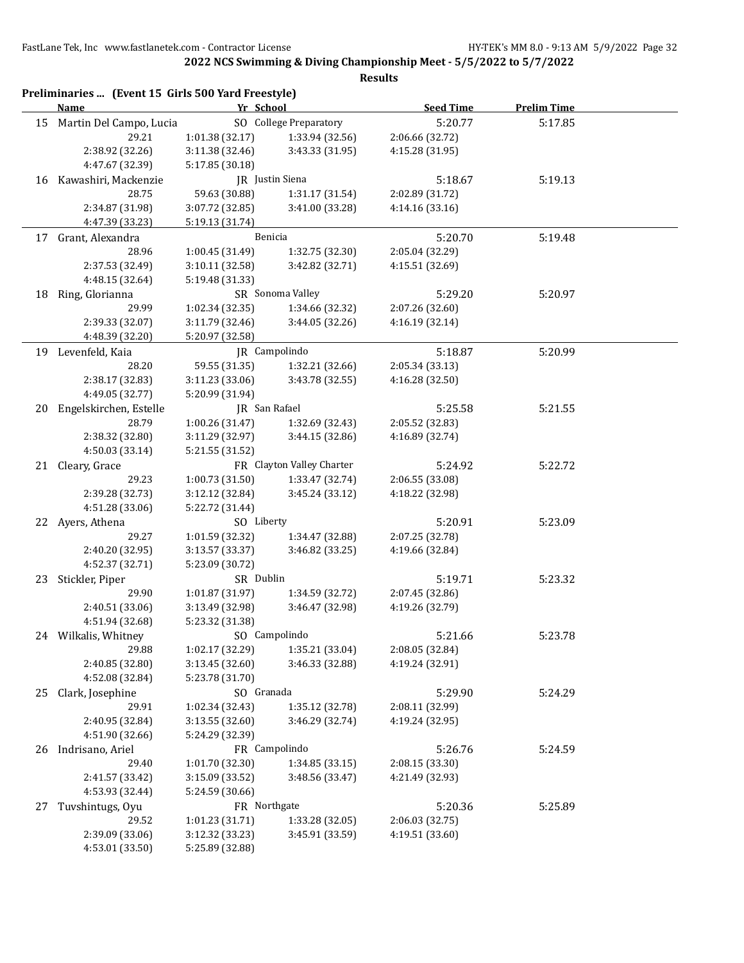**2022 NCS Swimming & Diving Championship Meet - 5/5/2022 to 5/7/2022**

|    | Preliminaries  (Event 15 Girls 500 Yard Freestyle)<br>Name | Yr School       |                           | <b>Seed Time</b> | <b>Prelim Time</b> |
|----|------------------------------------------------------------|-----------------|---------------------------|------------------|--------------------|
| 15 | Martin Del Campo, Lucia                                    |                 | SO College Preparatory    | 5:20.77          | 5:17.85            |
|    | 29.21                                                      | 1:01.38 (32.17) | 1:33.94 (32.56)           | 2:06.66 (32.72)  |                    |
|    | 2:38.92 (32.26)                                            | 3:11.38 (32.46) | 3:43.33 (31.95)           | 4:15.28 (31.95)  |                    |
|    | 4:47.67 (32.39)                                            | 5:17.85 (30.18) |                           |                  |                    |
|    | 16 Kawashiri, Mackenzie                                    |                 | JR Justin Siena           | 5:18.67          | 5:19.13            |
|    | 28.75                                                      | 59.63 (30.88)   | 1:31.17 (31.54)           | 2:02.89 (31.72)  |                    |
|    | 2:34.87 (31.98)                                            | 3:07.72 (32.85) | 3:41.00 (33.28)           | 4:14.16 (33.16)  |                    |
|    | 4:47.39 (33.23)                                            | 5:19.13 (31.74) |                           |                  |                    |
| 17 | Grant, Alexandra                                           |                 | Benicia                   | 5:20.70          | 5:19.48            |
|    | 28.96                                                      | 1:00.45 (31.49) | 1:32.75 (32.30)           | 2:05.04 (32.29)  |                    |
|    | 2:37.53 (32.49)                                            | 3:10.11 (32.58) | 3:42.82 (32.71)           | 4:15.51 (32.69)  |                    |
|    | 4:48.15 (32.64)                                            |                 |                           |                  |                    |
|    |                                                            | 5:19.48 (31.33) |                           |                  |                    |
| 18 | Ring, Glorianna                                            |                 | SR Sonoma Valley          | 5:29.20          | 5:20.97            |
|    | 29.99                                                      | 1:02.34 (32.35) | 1:34.66 (32.32)           | 2:07.26 (32.60)  |                    |
|    | 2:39.33 (32.07)                                            | 3:11.79 (32.46) | 3:44.05(32.26)            | 4:16.19 (32.14)  |                    |
|    | 4:48.39 (32.20)                                            | 5:20.97 (32.58) |                           |                  |                    |
|    | 19 Levenfeld, Kaia                                         |                 | IR Campolindo             | 5:18.87          | 5:20.99            |
|    | 28.20                                                      | 59.55 (31.35)   | 1:32.21 (32.66)           | 2:05.34 (33.13)  |                    |
|    | 2:38.17 (32.83)                                            | 3:11.23 (33.06) | 3:43.78 (32.55)           | 4:16.28 (32.50)  |                    |
|    | 4:49.05 (32.77)                                            | 5:20.99 (31.94) |                           |                  |                    |
|    | 20 Engelskirchen, Estelle                                  | JR San Rafael   |                           | 5:25.58          | 5:21.55            |
|    | 28.79                                                      | 1:00.26 (31.47) | 1:32.69 (32.43)           | 2:05.52 (32.83)  |                    |
|    | 2:38.32 (32.80)                                            | 3:11.29 (32.97) | 3:44.15(32.86)            | 4:16.89 (32.74)  |                    |
|    | 4:50.03 (33.14)                                            | 5:21.55 (31.52) |                           |                  |                    |
|    | 21 Cleary, Grace                                           |                 | FR Clayton Valley Charter | 5:24.92          | 5:22.72            |
|    | 29.23                                                      | 1:00.73 (31.50) | 1:33.47 (32.74)           | 2:06.55 (33.08)  |                    |
|    | 2:39.28 (32.73)                                            | 3:12.12 (32.84) | 3:45.24 (33.12)           | 4:18.22 (32.98)  |                    |
|    | 4:51.28 (33.06)                                            | 5:22.72 (31.44) |                           |                  |                    |
|    | 22 Ayers, Athena                                           | SO Liberty      |                           | 5:20.91          | 5:23.09            |
|    | 29.27                                                      | 1:01.59 (32.32) | 1:34.47 (32.88)           | 2:07.25 (32.78)  |                    |
|    | 2:40.20 (32.95)                                            | 3:13.57 (33.37) | 3:46.82 (33.25)           | 4:19.66 (32.84)  |                    |
|    | 4:52.37 (32.71)                                            | 5:23.09 (30.72) |                           |                  |                    |
|    | 23 Stickler, Piper                                         | SR Dublin       |                           | 5:19.71          | 5:23.32            |
|    | 29.90                                                      | 1:01.87 (31.97) | 1:34.59 (32.72)           | 2:07.45 (32.86)  |                    |
|    | 2:40.51 (33.06)                                            | 3:13.49 (32.98) | 3:46.47 (32.98)           | 4:19.26 (32.79)  |                    |
|    | 4:51.94 (32.68)                                            | 5:23.32 (31.38) |                           |                  |                    |
|    | 24 Wilkalis, Whitney                                       | SO Campolindo   |                           | 5:21.66          | 5:23.78            |
|    | 29.88                                                      | 1:02.17 (32.29) | 1:35.21 (33.04)           | 2:08.05 (32.84)  |                    |
|    | 2:40.85 (32.80)                                            |                 |                           |                  |                    |
|    |                                                            | 3:13.45 (32.60) | 3:46.33 (32.88)           | 4:19.24 (32.91)  |                    |
|    | 4:52.08 (32.84)                                            | 5:23.78 (31.70) |                           |                  |                    |
| 25 | Clark, Josephine                                           | SO Granada      |                           | 5:29.90          | 5:24.29            |
|    | 29.91                                                      | 1:02.34 (32.43) | 1:35.12 (32.78)           | 2:08.11 (32.99)  |                    |
|    | 2:40.95 (32.84)                                            | 3:13.55 (32.60) | 3:46.29 (32.74)           | 4:19.24 (32.95)  |                    |
|    | 4:51.90 (32.66)                                            | 5:24.29 (32.39) |                           |                  |                    |
|    | 26 Indrisano, Ariel                                        |                 | FR Campolindo             | 5:26.76          | 5:24.59            |
|    | 29.40                                                      | 1:01.70 (32.30) | 1:34.85 (33.15)           | 2:08.15 (33.30)  |                    |
|    | 2:41.57 (33.42)                                            | 3:15.09 (33.52) | 3:48.56 (33.47)           | 4:21.49 (32.93)  |                    |
|    | 4:53.93 (32.44)                                            | 5:24.59 (30.66) |                           |                  |                    |
| 27 | Tuvshintugs, Oyu                                           | FR Northgate    |                           | 5:20.36          | 5:25.89            |
|    | 29.52                                                      | 1:01.23 (31.71) | 1:33.28 (32.05)           | 2:06.03 (32.75)  |                    |
|    | 2:39.09 (33.06)                                            | 3:12.32 (33.23) | 3:45.91 (33.59)           | 4:19.51 (33.60)  |                    |
|    | 4:53.01 (33.50)                                            | 5:25.89 (32.88) |                           |                  |                    |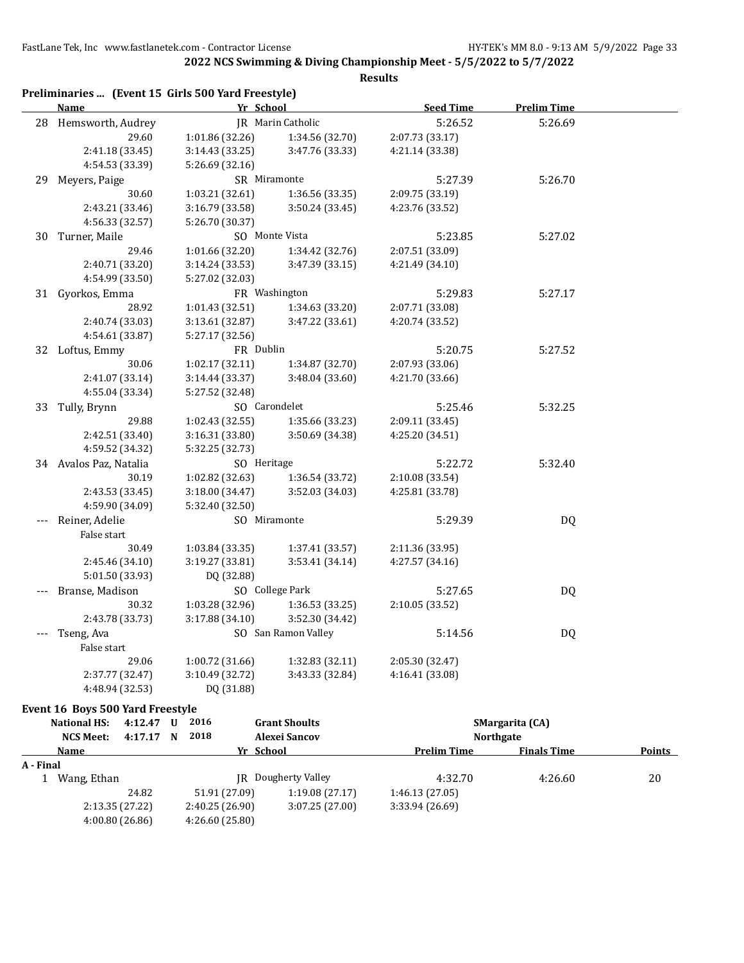**2022 NCS Swimming & Diving Championship Meet - 5/5/2022 to 5/7/2022**

**Results**

|    | Preliminaries  (Event 15 Girls 500 Yard Freestyle) |                 |                          |                  |                    |  |
|----|----------------------------------------------------|-----------------|--------------------------|------------------|--------------------|--|
|    | Name                                               | Yr School       |                          | <b>Seed Time</b> | <b>Prelim Time</b> |  |
|    | 28 Hemsworth, Audrey                               |                 | <b>JR</b> Marin Catholic |                  | 5:26.69            |  |
|    | 29.60                                              | 1:01.86 (32.26) | 1:34.56 (32.70)          | 2:07.73 (33.17)  |                    |  |
|    | 2:41.18 (33.45)                                    | 3:14.43 (33.25) | 3:47.76 (33.33)          | 4:21.14 (33.38)  |                    |  |
|    | 4:54.53 (33.39)                                    | 5:26.69 (32.16) |                          |                  |                    |  |
| 29 | Meyers, Paige                                      | SR Miramonte    |                          | 5:27.39          | 5:26.70            |  |
|    | 30.60                                              | 1:03.21 (32.61) | 1:36.56 (33.35)          | 2:09.75 (33.19)  |                    |  |
|    | 2:43.21 (33.46)                                    | 3:16.79 (33.58) | 3:50.24 (33.45)          | 4:23.76 (33.52)  |                    |  |
|    | 4:56.33 (32.57)                                    | 5:26.70 (30.37) |                          |                  |                    |  |
| 30 | Turner, Maile                                      |                 | SO Monte Vista           | 5:23.85          | 5:27.02            |  |
|    | 29.46                                              | 1:01.66(32.20)  | 1:34.42 (32.76)          | 2:07.51 (33.09)  |                    |  |
|    | 2:40.71 (33.20)                                    | 3:14.24 (33.53) | 3:47.39 (33.15)          | 4:21.49 (34.10)  |                    |  |
|    | 4:54.99 (33.50)                                    | 5:27.02 (32.03) |                          |                  |                    |  |
| 31 | Gyorkos, Emma                                      |                 | FR Washington            | 5:29.83          | 5:27.17            |  |
|    | 28.92                                              | 1:01.43 (32.51) | 1:34.63 (33.20)          | 2:07.71 (33.08)  |                    |  |
|    | 2:40.74 (33.03)                                    | 3:13.61(32.87)  | 3:47.22 (33.61)          | 4:20.74 (33.52)  |                    |  |
|    | 4:54.61 (33.87)                                    | 5:27.17 (32.56) |                          |                  |                    |  |
|    | 32 Loftus, Emmy                                    | FR Dublin       |                          | 5:20.75          | 5:27.52            |  |
|    | 30.06                                              | 1:02.17 (32.11) | 1:34.87 (32.70)          | 2:07.93 (33.06)  |                    |  |
|    | 2:41.07 (33.14)                                    | 3:14.44 (33.37) | 3:48.04 (33.60)          | 4:21.70 (33.66)  |                    |  |
|    | 4:55.04 (33.34)                                    | 5:27.52 (32.48) |                          |                  |                    |  |
|    | 33 Tully, Brynn                                    | SO Carondelet   |                          | 5:25.46          | 5:32.25            |  |
|    | 29.88                                              | 1:02.43(32.55)  | 1:35.66 (33.23)          | 2:09.11 (33.45)  |                    |  |
|    | 2:42.51 (33.40)                                    | 3:16.31 (33.80) | 3:50.69 (34.38)          | 4:25.20 (34.51)  |                    |  |
|    | 4:59.52 (34.32)                                    | 5:32.25 (32.73) |                          |                  |                    |  |
|    | 34 Avalos Paz, Natalia                             | SO Heritage     |                          | 5:22.72          | 5:32.40            |  |
|    | 30.19                                              | 1:02.82 (32.63) | 1:36.54 (33.72)          | 2:10.08 (33.54)  |                    |  |
|    | 2:43.53 (33.45)                                    | 3:18.00 (34.47) | 3:52.03 (34.03)          | 4:25.81 (33.78)  |                    |  |
|    | 4:59.90 (34.09)                                    | 5:32.40 (32.50) |                          |                  |                    |  |
|    | Reiner, Adelie                                     | SO Miramonte    |                          | 5:29.39          | <b>DQ</b>          |  |
|    | False start                                        |                 |                          |                  |                    |  |
|    | 30.49                                              | 1:03.84(33.35)  | 1:37.41 (33.57)          | 2:11.36 (33.95)  |                    |  |
|    | 2:45.46 (34.10)                                    | 3:19.27 (33.81) | 3:53.41(34.14)           | 4:27.57 (34.16)  |                    |  |
|    | 5:01.50 (33.93)                                    | DQ (32.88)      |                          |                  |                    |  |
|    | Branse, Madison                                    |                 | SO College Park          | 5:27.65          | DQ                 |  |
|    | 30.32                                              | 1:03.28 (32.96) | 1:36.53 (33.25)          | 2:10.05 (33.52)  |                    |  |
|    | 2:43.78 (33.73)                                    | 3:17.88 (34.10) | 3:52.30 (34.42)          |                  |                    |  |
|    | Tseng, Ava                                         |                 | SO San Ramon Valley      | 5:14.56          | DQ                 |  |
|    | False start                                        |                 |                          |                  |                    |  |
|    | 29.06                                              | 1:00.72 (31.66) | 1:32.83 (32.11)          | 2:05.30 (32.47)  |                    |  |
|    | 2:37.77 (32.47)                                    | 3:10.49 (32.72) | 3:43.33 (32.84)          | 4:16.41 (33.08)  |                    |  |
|    | 4:48.94 (32.53)                                    | DQ (31.88)      |                          |                  |                    |  |
|    |                                                    |                 |                          |                  |                    |  |

#### **Event 16 Boys 500 Yard Freestyle**

|             | National HS:     | 4:12.47 | U | 2016           | <b>Grant Shoults</b>       | <b>SMargarita</b> (CA) |                    |               |
|-------------|------------------|---------|---|----------------|----------------------------|------------------------|--------------------|---------------|
|             | <b>NCS Meet:</b> | 4:17.17 | N | 2018           | Alexei Sancov              | <b>Northgate</b>       |                    |               |
| <b>Name</b> |                  |         |   |                | Yr School                  | <b>Prelim Time</b>     | <b>Finals Time</b> | <b>Points</b> |
| A - Final   |                  |         |   |                |                            |                        |                    |               |
|             | Wang, Ethan      |         |   |                | <b>IR</b> Dougherty Valley | 4:32.70                | 4:26.60            | 20            |
|             |                  | 24.82   |   | 51.91 (27.09)  | 1:19.08(27.17)             | 1:46.13(27.05)         |                    |               |
|             | 2:13.35(27.22)   |         |   | 2:40.25(26.90) | 3:07.25(27.00)             | 3:33.94(26.69)         |                    |               |
|             | 4:00.80(26.86)   |         |   | 4:26.60(25.80) |                            |                        |                    |               |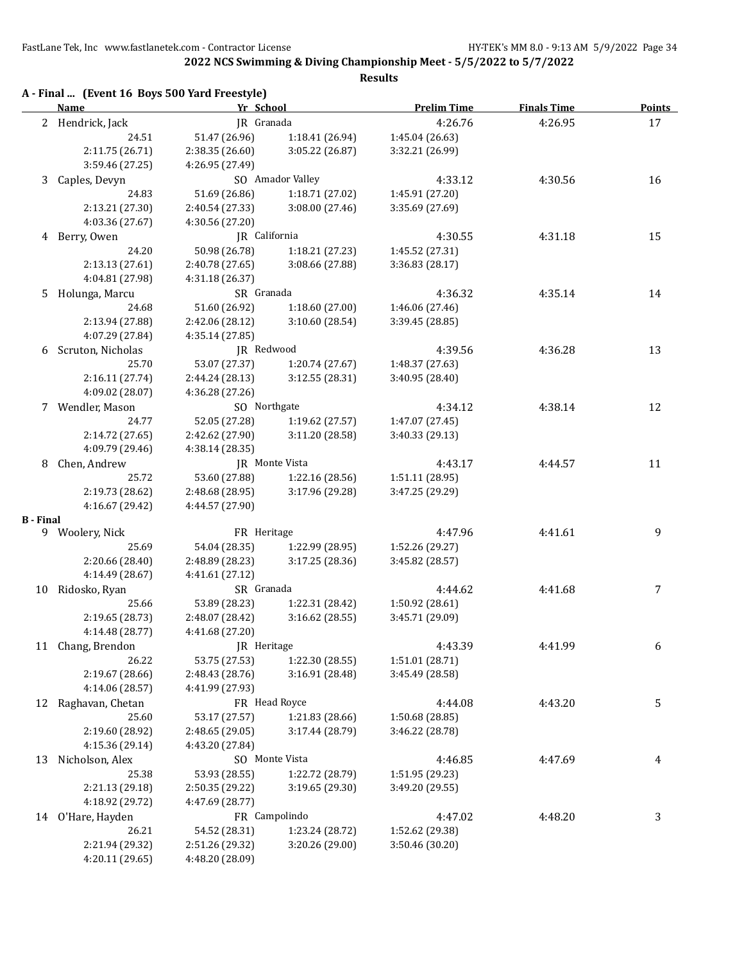**2022 NCS Swimming & Diving Championship Meet - 5/5/2022 to 5/7/2022**

|                  | A - Final  (Event 16 Boys 500 Yard Freestyle) |                 |                  | Results            |                    |               |
|------------------|-----------------------------------------------|-----------------|------------------|--------------------|--------------------|---------------|
|                  | Name                                          | Yr School       |                  | <b>Prelim Time</b> | <b>Finals Time</b> | <b>Points</b> |
|                  | 2 Hendrick, Jack                              | JR Granada      |                  | 4:26.76            | 4:26.95            | 17            |
|                  | 24.51                                         | 51.47 (26.96)   | 1:18.41 (26.94)  | 1:45.04 (26.63)    |                    |               |
|                  | 2:11.75 (26.71)                               | 2:38.35 (26.60) | 3:05.22 (26.87)  | 3:32.21 (26.99)    |                    |               |
|                  | 3:59.46 (27.25)                               | 4:26.95 (27.49) |                  |                    |                    |               |
| 3                | Caples, Devyn                                 |                 | SO Amador Valley | 4:33.12            | 4:30.56            | 16            |
|                  | 24.83                                         | 51.69 (26.86)   | 1:18.71 (27.02)  | 1:45.91 (27.20)    |                    |               |
|                  | 2:13.21 (27.30)                               | 2:40.54 (27.33) | 3:08.00 (27.46)  | 3:35.69 (27.69)    |                    |               |
|                  | 4:03.36 (27.67)                               | 4:30.56 (27.20) |                  |                    |                    |               |
|                  | 4 Berry, Owen                                 | JR California   |                  | 4:30.55            | 4:31.18            | 15            |
|                  | 24.20                                         | 50.98 (26.78)   | 1:18.21 (27.23)  | 1:45.52 (27.31)    |                    |               |
|                  | 2:13.13 (27.61)                               | 2:40.78 (27.65) | 3:08.66 (27.88)  | 3:36.83 (28.17)    |                    |               |
|                  | 4:04.81 (27.98)                               | 4:31.18 (26.37) |                  |                    |                    |               |
| 5                | Holunga, Marcu                                | SR Granada      |                  | 4:36.32            | 4:35.14            | 14            |
|                  | 24.68                                         | 51.60 (26.92)   | 1:18.60 (27.00)  | 1:46.06 (27.46)    |                    |               |
|                  | 2:13.94 (27.88)                               | 2:42.06 (28.12) | 3:10.60 (28.54)  | 3:39.45 (28.85)    |                    |               |
|                  | 4:07.29 (27.84)                               | 4:35.14 (27.85) |                  |                    |                    |               |
|                  | Scruton, Nicholas                             | JR Redwood      |                  | 4:39.56            | 4:36.28            | 13            |
| 6                | 25.70                                         | 53.07 (27.37)   |                  | 1:48.37 (27.63)    |                    |               |
|                  |                                               |                 | 1:20.74 (27.67)  |                    |                    |               |
|                  | 2:16.11 (27.74)<br>4:09.02 (28.07)            | 2:44.24 (28.13) | 3:12.55 (28.31)  | 3:40.95 (28.40)    |                    |               |
|                  |                                               | 4:36.28 (27.26) |                  |                    |                    |               |
|                  | 7 Wendler, Mason                              | SO Northgate    |                  | 4:34.12            | 4:38.14            | 12            |
|                  | 24.77                                         | 52.05 (27.28)   | 1:19.62 (27.57)  | 1:47.07 (27.45)    |                    |               |
|                  | 2:14.72 (27.65)                               | 2:42.62 (27.90) | 3:11.20 (28.58)  | 3:40.33 (29.13)    |                    |               |
|                  | 4:09.79 (29.46)                               | 4:38.14(28.35)  |                  |                    |                    |               |
| 8                | Chen, Andrew                                  |                 | JR Monte Vista   | 4:43.17            | 4:44.57            | 11            |
|                  | 25.72                                         | 53.60 (27.88)   | 1:22.16 (28.56)  | 1:51.11 (28.95)    |                    |               |
|                  | 2:19.73 (28.62)                               | 2:48.68 (28.95) | 3:17.96 (29.28)  | 3:47.25 (29.29)    |                    |               |
|                  | 4:16.67 (29.42)                               | 4:44.57 (27.90) |                  |                    |                    |               |
| <b>B</b> - Final |                                               |                 |                  |                    |                    |               |
|                  | 9 Woolery, Nick                               | FR Heritage     |                  | 4:47.96            | 4:41.61            | 9             |
|                  | 25.69                                         | 54.04 (28.35)   | 1:22.99 (28.95)  | 1:52.26 (29.27)    |                    |               |
|                  | 2:20.66 (28.40)                               | 2:48.89 (28.23) | 3:17.25 (28.36)  | 3:45.82 (28.57)    |                    |               |
|                  | 4:14.49 (28.67)                               | 4:41.61 (27.12) |                  |                    |                    |               |
| 10               | Ridosko, Ryan                                 | SR Granada      |                  | 4:44.62            | 4:41.68            | 7             |
|                  | 25.66                                         | 53.89 (28.23)   | 1:22.31 (28.42)  | 1:50.92 (28.61)    |                    |               |
|                  | 2:19.65 (28.73)                               | 2:48.07 (28.42) | 3:16.62 (28.55)  | 3:45.71 (29.09)    |                    |               |
|                  | 4:14.48 (28.77)                               | 4:41.68 (27.20) |                  |                    |                    |               |
|                  | 11 Chang, Brendon                             | JR Heritage     |                  | 4:43.39            | 4:41.99            | 6             |
|                  | 26.22                                         | 53.75 (27.53)   | 1:22.30 (28.55)  | 1:51.01 (28.71)    |                    |               |
|                  | 2:19.67 (28.66)                               | 2:48.43 (28.76) | 3:16.91 (28.48)  | 3:45.49 (28.58)    |                    |               |
|                  | 4:14.06 (28.57)                               | 4:41.99 (27.93) |                  |                    |                    |               |
| 12               | Raghavan, Chetan                              | FR Head Royce   |                  | 4:44.08            | 4:43.20            | 5             |
|                  | 25.60                                         | 53.17 (27.57)   | 1:21.83 (28.66)  | 1:50.68 (28.85)    |                    |               |
|                  | 2:19.60 (28.92)                               | 2:48.65 (29.05) | 3:17.44 (28.79)  | 3:46.22 (28.78)    |                    |               |
|                  | 4:15.36 (29.14)                               | 4:43.20 (27.84) |                  |                    |                    |               |
| 13               | Nicholson, Alex                               |                 | SO Monte Vista   | 4:46.85            | 4:47.69            | 4             |
|                  | 25.38                                         | 53.93 (28.55)   | 1:22.72 (28.79)  | 1:51.95 (29.23)    |                    |               |
|                  | 2:21.13 (29.18)                               | 2:50.35 (29.22) | 3:19.65 (29.30)  | 3:49.20 (29.55)    |                    |               |
|                  | 4:18.92 (29.72)                               | 4:47.69 (28.77) |                  |                    |                    |               |
|                  | 14 O'Hare, Hayden                             |                 | FR Campolindo    | 4:47.02            | 4:48.20            | 3             |
|                  | 26.21                                         | 54.52 (28.31)   | 1:23.24 (28.72)  | 1:52.62 (29.38)    |                    |               |
|                  | 2:21.94 (29.32)                               | 2:51.26 (29.32) | 3:20.26 (29.00)  | 3:50.46 (30.20)    |                    |               |
|                  | 4:20.11 (29.65)                               | 4:48.20 (28.09) |                  |                    |                    |               |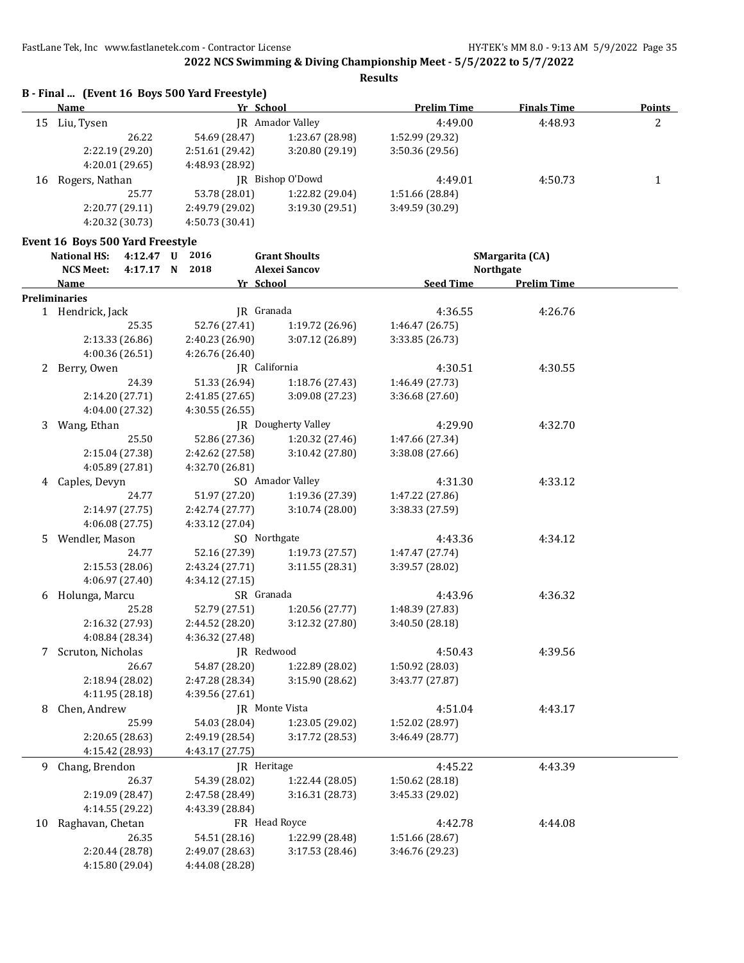**Results**

|    | B - Final  (Event 16 Boys 500 Yard Freestyle) |                 |                 |                    |                    |        |
|----|-----------------------------------------------|-----------------|-----------------|--------------------|--------------------|--------|
|    | Name                                          | Yr School       |                 | <b>Prelim Time</b> | <b>Finals Time</b> | Points |
| 15 | Liu, Tysen                                    | IR              | Amador Valley   | 4:49.00            | 4:48.93            | 2      |
|    | 26.22                                         | 54.69 (28.47)   | 1:23.67 (28.98) | 1:52.99 (29.32)    |                    |        |
|    | 2:22.19(29.20)                                | 2:51.61 (29.42) | 3:20.80 (29.19) | 3:50.36(29.56)     |                    |        |
|    | 4:20.01(29.65)                                | 4:48.93 (28.92) |                 |                    |                    |        |
| 16 | Rogers, Nathan                                | IR              | Bishop O'Dowd   | 4:49.01            | 4:50.73            |        |
|    | 25.77                                         | 53.78 (28.01)   | 1:22.82 (29.04) | 1:51.66 (28.84)    |                    |        |
|    | 2:20.77 (29.11)                               | 2:49.79 (29.02) | 3:19.30(29.51)  | 3:49.59 (30.29)    |                    |        |
|    | 4:20.32 (30.73)                               | 4:50.73 (30.41) |                 |                    |                    |        |

#### **Event 16 Boys 500 Yard Freestyle**

|    | <b>National HS:</b>  | 4:12.47 U | 2016            | <b>Grant Shoults</b>       |                 |                 |                  | SMargarita (CA)    |  |
|----|----------------------|-----------|-----------------|----------------------------|-----------------|-----------------|------------------|--------------------|--|
|    | <b>NCS Meet:</b>     | 4:17.17 N | 2018            | <b>Alexei Sancov</b>       |                 |                 |                  | <b>Northgate</b>   |  |
|    | Name                 |           |                 | Yr School                  |                 |                 | <b>Seed Time</b> | <b>Prelim Time</b> |  |
|    | <b>Preliminaries</b> |           |                 |                            |                 |                 |                  |                    |  |
|    | 1 Hendrick, Jack     |           |                 | JR Granada                 |                 |                 | 4:36.55          | 4:26.76            |  |
|    |                      | 25.35     | 52.76 (27.41)   |                            | 1:19.72 (26.96) | 1:46.47 (26.75) |                  |                    |  |
|    | 2:13.33 (26.86)      |           | 2:40.23 (26.90) |                            | 3:07.12 (26.89) | 3:33.85 (26.73) |                  |                    |  |
|    | 4:00.36 (26.51)      |           | 4:26.76 (26.40) |                            |                 |                 |                  |                    |  |
|    | 2 Berry, Owen        |           |                 | JR California              |                 |                 | 4:30.51          | 4:30.55            |  |
|    |                      | 24.39     | 51.33 (26.94)   |                            | 1:18.76 (27.43) | 1:46.49 (27.73) |                  |                    |  |
|    | 2:14.20 (27.71)      |           | 2:41.85 (27.65) |                            | 3:09.08 (27.23) | 3:36.68 (27.60) |                  |                    |  |
|    | 4:04.00 (27.32)      |           | 4:30.55 (26.55) |                            |                 |                 |                  |                    |  |
|    | 3 Wang, Ethan        |           |                 | <b>IR</b> Dougherty Valley |                 |                 | 4:29.90          | 4:32.70            |  |
|    |                      | 25.50     | 52.86 (27.36)   |                            | 1:20.32 (27.46) | 1:47.66 (27.34) |                  |                    |  |
|    | 2:15.04 (27.38)      |           | 2:42.62 (27.58) |                            | 3:10.42 (27.80) | 3:38.08 (27.66) |                  |                    |  |
|    | 4:05.89 (27.81)      |           | 4:32.70 (26.81) |                            |                 |                 |                  |                    |  |
|    | 4 Caples, Devyn      |           |                 | SO Amador Valley           |                 |                 | 4:31.30          | 4:33.12            |  |
|    |                      | 24.77     | 51.97 (27.20)   |                            | 1:19.36 (27.39) | 1:47.22 (27.86) |                  |                    |  |
|    | 2:14.97 (27.75)      |           | 2:42.74 (27.77) |                            | 3:10.74(28.00)  | 3:38.33 (27.59) |                  |                    |  |
|    | 4:06.08 (27.75)      |           | 4:33.12 (27.04) |                            |                 |                 |                  |                    |  |
| 5. | Wendler, Mason       |           |                 | SO Northgate               |                 |                 | 4:43.36          | 4:34.12            |  |
|    |                      | 24.77     | 52.16 (27.39)   |                            | 1:19.73(27.57)  | 1:47.47 (27.74) |                  |                    |  |
|    | 2:15.53 (28.06)      |           | 2:43.24 (27.71) |                            | 3:11.55 (28.31) | 3:39.57 (28.02) |                  |                    |  |
|    | 4:06.97 (27.40)      |           | 4:34.12 (27.15) |                            |                 |                 |                  |                    |  |
| 6  | Holunga, Marcu       |           |                 | SR Granada                 |                 |                 | 4:43.96          | 4:36.32            |  |
|    |                      | 25.28     | 52.79 (27.51)   |                            | 1:20.56 (27.77) | 1:48.39 (27.83) |                  |                    |  |
|    | 2:16.32 (27.93)      |           | 2:44.52 (28.20) |                            | 3:12.32 (27.80) | 3:40.50 (28.18) |                  |                    |  |
|    | 4:08.84 (28.34)      |           | 4:36.32 (27.48) |                            |                 |                 |                  |                    |  |
| 7  | Scruton, Nicholas    |           |                 | JR Redwood                 |                 |                 | 4:50.43          | 4:39.56            |  |
|    |                      | 26.67     | 54.87 (28.20)   |                            | 1:22.89 (28.02) | 1:50.92 (28.03) |                  |                    |  |
|    | 2:18.94 (28.02)      |           | 2:47.28 (28.34) |                            | 3:15.90 (28.62) | 3:43.77 (27.87) |                  |                    |  |
|    | 4:11.95 (28.18)      |           | 4:39.56 (27.61) |                            |                 |                 |                  |                    |  |
| 8  | Chen, Andrew         |           |                 | JR Monte Vista             |                 |                 | 4:51.04          | 4:43.17            |  |
|    |                      | 25.99     | 54.03 (28.04)   |                            | 1:23.05 (29.02) | 1:52.02 (28.97) |                  |                    |  |
|    | 2:20.65 (28.63)      |           | 2:49.19 (28.54) |                            | 3:17.72 (28.53) | 3:46.49 (28.77) |                  |                    |  |
|    | 4:15.42 (28.93)      |           | 4:43.17 (27.75) |                            |                 |                 |                  |                    |  |
|    | 9 Chang, Brendon     |           |                 | JR Heritage                |                 |                 | 4:45.22          | 4:43.39            |  |
|    |                      | 26.37     | 54.39 (28.02)   |                            | 1:22.44 (28.05) | 1:50.62 (28.18) |                  |                    |  |
|    | 2:19.09 (28.47)      |           | 2:47.58 (28.49) |                            | 3:16.31 (28.73) | 3:45.33 (29.02) |                  |                    |  |
|    | 4:14.55 (29.22)      |           | 4:43.39 (28.84) |                            |                 |                 |                  |                    |  |
| 10 | Raghavan, Chetan     |           |                 | FR Head Royce              |                 |                 | 4:42.78          | 4:44.08            |  |
|    |                      | 26.35     | 54.51 (28.16)   |                            | 1:22.99 (28.48) | 1:51.66 (28.67) |                  |                    |  |
|    | 2:20.44 (28.78)      |           | 2:49.07 (28.63) |                            | 3:17.53 (28.46) | 3:46.76 (29.23) |                  |                    |  |
|    | 4:15.80 (29.04)      |           | 4:44.08 (28.28) |                            |                 |                 |                  |                    |  |
|    |                      |           |                 |                            |                 |                 |                  |                    |  |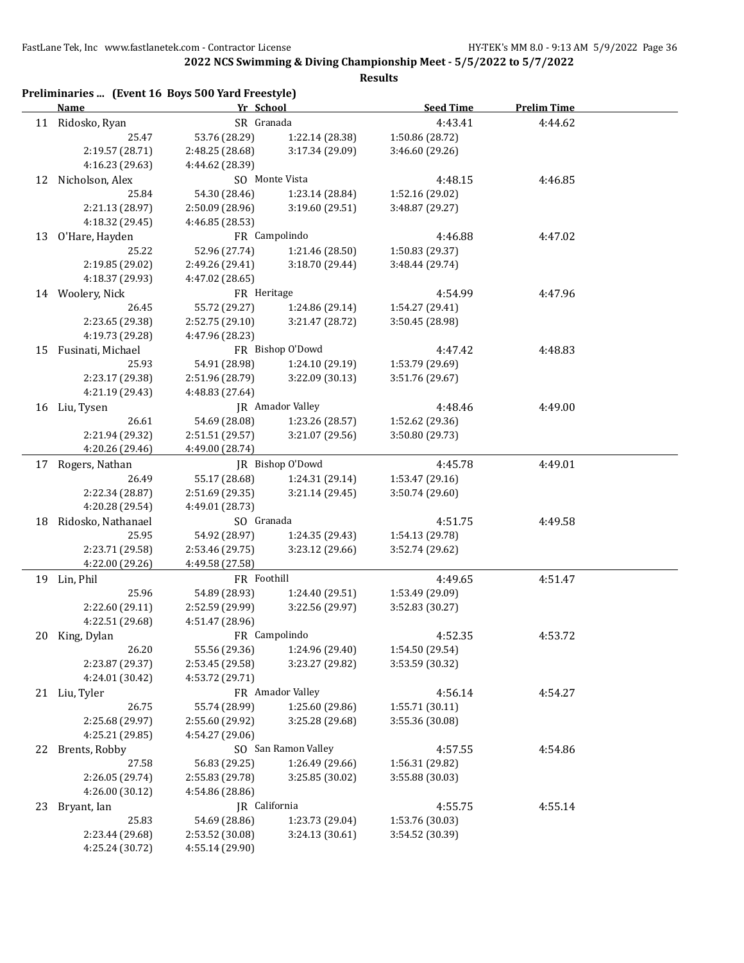**2022 NCS Swimming & Diving Championship Meet - 5/5/2022 to 5/7/2022**

|    | Preliminaries  (Event 16 Boys 500 Yard Freestyle)<br><b>Name</b> | Yr School       |                     | <b>Seed Time</b> | <b>Prelim Time</b> |
|----|------------------------------------------------------------------|-----------------|---------------------|------------------|--------------------|
|    | 11 Ridosko, Ryan                                                 | SR Granada      |                     | 4:43.41          | 4:44.62            |
|    | 25.47                                                            | 53.76 (28.29)   | 1:22.14 (28.38)     | 1:50.86 (28.72)  |                    |
|    | 2:19.57 (28.71)                                                  | 2:48.25 (28.68) | 3:17.34 (29.09)     | 3:46.60 (29.26)  |                    |
|    | 4:16.23 (29.63)                                                  | 4:44.62 (28.39) |                     |                  |                    |
|    | 12 Nicholson, Alex                                               |                 | SO Monte Vista      | 4:48.15          | 4:46.85            |
|    | 25.84                                                            | 54.30 (28.46)   | 1:23.14 (28.84)     | 1:52.16 (29.02)  |                    |
|    | 2:21.13 (28.97)                                                  | 2:50.09 (28.96) | 3:19.60 (29.51)     | 3:48.87 (29.27)  |                    |
|    | 4:18.32 (29.45)                                                  | 4:46.85 (28.53) |                     |                  |                    |
|    | 13 O'Hare, Hayden                                                |                 | FR Campolindo       | 4:46.88          | 4:47.02            |
|    | 25.22                                                            | 52.96 (27.74)   | 1:21.46 (28.50)     | 1:50.83 (29.37)  |                    |
|    | 2:19.85 (29.02)                                                  | 2:49.26 (29.41) | 3:18.70 (29.44)     | 3:48.44 (29.74)  |                    |
|    | 4:18.37 (29.93)                                                  | 4:47.02 (28.65) |                     |                  |                    |
|    | 14 Woolery, Nick                                                 | FR Heritage     |                     | 4:54.99          | 4:47.96            |
|    | 26.45                                                            | 55.72 (29.27)   | 1:24.86 (29.14)     | 1:54.27 (29.41)  |                    |
|    |                                                                  |                 |                     |                  |                    |
|    | 2:23.65 (29.38)                                                  | 2:52.75 (29.10) | 3:21.47 (28.72)     | 3:50.45 (28.98)  |                    |
|    | 4:19.73 (29.28)                                                  | 4:47.96 (28.23) | FR Bishop O'Dowd    |                  |                    |
|    | 15 Fusinati, Michael                                             |                 |                     | 4:47.42          | 4:48.83            |
|    | 25.93                                                            | 54.91 (28.98)   | 1:24.10(29.19)      | 1:53.79 (29.69)  |                    |
|    | 2:23.17 (29.38)                                                  | 2:51.96 (28.79) | 3:22.09 (30.13)     | 3:51.76 (29.67)  |                    |
|    | 4:21.19 (29.43)                                                  | 4:48.83 (27.64) |                     |                  |                    |
|    | 16 Liu, Tysen                                                    |                 | JR Amador Valley    | 4:48.46          | 4:49.00            |
|    | 26.61                                                            | 54.69 (28.08)   | 1:23.26 (28.57)     | 1:52.62 (29.36)  |                    |
|    | 2:21.94 (29.32)                                                  | 2:51.51 (29.57) | 3:21.07 (29.56)     | 3:50.80 (29.73)  |                    |
|    | 4:20.26 (29.46)                                                  | 4:49.00 (28.74) |                     |                  |                    |
|    | 17 Rogers, Nathan                                                |                 | JR Bishop O'Dowd    | 4:45.78          | 4:49.01            |
|    | 26.49                                                            | 55.17 (28.68)   | 1:24.31 (29.14)     | 1:53.47 (29.16)  |                    |
|    | 2:22.34 (28.87)                                                  | 2:51.69 (29.35) | 3:21.14 (29.45)     | 3:50.74 (29.60)  |                    |
|    | 4:20.28 (29.54)                                                  | 4:49.01 (28.73) |                     |                  |                    |
| 18 | Ridosko, Nathanael                                               | SO Granada      |                     | 4:51.75          | 4:49.58            |
|    | 25.95                                                            | 54.92 (28.97)   | 1:24.35 (29.43)     | 1:54.13 (29.78)  |                    |
|    | 2:23.71 (29.58)                                                  | 2:53.46 (29.75) | 3:23.12 (29.66)     | 3:52.74 (29.62)  |                    |
|    | 4:22.00 (29.26)                                                  | 4:49.58 (27.58) |                     |                  |                    |
|    | 19 Lin, Phil                                                     | FR Foothill     |                     | 4:49.65          | 4:51.47            |
|    | 25.96                                                            | 54.89 (28.93)   | 1:24.40 (29.51)     | 1:53.49 (29.09)  |                    |
|    | 2:22.60 (29.11)                                                  | 2:52.59 (29.99) | 3:22.56 (29.97)     | 3:52.83 (30.27)  |                    |
|    | 4:22.51 (29.68)                                                  | 4:51.47 (28.96) |                     |                  |                    |
|    | 20 King, Dylan                                                   |                 | FR Campolindo       | 4:52.35          | 4:53.72            |
|    | 26.20                                                            | 55.56 (29.36)   | 1:24.96 (29.40)     | 1:54.50 (29.54)  |                    |
|    | 2:23.87 (29.37)                                                  | 2:53.45 (29.58) | 3:23.27 (29.82)     | 3:53.59 (30.32)  |                    |
|    | 4:24.01 (30.42)                                                  | 4:53.72 (29.71) |                     |                  |                    |
|    |                                                                  |                 | FR Amador Valley    | 4:56.14          | 4:54.27            |
|    | 21 Liu, Tyler                                                    |                 |                     |                  |                    |
|    | 26.75                                                            | 55.74 (28.99)   | 1:25.60 (29.86)     | 1:55.71 (30.11)  |                    |
|    | 2:25.68 (29.97)                                                  | 2:55.60 (29.92) | 3:25.28 (29.68)     | 3:55.36 (30.08)  |                    |
|    | 4:25.21 (29.85)                                                  | 4:54.27 (29.06) |                     |                  |                    |
|    | 22 Brents, Robby                                                 |                 | SO San Ramon Valley | 4:57.55          | 4:54.86            |
|    | 27.58                                                            | 56.83 (29.25)   | 1:26.49 (29.66)     | 1:56.31 (29.82)  |                    |
|    | 2:26.05 (29.74)                                                  | 2:55.83 (29.78) | 3:25.85 (30.02)     | 3:55.88 (30.03)  |                    |
|    | 4:26.00 (30.12)                                                  | 4:54.86 (28.86) |                     |                  |                    |
| 23 | Bryant, Ian                                                      | JR California   |                     | 4:55.75          | 4:55.14            |
|    | 25.83                                                            | 54.69 (28.86)   | 1:23.73 (29.04)     | 1:53.76 (30.03)  |                    |
|    | 2:23.44 (29.68)                                                  | 2:53.52 (30.08) | 3:24.13 (30.61)     | 3:54.52 (30.39)  |                    |
|    | 4:25.24 (30.72)                                                  | 4:55.14 (29.90) |                     |                  |                    |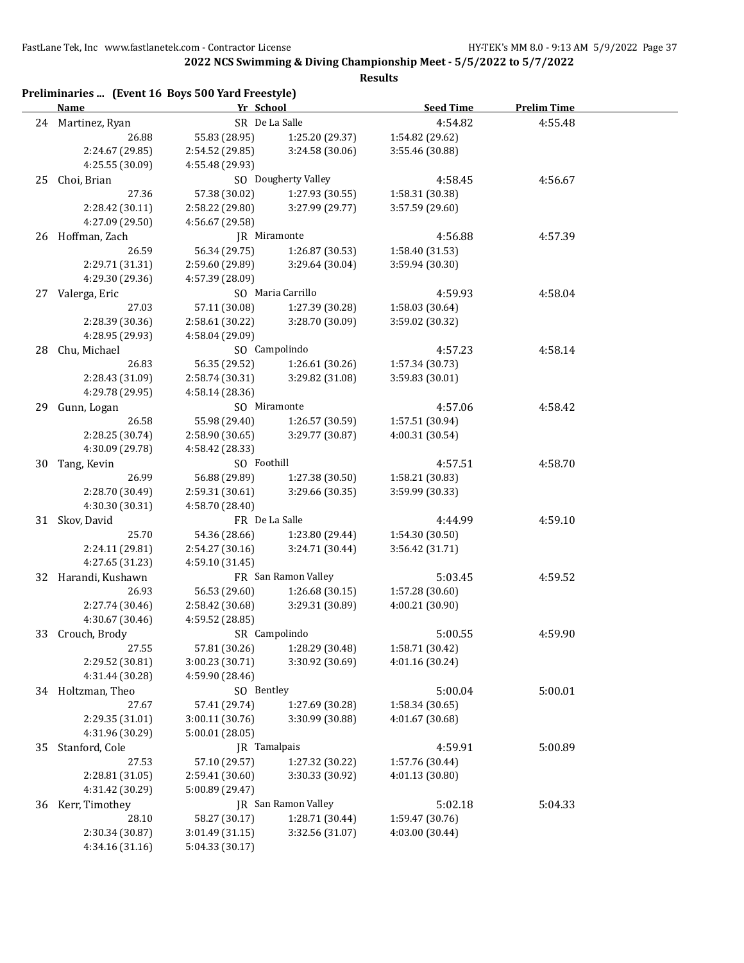**2022 NCS Swimming & Diving Championship Meet - 5/5/2022 to 5/7/2022**

|    | Name              | Yr School       |                     | <b>Seed Time</b>                   | <b>Prelim Time</b> |
|----|-------------------|-----------------|---------------------|------------------------------------|--------------------|
|    | 24 Martinez, Ryan | SR De La Salle  |                     | 4:54.82                            | 4:55.48            |
|    | 26.88             | 55.83 (28.95)   | 1:25.20 (29.37)     | 1:54.82 (29.62)                    |                    |
|    | 2:24.67 (29.85)   | 2:54.52 (29.85) | 3:24.58 (30.06)     | 3:55.46 (30.88)                    |                    |
|    | 4:25.55 (30.09)   | 4:55.48 (29.93) |                     |                                    |                    |
| 25 | Choi, Brian       |                 | SO Dougherty Valley | 4:58.45                            | 4:56.67            |
|    | 27.36             | 57.38 (30.02)   | 1:27.93 (30.55)     | 1:58.31 (30.38)                    |                    |
|    | 2:28.42 (30.11)   | 2:58.22 (29.80) | 3:27.99 (29.77)     | 3:57.59 (29.60)                    |                    |
|    | 4:27.09 (29.50)   | 4:56.67 (29.58) |                     |                                    |                    |
|    | 26 Hoffman, Zach  | JR Miramonte    |                     | 4:56.88                            | 4:57.39            |
|    | 26.59             | 56.34 (29.75)   | 1:26.87 (30.53)     | 1:58.40 (31.53)                    |                    |
|    | 2:29.71 (31.31)   | 2:59.60 (29.89) | 3:29.64 (30.04)     | 3:59.94 (30.30)                    |                    |
|    | 4:29.30 (29.36)   | 4:57.39 (28.09) |                     |                                    |                    |
|    | 27 Valerga, Eric  |                 | SO Maria Carrillo   | 4:59.93                            | 4:58.04            |
|    | 27.03             | 57.11 (30.08)   | 1:27.39 (30.28)     | 1:58.03 (30.64)                    |                    |
|    | 2:28.39 (30.36)   | 2:58.61 (30.22) | 3:28.70 (30.09)     | 3:59.02 (30.32)                    |                    |
|    | 4:28.95 (29.93)   | 4:58.04 (29.09) |                     |                                    |                    |
| 28 | Chu, Michael      |                 | SO Campolindo       | 4:57.23                            | 4:58.14            |
|    | 26.83             | 56.35 (29.52)   | 1:26.61(30.26)      |                                    |                    |
|    | 2:28.43 (31.09)   | 2:58.74 (30.31) | 3:29.82 (31.08)     | 1:57.34 (30.73)<br>3:59.83 (30.01) |                    |
|    |                   |                 |                     |                                    |                    |
|    | 4:29.78 (29.95)   | 4:58.14 (28.36) |                     |                                    |                    |
| 29 | Gunn, Logan       | SO Miramonte    |                     | 4:57.06                            | 4:58.42            |
|    | 26.58             | 55.98 (29.40)   | 1:26.57 (30.59)     | 1:57.51 (30.94)                    |                    |
|    | 2:28.25 (30.74)   | 2:58.90 (30.65) | 3:29.77 (30.87)     | 4:00.31 (30.54)                    |                    |
|    | 4:30.09 (29.78)   | 4:58.42 (28.33) |                     |                                    |                    |
| 30 | Tang, Kevin       | SO Foothill     |                     | 4:57.51                            | 4:58.70            |
|    | 26.99             | 56.88 (29.89)   | 1:27.38 (30.50)     | 1:58.21 (30.83)                    |                    |
|    | 2:28.70 (30.49)   | 2:59.31 (30.61) | 3:29.66 (30.35)     | 3:59.99 (30.33)                    |                    |
|    | 4:30.30 (30.31)   | 4:58.70 (28.40) |                     |                                    |                    |
|    | 31 Skov, David    | FR De La Salle  |                     | 4:44.99                            | 4:59.10            |
|    | 25.70             | 54.36 (28.66)   | 1:23.80 (29.44)     | 1:54.30 (30.50)                    |                    |
|    | 2:24.11 (29.81)   | 2:54.27 (30.16) | 3:24.71 (30.44)     | 3:56.42 (31.71)                    |                    |
|    | 4:27.65 (31.23)   | 4:59.10 (31.45) |                     |                                    |                    |
| 32 | Harandi, Kushawn  |                 | FR San Ramon Valley | 5:03.45                            | 4:59.52            |
|    | 26.93             | 56.53 (29.60)   | 1:26.68 (30.15)     | 1:57.28 (30.60)                    |                    |
|    | 2:27.74 (30.46)   | 2:58.42 (30.68) | 3:29.31 (30.89)     | 4:00.21 (30.90)                    |                    |
|    | 4:30.67 (30.46)   | 4:59.52 (28.85) |                     |                                    |                    |
| 33 | Crouch, Brody     |                 | SR Campolindo       | 5:00.55                            | 4:59.90            |
|    | 27.55             | 57.81 (30.26)   | 1:28.29 (30.48)     | 1:58.71 (30.42)                    |                    |
|    | 2:29.52 (30.81)   | 3:00.23 (30.71) | 3:30.92 (30.69)     | 4:01.16 (30.24)                    |                    |
|    | 4:31.44 (30.28)   | 4:59.90 (28.46) |                     |                                    |                    |
|    | 34 Holtzman, Theo | SO Bentley      |                     | 5:00.04                            | 5:00.01            |
|    | 27.67             | 57.41 (29.74)   | 1:27.69 (30.28)     | 1:58.34 (30.65)                    |                    |
|    | 2:29.35 (31.01)   | 3:00.11 (30.76) | 3:30.99 (30.88)     | 4:01.67 (30.68)                    |                    |
|    | 4:31.96 (30.29)   | 5:00.01 (28.05) |                     |                                    |                    |
| 35 | Stanford, Cole    | JR Tamalpais    |                     | 4:59.91                            | 5:00.89            |
|    | 27.53             | 57.10 (29.57)   | 1:27.32 (30.22)     | 1:57.76 (30.44)                    |                    |
|    | 2:28.81 (31.05)   | 2:59.41 (30.60) | 3:30.33 (30.92)     | 4:01.13 (30.80)                    |                    |
|    | 4:31.42 (30.29)   | 5:00.89 (29.47) |                     |                                    |                    |
| 36 | Kerr, Timothey    |                 | JR San Ramon Valley | 5:02.18                            | 5:04.33            |
|    | 28.10             | 58.27 (30.17)   | 1:28.71 (30.44)     | 1:59.47 (30.76)                    |                    |
|    |                   |                 | 3:32.56 (31.07)     | 4:03.00 (30.44)                    |                    |
|    | 2:30.34 (30.87)   | 3:01.49 (31.15) |                     |                                    |                    |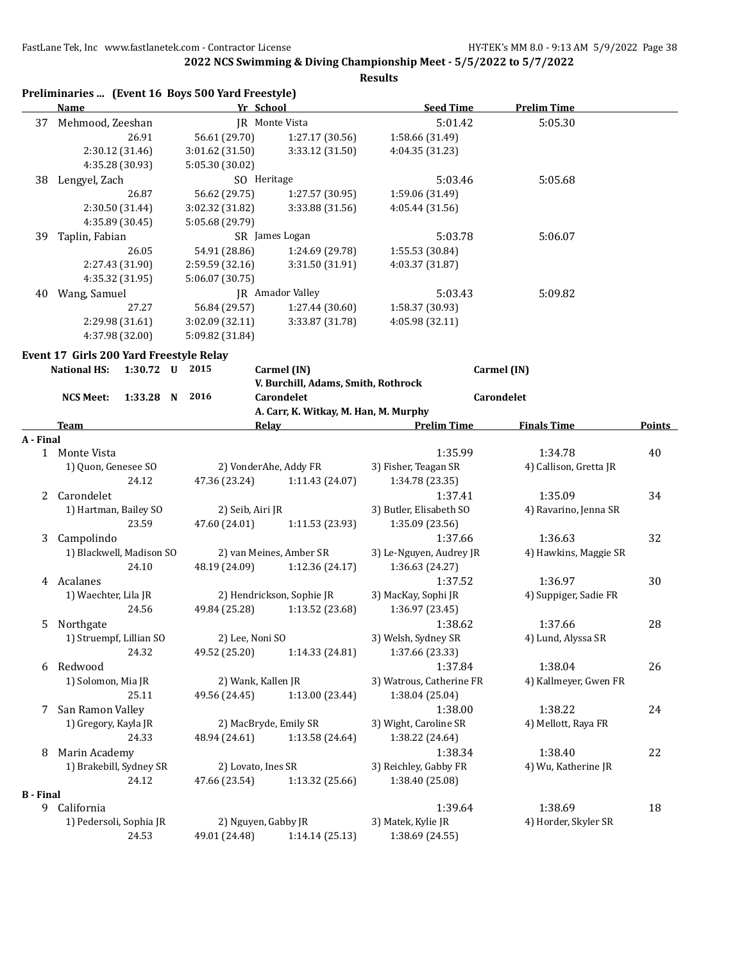|                  | Name                                    |                 | Yr School          |                                       | <b>Seed Time</b>         | <b>Prelim Time</b>     |        |
|------------------|-----------------------------------------|-----------------|--------------------|---------------------------------------|--------------------------|------------------------|--------|
| 37               | Mehmood, Zeeshan                        |                 |                    | <b>IR</b> Monte Vista                 | 5:01.42                  | 5:05.30                |        |
|                  |                                         | 26.91           | 56.61 (29.70)      | 1:27.17 (30.56)                       | 1:58.66 (31.49)          |                        |        |
|                  |                                         | 2:30.12 (31.46) | 3:01.62 (31.50)    | 3:33.12 (31.50)                       | 4:04.35 (31.23)          |                        |        |
|                  |                                         | 4:35.28 (30.93) | 5:05.30 (30.02)    |                                       |                          |                        |        |
| 38               | Lengyel, Zach                           |                 |                    | SO Heritage                           | 5:03.46                  | 5:05.68                |        |
|                  |                                         | 26.87           | 56.62 (29.75)      | 1:27.57 (30.95)                       | 1:59.06 (31.49)          |                        |        |
|                  |                                         | 2:30.50 (31.44) | 3:02.32 (31.82)    | 3:33.88 (31.56)                       | 4:05.44 (31.56)          |                        |        |
|                  |                                         | 4:35.89 (30.45) | 5:05.68 (29.79)    |                                       |                          |                        |        |
| 39               | Taplin, Fabian                          |                 |                    | SR James Logan                        | 5:03.78                  | 5:06.07                |        |
|                  |                                         | 26.05           | 54.91 (28.86)      | 1:24.69 (29.78)                       | 1:55.53 (30.84)          |                        |        |
|                  |                                         | 2:27.43 (31.90) | 2:59.59 (32.16)    | 3:31.50 (31.91)                       | 4:03.37 (31.87)          |                        |        |
|                  |                                         | 4:35.32 (31.95) | 5:06.07 (30.75)    |                                       |                          |                        |        |
| 40               | Wang, Samuel                            |                 |                    | JR Amador Valley                      | 5:03.43                  | 5:09.82                |        |
|                  |                                         | 27.27           | 56.84 (29.57)      | 1:27.44 (30.60)                       | 1:58.37 (30.93)          |                        |        |
|                  |                                         | 2:29.98 (31.61) | 3:02.09 (32.11)    | 3:33.87 (31.78)                       | 4:05.98 (32.11)          |                        |        |
|                  |                                         | 4:37.98 (32.00) | 5:09.82 (31.84)    |                                       |                          |                        |        |
|                  | Event 17 Girls 200 Yard Freestyle Relay |                 |                    |                                       |                          |                        |        |
|                  | <b>National HS:</b>                     | $1:30.72$ U     | 2015               | Carmel (IN)                           |                          | Carmel (IN)            |        |
|                  |                                         |                 |                    | V. Burchill, Adams, Smith, Rothrock   |                          |                        |        |
|                  | <b>NCS Meet:</b>                        | $1:33.28$ N     | 2016               | Carondelet                            |                          | Carondelet             |        |
|                  |                                         |                 |                    | A. Carr, K. Witkay, M. Han, M. Murphy |                          |                        |        |
|                  | Team                                    |                 |                    | <b>Relay</b>                          | <b>Prelim Time</b>       | <b>Finals Time</b>     | Points |
| A - Final        |                                         |                 |                    |                                       |                          |                        |        |
|                  | 1 Monte Vista                           |                 |                    |                                       | 1:35.99                  | 1:34.78                | 40     |
|                  | 1) Quon, Genesee SO                     |                 |                    | 2) VonderAhe, Addy FR                 | 3) Fisher, Teagan SR     | 4) Callison, Gretta JR |        |
|                  |                                         | 24.12           | 47.36 (23.24)      | 1:11.43 (24.07)                       | 1:34.78 (23.35)          |                        |        |
| 2                | Carondelet                              |                 |                    |                                       | 1:37.41                  | 1:35.09                | 34     |
|                  | 1) Hartman, Bailey SO                   |                 | 2) Seib, Airi JR   |                                       | 3) Butler, Elisabeth SO  | 4) Ravarino, Jenna SR  |        |
|                  |                                         | 23.59           | 47.60 (24.01)      | 1:11.53 (23.93)                       | 1:35.09 (23.56)          |                        |        |
| 3                | Campolindo                              |                 |                    |                                       | 1:37.66                  | 1:36.63                | 32     |
|                  | 1) Blackwell, Madison SO                |                 |                    | 2) van Meines, Amber SR               | 3) Le-Nguyen, Audrey JR  | 4) Hawkins, Maggie SR  |        |
|                  |                                         | 24.10           | 48.19 (24.09)      | 1:12.36 (24.17)                       | 1:36.63 (24.27)          |                        |        |
|                  | 4 Acalanes                              |                 |                    |                                       | 1:37.52                  | 1:36.97                | 30     |
|                  | 1) Waechter, Lila JR                    |                 |                    | 2) Hendrickson, Sophie JR             | 3) MacKay, Sophi JR      | 4) Suppiger, Sadie FR  |        |
|                  |                                         | 24.56           | 49.84 (25.28)      | 1:13.52 (23.68)                       | 1:36.97 (23.45)          |                        |        |
| 5.               | Northgate                               |                 |                    |                                       | 1:38.62                  | 1:37.66                | 28     |
|                  | 1) Struempf, Lillian SO                 |                 | 2) Lee, Noni SO    |                                       | 3) Welsh, Sydney SR      | 4) Lund, Alyssa SR     |        |
|                  |                                         | 24.32           | 49.52 (25.20)      | 1:14.33 (24.81)                       | 1:37.66 (23.33)          |                        |        |
| 6                | Redwood                                 |                 |                    |                                       | 1:37.84                  | 1:38.04                | 26     |
|                  | 1) Solomon, Mia JR                      |                 | 2) Wank, Kallen JR |                                       | 3) Watrous, Catherine FR | 4) Kallmeyer, Gwen FR  |        |
|                  |                                         | 25.11           | 49.56 (24.45)      | 1:13.00 (23.44)                       | 1:38.04 (25.04)          |                        |        |
| 7                | San Ramon Valley                        |                 |                    |                                       | 1:38.00                  | 1:38.22                | 24     |
|                  | 1) Gregory, Kayla JR                    |                 |                    | 2) MacBryde, Emily SR                 | 3) Wight, Caroline SR    | 4) Mellott, Raya FR    |        |
|                  |                                         | 24.33           | 48.94 (24.61)      | 1:13.58 (24.64)                       | 1:38.22 (24.64)          |                        |        |
| 8                | Marin Academy                           |                 |                    |                                       | 1:38.34                  | 1:38.40                | 22     |
|                  | 1) Brakebill, Sydney SR                 |                 | 2) Lovato, Ines SR |                                       | 3) Reichley, Gabby FR    | 4) Wu, Katherine JR    |        |
|                  |                                         | 24.12           | 47.66 (23.54)      | 1:13.32 (25.66)                       | 1:38.40 (25.08)          |                        |        |
| <b>B</b> - Final |                                         |                 |                    |                                       |                          |                        |        |
| 9                | California                              |                 |                    |                                       | 1:39.64                  | 1:38.69                | 18     |
|                  | 1) Pedersoli, Sophia JR                 |                 |                    | 2) Nguyen, Gabby JR                   | 3) Matek, Kylie JR       | 4) Horder, Skyler SR   |        |
|                  |                                         | 24.53           | 49.01 (24.48)      | 1:14.14 (25.13)                       | 1:38.69 (24.55)          |                        |        |
|                  |                                         |                 |                    |                                       |                          |                        |        |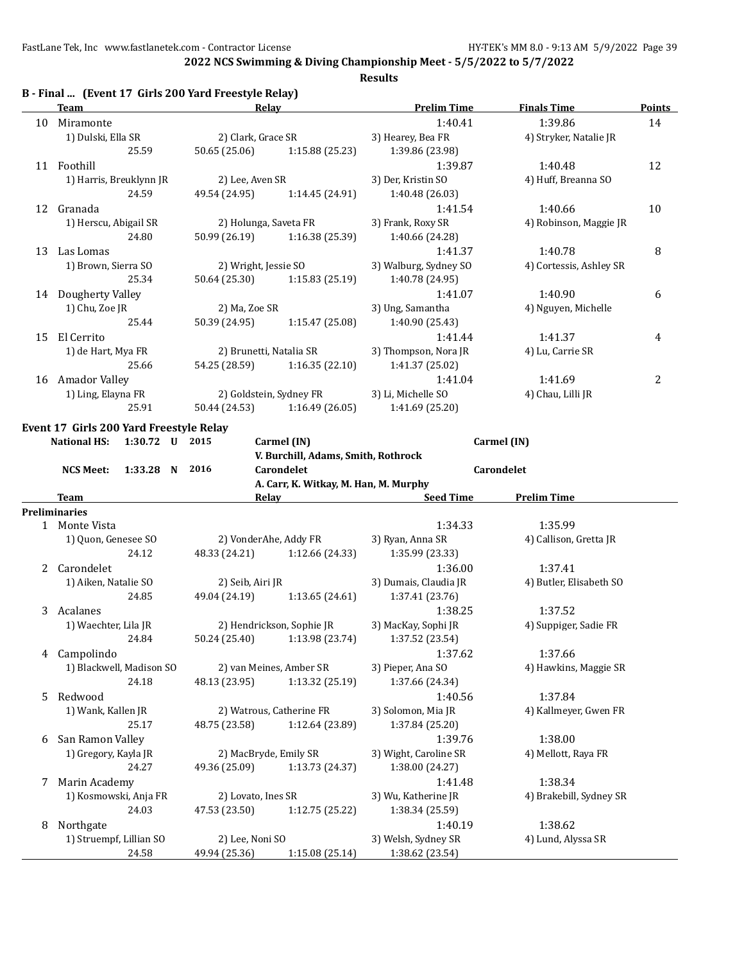**2022 NCS Swimming & Diving Championship Meet - 5/5/2022 to 5/7/2022**

|    |                                                              |                         |                                       | <b>Results</b>        |                         |               |
|----|--------------------------------------------------------------|-------------------------|---------------------------------------|-----------------------|-------------------------|---------------|
|    | B - Final  (Event 17 Girls 200 Yard Freestyle Relay)<br>Team | Relay                   |                                       | <b>Prelim Time</b>    | <b>Finals Time</b>      | <b>Points</b> |
|    | 10 Miramonte                                                 |                         |                                       | 1:40.41               | 1:39.86                 | 14            |
|    | 1) Dulski, Ella SR                                           | 2) Clark, Grace SR      |                                       | 3) Hearey, Bea FR     | 4) Stryker, Natalie JR  |               |
|    | 25.59                                                        | 50.65 (25.06)           | 1:15.88 (25.23)                       | 1:39.86 (23.98)       |                         |               |
|    | 11 Foothill                                                  |                         |                                       | 1:39.87               | 1:40.48                 | 12            |
|    | 1) Harris, Breuklynn JR                                      | 2) Lee, Aven SR         |                                       | 3) Der, Kristin SO    | 4) Huff, Breanna SO     |               |
|    | 24.59                                                        | 49.54 (24.95)           | 1:14.45 (24.91)                       | 1:40.48 (26.03)       |                         |               |
|    | 12 Granada                                                   |                         |                                       | 1:41.54               | 1:40.66                 | 10            |
|    | 1) Herscu, Abigail SR                                        | 2) Holunga, Saveta FR   |                                       | 3) Frank, Roxy SR     | 4) Robinson, Maggie JR  |               |
|    | 24.80                                                        | 50.99 (26.19)           | 1:16.38 (25.39)                       | 1:40.66 (24.28)       |                         |               |
| 13 | Las Lomas                                                    |                         |                                       | 1:41.37               | 1:40.78                 | 8             |
|    | 1) Brown, Sierra SO                                          | 2) Wright, Jessie SO    |                                       | 3) Walburg, Sydney SO | 4) Cortessis, Ashley SR |               |
|    | 25.34                                                        | 50.64 (25.30)           | 1:15.83(25.19)                        | 1:40.78 (24.95)       |                         |               |
|    | 14 Dougherty Valley                                          |                         |                                       | 1:41.07               | 1:40.90                 | 6             |
|    | 1) Chu, Zoe JR                                               | 2) Ma, Zoe SR           |                                       | 3) Ung, Samantha      | 4) Nguyen, Michelle     |               |
|    | 25.44                                                        | 50.39 (24.95)           | 1:15.47(25.08)                        | 1:40.90 (25.43)       |                         |               |
| 15 | El Cerrito                                                   |                         |                                       | 1:41.44               | 1:41.37                 | 4             |
|    | 1) de Hart, Mya FR                                           | 2) Brunetti, Natalia SR |                                       | 3) Thompson, Nora JR  | 4) Lu, Carrie SR        |               |
|    | 25.66                                                        | 54.25 (28.59)           | 1:16.35(22.10)                        | 1:41.37 (25.02)       |                         |               |
|    | 16 Amador Valley                                             |                         |                                       | 1:41.04               | 1:41.69                 | 2             |
|    | 1) Ling, Elayna FR                                           | 2) Goldstein, Sydney FR |                                       | 3) Li, Michelle SO    | 4) Chau, Lilli JR       |               |
|    | 25.91                                                        | 50.44 (24.53)           | 1:16.49(26.05)                        | 1:41.69 (25.20)       |                         |               |
|    | Event 17 Girls 200 Yard Freestyle Relay                      |                         |                                       |                       |                         |               |
|    | <b>National HS:</b><br>1:30.72 U 2015                        |                         | Carmel (IN)                           |                       | Carmel (IN)             |               |
|    |                                                              |                         | V. Burchill, Adams, Smith, Rothrock   |                       |                         |               |
|    | 1:33.28 N 2016<br><b>NCS Meet:</b>                           |                         | Carondelet                            |                       | Carondelet              |               |
|    |                                                              |                         | A. Carr, K. Witkay, M. Han, M. Murphy |                       |                         |               |
|    | <b>Team</b>                                                  |                         | <b>Relay Example 2018</b>             | <b>Seed Time</b>      | <b>Prelim Time</b>      |               |
|    | <b>Preliminaries</b>                                         |                         |                                       |                       |                         |               |
|    | 1 Monte Vista                                                |                         |                                       | 1:34.33               | 1:35.99                 |               |
|    | 1) Quon, Genesee SO                                          | 2) VonderAhe, Addy FR   |                                       | 3) Ryan, Anna SR      | 4) Callison, Gretta JR  |               |
|    | 24.12                                                        | 48.33 (24.21)           | 1:12.66 (24.33)                       | 1:35.99 (23.33)       |                         |               |
| 2  | Carondelet                                                   |                         |                                       | 1:36.00               | 1:37.41                 |               |
|    | 1) Aiken, Natalie SO                                         | 2) Seib, Airi JR        |                                       | 3) Dumais, Claudia JR | 4) Butler, Elisabeth SO |               |
|    | 24.85                                                        | 49.04 (24.19)           | 1:13.65(24.61)                        | 1:37.41 (23.76)       |                         |               |
| 3  | Acalanes                                                     |                         |                                       | 1:38.25               | 1:37.52                 |               |
|    | 1) Waechter, Lila JR                                         |                         | 2) Hendrickson, Sophie JR             | 3) MacKay, Sophi JR   | 4) Suppiger, Sadie FR   |               |
|    | 24.84                                                        | 50.24 (25.40)           | 1:13.98 (23.74)                       | 1:37.52 (23.54)       |                         |               |
| 4  | Campolindo                                                   |                         |                                       | 1:37.62               | 1:37.66                 |               |
|    | 1) Blackwell, Madison SO                                     |                         | 2) van Meines, Amber SR               | 3) Pieper, Ana SO     | 4) Hawkins, Maggie SR   |               |
|    | 24.18                                                        | 48.13 (23.95)           | 1:13.32 (25.19)                       | 1:37.66 (24.34)       |                         |               |
| 5  | Redwood                                                      |                         |                                       | 1:40.56               | 1:37.84                 |               |
|    | 1) Wank, Kallen JR                                           |                         | 2) Watrous, Catherine FR              | 3) Solomon, Mia JR    | 4) Kallmeyer, Gwen FR   |               |
|    | 25.17                                                        | 48.75 (23.58)           | 1:12.64 (23.89)                       | 1:37.84 (25.20)       |                         |               |
| 6  | San Ramon Valley                                             |                         |                                       | 1:39.76               | 1:38.00                 |               |
|    | 1) Gregory, Kayla JR                                         | 2) MacBryde, Emily SR   |                                       | 3) Wight, Caroline SR | 4) Mellott, Raya FR     |               |
|    | 24.27                                                        | 49.36 (25.09)           | 1:13.73 (24.37)                       | 1:38.00 (24.27)       |                         |               |
| 7  | Marin Academy                                                |                         |                                       | 1:41.48               | 1:38.34                 |               |
|    | 1) Kosmowski, Anja FR                                        | 2) Lovato, Ines SR      |                                       | 3) Wu, Katherine JR   | 4) Brakebill, Sydney SR |               |

24.03 47.53 (23.50) 1:12.75 (25.22) 1:38.34 (25.59)

24.58 49.94 (25.36) 1:15.08 (25.14) 1:38.62 (23.54)

8 Northgate 1:40.19 1:38.62 1) Struempf, Lillian SO 2) Lee, Noni SO 3) Welsh, Sydney SR 4) Lund, Alyssa SR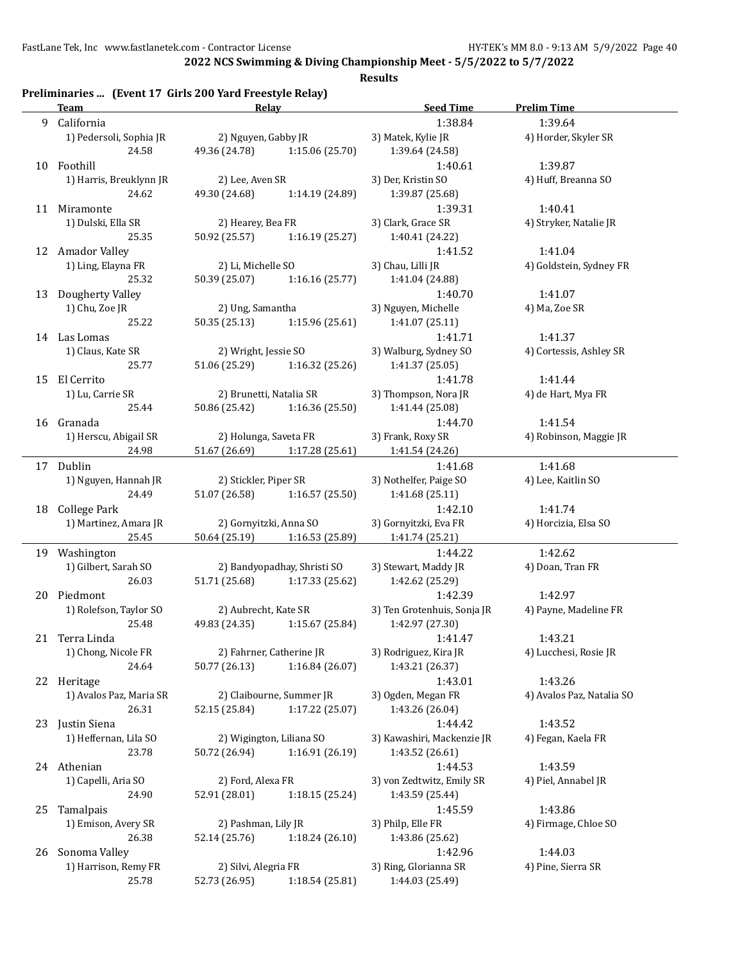**2022 NCS Swimming & Diving Championship Meet - 5/5/2022 to 5/7/2022**

|    | <b>Team</b>             | Relav                   |                               | Seed Time                   | <b>Prelim Time</b>        |
|----|-------------------------|-------------------------|-------------------------------|-----------------------------|---------------------------|
|    | 9 California            |                         |                               | 1:38.84                     | 1:39.64                   |
|    | 1) Pedersoli, Sophia JR | 2) Nguyen, Gabby JR     |                               | 3) Matek, Kylie JR          | 4) Horder, Skyler SR      |
|    | 24.58                   | 49.36 (24.78)           | 1:15.06 (25.70)               | 1:39.64 (24.58)             |                           |
|    | 10 Foothill             |                         |                               | 1:40.61                     | 1:39.87                   |
|    | 1) Harris, Breuklynn JR | 2) Lee, Aven SR         |                               | 3) Der, Kristin SO          | 4) Huff, Breanna SO       |
|    | 24.62                   | 49.30 (24.68)           | 1:14.19 (24.89)               | 1:39.87 (25.68)             |                           |
|    | 11 Miramonte            |                         |                               | 1:39.31                     | 1:40.41                   |
|    | 1) Dulski, Ella SR      | 2) Hearey, Bea FR       |                               | 3) Clark, Grace SR          | 4) Stryker, Natalie JR    |
|    | 25.35                   | 50.92 (25.57)           | 1:16.19(25.27)                | 1:40.41 (24.22)             |                           |
|    | 12 Amador Valley        |                         |                               | 1:41.52                     | 1:41.04                   |
|    | 1) Ling, Elayna FR      |                         |                               |                             |                           |
|    |                         | 2) Li, Michelle SO      |                               | 3) Chau, Lilli JR           | 4) Goldstein, Sydney FR   |
|    | 25.32                   | 50.39 (25.07)           | 1:16.16(25.77)                | 1:41.04 (24.88)             |                           |
| 13 | Dougherty Valley        |                         |                               | 1:40.70                     | 1:41.07                   |
|    | 1) Chu, Zoe JR          | 2) Ung, Samantha        |                               | 3) Nguyen, Michelle         | 4) Ma, Zoe SR             |
|    | 25.22                   | 50.35 (25.13)           | 1:15.96(25.61)                | 1:41.07 (25.11)             |                           |
|    | 14 Las Lomas            |                         |                               | 1:41.71                     | 1:41.37                   |
|    | 1) Claus, Kate SR       | 2) Wright, Jessie SO    |                               | 3) Walburg, Sydney SO       | 4) Cortessis, Ashley SR   |
|    | 25.77                   | 51.06 (25.29)           | 1:16.32(25.26)                | 1:41.37 (25.05)             |                           |
| 15 | El Cerrito              |                         |                               | 1:41.78                     | 1:41.44                   |
|    | 1) Lu, Carrie SR        | 2) Brunetti, Natalia SR |                               | 3) Thompson, Nora JR        | 4) de Hart, Mya FR        |
|    | 25.44                   | 50.86 (25.42)           | 1:16.36 (25.50)               | 1:41.44 (25.08)             |                           |
|    | 16 Granada              |                         |                               | 1:44.70                     | 1:41.54                   |
|    |                         |                         |                               |                             |                           |
|    | 1) Herscu, Abigail SR   | 2) Holunga, Saveta FR   |                               | 3) Frank, Roxy SR           | 4) Robinson, Maggie JR    |
|    | 24.98                   |                         | 51.67 (26.69) 1:17.28 (25.61) | 1:41.54 (24.26)             |                           |
|    | 17 Dublin               |                         |                               | 1:41.68                     | 1:41.68                   |
|    | 1) Nguyen, Hannah JR    | 2) Stickler, Piper SR   |                               | 3) Nothelfer, Paige SO      | 4) Lee, Kaitlin SO        |
|    | 24.49                   | 51.07 (26.58)           | 1:16.57(25.50)                | 1:41.68 (25.11)             |                           |
|    | 18 College Park         |                         |                               | 1:42.10                     | 1:41.74                   |
|    | 1) Martinez, Amara JR   | 2) Gornyitzki, Anna SO  |                               | 3) Gornyitzki, Eva FR       | 4) Horcizia, Elsa SO      |
|    | 25.45                   |                         | 50.64 (25.19) 1:16.53 (25.89) | 1:41.74 (25.21)             |                           |
|    | 19 Washington           |                         |                               | 1:44.22                     | 1:42.62                   |
|    | 1) Gilbert, Sarah SO    |                         | 2) Bandyopadhay, Shristi SO   | 3) Stewart, Maddy JR        | 4) Doan, Tran FR          |
|    | 26.03                   |                         | 51.71 (25.68) 1:17.33 (25.62) | 1:42.62 (25.29)             |                           |
| 20 | Piedmont                |                         |                               | 1:42.39                     | 1:42.97                   |
|    | 1) Rolefson, Taylor SO  | 2) Aubrecht, Kate SR    |                               | 3) Ten Grotenhuis, Sonja JR | 4) Payne, Madeline FR     |
|    |                         |                         |                               |                             |                           |
|    | 25.48                   | 49.83 (24.35)           | 1:15.67 (25.84)               | 1:42.97 (27.30)             |                           |
|    | 21 Terra Linda          |                         |                               | 1:41.47                     | 1:43.21                   |
|    | 1) Chong, Nicole FR     |                         | 2) Fahrner, Catherine JR      | 3) Rodriguez, Kira JR       | 4) Lucchesi, Rosie JR     |
|    | 24.64                   | 50.77 (26.13)           | 1:16.84(26.07)                | 1:43.21 (26.37)             |                           |
|    | 22 Heritage             |                         |                               | 1:43.01                     | 1:43.26                   |
|    | 1) Avalos Paz, Maria SR |                         | 2) Claibourne, Summer JR      | 3) Ogden, Megan FR          | 4) Avalos Paz, Natalia SO |
|    | 26.31                   | 52.15 (25.84)           | 1:17.22 (25.07)               | 1:43.26 (26.04)             |                           |
|    | 23 Justin Siena         |                         |                               | 1:44.42                     | 1:43.52                   |
|    | 1) Heffernan, Lila SO   |                         | 2) Wigington, Liliana SO      | 3) Kawashiri, Mackenzie JR  | 4) Fegan, Kaela FR        |
|    | 23.78                   | 50.72 (26.94)           | 1:16.91 (26.19)               | 1:43.52 (26.61)             |                           |
|    | 24 Athenian             |                         |                               | 1:44.53                     | 1:43.59                   |
|    |                         |                         |                               |                             |                           |
|    | 1) Capelli, Aria SO     | 2) Ford, Alexa FR       |                               | 3) von Zedtwitz, Emily SR   | 4) Piel, Annabel JR       |
|    | 24.90                   | 52.91 (28.01)           | 1:18.15 (25.24)               | 1:43.59 (25.44)             |                           |
| 25 | Tamalpais               |                         |                               | 1:45.59                     | 1:43.86                   |
|    | 1) Emison, Avery SR     | 2) Pashman, Lily JR     |                               | 3) Philp, Elle FR           | 4) Firmage, Chloe SO      |
|    | 26.38                   | 52.14 (25.76)           | 1:18.24(26.10)                | 1:43.86 (25.62)             |                           |
| 26 | Sonoma Valley           |                         |                               | 1:42.96                     | 1:44.03                   |
|    | 1) Harrison, Remy FR    | 2) Silvi, Alegria FR    |                               | 3) Ring, Glorianna SR       | 4) Pine, Sierra SR        |
|    | 25.78                   | 52.73 (26.95)           | 1:18.54 (25.81)               | 1:44.03 (25.49)             |                           |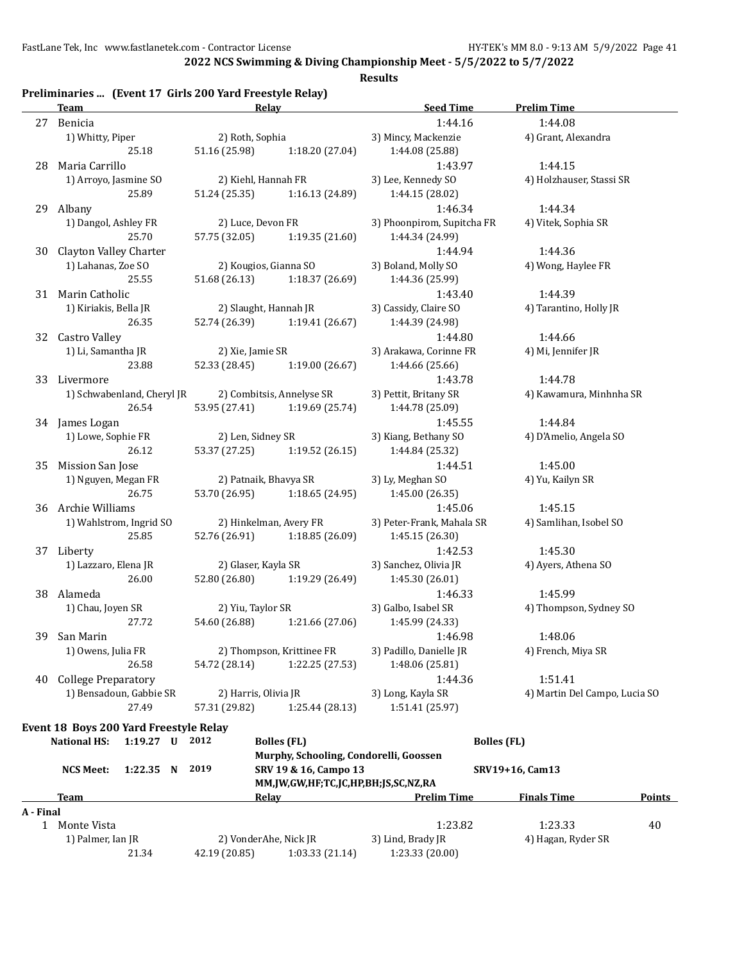**2022 NCS Swimming & Diving Championship Meet - 5/5/2022 to 5/7/2022**

| Preliminaries  (Event 17 Girls 200 Yard Freestyle Relay) |  |  |
|----------------------------------------------------------|--|--|
|----------------------------------------------------------|--|--|

|              | <b>Team</b>                            | Relay                 |                                        | <b>Seed Time</b>           | <b>Prelim Time</b>            |               |
|--------------|----------------------------------------|-----------------------|----------------------------------------|----------------------------|-------------------------------|---------------|
|              | 27 Benicia                             |                       |                                        | 1:44.16                    | 1:44.08                       |               |
|              | 1) Whitty, Piper                       | 2) Roth, Sophia       |                                        | 3) Mincy, Mackenzie        | 4) Grant, Alexandra           |               |
|              | 25.18                                  | 51.16 (25.98)         | 1:18.20 (27.04)                        | 1:44.08 (25.88)            |                               |               |
|              | 28 Maria Carrillo                      |                       |                                        | 1:43.97                    | 1:44.15                       |               |
|              | 1) Arroyo, Jasmine SO                  | 2) Kiehl, Hannah FR   |                                        | 3) Lee, Kennedy SO         | 4) Holzhauser, Stassi SR      |               |
|              | 25.89                                  | 51.24 (25.35)         | 1:16.13 (24.89)                        | 1:44.15 (28.02)            |                               |               |
|              | 29 Albany                              |                       |                                        | 1:46.34                    | 1:44.34                       |               |
|              | 1) Dangol, Ashley FR                   | 2) Luce, Devon FR     |                                        | 3) Phoonpirom, Supitcha FR | 4) Vitek, Sophia SR           |               |
|              | 25.70                                  | 57.75 (32.05)         | 1:19.35 (21.60)                        | 1:44.34 (24.99)            |                               |               |
|              | <b>Clayton Valley Charter</b>          |                       |                                        | 1:44.94                    | 1:44.36                       |               |
| 30           |                                        | 2) Kougios, Gianna SO |                                        |                            |                               |               |
|              | 1) Lahanas, Zoe SO                     |                       |                                        | 3) Boland, Molly SO        | 4) Wong, Haylee FR            |               |
|              | 25.55                                  | 51.68 (26.13)         | 1:18.37(26.69)                         | 1:44.36 (25.99)            |                               |               |
|              | 31 Marin Catholic                      |                       |                                        | 1:43.40                    | 1:44.39                       |               |
|              | 1) Kiriakis, Bella JR                  | 2) Slaught, Hannah JR |                                        | 3) Cassidy, Claire SO      | 4) Tarantino, Holly JR        |               |
|              | 26.35                                  | 52.74 (26.39)         | 1:19.41 (26.67)                        | 1:44.39 (24.98)            |                               |               |
| 32           | Castro Valley                          |                       |                                        | 1:44.80                    | 1:44.66                       |               |
|              | 1) Li, Samantha JR                     | 2) Xie, Jamie SR      |                                        | 3) Arakawa, Corinne FR     | 4) Mi, Jennifer JR            |               |
|              | 23.88                                  | 52.33 (28.45)         | 1:19.00 (26.67)                        | 1:44.66 (25.66)            |                               |               |
| 33           | Livermore                              |                       |                                        | 1:43.78                    | 1:44.78                       |               |
|              | 1) Schwabenland, Cheryl JR             |                       | 2) Combitsis, Annelyse SR              | 3) Pettit, Britany SR      | 4) Kawamura, Minhnha SR       |               |
|              | 26.54                                  | 53.95 (27.41)         | 1:19.69 (25.74)                        | 1:44.78 (25.09)            |                               |               |
|              | 34 James Logan                         |                       |                                        | 1:45.55                    | 1:44.84                       |               |
|              | 1) Lowe, Sophie FR                     | 2) Len, Sidney SR     |                                        | 3) Kiang, Bethany SO       | 4) D'Amelio, Angela SO        |               |
|              | 26.12                                  | 53.37 (27.25)         | 1:19.52 (26.15)                        | 1:44.84 (25.32)            |                               |               |
| 35           | Mission San Jose                       |                       |                                        | 1:44.51                    | 1:45.00                       |               |
|              | 1) Nguyen, Megan FR                    | 2) Patnaik, Bhavya SR |                                        | 3) Ly, Meghan SO           | 4) Yu, Kailyn SR              |               |
|              | 26.75                                  | 53.70 (26.95)         | 1:18.65 (24.95)                        | 1:45.00 (26.35)            |                               |               |
|              |                                        |                       |                                        |                            |                               |               |
|              | 36 Archie Williams                     |                       |                                        | 1:45.06                    | 1:45.15                       |               |
|              | 1) Wahlstrom, Ingrid SO                |                       | 2) Hinkelman, Avery FR                 | 3) Peter-Frank, Mahala SR  | 4) Samlihan, Isobel SO        |               |
|              | 25.85                                  | 52.76 (26.91)         | 1:18.85 (26.09)                        | 1:45.15 (26.30)            |                               |               |
|              | 37 Liberty                             |                       |                                        | 1:42.53                    | 1:45.30                       |               |
|              | 1) Lazzaro, Elena JR                   | 2) Glaser, Kayla SR   |                                        | 3) Sanchez, Olivia JR      | 4) Ayers, Athena SO           |               |
|              | 26.00                                  | 52.80 (26.80)         | 1:19.29 (26.49)                        | 1:45.30 (26.01)            |                               |               |
|              | 38 Alameda                             |                       |                                        | 1:46.33                    | 1:45.99                       |               |
|              | 1) Chau, Joyen SR                      | 2) Yiu, Taylor SR     |                                        | 3) Galbo, Isabel SR        | 4) Thompson, Sydney SO        |               |
|              | 27.72                                  | 54.60 (26.88)         | 1:21.66 (27.06)                        | 1:45.99 (24.33)            |                               |               |
| 39           | San Marin                              |                       |                                        | 1:46.98                    | 1:48.06                       |               |
|              | 1) Owens, Julia FR                     |                       | 2) Thompson, Krittinee FR              | 3) Padillo, Danielle JR    | 4) French, Miya SR            |               |
|              | 26.58                                  | 54.72 (28.14)         | 1:22.25 (27.53)                        | 1:48.06 (25.81)            |                               |               |
| 40           | <b>College Preparatory</b>             |                       |                                        | 1:44.36                    | 1:51.41                       |               |
|              | 1) Bensadoun, Gabbie SR                | 2) Harris, Olivia JR  |                                        | 3) Long, Kayla SR          | 4) Martin Del Campo, Lucia SO |               |
|              | 27.49                                  | 57.31 (29.82)         | 1:25.44(28.13)                         | 1:51.41 (25.97)            |                               |               |
|              |                                        |                       |                                        |                            |                               |               |
|              | Event 18 Boys 200 Yard Freestyle Relay |                       |                                        |                            |                               |               |
|              | <b>National HS:</b><br>$1:19.27$ U     | 2012                  | <b>Bolles (FL)</b>                     | <b>Bolles</b> (FL)         |                               |               |
|              |                                        |                       | Murphy, Schooling, Condorelli, Goossen |                            |                               |               |
|              | <b>NCS Meet:</b><br>1:22.35 N          | 2019                  | SRV 19 & 16, Campo 13                  |                            | SRV19+16, Cam13               |               |
|              |                                        |                       | MM,JW,GW,HF;TC,JC,HP,BH;JS,SC,NZ,RA    |                            |                               |               |
|              | <b>Team</b>                            |                       | <b>Relay Example 2018</b>              | <b>Prelim Time</b>         | <b>Finals Time</b>            | <b>Points</b> |
| A - Final    |                                        |                       |                                        |                            |                               |               |
| $\mathbf{1}$ | Monte Vista                            |                       |                                        | 1:23.82                    | 1:23.33                       | 40            |
|              | 1) Palmer, Ian JR                      | 2) VonderAhe, Nick JR |                                        | 3) Lind, Brady JR          | 4) Hagan, Ryder SR            |               |
|              | 21.34                                  | 42.19 (20.85)         | 1:03.33(21.14)                         | 1:23.33 (20.00)            |                               |               |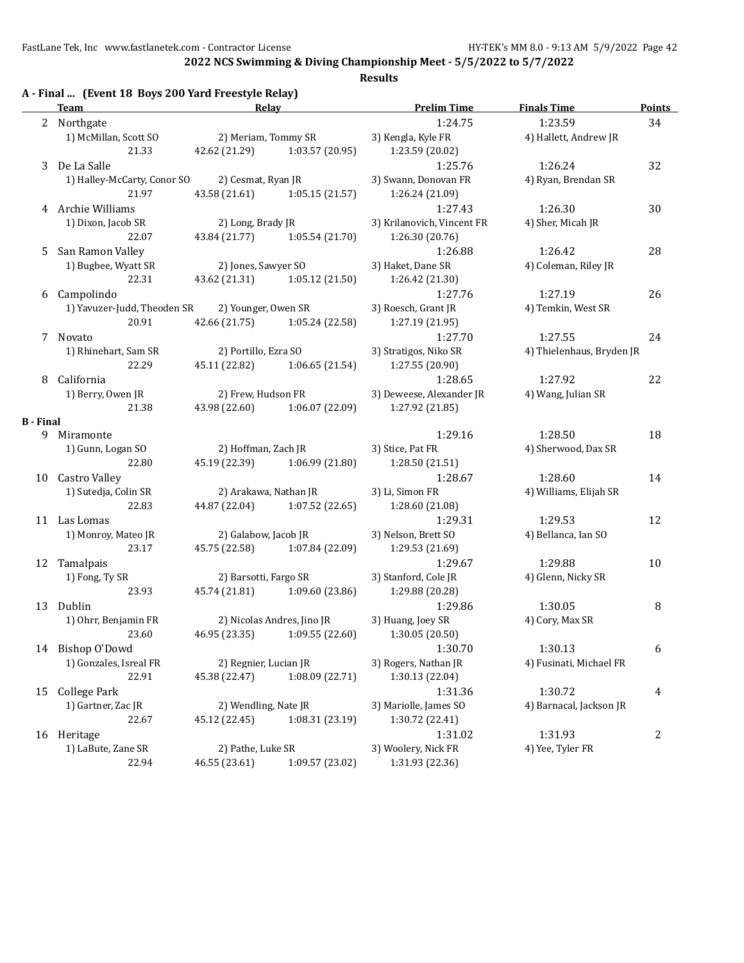**2022 NCS Swimming & Diving Championship Meet - 5/5/2022 to 5/7/2022**

|  |  | A - Final  (Event 18 Boys 200 Yard Freestyle Relay) |
|--|--|-----------------------------------------------------|
|  |  |                                                     |

|                  | <b>Team</b>                 | Relay                 |                               | <b>Prelim Time</b>         | <b>Finals Time</b>        | Points     |
|------------------|-----------------------------|-----------------------|-------------------------------|----------------------------|---------------------------|------------|
|                  | 2 Northgate                 |                       |                               | 1:24.75                    | 1:23.59                   | 34         |
|                  | 1) McMillan, Scott SO       | 2) Meriam, Tommy SR   |                               | 3) Kengla, Kyle FR         | 4) Hallett, Andrew JR     |            |
|                  | 21.33                       | 42.62 (21.29)         | 1:03.57 (20.95)               | 1:23.59 (20.02)            |                           |            |
|                  | 3 De La Salle               |                       |                               | 1:25.76                    | 1:26.24                   | 32         |
|                  | 1) Halley-McCarty, Conor SO | 2) Cesmat, Ryan JR    |                               | 3) Swann, Donovan FR       | 4) Ryan, Brendan SR       |            |
|                  | 21.97                       | 43.58 (21.61)         | 1:05.15(21.57)                | 1:26.24 (21.09)            |                           |            |
|                  | 4 Archie Williams           |                       |                               | 1:27.43                    | 1:26.30                   | 30         |
|                  | 1) Dixon, Jacob SR          | 2) Long, Brady JR     |                               | 3) Krilanovich, Vincent FR | 4) Sher, Micah JR         |            |
|                  | 22.07                       | 43.84 (21.77)         | 1:05.54 (21.70)               | 1:26.30 (20.76)            |                           |            |
| 5                | San Ramon Valley            |                       |                               | 1:26.88                    | 1:26.42                   | 28         |
|                  | 1) Bugbee, Wyatt SR         | 2) Jones, Sawyer SO   |                               | 3) Haket, Dane SR          | 4) Coleman, Riley JR      |            |
|                  | 22.31                       |                       | 43.62 (21.31) 1:05.12 (21.50) | 1:26.42 (21.30)            |                           |            |
|                  | 6 Campolindo                |                       |                               | 1:27.76                    | 1:27.19                   | 26         |
|                  | 1) Yavuzer-Judd, Theoden SR | 2) Younger, Owen SR   |                               | 3) Roesch, Grant JR        | 4) Temkin, West SR        |            |
|                  | 20.91                       |                       | 42.66 (21.75) 1:05.24 (22.58) | 1:27.19 (21.95)            |                           |            |
|                  | 7 Novato                    |                       |                               | 1:27.70                    | 1:27.55                   | 24         |
|                  | 1) Rhinehart, Sam SR        | 2) Portillo, Ezra SO  |                               | 3) Stratigos, Niko SR      | 4) Thielenhaus, Bryden JR |            |
|                  | 22.29                       |                       | 45.11 (22.82) 1:06.65 (21.54) |                            |                           |            |
|                  |                             |                       |                               | 1:27.55 (20.90)            |                           |            |
| 8                | California                  |                       |                               | 1:28.65                    | 1:27.92                   | 22         |
|                  | 1) Berry, Owen JR           | 2) Frew, Hudson FR    |                               | 3) Deweese, Alexander JR   | 4) Wang, Julian SR        |            |
|                  | 21.38                       |                       | 43.98 (22.60) 1:06.07 (22.09) | 1:27.92 (21.85)            |                           |            |
| <b>B</b> - Final | 9 Miramonte                 |                       |                               | 1:29.16                    | 1:28.50                   | 18         |
|                  | 1) Gunn, Logan SO           | 2) Hoffman, Zach JR   |                               | 3) Stice, Pat FR           | 4) Sherwood, Dax SR       |            |
|                  | 22.80                       |                       |                               |                            |                           |            |
|                  |                             |                       | 45.19 (22.39) 1:06.99 (21.80) | 1:28.50 (21.51)            |                           |            |
|                  | 10 Castro Valley            |                       |                               | 1:28.67                    | 1:28.60                   | 14         |
|                  | 1) Sutedja, Colin SR        | 2) Arakawa, Nathan JR |                               | 3) Li, Simon FR            | 4) Williams, Elijah SR    |            |
|                  | 22.83                       |                       | 44.87 (22.04) 1:07.52 (22.65) | 1:28.60 (21.08)            |                           |            |
|                  | 11 Las Lomas                |                       |                               | 1:29.31                    | 1:29.53                   | 12         |
|                  | 1) Monroy, Mateo JR         | 2) Galabow, Jacob JR  |                               | 3) Nelson, Brett SO        | 4) Bellanca, Ian SO       |            |
|                  | 23.17                       |                       | 45.75 (22.58) 1:07.84 (22.09) | 1:29.53 (21.69)            |                           |            |
| 12               | Tamalpais                   |                       |                               | 1:29.67                    | 1:29.88                   | 10         |
|                  | 1) Fong, Ty SR              | 2) Barsotti, Fargo SR |                               | 3) Stanford, Cole JR       | 4) Glenn, Nicky SR        |            |
|                  | 23.93                       |                       | 45.74 (21.81) 1:09.60 (23.86) | 1:29.88 (20.28)            |                           |            |
|                  | 13 Dublin                   |                       |                               | 1:29.86                    | 1:30.05                   | 8          |
|                  | 1) Ohrr, Benjamin FR        |                       | 2) Nicolas Andres, Jino JR    | 3) Huang, Joey SR          | 4) Cory, Max SR           |            |
|                  | 23.60                       |                       | 46.95 (23.35) 1:09.55 (22.60) | 1:30.05 (20.50)            |                           |            |
|                  | 14 Bishop O'Dowd            |                       |                               | 1:30.70                    | 1:30.13                   | 6          |
|                  | 1) Gonzales, Isreal FR      | 2) Regnier, Lucian JR |                               | 3) Rogers, Nathan JR       | 4) Fusinati, Michael FR   |            |
|                  | 22.91                       | 45.38 (22.47)         | 1:08.09 (22.71)               | 1:30.13 (22.04)            |                           |            |
| 15               | College Park                |                       |                               | 1:31.36                    | 1:30.72                   | 4          |
|                  | 1) Gartner, Zac JR          | 2) Wendling, Nate JR  |                               | 3) Mariolle, James SO      | 4) Barnacal, Jackson JR   |            |
|                  | 22.67                       | 45.12 (22.45)         | 1:08.31 (23.19)               | 1:30.72 (22.41)            |                           |            |
|                  | 16 Heritage                 |                       |                               | 1:31.02                    | 1:31.93                   | $\sqrt{2}$ |
|                  | 1) LaBute, Zane SR          | 2) Pathe, Luke SR     |                               | 3) Woolery, Nick FR        | 4) Yee, Tyler FR          |            |
|                  | 22.94                       | 46.55 (23.61)         | 1:09.57 (23.02)               | 1:31.93 (22.36)            |                           |            |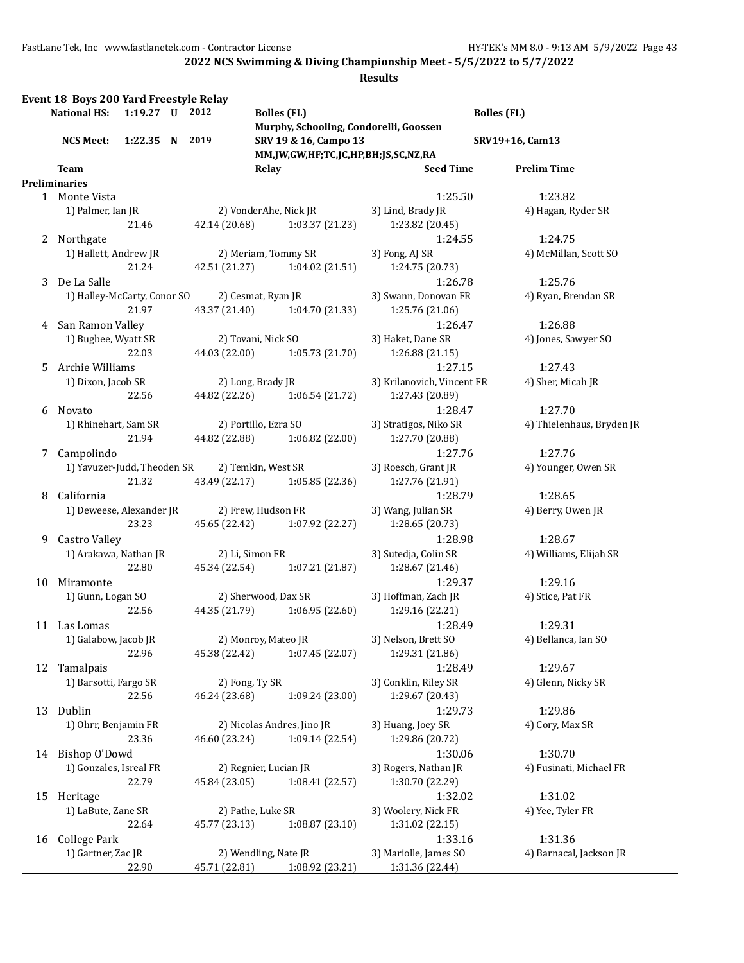|    | Event 18 Boys 200 Yard Freestyle Relay<br><b>National HS:</b> | 1:19.27 U 2012 |                 | <b>Bolles (FL)</b>                                                                                     | <b>Bolles (FL)</b>         |                           |
|----|---------------------------------------------------------------|----------------|-----------------|--------------------------------------------------------------------------------------------------------|----------------------------|---------------------------|
|    | <b>NCS Meet:</b>                                              | 1:22.35 N 2019 |                 | Murphy, Schooling, Condorelli, Goossen<br>SRV 19 & 16, Campo 13<br>MM,JW,GW,HF;TC,JC,HP,BH;JS,SC,NZ,RA |                            | SRV19+16, Cam13           |
|    | Team                                                          |                |                 | Relay                                                                                                  | <b>Seed Time</b>           | <b>Prelim Time</b>        |
|    | <b>Preliminaries</b>                                          |                |                 |                                                                                                        |                            |                           |
|    | 1 Monte Vista                                                 |                |                 |                                                                                                        | 1:25.50                    | 1:23.82                   |
|    | 1) Palmer, Ian JR                                             |                |                 | 2) VonderAhe, Nick JR                                                                                  | 3) Lind, Brady JR          | 4) Hagan, Ryder SR        |
|    |                                                               | 21.46          | 42.14 (20.68)   | 1:03.37 (21.23)                                                                                        | 1:23.82 (20.45)            |                           |
|    | 2 Northgate                                                   |                |                 |                                                                                                        | 1:24.55                    | 1:24.75                   |
|    | 1) Hallett, Andrew JR                                         |                |                 | 2) Meriam, Tommy SR                                                                                    | 3) Fong, AJ SR             | 4) McMillan, Scott SO     |
|    |                                                               | 21.24          | 42.51 (21.27)   | 1:04.02 (21.51)                                                                                        | 1:24.75 (20.73)            |                           |
|    |                                                               |                |                 |                                                                                                        |                            |                           |
| 3  | De La Salle                                                   |                |                 |                                                                                                        | 1:26.78                    | 1:25.76                   |
|    | 1) Halley-McCarty, Conor SO                                   |                |                 | 2) Cesmat, Ryan JR                                                                                     | 3) Swann, Donovan FR       | 4) Ryan, Brendan SR       |
|    |                                                               | 21.97          | 43.37 (21.40)   | 1:04.70(21.33)                                                                                         | 1:25.76 (21.06)            |                           |
| 4  | San Ramon Valley                                              |                |                 |                                                                                                        | 1:26.47                    | 1:26.88                   |
|    | 1) Bugbee, Wyatt SR                                           |                |                 | 2) Tovani, Nick SO                                                                                     | 3) Haket, Dane SR          | 4) Jones, Sawyer SO       |
|    |                                                               | 22.03          | 44.03 (22.00)   | 1:05.73 (21.70)                                                                                        | 1:26.88(21.15)             |                           |
| 5  | Archie Williams                                               |                |                 |                                                                                                        | 1:27.15                    | 1:27.43                   |
|    | 1) Dixon, Jacob SR                                            |                |                 | 2) Long, Brady JR                                                                                      | 3) Krilanovich, Vincent FR | 4) Sher, Micah JR         |
|    |                                                               | 22.56          | 44.82 (22.26)   | 1:06.54 (21.72)                                                                                        | 1:27.43 (20.89)            |                           |
| 6  | Novato                                                        |                |                 |                                                                                                        | 1:28.47                    | 1:27.70                   |
|    | 1) Rhinehart, Sam SR                                          |                |                 | 2) Portillo, Ezra SO                                                                                   | 3) Stratigos, Niko SR      | 4) Thielenhaus, Bryden JR |
|    |                                                               | 21.94          | 44.82 (22.88)   | 1:06.82(22.00)                                                                                         | 1:27.70 (20.88)            |                           |
| 7  | Campolindo                                                    |                |                 |                                                                                                        | 1:27.76                    | 1:27.76                   |
|    | 1) Yavuzer-Judd, Theoden SR                                   |                |                 | 2) Temkin, West SR                                                                                     | 3) Roesch, Grant JR        | 4) Younger, Owen SR       |
|    |                                                               | 21.32          | 43.49 (22.17)   | 1:05.85(22.36)                                                                                         | 1:27.76 (21.91)            |                           |
| 8  | California                                                    |                |                 |                                                                                                        | 1:28.79                    | 1:28.65                   |
|    | 1) Deweese, Alexander JR                                      |                |                 | 2) Frew, Hudson FR                                                                                     | 3) Wang, Julian SR         | 4) Berry, Owen JR         |
|    |                                                               | 23.23          | 45.65 (22.42)   | 1:07.92 (22.27)                                                                                        | 1:28.65 (20.73)            |                           |
| 9  | Castro Valley                                                 |                |                 |                                                                                                        | 1:28.98                    | 1:28.67                   |
|    | 1) Arakawa, Nathan JR                                         |                | 2) Li, Simon FR |                                                                                                        | 3) Sutedja, Colin SR       | 4) Williams, Elijah SR    |
|    |                                                               | 22.80          | 45.34 (22.54)   | 1:07.21(21.87)                                                                                         | 1:28.67 (21.46)            |                           |
| 10 | Miramonte                                                     |                |                 |                                                                                                        | 1:29.37                    | 1:29.16                   |
|    | 1) Gunn, Logan SO                                             |                |                 | 2) Sherwood, Dax SR                                                                                    | 3) Hoffman, Zach JR        | 4) Stice, Pat FR          |
|    |                                                               | 22.56          | 44.35 (21.79)   | 1:06.95(22.60)                                                                                         | 1:29.16 (22.21)            |                           |
|    | 11 Las Lomas                                                  |                |                 |                                                                                                        | 1:28.49                    | 1:29.31                   |
|    | 1) Galabow, Jacob JR                                          |                |                 | 2) Monroy, Mateo JR                                                                                    | 3) Nelson, Brett SO        | 4) Bellanca, Ian SO       |
|    |                                                               | 22.96          | 45.38 (22.42)   | 1:07.45(22.07)                                                                                         | 1:29.31 (21.86)            |                           |
| 12 | Tamalpais                                                     |                |                 |                                                                                                        | 1:28.49                    | 1:29.67                   |
|    | 1) Barsotti, Fargo SR                                         |                | 2) Fong, Ty SR  |                                                                                                        | 3) Conklin, Riley SR       | 4) Glenn, Nicky SR        |
|    |                                                               | 22.56          | 46.24 (23.68)   | 1:09.24 (23.00)                                                                                        | 1:29.67 (20.43)            |                           |
|    | 13 Dublin                                                     |                |                 |                                                                                                        | 1:29.73                    | 1:29.86                   |
|    | 1) Ohrr, Benjamin FR                                          |                |                 | 2) Nicolas Andres, Jino JR                                                                             | 3) Huang, Joey SR          | 4) Cory, Max SR           |
|    |                                                               | 23.36          | 46.60 (23.24)   | 1:09.14 (22.54)                                                                                        | 1:29.86 (20.72)            |                           |
|    | 14 Bishop O'Dowd                                              |                |                 |                                                                                                        | 1:30.06                    | 1:30.70                   |
|    | 1) Gonzales, Isreal FR                                        |                |                 |                                                                                                        | 3) Rogers, Nathan JR       | 4) Fusinati, Michael FR   |
|    |                                                               | 22.79          |                 | 2) Regnier, Lucian JR                                                                                  |                            |                           |
|    |                                                               |                | 45.84 (23.05)   | 1:08.41 (22.57)                                                                                        | 1:30.70 (22.29)            |                           |
| 15 | Heritage                                                      |                |                 |                                                                                                        | 1:32.02                    | 1:31.02                   |
|    | 1) LaBute, Zane SR                                            |                |                 | 2) Pathe, Luke SR                                                                                      | 3) Woolery, Nick FR        | 4) Yee, Tyler FR          |
|    |                                                               | 22.64          | 45.77 (23.13)   | 1:08.87(23.10)                                                                                         | 1:31.02 (22.15)            |                           |
| 16 | <b>College Park</b>                                           |                |                 |                                                                                                        | 1:33.16                    | 1:31.36                   |
|    | 1) Gartner, Zac JR                                            |                |                 | 2) Wendling, Nate JR                                                                                   | 3) Mariolle, James SO      | 4) Barnacal, Jackson JR   |
|    |                                                               | 22.90          | 45.71 (22.81)   | 1:08.92 (23.21)                                                                                        | 1:31.36 (22.44)            |                           |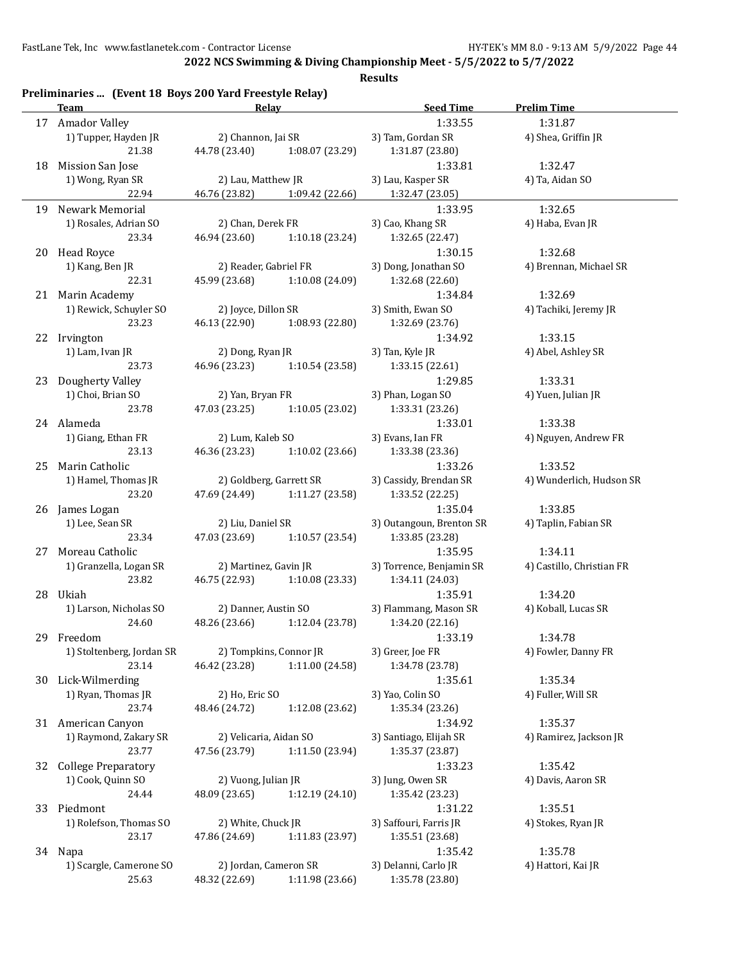**2022 NCS Swimming & Diving Championship Meet - 5/5/2022 to 5/7/2022**

|    | Team                                     | Relay                         |                 | <b>Seed Time</b>             | <b>Prelim Time</b>        |
|----|------------------------------------------|-------------------------------|-----------------|------------------------------|---------------------------|
|    | 17 Amador Valley                         |                               |                 | 1:33.55                      | 1:31.87                   |
|    | 1) Tupper, Hayden JR                     | 2) Channon, Jai SR            |                 | 3) Tam, Gordan SR            | 4) Shea, Griffin JR       |
|    | 21.38                                    | 44.78 (23.40)                 | 1:08.07 (23.29) | 1:31.87 (23.80)              |                           |
|    | 18 Mission San Jose                      |                               |                 | 1:33.81                      | 1:32.47                   |
|    | 1) Wong, Ryan SR                         | 2) Lau, Matthew JR            |                 | 3) Lau, Kasper SR            | 4) Ta, Aidan SO           |
|    | 22.94                                    | 46.76 (23.82) 1:09.42 (22.66) |                 | 1:32.47 (23.05)              |                           |
|    |                                          |                               |                 |                              |                           |
|    | 19 Newark Memorial                       |                               |                 | 1:33.95                      | 1:32.65                   |
|    | 1) Rosales, Adrian SO                    | 2) Chan, Derek FR             |                 | 3) Cao, Khang SR             | 4) Haba, Evan JR          |
|    | 23.34                                    | 46.94 (23.60)                 | 1:10.18 (23.24) | 1:32.65 (22.47)              |                           |
|    | 20 Head Royce                            |                               |                 | 1:30.15                      | 1:32.68                   |
|    | 1) Kang, Ben JR                          | 2) Reader, Gabriel FR         |                 | 3) Dong, Jonathan SO         | 4) Brennan, Michael SR    |
|    | 22.31                                    | 45.99 (23.68) 1:10.08 (24.09) |                 | 1:32.68 (22.60)              |                           |
|    | 21 Marin Academy                         |                               |                 | 1:34.84                      | 1:32.69                   |
|    | 1) Rewick, Schuyler SO                   | 2) Joyce, Dillon SR           |                 | 3) Smith, Ewan SO            | 4) Tachiki, Jeremy JR     |
|    | 23.23                                    | 46.13 (22.90) 1:08.93 (22.80) |                 | 1:32.69 (23.76)              |                           |
|    | 22 Irvington                             |                               |                 | 1:34.92                      | 1:33.15                   |
|    | 1) Lam, Ivan JR                          | 2) Dong, Ryan JR              |                 | 3) Tan, Kyle JR              | 4) Abel, Ashley SR        |
|    | 23.73                                    | 46.96 (23.23) 1:10.54 (23.58) |                 | 1:33.15 (22.61)              |                           |
|    |                                          |                               |                 |                              |                           |
|    | 23 Dougherty Valley<br>1) Choi, Brian SO |                               |                 | 1:29.85<br>3) Phan, Logan SO | 1:33.31                   |
|    |                                          | 2) Yan, Bryan FR              |                 |                              | 4) Yuen, Julian JR        |
|    | 23.78                                    | 47.03 (23.25)                 | 1:10.05(23.02)  | 1:33.31 (23.26)              |                           |
|    | 24 Alameda                               |                               |                 | 1:33.01                      | 1:33.38                   |
|    | 1) Giang, Ethan FR                       | 2) Lum, Kaleb SO              |                 | 3) Evans, Ian FR             | 4) Nguyen, Andrew FR      |
|    | 23.13                                    | 46.36 (23.23)                 | 1:10.02 (23.66) | 1:33.38 (23.36)              |                           |
|    | 25 Marin Catholic                        |                               |                 | 1:33.26                      | 1:33.52                   |
|    | 1) Hamel, Thomas JR                      | 2) Goldberg, Garrett SR       |                 | 3) Cassidy, Brendan SR       | 4) Wunderlich, Hudson SR  |
|    | 23.20                                    | 47.69 (24.49) 1:11.27 (23.58) |                 | 1:33.52 (22.25)              |                           |
|    | 26 James Logan                           |                               |                 | 1:35.04                      | 1:33.85                   |
|    | 1) Lee, Sean SR                          | 2) Liu, Daniel SR             |                 | 3) Outangoun, Brenton SR     | 4) Taplin, Fabian SR      |
|    | 23.34                                    | 47.03 (23.69) 1:10.57 (23.54) |                 | 1:33.85 (23.28)              |                           |
|    | 27 Moreau Catholic                       |                               |                 | 1:35.95                      | 1:34.11                   |
|    | 1) Granzella, Logan SR                   | 2) Martinez, Gavin JR         |                 | 3) Torrence, Benjamin SR     | 4) Castillo, Christian FR |
|    |                                          |                               |                 |                              |                           |
|    | 23.82                                    | 46.75 (22.93) 1:10.08 (23.33) |                 | 1:34.11 (24.03)              |                           |
|    | 28 Ukiah                                 |                               |                 | 1:35.91                      | 1:34.20                   |
|    | 1) Larson, Nicholas SO                   | 2) Danner, Austin SO          |                 | 3) Flammang, Mason SR        | 4) Koball, Lucas SR       |
|    | 24.60                                    | 48.26 (23.66)                 | 1:12.04 (23.78) | 1:34.20 (22.16)              |                           |
| 29 | Freedom                                  |                               |                 | 1:33.19                      | 1:34.78                   |
|    | 1) Stoltenberg, Jordan SR                | 2) Tompkins, Connor JR        |                 | 3) Greer, Joe FR             | 4) Fowler, Danny FR       |
|    | 23.14                                    | 46.42 (23.28)                 | 1:11.00 (24.58) | 1:34.78 (23.78)              |                           |
|    | 30 Lick-Wilmerding                       |                               |                 | 1:35.61                      | 1:35.34                   |
|    | 1) Ryan, Thomas JR                       | 2) Ho, Eric SO                |                 | 3) Yao, Colin SO             | 4) Fuller, Will SR        |
|    | 23.74                                    | 48.46 (24.72)                 | 1:12.08 (23.62) | 1:35.34 (23.26)              |                           |
|    | 31 American Canyon                       |                               |                 | 1:34.92                      | 1:35.37                   |
|    | 1) Raymond, Zakary SR                    | 2) Velicaria, Aidan SO        |                 | 3) Santiago, Elijah SR       | 4) Ramirez, Jackson JR    |
|    | 23.77                                    | 47.56 (23.79)                 | 1:11.50 (23.94) | 1:35.37 (23.87)              |                           |
|    | 32 College Preparatory                   |                               |                 | 1:33.23                      | 1:35.42                   |
|    | 1) Cook, Quinn SO                        |                               |                 | 3) Jung, Owen SR             |                           |
|    |                                          | 2) Vuong, Julian JR           |                 |                              | 4) Davis, Aaron SR        |
|    | 24.44                                    | 48.09 (23.65)                 | 1:12.19 (24.10) | 1:35.42 (23.23)              |                           |
|    | 33 Piedmont                              |                               |                 | 1:31.22                      | 1:35.51                   |
|    | 1) Rolefson, Thomas SO                   | 2) White, Chuck JR            |                 | 3) Saffouri, Farris JR       | 4) Stokes, Ryan JR        |
|    | 23.17                                    | 47.86 (24.69)                 | 1:11.83 (23.97) | 1:35.51 (23.68)              |                           |
|    | 34 Napa                                  |                               |                 | 1:35.42                      | 1:35.78                   |
|    | 1) Scargle, Camerone SO                  | 2) Jordan, Cameron SR         |                 | 3) Delanni, Carlo JR         | 4) Hattori, Kai JR        |
|    | 25.63                                    | 48.32 (22.69)                 | 1:11.98 (23.66) | 1:35.78 (23.80)              |                           |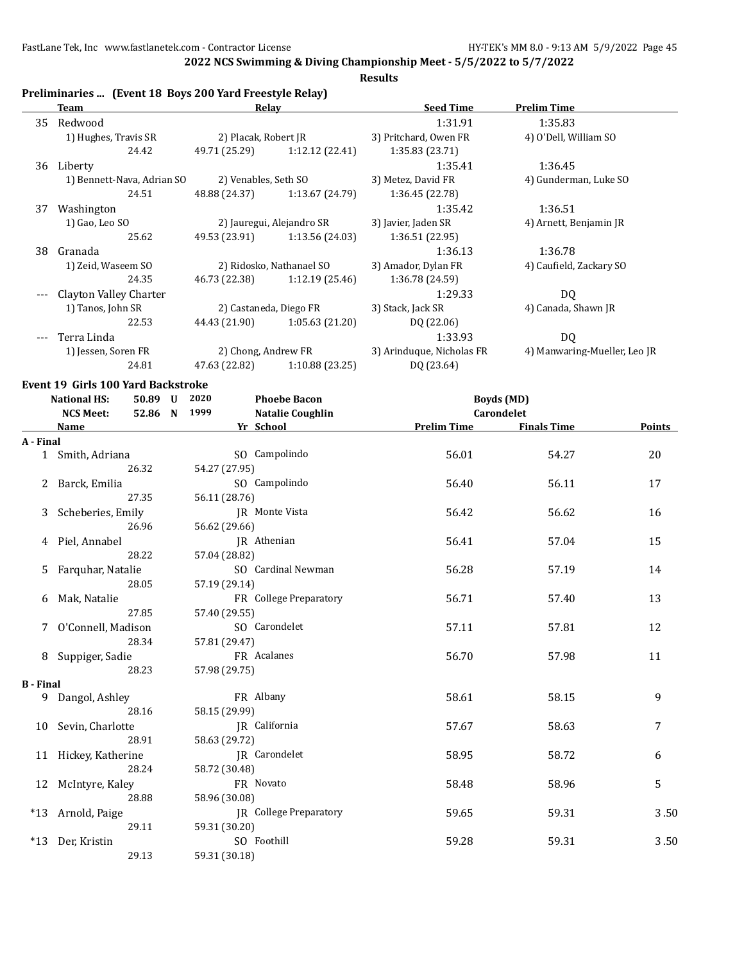#### **Results**

|       | Team                       | Relay                |                           | <b>Seed Time</b>          | <b>Prelim Time</b>           |  |
|-------|----------------------------|----------------------|---------------------------|---------------------------|------------------------------|--|
| 35    | Redwood                    |                      |                           | 1:31.91                   | 1:35.83                      |  |
|       | 1) Hughes, Travis SR       | 2) Placak, Robert JR |                           | 3) Pritchard, Owen FR     | 4) O'Dell, William SO        |  |
|       | 24.42                      | 49.71 (25.29)        | 1:12.12(22.41)            | 1:35.83 (23.71)           |                              |  |
| 36    | Liberty                    |                      |                           | 1:35.41                   | 1:36.45                      |  |
|       | 1) Bennett-Nava, Adrian SO | 2) Venables, Seth SO |                           | 3) Metez, David FR        | 4) Gunderman, Luke SO        |  |
|       | 24.51                      | 48.88 (24.37)        | 1:13.67 (24.79)           | 1:36.45 (22.78)           |                              |  |
| 37    | Washington                 |                      |                           | 1:35.42                   | 1:36.51                      |  |
|       | 1) Gao, Leo SO             |                      | 2) Jauregui, Alejandro SR | 3) Javier, Jaden SR       | 4) Arnett, Benjamin JR       |  |
|       | 25.62                      | 49.53 (23.91)        | 1:13.56 (24.03)           | 1:36.51 (22.95)           |                              |  |
| 38    | Granada                    |                      |                           | 1:36.13                   | 1:36.78                      |  |
|       | 1) Zeid, Waseem SO         |                      | 2) Ridosko, Nathanael SO  | 3) Amador, Dylan FR       | 4) Caufield, Zackary SO      |  |
|       | 24.35                      | 46.73 (22.38)        | 1:12.19(25.46)            | 1:36.78 (24.59)           |                              |  |
|       | Clayton Valley Charter     |                      |                           | 1:29.33                   | DQ                           |  |
|       | 1) Tanos, John SR          |                      | 2) Castaneda, Diego FR    | 3) Stack, Jack SR         | 4) Canada, Shawn JR          |  |
|       | 22.53                      | 44.43 (21.90)        | 1:05.63 (21.20)           | DQ (22.06)                |                              |  |
| $---$ | Terra Linda                |                      |                           | 1:33.93                   | DQ                           |  |
|       | 1) Jessen, Soren FR        | 2) Chong, Andrew FR  |                           | 3) Arinduque, Nicholas FR | 4) Manwaring-Mueller, Leo JR |  |
|       | 24.81                      | 47.63 (22.82)        | 1:10.88 (23.25)           | DQ (23.64)                |                              |  |

#### **Event 19 Girls 100 Yard Backstroke**

|                  | <b>National HS:</b><br>50.89 U | 2020          | <b>Phoebe Bacon</b>           |                    | <b>Boyds</b> (MD)  |               |  |
|------------------|--------------------------------|---------------|-------------------------------|--------------------|--------------------|---------------|--|
|                  | <b>NCS Meet:</b><br>52.86 N    | 1999          | <b>Natalie Coughlin</b>       |                    | Carondelet         |               |  |
|                  | <b>Name</b>                    |               | Yr School                     | <b>Prelim Time</b> | <b>Finals Time</b> | <b>Points</b> |  |
| A - Final        |                                |               |                               |                    |                    |               |  |
|                  | 1 Smith, Adriana               |               | SO Campolindo                 | 56.01              | 54.27              | 20            |  |
|                  | 26.32                          | 54.27 (27.95) |                               |                    |                    |               |  |
|                  | 2 Barck, Emilia                |               | SO Campolindo                 | 56.40              | 56.11              | 17            |  |
|                  | 27.35                          | 56.11 (28.76) |                               |                    |                    |               |  |
|                  | 3 Scheberies, Emily            |               | JR Monte Vista                | 56.42              | 56.62              | 16            |  |
|                  | 26.96                          | 56.62 (29.66) |                               |                    |                    |               |  |
| 4                | Piel, Annabel                  |               | IR Athenian                   | 56.41              | 57.04              | 15            |  |
|                  | 28.22                          | 57.04 (28.82) |                               |                    |                    |               |  |
| 5                | Farquhar, Natalie              |               | SO Cardinal Newman            | 56.28              | 57.19              | 14            |  |
|                  | 28.05                          | 57.19 (29.14) |                               |                    |                    |               |  |
| 6                | Mak, Natalie                   |               | FR College Preparatory        | 56.71              | 57.40              | 13            |  |
|                  | 27.85                          | 57.40 (29.55) |                               |                    |                    |               |  |
|                  | O'Connell, Madison             |               | SO Carondelet                 | 57.11              | 57.81              | 12            |  |
|                  | 28.34                          | 57.81 (29.47) |                               |                    |                    |               |  |
|                  | 8 Suppiger, Sadie              |               | FR Acalanes                   | 56.70              | 57.98              | 11            |  |
|                  | 28.23                          | 57.98 (29.75) |                               |                    |                    |               |  |
| <b>B</b> - Final |                                |               |                               |                    |                    |               |  |
|                  | 9 Dangol, Ashley<br>28.16      |               | FR Albany                     | 58.61              | 58.15              | 9             |  |
|                  |                                | 58.15 (29.99) |                               | 57.67              |                    | 7             |  |
|                  | 10 Sevin, Charlotte<br>28.91   | 58.63 (29.72) | JR California                 |                    | 58.63              |               |  |
|                  |                                |               | JR Carondelet                 | 58.95              | 58.72              | 6             |  |
|                  | 11 Hickey, Katherine<br>28.24  | 58.72 (30.48) |                               |                    |                    |               |  |
|                  |                                |               | FR Novato                     | 58.48              | 58.96              | 5             |  |
|                  | 12 McIntyre, Kaley<br>28.88    | 58.96 (30.08) |                               |                    |                    |               |  |
|                  | *13 Arnold, Paige              |               | <b>JR</b> College Preparatory | 59.65              | 59.31              | 3.50          |  |
|                  | 29.11                          | 59.31 (30.20) |                               |                    |                    |               |  |
|                  | *13 Der, Kristin               |               | SO Foothill                   | 59.28              | 59.31              | 3.50          |  |
|                  | 29.13                          | 59.31 (30.18) |                               |                    |                    |               |  |
|                  |                                |               |                               |                    |                    |               |  |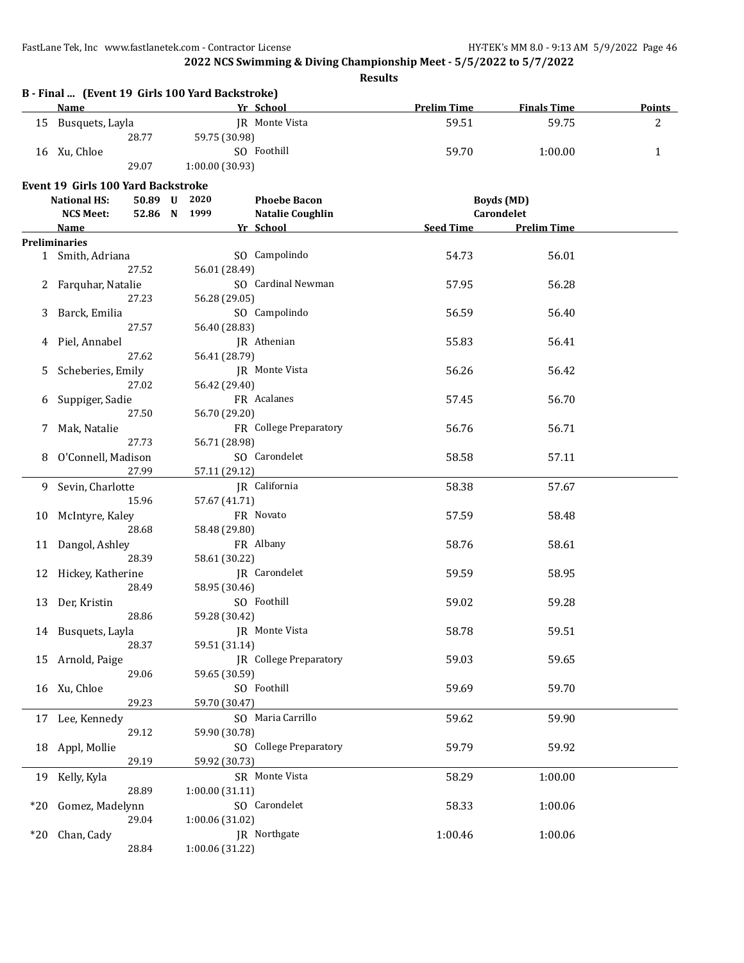**2022 NCS Swimming & Diving Championship Meet - 5/5/2022 to 5/7/2022**

|     | B - Final  (Event 19 Girls 100 Yard Backstroke)<br>Name | <b>Example 18 Yr School</b> |                               |           | <b>Prelim Time Finals Time</b> | <b>Points</b> |
|-----|---------------------------------------------------------|-----------------------------|-------------------------------|-----------|--------------------------------|---------------|
|     | 15 Busquets, Layla                                      |                             | JR Monte Vista                | 59.51     | 59.75                          | 2             |
|     | 28.77                                                   | 59.75 (30.98)               |                               |           |                                |               |
|     | 16 Xu, Chloe                                            |                             | SO Foothill                   | 59.70     | 1:00.00                        | $\mathbf{1}$  |
|     | 29.07                                                   | 1:00.00 (30.93)             |                               |           |                                |               |
|     |                                                         |                             |                               |           |                                |               |
|     | Event 19 Girls 100 Yard Backstroke                      |                             |                               |           |                                |               |
|     | <b>National HS:</b>                                     | 50.89 U 2020                | <b>Phoebe Bacon</b>           |           | <b>Boyds</b> (MD)              |               |
|     | <b>NCS Meet:</b>                                        | 52.86 N 1999                | <b>Natalie Coughlin</b>       |           | Carondelet                     |               |
|     | <b>Name</b>                                             |                             | Yr School                     | Seed Time | <b>Prelim Time</b>             |               |
|     | <b>Preliminaries</b>                                    |                             |                               |           |                                |               |
|     | 1 Smith, Adriana                                        |                             | SO Campolindo                 | 54.73     | 56.01                          |               |
|     | 27.52                                                   | 56.01 (28.49)               |                               |           |                                |               |
|     | 2 Farquhar, Natalie                                     |                             | SO Cardinal Newman            | 57.95     | 56.28                          |               |
|     | 27.23                                                   | 56.28 (29.05)               |                               |           |                                |               |
| 3   | Barck, Emilia                                           |                             | SO Campolindo                 | 56.59     | 56.40                          |               |
|     | 27.57                                                   | 56.40 (28.83)               |                               |           |                                |               |
|     | 4 Piel, Annabel                                         |                             | JR Athenian                   | 55.83     | 56.41                          |               |
|     | 27.62                                                   | 56.41 (28.79)               |                               |           |                                |               |
| 5.  | Scheberies, Emily                                       |                             | JR Monte Vista                | 56.26     | 56.42                          |               |
|     | 27.02                                                   | 56.42 (29.40)               |                               |           |                                |               |
| 6   | Suppiger, Sadie                                         |                             | FR Acalanes                   | 57.45     | 56.70                          |               |
|     | 27.50                                                   | 56.70 (29.20)               |                               |           |                                |               |
| 7   | Mak, Natalie                                            |                             | FR College Preparatory        | 56.76     | 56.71                          |               |
|     | 27.73                                                   | 56.71 (28.98)               |                               |           |                                |               |
|     | 8 O'Connell, Madison                                    |                             | SO Carondelet                 | 58.58     | 57.11                          |               |
|     | 27.99                                                   | 57.11 (29.12)               |                               |           |                                |               |
|     | 9 Sevin, Charlotte                                      |                             | JR California                 | 58.38     | 57.67                          |               |
|     | 15.96                                                   | 57.67 (41.71)               |                               |           |                                |               |
|     |                                                         |                             | FR Novato                     |           |                                |               |
|     | 10 McIntyre, Kaley                                      |                             |                               | 57.59     | 58.48                          |               |
|     | 28.68                                                   | 58.48 (29.80)               |                               |           |                                |               |
|     | 11 Dangol, Ashley                                       |                             | FR Albany                     | 58.76     | 58.61                          |               |
|     | 28.39                                                   | 58.61 (30.22)               |                               |           |                                |               |
|     | 12 Hickey, Katherine                                    |                             | JR Carondelet                 | 59.59     | 58.95                          |               |
|     | 28.49                                                   | 58.95 (30.46)               |                               |           |                                |               |
|     | 13 Der, Kristin                                         |                             | SO Foothill                   | 59.02     | 59.28                          |               |
|     | 28.86                                                   | 59.28 (30.42)               |                               |           |                                |               |
|     | 14 Busquets, Layla                                      | JR Monte Vista              |                               | 58.78     | 59.51                          |               |
|     | 28.37                                                   | 59.51 (31.14)               |                               |           |                                |               |
|     | 15 Arnold, Paige                                        |                             | <b>JR</b> College Preparatory | 59.03     | 59.65                          |               |
|     | 29.06                                                   | 59.65 (30.59)               |                               |           |                                |               |
|     | 16 Xu, Chloe                                            |                             | SO Foothill                   | 59.69     | 59.70                          |               |
|     | 29.23                                                   | 59.70 (30.47)               |                               |           |                                |               |
| 17  | Lee, Kennedy                                            |                             | SO Maria Carrillo             | 59.62     | 59.90                          |               |
|     | 29.12                                                   | 59.90 (30.78)               |                               |           |                                |               |
| 18  | Appl, Mollie                                            |                             | SO College Preparatory        | 59.79     | 59.92                          |               |
|     | 29.19                                                   | 59.92 (30.73)               |                               |           |                                |               |
|     |                                                         |                             |                               |           |                                |               |
| 19  | Kelly, Kyla                                             |                             | SR Monte Vista                | 58.29     | 1:00.00                        |               |
|     | 28.89                                                   | 1:00.00(31.11)              |                               |           |                                |               |
| *20 | Gomez, Madelynn                                         |                             | SO Carondelet                 | 58.33     | 1:00.06                        |               |
|     | 29.04                                                   | 1:00.06 (31.02)             |                               |           |                                |               |
| *20 | Chan, Cady                                              |                             | JR Northgate                  | 1:00.46   | 1:00.06                        |               |
|     | 28.84                                                   | 1:00.06 (31.22)             |                               |           |                                |               |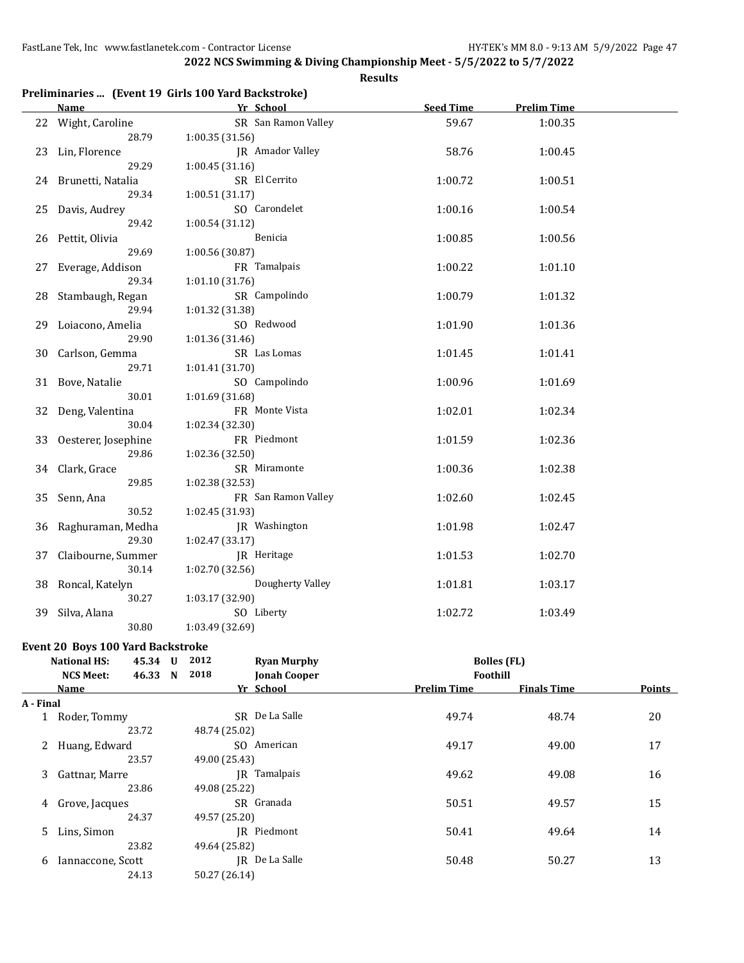29.86 1:02.36 (32.50)

29.85 1:02.38 (32.53)

30.52 1:02.45 (31.93)

29.30 1:02.47 (33.17)

30.14 1:02.70 (32.56)

30.27 1:03.17 (32.90)

30.80 1:03.49 (32.69)

**2022 NCS Swimming & Diving Championship Meet - 5/5/2022 to 5/7/2022**

**Results**

|    |                     | Preliminaries  (Event 19 Girls 100 Yard Backstroke) |                  |                    |
|----|---------------------|-----------------------------------------------------|------------------|--------------------|
|    | Name                | Yr School                                           | <b>Seed Time</b> | <b>Prelim Time</b> |
| 22 | Wight, Caroline     | SR San Ramon Valley                                 | 59.67            | 1:00.35            |
|    | 28.79               | 1:00.35(31.56)                                      |                  |                    |
| 23 | Lin, Florence       | <b>IR</b> Amador Valley                             | 58.76            | 1:00.45            |
|    | 29.29               | 1:00.45(31.16)                                      |                  |                    |
| 24 | Brunetti, Natalia   | SR El Cerrito                                       | 1:00.72          | 1:00.51            |
|    | 29.34               | 1:00.51(31.17)                                      |                  |                    |
| 25 | Davis, Audrey       | SO Carondelet                                       | 1:00.16          | 1:00.54            |
|    | 29.42               | 1:00.54(31.12)                                      |                  |                    |
| 26 | Pettit, Olivia      | Benicia                                             | 1:00.85          | 1:00.56            |
|    | 29.69               | 1:00.56 (30.87)                                     |                  |                    |
| 27 | Everage, Addison    | FR Tamalpais                                        | 1:00.22          | 1:01.10            |
|    | 29.34               | 1:01.10(31.76)                                      |                  |                    |
| 28 | Stambaugh, Regan    | SR Campolindo                                       | 1:00.79          | 1:01.32            |
|    | 29.94               | 1:01.32 (31.38)                                     |                  |                    |
| 29 | Loiacono, Amelia    | SO Redwood                                          | 1:01.90          | 1:01.36            |
|    | 29.90               | 1:01.36 (31.46)                                     |                  |                    |
| 30 | Carlson, Gemma      | SR Las Lomas                                        | 1:01.45          | 1:01.41            |
|    | 29.71               | 1:01.41 (31.70)                                     |                  |                    |
| 31 | Bove, Natalie       | SO Campolindo                                       | 1:00.96          | 1:01.69            |
|    | 30.01               | 1:01.69 (31.68)                                     |                  |                    |
| 32 | Deng, Valentina     | FR Monte Vista                                      | 1:02.01          | 1:02.34            |
|    | 30.04               | 1:02.34(32.30)                                      |                  |                    |
| 33 | Oesterer, Josephine | FR Piedmont                                         | 1:01.59          | 1:02.36            |

34 Clark, Grace SR Miramonte 1:00.36 1:02.38

35 Senn, Ana FR San Ramon Valley 1:02.60 1:02.45

36 Raghuraman, Medha JR Washington 1:01.98 1:02.47

37 Claibourne, Summer JR Heritage 1:01.53 1:02.70

38 Roncal, Katelyn Dougherty Valley 1:01.81 1:03.17

39 Silva, Alana SO Liberty 1:02.72 1:03.49

#### **Event 20 Boys 100 Yard Backstroke**

|           | <b>National HS:</b> | 45.34 | $\mathbf{U}$ | 2012          | <b>Ryan Murphy</b>  |                    | <b>Bolles (FL)</b> |               |
|-----------|---------------------|-------|--------------|---------------|---------------------|--------------------|--------------------|---------------|
|           | <b>NCS Meet:</b>    | 46.33 | N            | 2018          | <b>Jonah Cooper</b> | Foothill           |                    |               |
|           | Name                |       |              |               | Yr School           | <b>Prelim Time</b> | <b>Finals Time</b> | <b>Points</b> |
| A - Final |                     |       |              |               |                     |                    |                    |               |
|           | Roder, Tommy        |       |              |               | SR De La Salle      | 49.74              | 48.74              | 20            |
|           |                     | 23.72 |              | 48.74 (25.02) |                     |                    |                    |               |
|           | Huang, Edward<br>2  |       |              |               | SO American         | 49.17              | 49.00              | 17            |
|           |                     | 23.57 |              | 49.00 (25.43) |                     |                    |                    |               |
| 3         | Gattnar, Marre      |       |              |               | JR Tamalpais        | 49.62              | 49.08              | 16            |
|           |                     | 23.86 |              | 49.08 (25.22) |                     |                    |                    |               |
|           | Grove, Jacques<br>4 |       |              |               | SR Granada          | 50.51              | 49.57              | 15            |
|           |                     | 24.37 |              | 49.57 (25.20) |                     |                    |                    |               |
|           | 5.<br>Lins, Simon   |       |              |               | IR Piedmont         | 50.41              | 49.64              | 14            |
|           |                     | 23.82 |              | 49.64 (25.82) |                     |                    |                    |               |
| 6         | Iannaccone, Scott   |       |              |               | IR De La Salle      | 50.48              | 50.27              | 13            |
|           |                     | 24.13 |              | 50.27 (26.14) |                     |                    |                    |               |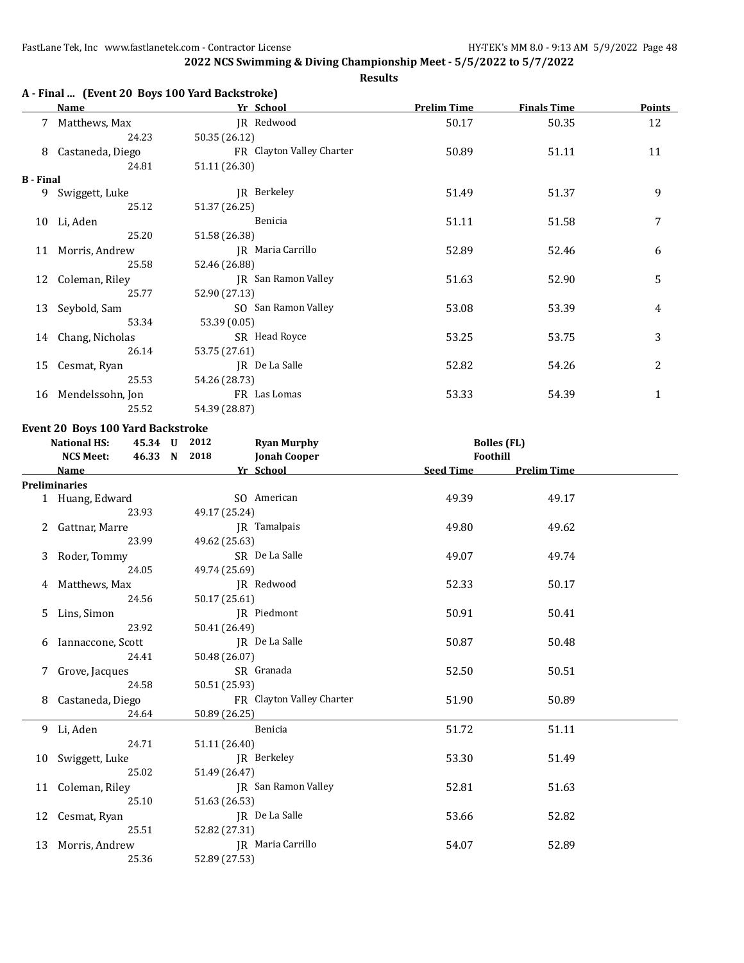**2022 NCS Swimming & Diving Championship Meet - 5/5/2022 to 5/7/2022 Results**

## **A - Final ... (Event 20 Boys 100 Yard Backstroke)**

|                  | Name                | Yr School                 | <b>Prelim Time</b> | <b>Finals Time</b> | <b>Points</b> |
|------------------|---------------------|---------------------------|--------------------|--------------------|---------------|
|                  | 7 Matthews, Max     | JR Redwood                | 50.17              | 50.35              | 12            |
|                  | 24.23               | 50.35 (26.12)             |                    |                    |               |
| 8                | Castaneda, Diego    | FR Clayton Valley Charter | 50.89              | 51.11              | 11            |
|                  | 24.81               | 51.11 (26.30)             |                    |                    |               |
| <b>B</b> - Final |                     |                           |                    |                    |               |
| 9                | Swiggett, Luke      | JR Berkeley               | 51.49              | 51.37              | 9             |
|                  | 25.12               | 51.37 (26.25)             |                    |                    |               |
|                  | 10 Li, Aden         | Benicia                   | 51.11              | 51.58              | 7             |
|                  | 25.20               | 51.58 (26.38)             |                    |                    |               |
|                  | 11 Morris, Andrew   | JR Maria Carrillo         | 52.89              | 52.46              | 6             |
|                  | 25.58               | 52.46 (26.88)             |                    |                    |               |
|                  | 12 Coleman, Riley   | JR San Ramon Valley       | 51.63              | 52.90              | 5             |
|                  | 25.77               | 52.90 (27.13)             |                    |                    |               |
|                  | 13 Seybold, Sam     | SO San Ramon Valley       | 53.08              | 53.39              | 4             |
|                  | 53.34               | 53.39 (0.05)              |                    |                    |               |
|                  | 14 Chang, Nicholas  | SR Head Royce             | 53.25              | 53.75              | 3             |
|                  | 26.14               | 53.75 (27.61)             |                    |                    |               |
| 15               | Cesmat, Ryan        | JR De La Salle            | 52.82              | 54.26              | 2             |
|                  | 25.53               | 54.26 (28.73)             |                    |                    |               |
|                  | 16 Mendelssohn, Jon | FR Las Lomas              | 53.33              | 54.39              | 1             |
|                  | 25.52               | 54.39 (28.87)             |                    |                    |               |

#### **Event 20 Boys 100 Yard Backstroke**

|   | <b>National HS:</b>  | 45.34 U 2012 |               | <b>Ryan Murphy</b>        | <b>Bolles (FL)</b> |                    |  |
|---|----------------------|--------------|---------------|---------------------------|--------------------|--------------------|--|
|   | <b>NCS Meet:</b>     | 46.33 N 2018 |               | <b>Jonah Cooper</b>       |                    | Foothill           |  |
|   | Name                 |              |               | Yr School                 | <b>Seed Time</b>   | <b>Prelim Time</b> |  |
|   | <b>Preliminaries</b> |              |               |                           |                    |                    |  |
|   | 1 Huang, Edward      |              |               | SO American               | 49.39              | 49.17              |  |
|   |                      | 23.93        | 49.17 (25.24) |                           |                    |                    |  |
|   | 2 Gattnar, Marre     |              |               | JR Tamalpais              | 49.80              | 49.62              |  |
|   |                      | 23.99        | 49.62 (25.63) |                           |                    |                    |  |
|   | 3 Roder, Tommy       |              |               | SR De La Salle            | 49.07              | 49.74              |  |
|   |                      | 24.05        | 49.74 (25.69) |                           |                    |                    |  |
|   | 4 Matthews, Max      |              |               | JR Redwood                | 52.33              | 50.17              |  |
|   |                      | 24.56        | 50.17 (25.61) |                           |                    |                    |  |
| 5 | Lins, Simon          |              |               | JR Piedmont               | 50.91              | 50.41              |  |
|   |                      | 23.92        | 50.41 (26.49) |                           |                    |                    |  |
|   | 6 Iannaccone, Scott  |              |               | JR De La Salle            | 50.87              | 50.48              |  |
|   |                      | 24.41        | 50.48 (26.07) |                           |                    |                    |  |
|   | 7 Grove, Jacques     |              |               | SR Granada                | 52.50              | 50.51              |  |
|   |                      | 24.58        | 50.51 (25.93) |                           |                    |                    |  |
|   | 8 Castaneda, Diego   |              |               | FR Clayton Valley Charter | 51.90              | 50.89              |  |
|   |                      | 24.64        | 50.89 (26.25) |                           |                    |                    |  |
|   | 9 Li, Aden           |              |               | Benicia                   | 51.72              | 51.11              |  |
|   |                      | 24.71        | 51.11 (26.40) |                           |                    |                    |  |
|   | 10 Swiggett, Luke    |              |               | IR Berkeley               | 53.30              | 51.49              |  |
|   |                      | 25.02        | 51.49 (26.47) |                           |                    |                    |  |
|   | 11 Coleman, Riley    |              |               | JR San Ramon Valley       | 52.81              | 51.63              |  |
|   |                      | 25.10        | 51.63 (26.53) |                           |                    |                    |  |
|   | 12 Cesmat, Ryan      |              |               | JR De La Salle            | 53.66              | 52.82              |  |
|   |                      | 25.51        | 52.82 (27.31) |                           |                    |                    |  |
|   | 13 Morris, Andrew    |              |               | <b>IR</b> Maria Carrillo  | 54.07              | 52.89              |  |
|   |                      | 25.36        | 52.89 (27.53) |                           |                    |                    |  |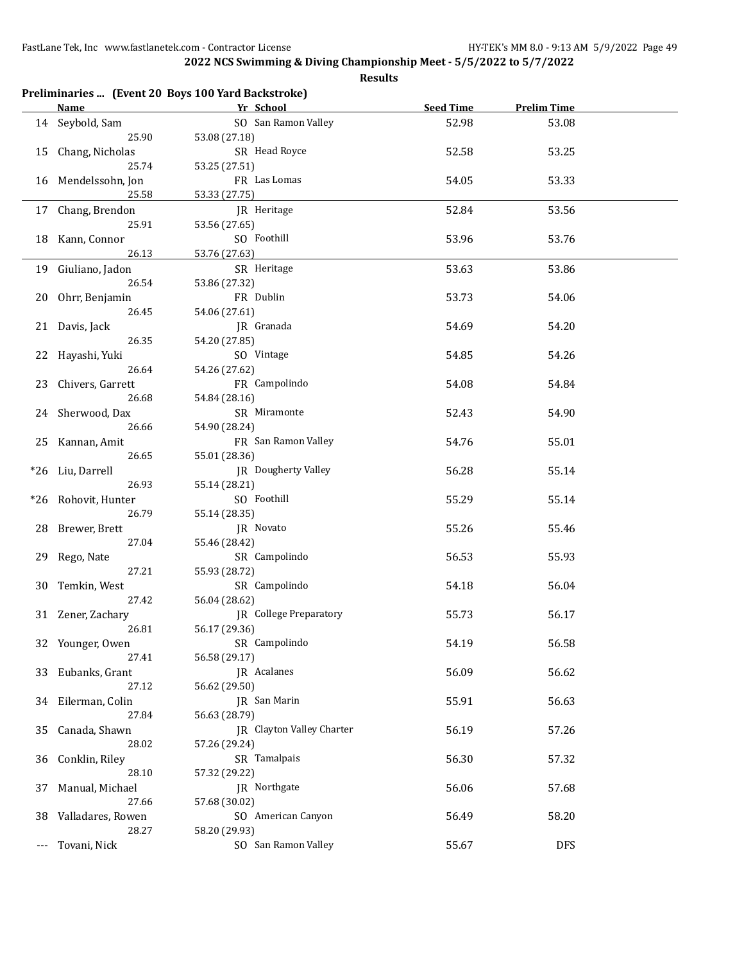|                      |                           | Preliminaries  (Event 20 Boys 100 Yard Backstroke) |                  |                    |  |
|----------------------|---------------------------|----------------------------------------------------|------------------|--------------------|--|
|                      | <u>Name</u>               | Yr School                                          | <b>Seed Time</b> | <b>Prelim Time</b> |  |
|                      | 14 Seybold, Sam           | SO San Ramon Valley                                | 52.98            | 53.08              |  |
|                      | 25.90                     | 53.08 (27.18)                                      |                  |                    |  |
| 15                   | Chang, Nicholas           | SR Head Royce                                      | 52.58            | 53.25              |  |
|                      | 25.74                     | 53.25 (27.51)                                      |                  |                    |  |
|                      | 16 Mendelssohn, Jon       | FR Las Lomas                                       | 54.05            | 53.33              |  |
|                      | 25.58                     | 53.33 (27.75)                                      |                  |                    |  |
|                      | 17 Chang, Brendon         | JR Heritage                                        | 52.84            | 53.56              |  |
|                      | 25.91                     | 53.56 (27.65)                                      |                  |                    |  |
|                      | 18 Kann, Connor           | SO Foothill                                        | 53.96            | 53.76              |  |
|                      | 26.13                     | 53.76 (27.63)                                      |                  |                    |  |
|                      | 19 Giuliano, Jadon        | SR Heritage                                        | 53.63            | 53.86              |  |
|                      | 26.54                     | 53.86 (27.32)                                      |                  |                    |  |
|                      | 20 Ohrr, Benjamin         | FR Dublin                                          | 53.73            | 54.06              |  |
|                      | 26.45                     | 54.06 (27.61)                                      |                  |                    |  |
|                      | 21 Davis, Jack            | JR Granada                                         | 54.69            | 54.20              |  |
|                      | 26.35                     | 54.20 (27.85)                                      |                  |                    |  |
|                      | 22 Hayashi, Yuki          | SO Vintage                                         | 54.85            | 54.26              |  |
|                      | 26.64                     | 54.26 (27.62)                                      |                  |                    |  |
| 23                   | Chivers, Garrett          | FR Campolindo                                      | 54.08            | 54.84              |  |
|                      | 26.68                     | 54.84 (28.16)                                      |                  |                    |  |
|                      |                           | SR Miramonte                                       |                  |                    |  |
|                      | 24 Sherwood, Dax<br>26.66 | 54.90 (28.24)                                      | 52.43            | 54.90              |  |
|                      | Kannan, Amit              | FR San Ramon Valley                                | 54.76            | 55.01              |  |
| 25                   | 26.65                     | 55.01 (28.36)                                      |                  |                    |  |
| $*26$                | Liu, Darrell              | JR Dougherty Valley                                | 56.28            | 55.14              |  |
|                      | 26.93                     | 55.14 (28.21)                                      |                  |                    |  |
|                      | *26 Rohovit, Hunter       | SO Foothill                                        | 55.29            | 55.14              |  |
|                      | 26.79                     | 55.14 (28.35)                                      |                  |                    |  |
| 28                   | Brewer, Brett             | JR Novato                                          | 55.26            | 55.46              |  |
|                      | 27.04                     | 55.46 (28.42)                                      |                  |                    |  |
| 29                   | Rego, Nate                | SR Campolindo                                      | 56.53            | 55.93              |  |
|                      | 27.21                     | 55.93 (28.72)                                      |                  |                    |  |
| 30                   | Temkin, West              | SR Campolindo                                      | 54.18            | 56.04              |  |
|                      | 27.42                     | 56.04 (28.62)                                      |                  |                    |  |
|                      | 31 Zener, Zachary         | JR College Preparatory                             | 55.73            | 56.17              |  |
|                      | 26.81                     | 56.17 (29.36)                                      |                  |                    |  |
|                      | 32 Younger, Owen          | SR Campolindo                                      | 54.19            | 56.58              |  |
|                      | 27.41                     | 56.58 (29.17)                                      |                  |                    |  |
|                      | 33 Eubanks, Grant         | JR Acalanes                                        | 56.09            | 56.62              |  |
|                      | 27.12                     | 56.62 (29.50)                                      |                  |                    |  |
|                      | 34 Eilerman, Colin        | JR San Marin                                       | 55.91            | 56.63              |  |
|                      | 27.84                     | 56.63 (28.79)                                      |                  |                    |  |
| 35                   | Canada, Shawn             | JR Clayton Valley Charter                          | 56.19            | 57.26              |  |
|                      | 28.02                     | 57.26 (29.24)                                      |                  |                    |  |
| 36                   | Conklin, Riley            | SR Tamalpais                                       | 56.30            | 57.32              |  |
|                      | 28.10                     | 57.32 (29.22)                                      |                  |                    |  |
| 37                   | Manual, Michael           | JR Northgate                                       | 56.06            | 57.68              |  |
|                      | 27.66                     | 57.68 (30.02)                                      |                  |                    |  |
| 38                   | Valladares, Rowen         | SO American Canyon                                 | 56.49            | 58.20              |  |
|                      | 28.27                     | 58.20 (29.93)                                      |                  |                    |  |
| $\scriptstyle\cdots$ | Tovani, Nick              | SO San Ramon Valley                                | 55.67            | <b>DFS</b>         |  |
|                      |                           |                                                    |                  |                    |  |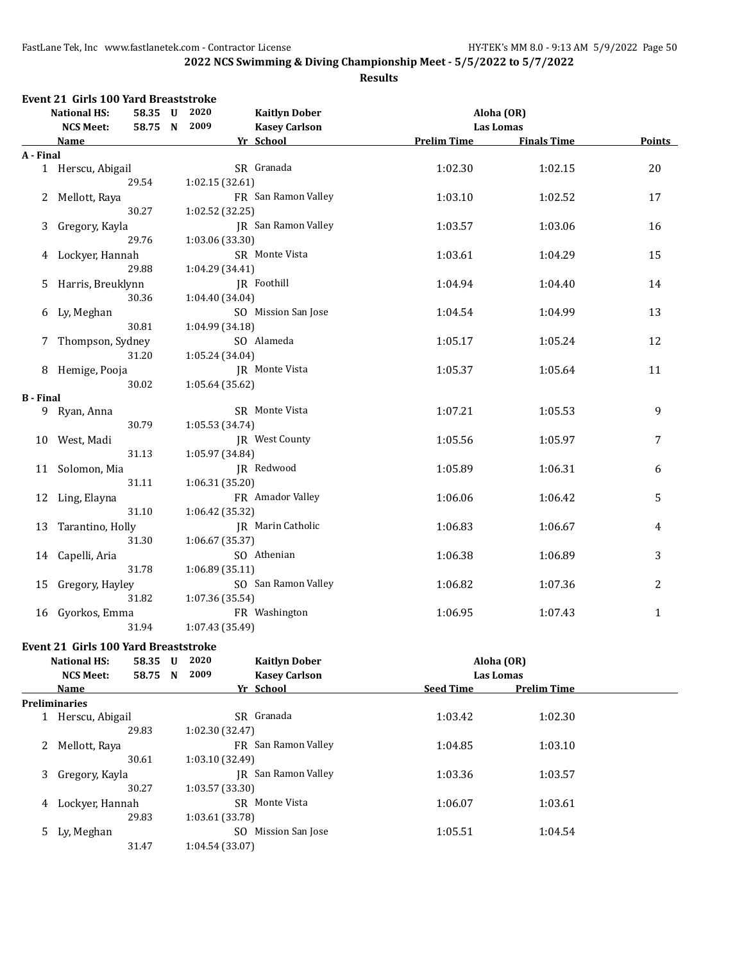|                  | <b>National HS:</b> | 58.35 U | 2020            | <b>Kaitlyn Dober</b>       |                    | Aloha (OR)         |               |
|------------------|---------------------|---------|-----------------|----------------------------|--------------------|--------------------|---------------|
|                  | <b>NCS Meet:</b>    | 58.75 N | 2009            | <b>Kasey Carlson</b>       |                    | Las Lomas          |               |
|                  | <u>Name</u>         |         |                 | Yr School                  | <b>Prelim Time</b> | <b>Finals Time</b> | <b>Points</b> |
| A - Final        |                     |         |                 |                            |                    |                    |               |
|                  | 1 Herscu, Abigail   |         |                 | SR Granada                 | 1:02.30            | 1:02.15            | 20            |
|                  |                     | 29.54   | 1:02.15 (32.61) |                            |                    |                    |               |
|                  | 2 Mellott, Raya     |         |                 | FR San Ramon Valley        | 1:03.10            | 1:02.52            | 17            |
|                  |                     | 30.27   | 1:02.52 (32.25) |                            |                    |                    |               |
| 3                | Gregory, Kayla      |         |                 | <b>JR</b> San Ramon Valley | 1:03.57            | 1:03.06            | 16            |
|                  |                     | 29.76   | 1:03.06 (33.30) |                            |                    |                    |               |
| 4                | Lockyer, Hannah     |         |                 | SR Monte Vista             | 1:03.61            | 1:04.29            | 15            |
|                  |                     | 29.88   | 1:04.29 (34.41) |                            |                    |                    |               |
| 5.               | Harris, Breuklynn   |         |                 | JR Foothill                | 1:04.94            | 1:04.40            | 14            |
|                  |                     | 30.36   | 1:04.40 (34.04) |                            |                    |                    |               |
| 6                | Ly, Meghan          |         |                 | SO Mission San Jose        | 1:04.54            | 1:04.99            | 13            |
|                  |                     | 30.81   | 1:04.99 (34.18) |                            |                    |                    |               |
| 7                | Thompson, Sydney    |         |                 | SO Alameda                 | 1:05.17            | 1:05.24            | 12            |
|                  |                     | 31.20   | 1:05.24 (34.04) |                            |                    |                    |               |
|                  | 8 Hemige, Pooja     |         |                 | JR Monte Vista             | 1:05.37            | 1:05.64            | 11            |
|                  |                     | 30.02   | 1:05.64(35.62)  |                            |                    |                    |               |
| <b>B</b> - Final |                     |         |                 |                            |                    |                    |               |
|                  | 9 Ryan, Anna        |         |                 | SR Monte Vista             | 1:07.21            | 1:05.53            | 9             |
|                  |                     | 30.79   | 1:05.53 (34.74) |                            |                    |                    |               |
|                  | 10 West, Madi       |         |                 | <b>IR</b> West County      | 1:05.56            | 1:05.97            | 7             |
|                  |                     | 31.13   | 1:05.97 (34.84) |                            |                    |                    |               |
| 11               | Solomon, Mia        |         |                 | JR Redwood                 | 1:05.89            | 1:06.31            | 6             |
|                  |                     | 31.11   | 1:06.31 (35.20) |                            |                    |                    |               |
|                  | 12 Ling, Elayna     |         |                 | FR Amador Valley           | 1:06.06            | 1:06.42            | 5             |
|                  |                     | 31.10   | 1:06.42 (35.32) |                            |                    |                    |               |
| 13               | Tarantino, Holly    |         |                 | JR Marin Catholic          | 1:06.83            | 1:06.67            | 4             |
|                  |                     | 31.30   | 1:06.67 (35.37) |                            |                    |                    |               |
| 14               | Capelli, Aria       |         |                 | SO Athenian                | 1:06.38            | 1:06.89            | 3             |
|                  |                     | 31.78   | 1:06.89(35.11)  |                            |                    |                    |               |
| 15               | Gregory, Hayley     |         |                 | SO San Ramon Valley        | 1:06.82            | 1:07.36            | 2             |
|                  |                     | 31.82   | 1:07.36 (35.54) |                            |                    |                    |               |
|                  | 16 Gyorkos, Emma    |         |                 | FR Washington              | 1:06.95            | 1:07.43            | $\mathbf{1}$  |
|                  |                     | 31.94   | 1:07.43 (35.49) |                            |                    |                    |               |

| Event 21 Girls Too rard Breaststroke |              |               |            |
|--------------------------------------|--------------|---------------|------------|
| <b>National HS:</b>                  | 58.35 U 2020 | Kaitlyn Dober | Aloha (OR) |

|    | <b>NCS Meet:</b>     | 58.75 N | 2009            | <b>Kasey Carlson</b> |                  | <b>Las Lomas</b>   |  |
|----|----------------------|---------|-----------------|----------------------|------------------|--------------------|--|
|    | Name                 |         |                 | Yr School            | <b>Seed Time</b> | <b>Prelim Time</b> |  |
|    | <b>Preliminaries</b> |         |                 |                      |                  |                    |  |
|    | Herscu, Abigail      |         |                 | SR Granada           | 1:03.42          | 1:02.30            |  |
|    |                      | 29.83   | 1:02.30 (32.47) |                      |                  |                    |  |
| 2  | Mellott, Raya        |         |                 | FR San Ramon Valley  | 1:04.85          | 1:03.10            |  |
|    |                      | 30.61   | 1:03.10 (32.49) |                      |                  |                    |  |
| 3  | Gregory, Kayla       |         | IR              | San Ramon Valley     | 1:03.36          | 1:03.57            |  |
|    |                      | 30.27   | 1:03.57(33.30)  |                      |                  |                    |  |
| 4  | Lockyer, Hannah      |         |                 | SR Monte Vista       | 1:06.07          | 1:03.61            |  |
|    |                      | 29.83   | 1:03.61 (33.78) |                      |                  |                    |  |
| 5. | Ly, Meghan           |         | SO.             | Mission San Jose     | 1:05.51          | 1:04.54            |  |
|    |                      | 31.47   | 1:04.54(33.07)  |                      |                  |                    |  |
|    |                      |         |                 |                      |                  |                    |  |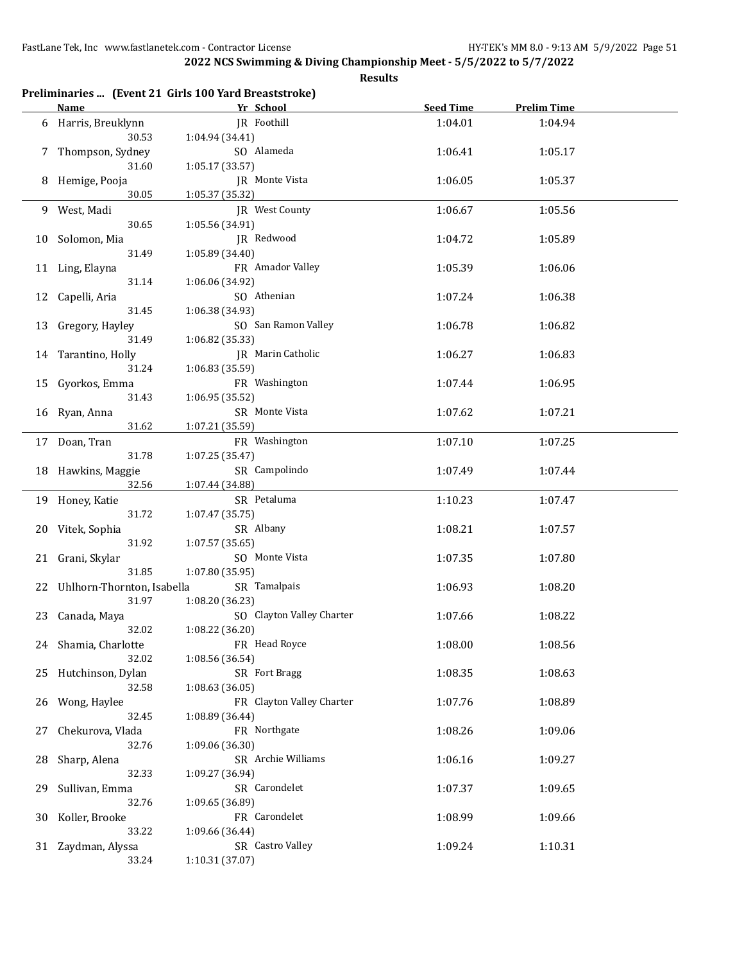**2022 NCS Swimming & Diving Championship Meet - 5/5/2022 to 5/7/2022**

|    |                                      | Preliminaries  (Event 21 Girls 100 Yard Breaststroke) |                  |                    |  |
|----|--------------------------------------|-------------------------------------------------------|------------------|--------------------|--|
|    | Name                                 | Yr School                                             | <b>Seed Time</b> | <b>Prelim Time</b> |  |
|    | 6 Harris, Breuklynn<br>30.53         | JR Foothill<br>1:04.94 (34.41)                        | 1:04.01          | 1:04.94            |  |
| 7  | Thompson, Sydney<br>31.60            | SO Alameda<br>1:05.17 (33.57)                         | 1:06.41          | 1:05.17            |  |
| 8  | Hemige, Pooja<br>30.05               | JR Monte Vista<br>1:05.37 (35.32)                     | 1:06.05          | 1:05.37            |  |
| 9  | West, Madi                           | JR West County                                        | 1:06.67          | 1:05.56            |  |
| 10 | 30.65<br>Solomon, Mia                | 1:05.56 (34.91)<br>JR Redwood                         | 1:04.72          | 1:05.89            |  |
| 11 | 31.49<br>Ling, Elayna                | 1:05.89 (34.40)<br>FR Amador Valley                   | 1:05.39          | 1:06.06            |  |
| 12 | 31.14<br>Capelli, Aria               | 1:06.06 (34.92)<br>SO Athenian                        | 1:07.24          | 1:06.38            |  |
| 13 | 31.45<br>Gregory, Hayley             | 1:06.38 (34.93)<br>SO San Ramon Valley                | 1:06.78          | 1:06.82            |  |
| 14 | 31.49<br>Tarantino, Holly            | 1:06.82 (35.33)<br>JR Marin Catholic                  | 1:06.27          | 1:06.83            |  |
| 15 | 31.24<br>Gyorkos, Emma               | 1:06.83 (35.59)<br>FR Washington                      | 1:07.44          | 1:06.95            |  |
| 16 | 31.43<br>Ryan, Anna                  | 1:06.95 (35.52)<br>SR Monte Vista                     | 1:07.62          | 1:07.21            |  |
|    | 31.62<br>17 Doan, Tran               | 1:07.21 (35.59)<br>FR Washington                      | 1:07.10          | 1:07.25            |  |
|    | 31.78<br>18 Hawkins, Maggie<br>32.56 | 1:07.25 (35.47)<br>SR Campolindo<br>1:07.44 (34.88)   | 1:07.49          | 1:07.44            |  |
|    | 19 Honey, Katie                      | SR Petaluma                                           | 1:10.23          | 1:07.47            |  |
| 20 | 31.72<br>Vitek, Sophia               | 1:07.47 (35.75)<br>SR Albany                          | 1:08.21          | 1:07.57            |  |
| 21 | 31.92<br>Grani, Skylar               | 1:07.57 (35.65)<br>SO Monte Vista                     | 1:07.35          | 1:07.80            |  |
| 22 | 31.85<br>Uhlhorn-Thornton, Isabella  | 1:07.80 (35.95)<br>SR Tamalpais                       | 1:06.93          | 1:08.20            |  |
|    | 31.97<br>23 Canada, Maya             | 1:08.20 (36.23)<br>SO Clayton Valley Charter          | 1:07.66          | 1:08.22            |  |
|    | 32.02<br>24 Shamia, Charlotte        | 1:08.22 (36.20)<br>FR Head Royce                      | 1:08.00          | 1:08.56            |  |
| 25 | 32.02<br>Hutchinson, Dylan           | 1:08.56 (36.54)<br>SR Fort Bragg                      | 1:08.35          | 1:08.63            |  |
| 26 | 32.58<br>Wong, Haylee                | 1:08.63 (36.05)<br>FR Clayton Valley Charter          | 1:07.76          | 1:08.89            |  |
| 27 | 32.45<br>Chekurova, Vlada            | 1:08.89 (36.44)<br>FR Northgate                       | 1:08.26          | 1:09.06            |  |
| 28 | 32.76<br>Sharp, Alena                | 1:09.06 (36.30)<br>SR Archie Williams                 | 1:06.16          | 1:09.27            |  |
| 29 | 32.33<br>Sullivan, Emma              | 1:09.27 (36.94)<br>SR Carondelet                      | 1:07.37          | 1:09.65            |  |
| 30 | 32.76<br>Koller, Brooke              | 1:09.65 (36.89)<br>FR Carondelet                      | 1:08.99          | 1:09.66            |  |
| 31 | 33.22<br>Zaydman, Alyssa             | 1:09.66 (36.44)<br>SR Castro Valley                   | 1:09.24          | 1:10.31            |  |
|    | 33.24                                | 1:10.31 (37.07)                                       |                  |                    |  |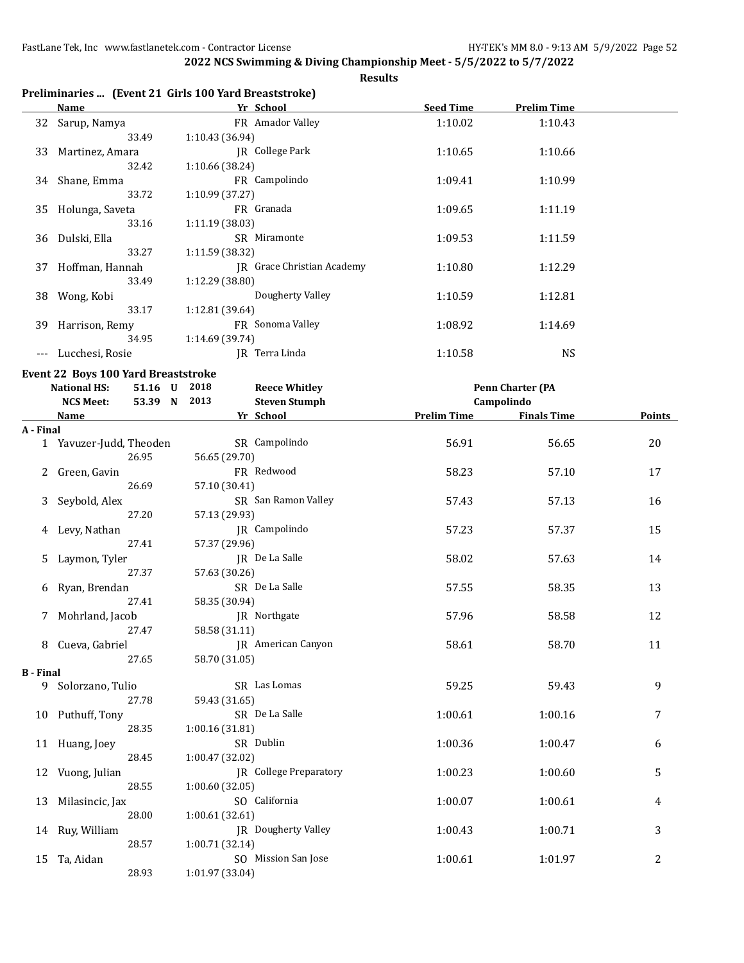**Results**

|      |                                                       | ----------       |                    |
|------|-------------------------------------------------------|------------------|--------------------|
|      | Preliminaries  (Event 21 Girls 100 Yard Breaststroke) |                  |                    |
| Name | Yr School                                             | <b>Seed Time</b> | <b>Prelim Time</b> |

|    | wanne           | 11 JUNUU1                  | JLLU TIINL | 1 1 611111 - 111116 |  |
|----|-----------------|----------------------------|------------|---------------------|--|
| 32 | Sarup, Namya    | FR Amador Valley           | 1:10.02    | 1:10.43             |  |
|    | 33.49           | 1:10.43 (36.94)            |            |                     |  |
| 33 | Martinez, Amara | College Park<br>IR         | 1:10.65    | 1:10.66             |  |
|    | 32.42           | 1:10.66 (38.24)            |            |                     |  |
|    | 34 Shane, Emma  | FR Campolindo              | 1:09.41    | 1:10.99             |  |
|    | 33.72           | 1:10.99(37.27)             |            |                     |  |
| 35 | Holunga, Saveta | FR Granada                 | 1:09.65    | 1:11.19             |  |
|    | 33.16           | 1:11.19(38.03)             |            |                     |  |
| 36 | Dulski, Ella    | SR Miramonte               | 1:09.53    | 1:11.59             |  |
|    | 33.27           | 1:11.59 (38.32)            |            |                     |  |
| 37 | Hoffman, Hannah | IR Grace Christian Academy | 1:10.80    | 1:12.29             |  |
|    | 33.49           | 1:12.29 (38.80)            |            |                     |  |
| 38 | Wong, Kobi      | Dougherty Valley           | 1:10.59    | 1:12.81             |  |
|    | 33.17           | 1:12.81 (39.64)            |            |                     |  |
| 39 | Harrison, Remy  | FR Sonoma Valley           | 1:08.92    | 1:14.69             |  |
|    | 34.95           | 1:14.69 (39.74)            |            |                     |  |
|    | Lucchesi, Rosie | Terra Linda<br>IR          | 1:10.58    | <b>NS</b>           |  |
|    |                 |                            |            |                     |  |

**Event 22 Boys 100 Yard Breaststroke**

|                  | <b>National HS:</b><br>51.16 U | 2018<br><b>Reece Whitley</b>  |                    | <b>Penn Charter (PA</b> |        |
|------------------|--------------------------------|-------------------------------|--------------------|-------------------------|--------|
|                  | <b>NCS Meet:</b><br>53.39 N    | 2013<br><b>Steven Stumph</b>  |                    | Campolindo              |        |
|                  | Name                           | Yr School                     | <b>Prelim Time</b> | <b>Finals Time</b>      | Points |
| A - Final        |                                |                               |                    |                         |        |
|                  | 1 Yavuzer-Judd, Theoden        | SR Campolindo                 | 56.91              | 56.65                   | 20     |
|                  | 26.95                          | 56.65 (29.70)                 |                    |                         |        |
|                  | Green, Gavin                   | FR Redwood                    | 58.23              | 57.10                   | 17     |
|                  | 26.69                          | 57.10 (30.41)                 |                    |                         |        |
| 3                | Seybold, Alex                  | SR San Ramon Valley           | 57.43              | 57.13                   | 16     |
|                  | 27.20                          | 57.13 (29.93)                 |                    |                         |        |
| 4                | Levy, Nathan                   | JR Campolindo                 | 57.23              | 57.37                   | 15     |
|                  | 27.41                          | 57.37 (29.96)                 |                    |                         |        |
| 5                | Laymon, Tyler                  | JR De La Salle                | 58.02              | 57.63                   | 14     |
|                  | 27.37                          | 57.63 (30.26)                 |                    |                         |        |
| 6                | Ryan, Brendan                  | SR De La Salle                | 57.55              | 58.35                   | 13     |
|                  | 27.41                          | 58.35 (30.94)                 |                    |                         |        |
|                  | 7 Mohrland, Jacob              | JR Northgate                  | 57.96              | 58.58                   | 12     |
|                  | 27.47                          | 58.58 (31.11)                 |                    |                         |        |
|                  | 8 Cueva, Gabriel               | JR American Canyon            | 58.61              | 58.70                   | 11     |
|                  | 27.65                          | 58.70 (31.05)                 |                    |                         |        |
| <b>B</b> - Final |                                |                               |                    |                         |        |
|                  | 9 Solorzano, Tulio             | SR Las Lomas                  | 59.25              | 59.43                   | 9      |
|                  | 27.78                          | 59.43 (31.65)                 |                    |                         |        |
|                  | 10 Puthuff, Tony               | SR De La Salle                | 1:00.61            | 1:00.16                 | 7      |
|                  | 28.35                          | 1:00.16 (31.81)               |                    |                         |        |
|                  | 11 Huang, Joey                 | SR Dublin                     | 1:00.36            | 1:00.47                 | 6      |
|                  | 28.45                          | 1:00.47 (32.02)               |                    |                         |        |
|                  | 12 Vuong, Julian               | <b>IR</b> College Preparatory | 1:00.23            | 1:00.60                 | 5      |
|                  | 28.55                          | 1:00.60(32.05)                |                    |                         |        |
| 13               | Milasincic, Jax                | SO California                 | 1:00.07            | 1:00.61                 | 4      |
|                  | 28.00                          | 1:00.61 (32.61)               |                    |                         |        |
|                  | 14 Ruy, William                | JR Dougherty Valley           | 1:00.43            | 1:00.71                 | 3      |
|                  | 28.57                          | 1:00.71(32.14)                |                    |                         |        |
| 15               | Ta, Aidan                      | SO Mission San Jose           | 1:00.61            | 1:01.97                 | 2      |
|                  | 28.93                          | 1:01.97 (33.04)               |                    |                         |        |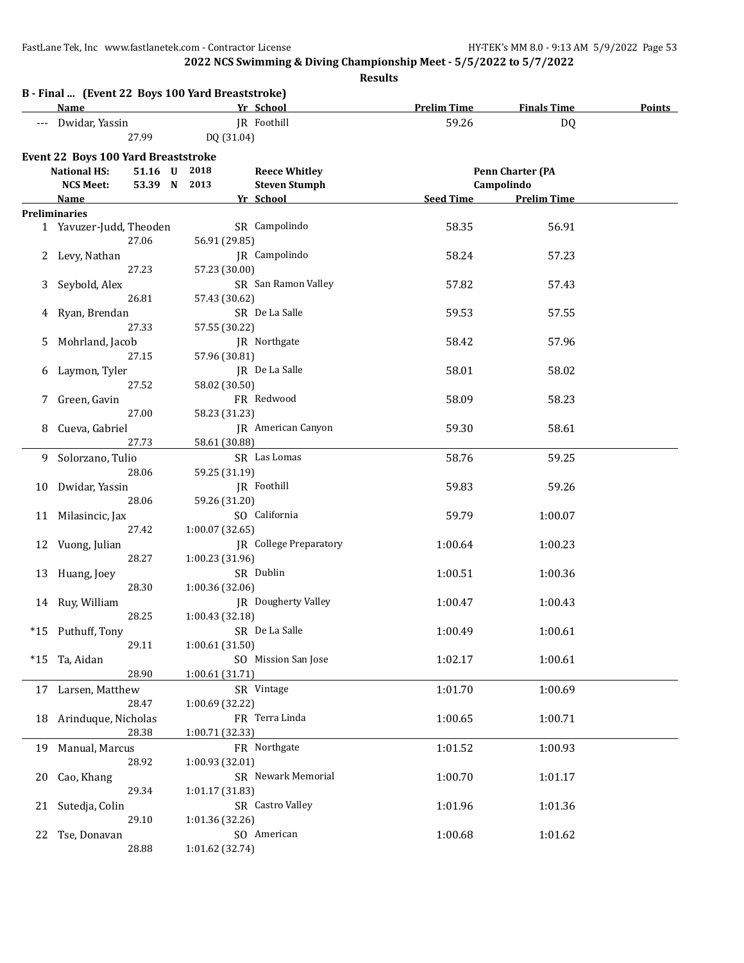**2022 NCS Swimming & Diving Championship Meet - 5/5/2022 to 5/7/2022**

|       |                                                                 |                              |                                              | <b>Results</b>     |                                       |               |
|-------|-----------------------------------------------------------------|------------------------------|----------------------------------------------|--------------------|---------------------------------------|---------------|
|       | B - Final  (Event 22 Boys 100 Yard Breaststroke)<br><b>Name</b> |                              | Yr School                                    | <b>Prelim Time</b> | <b>Finals Time</b>                    | <b>Points</b> |
|       | Dwidar, Yassin                                                  |                              | JR Foothill                                  | 59.26              |                                       |               |
|       | 27.99                                                           | DQ (31.04)                   |                                              |                    | <b>DQ</b>                             |               |
|       |                                                                 |                              |                                              |                    |                                       |               |
|       | Event 22 Boys 100 Yard Breaststroke                             |                              |                                              |                    |                                       |               |
|       | <b>National HS:</b><br><b>NCS Meet:</b>                         | 51.16 U 2018<br>53.39 N 2013 | <b>Reece Whitley</b><br><b>Steven Stumph</b> |                    | <b>Penn Charter (PA</b><br>Campolindo |               |
|       | <b>Name</b>                                                     |                              | Yr School                                    | Seed Time          | <b>Prelim Time</b>                    |               |
|       | <b>Preliminaries</b>                                            |                              |                                              |                    |                                       |               |
|       | 1 Yavuzer-Judd, Theoden                                         |                              | SR Campolindo                                | 58.35              | 56.91                                 |               |
|       | 27.06                                                           | 56.91 (29.85)                |                                              |                    |                                       |               |
| 2     | Levy, Nathan                                                    |                              | JR Campolindo                                | 58.24              | 57.23                                 |               |
|       | 27.23                                                           | 57.23 (30.00)                |                                              |                    |                                       |               |
| 3     | Seybold, Alex                                                   |                              | SR San Ramon Valley                          | 57.82              | 57.43                                 |               |
|       | 26.81                                                           | 57.43 (30.62)                |                                              |                    |                                       |               |
| 4     | Ryan, Brendan<br>27.33                                          |                              | SR De La Salle                               | 59.53              | 57.55                                 |               |
|       |                                                                 | 57.55 (30.22)                | JR Northgate                                 | 58.42              | 57.96                                 |               |
| 5     | Mohrland, Jacob<br>27.15                                        | 57.96 (30.81)                |                                              |                    |                                       |               |
| 6     | Laymon, Tyler                                                   |                              | JR De La Salle                               | 58.01              | 58.02                                 |               |
|       | 27.52                                                           | 58.02 (30.50)                |                                              |                    |                                       |               |
| 7     | Green, Gavin                                                    |                              | FR Redwood                                   | 58.09              | 58.23                                 |               |
|       | 27.00                                                           | 58.23 (31.23)                |                                              |                    |                                       |               |
| 8     | Cueva, Gabriel                                                  |                              | JR American Canyon                           | 59.30              | 58.61                                 |               |
|       | 27.73                                                           | 58.61 (30.88)                |                                              |                    |                                       |               |
| 9     | Solorzano, Tulio                                                |                              | SR Las Lomas                                 | 58.76              | 59.25                                 |               |
|       | 28.06                                                           | 59.25 (31.19)                |                                              |                    |                                       |               |
| 10    | Dwidar, Yassin                                                  |                              | JR Foothill                                  | 59.83              | 59.26                                 |               |
|       | 28.06                                                           | 59.26 (31.20)                | SO California                                |                    |                                       |               |
| 11    | Milasincic, Jax<br>27.42                                        | 1:00.07 (32.65)              |                                              | 59.79              | 1:00.07                               |               |
|       | 12 Vuong, Julian                                                |                              | JR College Preparatory                       | 1:00.64            | 1:00.23                               |               |
|       | 28.27                                                           | 1:00.23 (31.96)              |                                              |                    |                                       |               |
|       | 13 Huang, Joey                                                  |                              | SR Dublin                                    | 1:00.51            | 1:00.36                               |               |
|       | 28.30                                                           | 1:00.36 (32.06)              |                                              |                    |                                       |               |
|       | 14 Ruy, William                                                 |                              | JR Dougherty Valley                          | 1:00.47            | 1:00.43                               |               |
|       | 28.25                                                           | 1:00.43 (32.18)              |                                              |                    |                                       |               |
|       | *15 Puthuff, Tony                                               |                              | SR De La Salle                               | 1:00.49            | 1:00.61                               |               |
|       | 29.11                                                           | 1:00.61 (31.50)              |                                              |                    |                                       |               |
| $*15$ | Ta, Aidan                                                       |                              | SO Mission San Jose                          | 1:02.17            | 1:00.61                               |               |
|       | 28.90                                                           | 1:00.61 (31.71)              |                                              |                    |                                       |               |
|       | 17 Larsen, Matthew                                              |                              | SR Vintage                                   | 1:01.70            | 1:00.69                               |               |
|       | 28.47<br>18 Arinduque, Nicholas                                 | 1:00.69 (32.22)              | FR Terra Linda                               | 1:00.65            | 1:00.71                               |               |
|       | 28.38                                                           | 1:00.71 (32.33)              |                                              |                    |                                       |               |
| 19    | Manual, Marcus                                                  |                              | FR Northgate                                 | 1:01.52            | 1:00.93                               |               |
|       | 28.92                                                           | 1:00.93 (32.01)              |                                              |                    |                                       |               |
| 20    | Cao, Khang                                                      |                              | SR Newark Memorial                           | 1:00.70            | 1:01.17                               |               |
|       | 29.34                                                           | 1:01.17 (31.83)              |                                              |                    |                                       |               |
|       | 21 Sutedja, Colin                                               |                              | SR Castro Valley                             | 1:01.96            | 1:01.36                               |               |
|       | 29.10                                                           | 1:01.36 (32.26)              |                                              |                    |                                       |               |
|       | 22 Tse, Donavan                                                 |                              | SO American                                  | 1:00.68            | 1:01.62                               |               |
|       | 28.88                                                           | 1:01.62 (32.74)              |                                              |                    |                                       |               |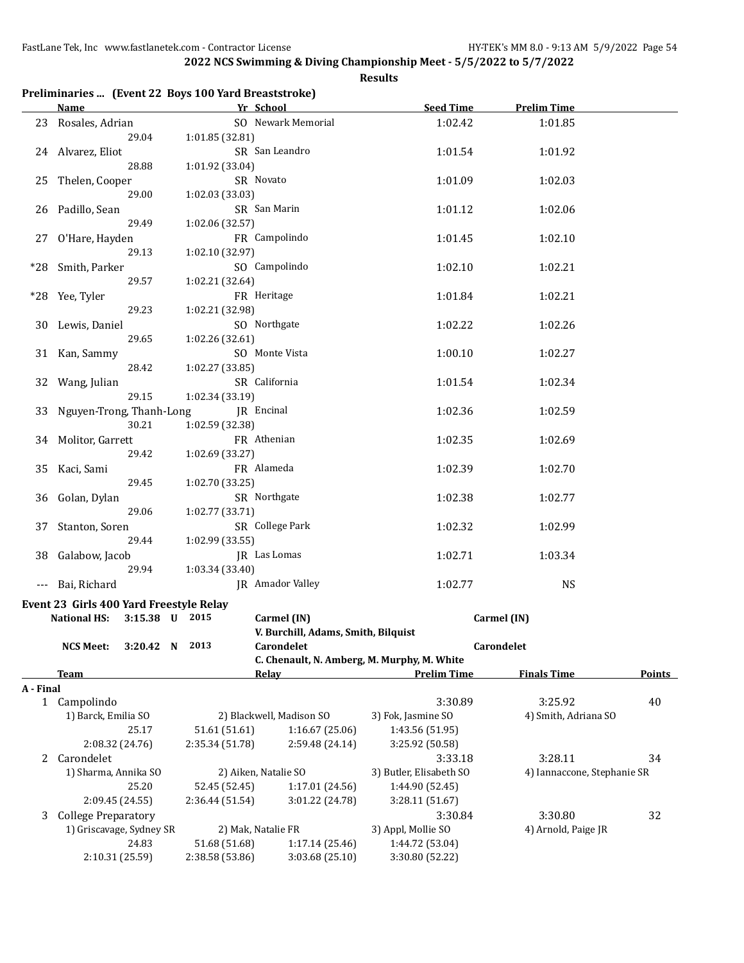|             | Preliminaries  (Event 22 Boys 100 Yard Breaststroke) |                 |                                             |                         |                             |               |
|-------------|------------------------------------------------------|-----------------|---------------------------------------------|-------------------------|-----------------------------|---------------|
|             | Name                                                 |                 | Yr School                                   | <b>Seed Time</b>        | <b>Prelim Time</b>          |               |
|             | 23 Rosales, Adrian<br>29.04                          | 1:01.85 (32.81) | SO Newark Memorial                          | 1:02.42                 | 1:01.85                     |               |
| 24          | Alvarez, Eliot                                       |                 | SR San Leandro                              | 1:01.54                 | 1:01.92                     |               |
|             | 28.88                                                | 1:01.92 (33.04) |                                             |                         |                             |               |
| 25          | Thelen, Cooper                                       |                 | SR Novato                                   | 1:01.09                 | 1:02.03                     |               |
|             | 29.00                                                | 1:02.03 (33.03) |                                             |                         |                             |               |
| 26          | Padillo, Sean                                        |                 | SR San Marin                                | 1:01.12                 | 1:02.06                     |               |
|             | 29.49                                                | 1:02.06 (32.57) |                                             |                         |                             |               |
|             |                                                      |                 | FR Campolindo                               |                         |                             |               |
| 27 -        | O'Hare, Hayden<br>29.13                              |                 |                                             | 1:01.45                 | 1:02.10                     |               |
|             |                                                      | 1:02.10 (32.97) |                                             |                         |                             |               |
| *28         | Smith, Parker                                        |                 | SO Campolindo                               | 1:02.10                 | 1:02.21                     |               |
|             | 29.57                                                | 1:02.21 (32.64) |                                             |                         |                             |               |
| $*28$       | Yee, Tyler                                           |                 | FR Heritage                                 | 1:01.84                 | 1:02.21                     |               |
|             | 29.23                                                | 1:02.21 (32.98) |                                             |                         |                             |               |
| 30          | Lewis, Daniel                                        |                 | SO Northgate                                | 1:02.22                 | 1:02.26                     |               |
|             | 29.65                                                | 1:02.26 (32.61) |                                             |                         |                             |               |
| 31          | Kan, Sammy                                           |                 | SO Monte Vista                              | 1:00.10                 | 1:02.27                     |               |
|             | 28.42                                                | 1:02.27 (33.85) |                                             |                         |                             |               |
| 32          | Wang, Julian                                         |                 | SR California                               | 1:01.54                 | 1:02.34                     |               |
|             | 29.15                                                | 1:02.34 (33.19) |                                             |                         |                             |               |
| 33          | Nguyen-Trong, Thanh-Long                             |                 | JR Encinal                                  | 1:02.36                 | 1:02.59                     |               |
|             | 30.21                                                | 1:02.59 (32.38) |                                             |                         |                             |               |
| 34          | Molitor, Garrett                                     |                 | FR Athenian                                 | 1:02.35                 | 1:02.69                     |               |
|             | 29.42                                                | 1:02.69 (33.27) |                                             |                         |                             |               |
| 35          | Kaci, Sami                                           |                 | FR Alameda                                  | 1:02.39                 | 1:02.70                     |               |
|             | 29.45                                                | 1:02.70 (33.25) |                                             |                         |                             |               |
| 36          | Golan, Dylan                                         |                 | SR Northgate                                | 1:02.38                 | 1:02.77                     |               |
|             | 29.06                                                | 1:02.77 (33.71) |                                             |                         |                             |               |
| 37          | Stanton, Soren                                       |                 | SR College Park                             | 1:02.32                 | 1:02.99                     |               |
|             | 29.44                                                | 1:02.99 (33.55) |                                             |                         |                             |               |
| 38          | Galabow, Jacob                                       |                 | JR Las Lomas                                | 1:02.71                 | 1:03.34                     |               |
|             | 29.94                                                | 1:03.34 (33.40) |                                             |                         |                             |               |
| $-\, -\, -$ | Bai, Richard                                         |                 | <b>JR</b> Amador Valley                     | 1:02.77                 | <b>NS</b>                   |               |
|             |                                                      |                 |                                             |                         |                             |               |
|             | Event 23 Girls 400 Yard Freestyle Relay              |                 |                                             |                         |                             |               |
|             | 3:15.38 U 2015<br><b>National HS:</b>                |                 | Carmel (IN)                                 |                         | Carmel (IN)                 |               |
|             |                                                      |                 | V. Burchill, Adams, Smith, Bilquist         |                         |                             |               |
|             | <b>NCS Meet:</b><br>3:20.42 N                        | 2013            | Carondelet                                  |                         | Carondelet                  |               |
|             |                                                      |                 | C. Chenault, N. Amberg, M. Murphy, M. White | <b>Prelim Time</b>      |                             |               |
|             | <b>Team</b>                                          |                 | <u>Relay</u>                                |                         | <b>Finals Time</b>          | <b>Points</b> |
| A - Final   | 1 Campolindo                                         |                 |                                             | 3:30.89                 | 3:25.92                     | 40            |
|             | 1) Barck, Emilia SO                                  |                 | 2) Blackwell, Madison SO                    | 3) Fok, Jasmine SO      | 4) Smith, Adriana SO        |               |
|             | 25.17                                                | 51.61 (51.61)   |                                             | 1:43.56 (51.95)         |                             |               |
|             |                                                      |                 | 1:16.67 (25.06)                             |                         |                             |               |
|             | 2:08.32 (24.76)                                      | 2:35.34 (51.78) | 2:59.48 (24.14)                             | 3:25.92 (50.58)         |                             |               |
| 2           | Carondelet                                           |                 |                                             | 3:33.18                 | 3:28.11                     | 34            |
|             | 1) Sharma, Annika SO                                 |                 | 2) Aiken, Natalie SO                        | 3) Butler, Elisabeth SO | 4) Iannaccone, Stephanie SR |               |
|             | 25.20                                                | 52.45 (52.45)   | 1:17.01 (24.56)                             | 1:44.90 (52.45)         |                             |               |
|             | 2:09.45 (24.55)                                      | 2:36.44 (51.54) | 3:01.22 (24.78)                             | 3:28.11 (51.67)         |                             |               |
| 3           | <b>College Preparatory</b>                           |                 |                                             | 3:30.84                 | 3:30.80                     | 32            |
|             | 1) Griscavage, Sydney SR                             |                 | 2) Mak, Natalie FR                          | 3) Appl, Mollie SO      | 4) Arnold, Paige JR         |               |
|             | 24.83                                                | 51.68 (51.68)   | 1:17.14 (25.46)                             | 1:44.72 (53.04)         |                             |               |
|             | 2:10.31 (25.59)                                      | 2:38.58 (53.86) | 3:03.68 (25.10)                             | 3:30.80 (52.22)         |                             |               |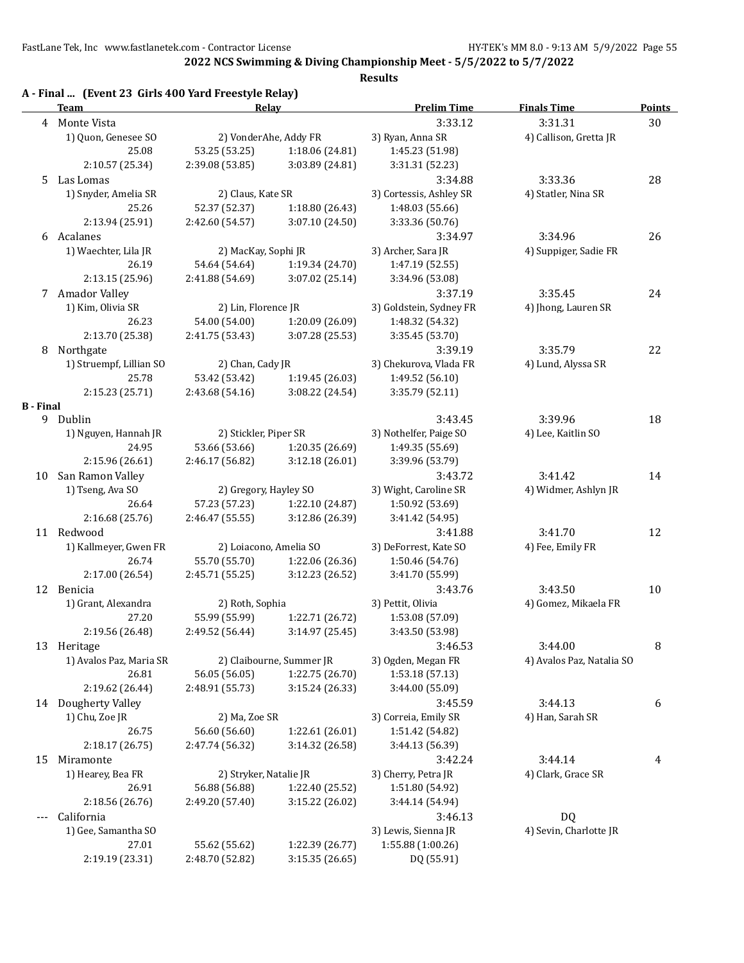**2022 NCS Swimming & Diving Championship Meet - 5/5/2022 to 5/7/2022**

|                  | A - Final  (Event 23 Girls 400 Yard Freestyle Relay)<br><b>Team</b> | Relay                            |                                   | <b>Prelim Time</b>      | <b>Finals Time</b>        | <b>Points</b> |
|------------------|---------------------------------------------------------------------|----------------------------------|-----------------------------------|-------------------------|---------------------------|---------------|
| 4                | Monte Vista                                                         |                                  |                                   | 3:33.12                 | 3:31.31                   | 30            |
|                  | 1) Quon, Genesee SO                                                 |                                  | 2) VonderAhe, Addy FR             | 3) Ryan, Anna SR        | 4) Callison, Gretta JR    |               |
|                  | 25.08                                                               | 53.25 (53.25)                    | 1:18.06 (24.81)                   | 1:45.23 (51.98)         |                           |               |
|                  | 2:10.57 (25.34)                                                     | 2:39.08 (53.85)                  | 3:03.89 (24.81)                   | 3:31.31 (52.23)         |                           |               |
| 5.               | Las Lomas                                                           |                                  |                                   | 3:34.88                 | 3:33.36                   | 28            |
|                  | 1) Snyder, Amelia SR                                                | 2) Claus, Kate SR                |                                   | 3) Cortessis, Ashley SR | 4) Statler, Nina SR       |               |
|                  | 25.26                                                               | 52.37 (52.37)                    | 1:18.80(26.43)                    | 1:48.03 (55.66)         |                           |               |
|                  | 2:13.94 (25.91)                                                     | 2:42.60 (54.57)                  | 3:07.10 (24.50)                   | 3:33.36 (50.76)         |                           |               |
|                  | 6 Acalanes                                                          |                                  |                                   | 3:34.97                 | 3:34.96                   | 26            |
|                  | 1) Waechter, Lila JR                                                | 2) MacKay, Sophi JR              |                                   | 3) Archer, Sara JR      | 4) Suppiger, Sadie FR     |               |
|                  | 26.19                                                               | 54.64 (54.64)                    | 1:19.34 (24.70)                   | 1:47.19 (52.55)         |                           |               |
|                  | 2:13.15 (25.96)                                                     | 2:41.88 (54.69)                  | 3:07.02 (25.14)                   | 3:34.96 (53.08)         |                           |               |
|                  | 7 Amador Valley                                                     |                                  |                                   | 3:37.19                 | 3:35.45                   | 24            |
|                  | 1) Kim, Olivia SR                                                   | 2) Lin, Florence JR              |                                   | 3) Goldstein, Sydney FR | 4) Jhong, Lauren SR       |               |
|                  | 26.23                                                               | 54.00 (54.00)                    | 1:20.09 (26.09)                   | 1:48.32 (54.32)         |                           |               |
|                  | 2:13.70 (25.38)                                                     | 2:41.75 (53.43)                  | 3:07.28 (25.53)                   | 3:35.45 (53.70)         |                           |               |
|                  | Northgate                                                           |                                  |                                   | 3:39.19                 | 3:35.79                   |               |
| 8                |                                                                     |                                  |                                   |                         |                           | 22            |
|                  | 1) Struempf, Lillian SO<br>25.78                                    | 2) Chan, Cady JR                 |                                   | 3) Chekurova, Vlada FR  | 4) Lund, Alyssa SR        |               |
|                  |                                                                     | 53.42 (53.42)                    | 1:19.45 (26.03)                   | 1:49.52 (56.10)         |                           |               |
| <b>B</b> - Final | 2:15.23 (25.71)                                                     | 2:43.68(54.16)                   | 3:08.22 (24.54)                   | 3:35.79 (52.11)         |                           |               |
|                  | 9 Dublin                                                            |                                  |                                   | 3:43.45                 | 3:39.96                   | 18            |
|                  | 1) Nguyen, Hannah JR                                                | 2) Stickler, Piper SR            |                                   |                         | 4) Lee, Kaitlin SO        |               |
|                  |                                                                     |                                  |                                   | 3) Nothelfer, Paige SO  |                           |               |
|                  | 24.95                                                               | 53.66 (53.66)<br>2:46.17 (56.82) | 1:20.35(26.69)<br>3:12.18 (26.01) | 1:49.35 (55.69)         |                           |               |
|                  | 2:15.96 (26.61)                                                     |                                  |                                   | 3:39.96 (53.79)         |                           |               |
|                  | 10 San Ramon Valley                                                 |                                  |                                   | 3:43.72                 | 3:41.42                   | 14            |
|                  | 1) Tseng, Ava SO                                                    | 2) Gregory, Hayley SO            |                                   | 3) Wight, Caroline SR   | 4) Widmer, Ashlyn JR      |               |
|                  | 26.64                                                               | 57.23 (57.23)                    | 1:22.10 (24.87)                   | 1:50.92 (53.69)         |                           |               |
|                  | 2:16.68 (25.76)                                                     | 2:46.47 (55.55)                  | 3:12.86 (26.39)                   | 3:41.42 (54.95)         |                           |               |
|                  | 11 Redwood                                                          |                                  |                                   | 3:41.88                 | 3:41.70                   | 12            |
|                  | 1) Kallmeyer, Gwen FR                                               | 2) Loiacono, Amelia SO           |                                   | 3) DeForrest, Kate SO   | 4) Fee, Emily FR          |               |
|                  | 26.74                                                               | 55.70 (55.70)                    | 1:22.06 (26.36)                   | 1:50.46 (54.76)         |                           |               |
|                  | 2:17.00 (26.54)                                                     | 2:45.71 (55.25)                  | 3:12.23 (26.52)                   | 3:41.70 (55.99)         |                           |               |
|                  | 12 Benicia                                                          |                                  |                                   | 3:43.76                 | 3:43.50                   | 10            |
|                  | 1) Grant, Alexandra                                                 | 2) Roth, Sophia                  |                                   | 3) Pettit, Olivia       | 4) Gomez, Mikaela FR      |               |
|                  | 27.20                                                               | 55.99 (55.99)                    | 1:22.71 (26.72)                   | 1:53.08 (57.09)         |                           |               |
|                  | 2:19.56 (26.48)                                                     | 2:49.52 (56.44)                  | 3:14.97 (25.45)                   | 3:43.50 (53.98)         |                           |               |
|                  | 13 Heritage                                                         |                                  |                                   | 3:46.53                 | 3:44.00                   | 8             |
|                  | 1) Avalos Paz, Maria SR                                             |                                  | 2) Claibourne, Summer JR          | 3) Ogden, Megan FR      | 4) Avalos Paz, Natalia SO |               |
|                  | 26.81                                                               | 56.05 (56.05)                    | 1:22.75 (26.70)                   | 1:53.18 (57.13)         |                           |               |
|                  | 2:19.62 (26.44)                                                     | 2:48.91 (55.73)                  | 3:15.24 (26.33)                   | 3:44.00 (55.09)         |                           |               |
|                  | 14 Dougherty Valley                                                 |                                  |                                   | 3:45.59                 | 3:44.13                   | 6             |
|                  | 1) Chu, Zoe JR                                                      | 2) Ma, Zoe SR                    |                                   | 3) Correia, Emily SR    | 4) Han, Sarah SR          |               |
|                  | 26.75                                                               | 56.60 (56.60)                    | 1:22.61 (26.01)                   | 1:51.42 (54.82)         |                           |               |
|                  | 2:18.17 (26.75)                                                     | 2:47.74 (56.32)                  | 3:14.32 (26.58)                   | 3:44.13 (56.39)         |                           |               |
| 15               | Miramonte                                                           |                                  |                                   | 3:42.24                 | 3:44.14                   | 4             |
|                  | 1) Hearey, Bea FR                                                   | 2) Stryker, Natalie JR           |                                   | 3) Cherry, Petra JR     | 4) Clark, Grace SR        |               |
|                  | 26.91                                                               | 56.88 (56.88)                    | 1:22.40 (25.52)                   | 1:51.80 (54.92)         |                           |               |
|                  | 2:18.56 (26.76)                                                     | 2:49.20 (57.40)                  | 3:15.22 (26.02)                   | 3:44.14 (54.94)         |                           |               |
|                  | California                                                          |                                  |                                   | 3:46.13                 | DQ                        |               |
|                  | 1) Gee, Samantha SO                                                 |                                  |                                   | 3) Lewis, Sienna JR     | 4) Sevin, Charlotte JR    |               |
|                  | 27.01                                                               | 55.62 (55.62)                    | 1:22.39 (26.77)                   | 1:55.88 (1:00.26)       |                           |               |
|                  | 2:19.19 (23.31)                                                     | 2:48.70 (52.82)                  | 3:15.35 (26.65)                   | DQ (55.91)              |                           |               |
|                  |                                                                     |                                  |                                   |                         |                           |               |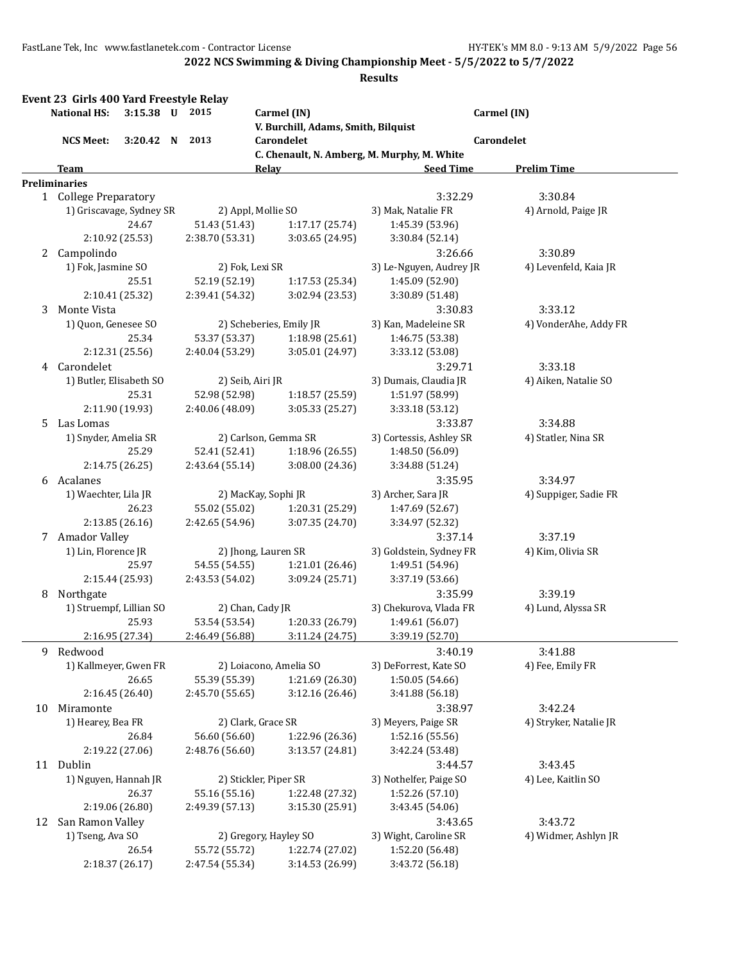**2022 NCS Swimming & Diving Championship Meet - 5/5/2022 to 5/7/2022**

|    | <b>National HS:</b>      | 3:15.38 U 2015  |   |                  | Carmel (IN)                                               |                                    | Carmel (IN)            |
|----|--------------------------|-----------------|---|------------------|-----------------------------------------------------------|------------------------------------|------------------------|
|    |                          |                 |   |                  | V. Burchill, Adams, Smith, Bilquist                       |                                    |                        |
|    | <b>NCS Meet:</b>         | 3:20.42         | N | 2013             | Carondelet<br>C. Chenault, N. Amberg, M. Murphy, M. White |                                    | Carondelet             |
|    | Team                     |                 |   |                  | <b>Relay</b>                                              | <b>Seed Time</b>                   | <b>Prelim Time</b>     |
|    | <b>Preliminaries</b>     |                 |   |                  |                                                           |                                    |                        |
|    | 1 College Preparatory    |                 |   |                  |                                                           | 3:32.29                            | 3:30.84                |
|    | 1) Griscavage, Sydney SR |                 |   |                  | 2) Appl, Mollie SO                                        | 3) Mak, Natalie FR                 | 4) Arnold, Paige JR    |
|    |                          | 24.67           |   | 51.43 (51.43)    | 1:17.17 (25.74)                                           | 1:45.39 (53.96)                    |                        |
|    |                          | 2:10.92 (25.53) |   | 2:38.70 (53.31)  | 3:03.65 (24.95)                                           | 3:30.84 (52.14)                    |                        |
| 2  | Campolindo               |                 |   |                  |                                                           | 3:26.66                            | 3:30.89                |
|    | 1) Fok, Jasmine SO       |                 |   | 2) Fok, Lexi SR  |                                                           | 3) Le-Nguyen, Audrey JR            | 4) Levenfeld, Kaia JR  |
|    |                          | 25.51           |   | 52.19 (52.19)    | 1:17.53 (25.34)                                           | 1:45.09 (52.90)                    |                        |
|    |                          | 2:10.41 (25.32) |   | 2:39.41 (54.32)  | 3:02.94 (23.53)                                           | 3:30.89 (51.48)                    |                        |
| 3  | Monte Vista              |                 |   |                  |                                                           | 3:30.83                            | 3:33.12                |
|    | 1) Quon, Genesee SO      |                 |   |                  | 2) Scheberies, Emily JR                                   | 3) Kan, Madeleine SR               | 4) VonderAhe, Addy FR  |
|    |                          | 25.34           |   | 53.37 (53.37)    | 1:18.98 (25.61)                                           | 1:46.75 (53.38)                    |                        |
|    |                          | 2:12.31 (25.56) |   | 2:40.04 (53.29)  | 3:05.01 (24.97)                                           | 3:33.12 (53.08)                    |                        |
| 4  | Carondelet               |                 |   |                  |                                                           | 3:29.71                            | 3:33.18                |
|    | 1) Butler, Elisabeth SO  |                 |   | 2) Seib, Airi JR |                                                           | 3) Dumais, Claudia JR              | 4) Aiken, Natalie SO   |
|    |                          | 25.31           |   | 52.98 (52.98)    | 1:18.57 (25.59)                                           | 1:51.97 (58.99)                    |                        |
|    |                          | 2:11.90 (19.93) |   | 2:40.06 (48.09)  | 3:05.33 (25.27)                                           | 3:33.18 (53.12)                    |                        |
| 5. | Las Lomas                |                 |   |                  |                                                           | 3:33.87                            | 3:34.88                |
|    | 1) Snyder, Amelia SR     |                 |   |                  | 2) Carlson, Gemma SR                                      | 3) Cortessis, Ashley SR            | 4) Statler, Nina SR    |
|    |                          | 25.29           |   | 52.41 (52.41)    | 1:18.96 (26.55)                                           | 1:48.50 (56.09)                    |                        |
|    |                          | 2:14.75 (26.25) |   | 2:43.64 (55.14)  | 3:08.00 (24.36)                                           | 3:34.88 (51.24)                    |                        |
|    | 6 Acalanes               |                 |   |                  |                                                           | 3:35.95                            | 3:34.97                |
|    | 1) Waechter, Lila JR     |                 |   |                  | 2) MacKay, Sophi JR                                       | 3) Archer, Sara JR                 | 4) Suppiger, Sadie FR  |
|    |                          | 26.23           |   | 55.02 (55.02)    | 1:20.31 (25.29)                                           | 1:47.69 (52.67)                    |                        |
|    |                          | 2:13.85 (26.16) |   | 2:42.65 (54.96)  | 3:07.35 (24.70)                                           | 3:34.97 (52.32)                    |                        |
|    | 7 Amador Valley          |                 |   |                  |                                                           | 3:37.14                            | 3:37.19                |
|    | 1) Lin, Florence JR      |                 |   |                  | 2) Jhong, Lauren SR                                       | 3) Goldstein, Sydney FR            | 4) Kim, Olivia SR      |
|    |                          | 25.97           |   | 54.55 (54.55)    | 1:21.01 (26.46)                                           | 1:49.51 (54.96)                    |                        |
|    |                          | 2:15.44 (25.93) |   | 2:43.53 (54.02)  | 3:09.24 (25.71)                                           | 3:37.19 (53.66)                    |                        |
|    | Northgate                |                 |   |                  |                                                           | 3:35.99                            | 3:39.19                |
| 8  | 1) Struempf, Lillian SO  |                 |   |                  |                                                           | 3) Chekurova, Vlada FR             | 4) Lund, Alyssa SR     |
|    |                          | 25.93           |   | 53.54 (53.54)    | 2) Chan, Cady JR<br>1:20.33 (26.79)                       |                                    |                        |
|    |                          | 2:16.95 (27.34) |   | 2:46.49 (56.88)  | 3:11.24 (24.75)                                           | 1:49.61 (56.07)<br>3:39.19 (52.70) |                        |
|    |                          |                 |   |                  |                                                           |                                    |                        |
| 9  | Redwood                  |                 |   |                  |                                                           | 3:40.19<br>3) DeForrest, Kate SO   | 3:41.88                |
|    | 1) Kallmeyer, Gwen FR    |                 |   |                  | 2) Loiacono, Amelia SO                                    |                                    | 4) Fee, Emily FR       |
|    |                          | 26.65           |   | 55.39 (55.39)    | 1:21.69 (26.30)                                           | 1:50.05 (54.66)                    |                        |
|    |                          | 2:16.45 (26.40) |   | 2:45.70 (55.65)  | 3:12.16 (26.46)                                           | 3:41.88 (56.18)                    |                        |
| 10 | Miramonte                |                 |   |                  |                                                           | 3:38.97                            | 3:42.24                |
|    | 1) Hearey, Bea FR        |                 |   |                  | 2) Clark, Grace SR                                        | 3) Meyers, Paige SR                | 4) Stryker, Natalie JR |
|    |                          | 26.84           |   | 56.60 (56.60)    | 1:22.96 (26.36)                                           | 1:52.16 (55.56)                    |                        |
|    |                          | 2:19.22 (27.06) |   | 2:48.76 (56.60)  | 3:13.57 (24.81)                                           | 3:42.24 (53.48)                    |                        |
|    | 11 Dublin                |                 |   |                  |                                                           | 3:44.57                            | 3:43.45                |
|    | 1) Nguyen, Hannah JR     |                 |   |                  | 2) Stickler, Piper SR                                     | 3) Nothelfer, Paige SO             | 4) Lee, Kaitlin SO     |
|    |                          | 26.37           |   | 55.16 (55.16)    | 1:22.48 (27.32)                                           | 1:52.26 (57.10)                    |                        |
|    |                          | 2:19.06 (26.80) |   | 2:49.39 (57.13)  | 3:15.30 (25.91)                                           | 3:43.45 (54.06)                    |                        |
| 12 | San Ramon Valley         |                 |   |                  |                                                           | 3:43.65                            | 3:43.72                |
|    | 1) Tseng, Ava SO         |                 |   |                  | 2) Gregory, Hayley SO                                     | 3) Wight, Caroline SR              | 4) Widmer, Ashlyn JR   |
|    |                          | 26.54           |   | 55.72 (55.72)    | 1:22.74 (27.02)                                           | 1:52.20 (56.48)                    |                        |
|    |                          | 2:18.37 (26.17) |   | 2:47.54 (55.34)  | 3:14.53 (26.99)                                           | 3:43.72 (56.18)                    |                        |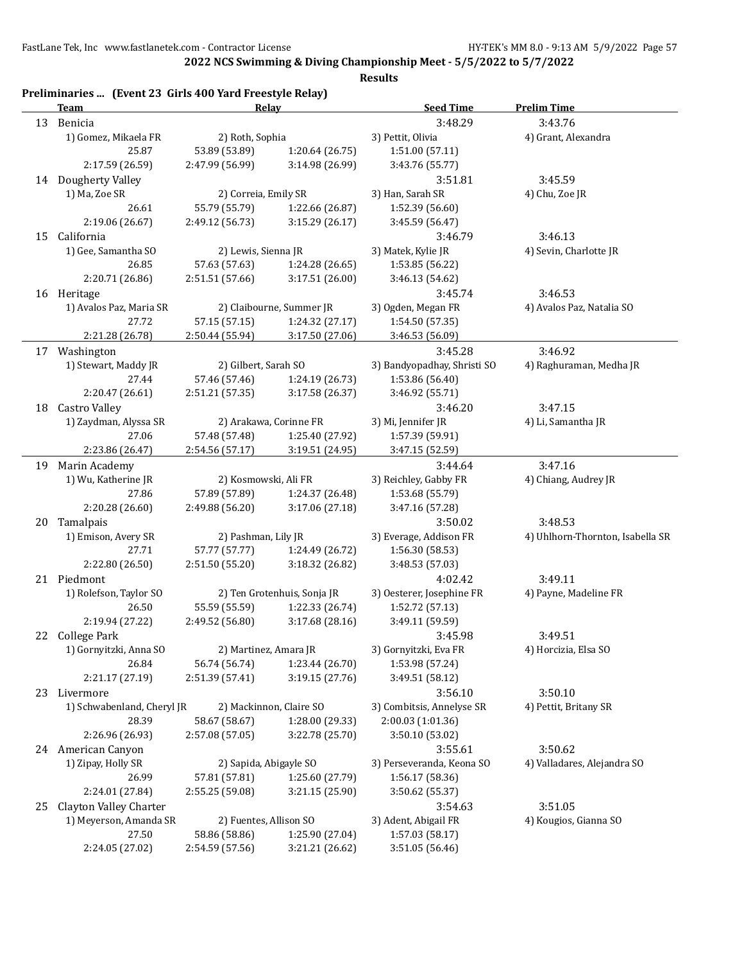**2022 NCS Swimming & Diving Championship Meet - 5/5/2022 to 5/7/2022**

|    | Team                       | Relay                  |                             | <b>Seed Time</b>            | <b>Prelim Time</b>               |
|----|----------------------------|------------------------|-----------------------------|-----------------------------|----------------------------------|
| 13 | Benicia                    |                        |                             | 3:48.29                     | 3:43.76                          |
|    | 1) Gomez, Mikaela FR       | 2) Roth, Sophia        |                             | 3) Pettit, Olivia           | 4) Grant, Alexandra              |
|    | 25.87                      | 53.89 (53.89)          | 1:20.64 (26.75)             | 1:51.00 (57.11)             |                                  |
|    | 2:17.59 (26.59)            | 2:47.99 (56.99)        | 3:14.98 (26.99)             | 3:43.76 (55.77)             |                                  |
|    | 14 Dougherty Valley        |                        |                             | 3:51.81                     | 3:45.59                          |
|    | 1) Ma, Zoe SR              | 2) Correia, Emily SR   |                             | 3) Han, Sarah SR            | 4) Chu, Zoe JR                   |
|    | 26.61                      | 55.79 (55.79)          | 1:22.66 (26.87)             | 1:52.39 (56.60)             |                                  |
|    | 2:19.06 (26.67)            | 2:49.12 (56.73)        | 3:15.29 (26.17)             | 3:45.59 (56.47)             |                                  |
|    | 15 California              |                        |                             | 3:46.79                     | 3:46.13                          |
|    | 1) Gee, Samantha SO        | 2) Lewis, Sienna JR    |                             | 3) Matek, Kylie JR          | 4) Sevin, Charlotte JR           |
|    | 26.85                      | 57.63 (57.63)          | 1:24.28 (26.65)             | 1:53.85 (56.22)             |                                  |
|    | 2:20.71 (26.86)            | 2:51.51 (57.66)        | 3:17.51 (26.00)             | 3:46.13 (54.62)             |                                  |
|    | 16 Heritage                |                        |                             | 3:45.74                     | 3:46.53                          |
|    | 1) Avalos Paz, Maria SR    |                        | 2) Claibourne, Summer JR    |                             |                                  |
|    | 27.72                      |                        |                             | 3) Ogden, Megan FR          | 4) Avalos Paz, Natalia SO        |
|    |                            | 57.15 (57.15)          | 1:24.32 (27.17)             | 1:54.50 (57.35)             |                                  |
|    | 2:21.28 (26.78)            | 2:50.44 (55.94)        | 3:17.50 (27.06)             | 3:46.53 (56.09)             |                                  |
|    | 17 Washington              |                        |                             | 3:45.28                     | 3:46.92                          |
|    | 1) Stewart, Maddy JR       | 2) Gilbert, Sarah SO   |                             | 3) Bandyopadhay, Shristi SO | 4) Raghuraman, Medha JR          |
|    | 27.44                      | 57.46 (57.46)          | 1:24.19 (26.73)             | 1:53.86 (56.40)             |                                  |
|    | 2:20.47 (26.61)            | 2:51.21 (57.35)        | 3:17.58 (26.37)             | 3:46.92 (55.71)             |                                  |
| 18 | Castro Valley              |                        |                             | 3:46.20                     | 3:47.15                          |
|    | 1) Zaydman, Alyssa SR      |                        | 2) Arakawa, Corinne FR      | 3) Mi, Jennifer JR          | 4) Li, Samantha JR               |
|    | 27.06                      | 57.48 (57.48)          | 1:25.40 (27.92)             | 1:57.39 (59.91)             |                                  |
|    | 2:23.86 (26.47)            | 2:54.56 (57.17)        | 3:19.51 (24.95)             | 3:47.15 (52.59)             |                                  |
| 19 | Marin Academy              |                        |                             | 3:44.64                     | 3:47.16                          |
|    | 1) Wu, Katherine JR        | 2) Kosmowski, Ali FR   |                             | 3) Reichley, Gabby FR       | 4) Chiang, Audrey JR             |
|    | 27.86                      | 57.89 (57.89)          | 1:24.37 (26.48)             | 1:53.68 (55.79)             |                                  |
|    | 2:20.28 (26.60)            | 2:49.88 (56.20)        | 3:17.06 (27.18)             | 3:47.16 (57.28)             |                                  |
| 20 | Tamalpais                  |                        |                             | 3:50.02                     | 3:48.53                          |
|    | 1) Emison, Avery SR        | 2) Pashman, Lily JR    |                             | 3) Everage, Addison FR      | 4) Uhlhorn-Thornton, Isabella SR |
|    | 27.71                      | 57.77 (57.77)          | 1:24.49 (26.72)             | 1:56.30 (58.53)             |                                  |
|    | 2:22.80 (26.50)            | 2:51.50 (55.20)        | 3:18.32 (26.82)             | 3:48.53 (57.03)             |                                  |
|    | 21 Piedmont                |                        |                             | 4:02.42                     | 3:49.11                          |
|    | 1) Rolefson, Taylor SO     |                        | 2) Ten Grotenhuis, Sonja JR | 3) Oesterer, Josephine FR   | 4) Payne, Madeline FR            |
|    | 26.50                      | 55.59 (55.59)          | 1:22.33 (26.74)             | 1:52.72 (57.13)             |                                  |
|    | 2:19.94 (27.22)            | 2:49.52 (56.80)        | 3:17.68 (28.16)             | 3:49.11 (59.59)             |                                  |
|    | 22 College Park            |                        |                             | 3:45.98                     | 3:49.51                          |
|    | 1) Gornyitzki, Anna SO     | 2) Martinez, Amara JR  |                             | 3) Gornyitzki, Eva FR       | 4) Horcizia, Elsa SO             |
|    | 26.84                      | 56.74 (56.74)          | 1:23.44 (26.70)             | 1:53.98 (57.24)             |                                  |
|    | 2:21.17 (27.19)            | 2:51.39 (57.41)        | 3:19.15 (27.76)             | 3:49.51 (58.12)             |                                  |
| 23 | Livermore                  |                        |                             | 3:56.10                     | 3:50.10                          |
|    | 1) Schwabenland, Cheryl JR |                        | 2) Mackinnon, Claire SO     | 3) Combitsis, Annelyse SR   | 4) Pettit, Britany SR            |
|    | 28.39                      | 58.67 (58.67)          | 1:28.00 (29.33)             | 2:00.03 (1:01.36)           |                                  |
|    | 2:26.96 (26.93)            | 2:57.08 (57.05)        | 3:22.78 (25.70)             | 3:50.10 (53.02)             |                                  |
|    |                            |                        |                             | 3:55.61                     | 3:50.62                          |
|    | 24 American Canyon         |                        |                             |                             |                                  |
|    | 1) Zipay, Holly SR         | 2) Sapida, Abigayle SO |                             | 3) Perseveranda, Keona SO   | 4) Valladares, Alejandra SO      |
|    | 26.99                      | 57.81 (57.81)          | 1:25.60 (27.79)             | 1:56.17 (58.36)             |                                  |
|    | 2:24.01 (27.84)            | 2:55.25 (59.08)        | 3:21.15 (25.90)             | 3:50.62 (55.37)             |                                  |
| 25 | Clayton Valley Charter     |                        |                             | 3:54.63                     | 3:51.05                          |
|    | 1) Meyerson, Amanda SR     | 2) Fuentes, Allison SO |                             | 3) Adent, Abigail FR        | 4) Kougios, Gianna SO            |
|    | 27.50                      | 58.86 (58.86)          | 1:25.90 (27.04)             | 1:57.03 (58.17)             |                                  |
|    | 2:24.05 (27.02)            | 2:54.59 (57.56)        | 3:21.21 (26.62)             | 3:51.05 (56.46)             |                                  |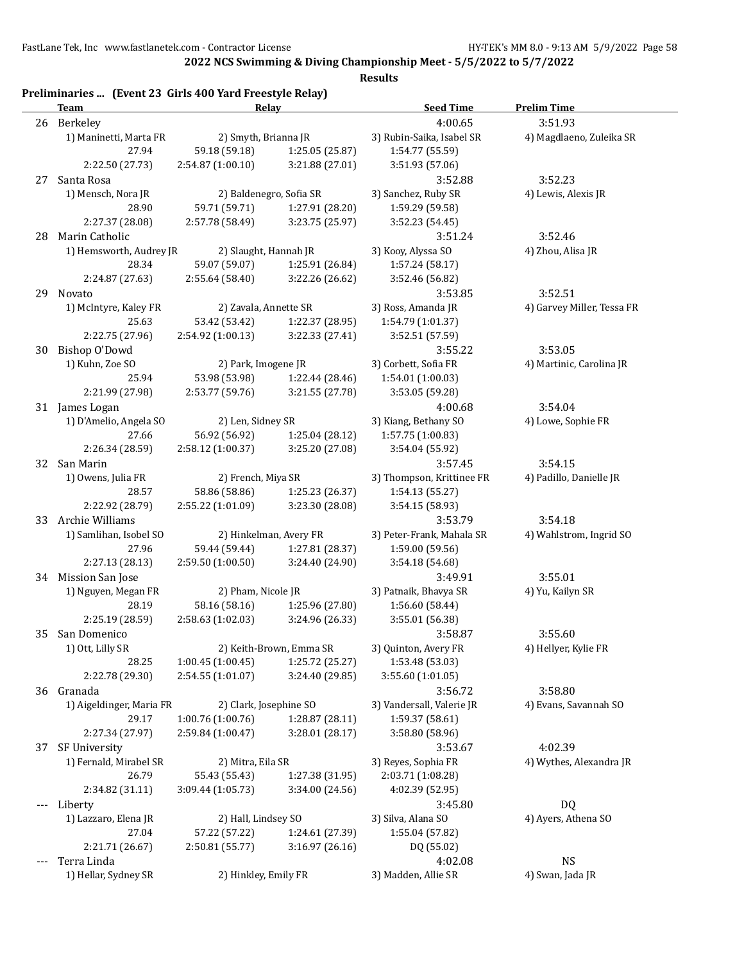**2022 NCS Swimming & Diving Championship Meet - 5/5/2022 to 5/7/2022**

|       | Team                     | Relay                  |                         | <b>Seed Time</b>          | <b>Prelim Time</b>         |
|-------|--------------------------|------------------------|-------------------------|---------------------------|----------------------------|
|       | 26 Berkeley              |                        |                         | 4:00.65                   | 3:51.93                    |
|       | 1) Maninetti, Marta FR   | 2) Smyth, Brianna JR   |                         | 3) Rubin-Saika, Isabel SR | 4) Magdlaeno, Zuleika SR   |
|       | 27.94                    | 59.18 (59.18)          | 1:25.05 (25.87)         | 1:54.77 (55.59)           |                            |
|       | 2:22.50 (27.73)          | 2:54.87 (1:00.10)      | 3:21.88 (27.01)         | 3:51.93 (57.06)           |                            |
| 27    | Santa Rosa               |                        |                         | 3:52.88                   | 3:52.23                    |
|       | 1) Mensch, Nora JR       |                        | 2) Baldenegro, Sofia SR | 3) Sanchez, Ruby SR       | 4) Lewis, Alexis JR        |
|       | 28.90                    | 59.71 (59.71)          | 1:27.91 (28.20)         | 1:59.29 (59.58)           |                            |
|       | 2:27.37 (28.08)          | 2:57.78 (58.49)        | 3:23.75 (25.97)         | 3:52.23 (54.45)           |                            |
| 28    | Marin Catholic           |                        |                         | 3:51.24                   | 3:52.46                    |
|       | 1) Hemsworth, Audrey JR  | 2) Slaught, Hannah JR  |                         | 3) Kooy, Alyssa SO        | 4) Zhou, Alisa JR          |
|       | 28.34                    | 59.07 (59.07)          | 1:25.91 (26.84)         | 1:57.24 (58.17)           |                            |
|       | 2:24.87 (27.63)          | 2:55.64 (58.40)        | 3:22.26 (26.62)         | 3:52.46 (56.82)           |                            |
|       | 29 Novato                |                        |                         | 3:53.85                   | 3:52.51                    |
|       | 1) McIntyre, Kaley FR    | 2) Zavala, Annette SR  |                         | 3) Ross, Amanda JR        | 4) Garvey Miller, Tessa FR |
|       | 25.63                    | 53.42 (53.42)          | 1:22.37 (28.95)         | 1:54.79 (1:01.37)         |                            |
|       | 2:22.75 (27.96)          | 2:54.92 (1:00.13)      | 3:22.33 (27.41)         | 3:52.51 (57.59)           |                            |
| 30    | Bishop O'Dowd            |                        |                         | 3:55.22                   | 3:53.05                    |
|       | 1) Kuhn, Zoe SO          | 2) Park, Imogene JR    |                         | 3) Corbett, Sofia FR      | 4) Martinic, Carolina JR   |
|       | 25.94                    | 53.98 (53.98)          | 1:22.44 (28.46)         | 1:54.01 (1:00.03)         |                            |
|       | 2:21.99 (27.98)          | 2:53.77 (59.76)        | 3:21.55 (27.78)         | 3:53.05 (59.28)           |                            |
|       | 31 James Logan           |                        |                         | 4:00.68                   | 3:54.04                    |
|       | 1) D'Amelio, Angela SO   | 2) Len, Sidney SR      |                         | 3) Kiang, Bethany SO      | 4) Lowe, Sophie FR         |
|       | 27.66                    | 56.92 (56.92)          | 1:25.04 (28.12)         | 1:57.75 (1:00.83)         |                            |
|       | 2:26.34 (28.59)          | 2:58.12(1:00.37)       | 3:25.20 (27.08)         | 3:54.04 (55.92)           |                            |
|       | 32 San Marin             |                        |                         | 3:57.45                   | 3:54.15                    |
|       | 1) Owens, Julia FR       | 2) French, Miya SR     |                         | 3) Thompson, Krittinee FR | 4) Padillo, Danielle JR    |
|       | 28.57                    | 58.86 (58.86)          | 1:25.23 (26.37)         | 1:54.13 (55.27)           |                            |
|       | 2:22.92 (28.79)          | 2:55.22 (1:01.09)      | 3:23.30 (28.08)         | 3:54.15 (58.93)           |                            |
|       | 33 Archie Williams       |                        |                         | 3:53.79                   | 3:54.18                    |
|       | 1) Samlihan, Isobel SO   |                        | 2) Hinkelman, Avery FR  | 3) Peter-Frank, Mahala SR | 4) Wahlstrom, Ingrid SO    |
|       | 27.96                    | 59.44 (59.44)          | 1:27.81 (28.37)         | 1:59.00 (59.56)           |                            |
|       | 2:27.13 (28.13)          | 2:59.50 (1:00.50)      | 3:24.40 (24.90)         | 3:54.18 (54.68)           |                            |
|       | 34 Mission San Jose      |                        |                         | 3:49.91                   | 3:55.01                    |
|       | 1) Nguyen, Megan FR      | 2) Pham, Nicole JR     |                         | 3) Patnaik, Bhavya SR     | 4) Yu, Kailyn SR           |
|       | 28.19                    | 58.16 (58.16)          | 1:25.96 (27.80)         | 1:56.60 (58.44)           |                            |
|       | 2:25.19 (28.59)          | 2:58.63 (1:02.03)      | 3:24.96 (26.33)         | 3:55.01 (56.38)           |                            |
| 35    | San Domenico             |                        |                         | 3:58.87                   | 3:55.60                    |
|       | 1) Ott, Lilly SR         |                        | 2) Keith-Brown, Emma SR | 3) Quinton, Avery FR      | 4) Hellyer, Kylie FR       |
|       | 28.25                    | 1:00.45(1:00.45)       | 1:25.72 (25.27)         | 1:53.48 (53.03)           |                            |
|       | 2:22.78 (29.30)          | 2:54.55 (1:01.07)      | 3:24.40 (29.85)         | 3:55.60 (1:01.05)         |                            |
| 36    | Granada                  |                        |                         | 3:56.72                   | 3:58.80                    |
|       | 1) Aigeldinger, Maria FR | 2) Clark, Josephine SO |                         | 3) Vandersall, Valerie JR | 4) Evans, Savannah SO      |
|       | 29.17                    | 1:00.76 (1:00.76)      | 1:28.87 (28.11)         | 1:59.37 (58.61)           |                            |
|       | 2:27.34 (27.97)          | 2:59.84 (1:00.47)      | 3:28.01 (28.17)         | 3:58.80 (58.96)           |                            |
|       | 37 SF University         |                        |                         | 3:53.67                   | 4:02.39                    |
|       | 1) Fernald, Mirabel SR   | 2) Mitra, Eila SR      |                         | 3) Reyes, Sophia FR       | 4) Wythes, Alexandra JR    |
|       | 26.79                    | 55.43 (55.43)          | 1:27.38 (31.95)         | 2:03.71 (1:08.28)         |                            |
|       | 2:34.82 (31.11)          | 3:09.44 (1:05.73)      | 3:34.00 (24.56)         | 4:02.39 (52.95)           |                            |
| $---$ | Liberty                  |                        |                         | 3:45.80                   | <b>DQ</b>                  |
|       | 1) Lazzaro, Elena JR     | 2) Hall, Lindsey SO    |                         | 3) Silva, Alana SO        | 4) Ayers, Athena SO        |
|       | 27.04                    | 57.22 (57.22)          | 1:24.61 (27.39)         | 1:55.04 (57.82)           |                            |
|       | 2:21.71 (26.67)          | 2:50.81 (55.77)        | 3:16.97 (26.16)         | DQ (55.02)                |                            |
|       |                          |                        |                         | 4:02.08                   | <b>NS</b>                  |
| $---$ | Terra Linda              |                        |                         |                           |                            |
|       | 1) Hellar, Sydney SR     | 2) Hinkley, Emily FR   |                         | 3) Madden, Allie SR       | 4) Swan, Jada JR           |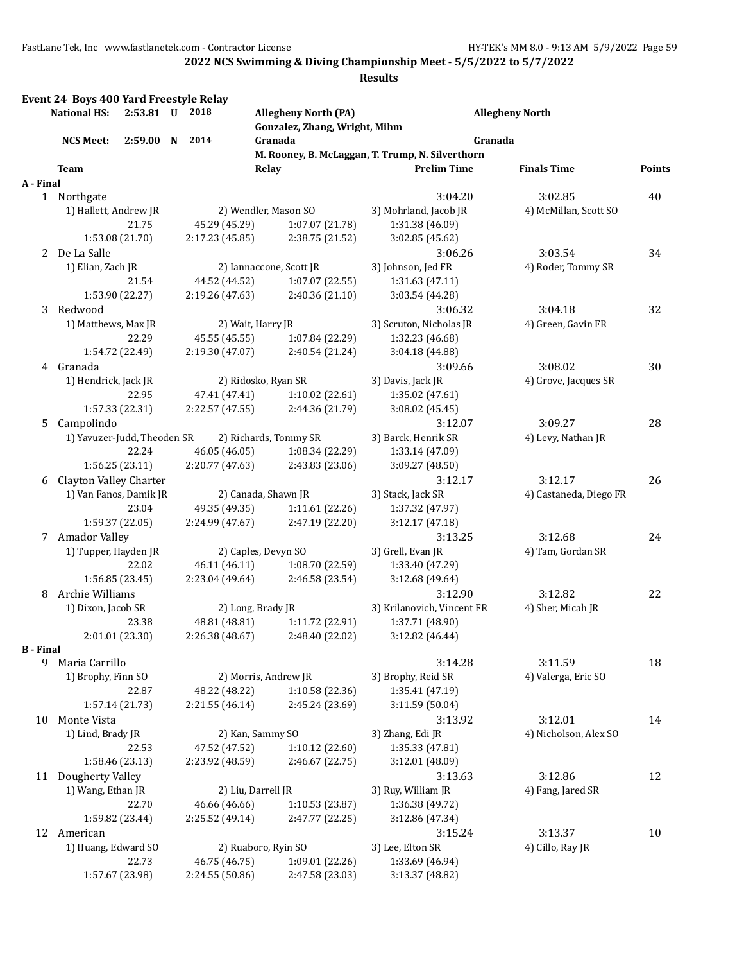|                  | Event 24 Boys 400 Yard Freestyle Relay<br><b>National HS:</b> | 2:53.81 U 2018  |                    |                         | <b>Allegheny North (PA)</b> |                               |                                                  | <b>Allegheny North</b>           |               |
|------------------|---------------------------------------------------------------|-----------------|--------------------|-------------------------|-----------------------------|-------------------------------|--------------------------------------------------|----------------------------------|---------------|
|                  |                                                               |                 |                    |                         |                             | Gonzalez, Zhang, Wright, Mihm |                                                  |                                  |               |
|                  | <b>NCS Meet:</b>                                              | 2:59.00 N 2014  |                    |                         | Granada                     |                               |                                                  | Granada                          |               |
|                  |                                                               |                 |                    |                         |                             |                               | M. Rooney, B. McLaggan, T. Trump, N. Silverthorn |                                  |               |
|                  | Team                                                          |                 |                    |                         | Relay                       |                               | <b>Prelim Time</b>                               | <b>Finals Time</b>               | <b>Points</b> |
| A - Final        |                                                               |                 |                    |                         |                             |                               |                                                  |                                  |               |
|                  | 1 Northgate<br>1) Hallett, Andrew JR                          |                 |                    |                         | 2) Wendler, Mason SO        |                               | 3:04.20<br>3) Mohrland, Jacob JR                 | 3:02.85<br>4) McMillan, Scott SO | 40            |
|                  |                                                               | 21.75           |                    | 45.29 (45.29)           |                             | 1:07.07 (21.78)               | 1:31.38 (46.09)                                  |                                  |               |
|                  |                                                               | 1:53.08 (21.70) |                    | 2:17.23 (45.85)         |                             | 2:38.75 (21.52)               | 3:02.85 (45.62)                                  |                                  |               |
|                  | 2 De La Salle                                                 |                 |                    |                         |                             |                               | 3:06.26                                          | 3:03.54                          | 34            |
|                  | 1) Elian, Zach JR                                             |                 |                    | 2) Iannaccone, Scott JR |                             | 3) Johnson, Jed FR            | 4) Roder, Tommy SR                               |                                  |               |
|                  |                                                               | 21.54           |                    | 44.52 (44.52)           |                             | 1:07.07 (22.55)               | 1:31.63 (47.11)                                  |                                  |               |
|                  |                                                               | 1:53.90 (22.27) |                    | 2:19.26 (47.63)         |                             | 2:40.36 (21.10)               | 3:03.54 (44.28)                                  |                                  |               |
| 3                | Redwood                                                       |                 |                    |                         |                             |                               | 3:06.32                                          | 3:04.18                          | 32            |
|                  | 1) Matthews, Max JR                                           |                 |                    |                         | 2) Wait, Harry JR           |                               | 3) Scruton, Nicholas JR                          | 4) Green, Gavin FR               |               |
|                  |                                                               | 22.29           |                    | 45.55 (45.55)           |                             | 1:07.84 (22.29)               | 1:32.23 (46.68)                                  |                                  |               |
|                  |                                                               | 1:54.72 (22.49) |                    | 2:19.30 (47.07)         |                             | 2:40.54 (21.24)               | 3:04.18 (44.88)                                  |                                  |               |
|                  | 4 Granada                                                     |                 |                    |                         |                             |                               | 3:09.66                                          | 3:08.02                          | 30            |
|                  | 1) Hendrick, Jack JR                                          |                 |                    |                         | 2) Ridosko, Ryan SR         |                               | 3) Davis, Jack JR                                | 4) Grove, Jacques SR             |               |
|                  |                                                               | 22.95           |                    | 47.41 (47.41)           |                             | 1:10.02(22.61)                | 1:35.02 (47.61)                                  |                                  |               |
|                  |                                                               | 1:57.33 (22.31) |                    | 2:22.57 (47.55)         |                             | 2:44.36 (21.79)               | 3:08.02 (45.45)                                  |                                  |               |
| 5.               | Campolindo                                                    |                 |                    |                         |                             |                               | 3:12.07                                          | 3:09.27                          | 28            |
|                  | 1) Yavuzer-Judd, Theoden SR                                   |                 |                    |                         | 2) Richards, Tommy SR       |                               | 3) Barck, Henrik SR                              | 4) Levy, Nathan JR               |               |
|                  |                                                               | 22.24           |                    | 46.05 (46.05)           |                             | 1:08.34 (22.29)               | 1:33.14 (47.09)                                  |                                  |               |
|                  |                                                               | 1:56.25 (23.11) |                    | 2:20.77 (47.63)         |                             | 2:43.83 (23.06)               | 3:09.27 (48.50)                                  |                                  |               |
| 6                | Clayton Valley Charter                                        |                 |                    |                         |                             | 3:12.17                       | 3:12.17                                          | 26                               |               |
|                  | 1) Van Fanos, Damik JR                                        |                 |                    | 2) Canada, Shawn JR     |                             | 3) Stack, Jack SR             | 4) Castaneda, Diego FR                           |                                  |               |
|                  |                                                               | 23.04           |                    | 49.35 (49.35)           |                             | 1:11.61 (22.26)               | 1:37.32 (47.97)                                  |                                  |               |
|                  |                                                               | 1:59.37 (22.05) |                    | 2:24.99 (47.67)         |                             | 2:47.19 (22.20)               | 3:12.17 (47.18)                                  |                                  |               |
|                  | 7 Amador Valley                                               |                 |                    |                         |                             |                               | 3:13.25                                          | 3:12.68                          | 24            |
|                  | 1) Tupper, Hayden JR                                          |                 |                    |                         | 2) Caples, Devyn SO         |                               | 3) Grell, Evan JR                                | 4) Tam, Gordan SR                |               |
|                  |                                                               | 22.02           |                    | 46.11 (46.11)           |                             | 1:08.70 (22.59)               | 1:33.40 (47.29)                                  |                                  |               |
|                  |                                                               | 1:56.85(23.45)  |                    | 2:23.04 (49.64)         |                             | 2:46.58 (23.54)               | 3:12.68 (49.64)                                  |                                  |               |
| 8                | Archie Williams                                               |                 |                    |                         |                             |                               | 3:12.90                                          | 3:12.82                          | 22            |
|                  | 1) Dixon, Jacob SR                                            |                 |                    | 2) Long, Brady JR       |                             | 3) Krilanovich, Vincent FR    | 4) Sher, Micah JR                                |                                  |               |
|                  |                                                               | 23.38           |                    | 48.81 (48.81)           |                             | 1:11.72 (22.91)               | 1:37.71 (48.90)                                  |                                  |               |
|                  |                                                               | 2:01.01 (23.30) |                    | 2:26.38 (48.67)         |                             | 2:48.40 (22.02)               | 3:12.82(46.44)                                   |                                  |               |
| <b>B</b> - Final | 9 Maria Carrillo                                              |                 |                    |                         |                             |                               | 3:14.28                                          | 3:11.59                          | 18            |
|                  | 1) Brophy, Finn SO                                            |                 |                    |                         | 2) Morris, Andrew JR        |                               | 3) Brophy, Reid SR                               | 4) Valerga, Eric SO              |               |
|                  |                                                               | 22.87           |                    | 48.22 (48.22)           |                             | 1:10.58 (22.36)               | 1:35.41 (47.19)                                  |                                  |               |
|                  |                                                               | 1:57.14 (21.73) |                    | 2:21.55 (46.14)         |                             | 2:45.24 (23.69)               | 3:11.59 (50.04)                                  |                                  |               |
| 10               | Monte Vista                                                   |                 |                    |                         |                             |                               | 3:13.92                                          | 3:12.01                          | 14            |
|                  | 1) Lind, Brady JR                                             |                 |                    |                         | 2) Kan, Sammy SO            |                               | 3) Zhang, Edi JR                                 | 4) Nicholson, Alex SO            |               |
|                  |                                                               | 22.53           |                    | 47.52 (47.52)           |                             | 1:10.12 (22.60)               | 1:35.33 (47.81)                                  |                                  |               |
|                  |                                                               | 1:58.46 (23.13) |                    | 2:23.92 (48.59)         |                             | 2:46.67 (22.75)               | 3:12.01 (48.09)                                  |                                  |               |
| 11               | Dougherty Valley                                              |                 |                    |                         |                             |                               | 3:13.63                                          | 3:12.86                          | 12            |
|                  | 1) Wang, Ethan JR                                             |                 | 2) Liu, Darrell JR |                         | 3) Ruy, William JR          | 4) Fang, Jared SR             |                                                  |                                  |               |
|                  |                                                               | 22.70           |                    | 46.66 (46.66)           |                             | 1:10.53 (23.87)               | 1:36.38 (49.72)                                  |                                  |               |
|                  |                                                               | 1:59.82 (23.44) |                    | 2:25.52 (49.14)         |                             | 2:47.77 (22.25)               | 3:12.86 (47.34)                                  |                                  |               |
|                  | 12 American                                                   |                 |                    |                         |                             |                               | 3:15.24                                          | 3:13.37                          | 10            |
|                  | 1) Huang, Edward SO                                           |                 |                    |                         | 2) Ruaboro, Ryin SO         |                               | 3) Lee, Elton SR                                 | 4) Cillo, Ray JR                 |               |
|                  |                                                               | 22.73           |                    | 46.75 (46.75)           |                             | 1:09.01 (22.26)               | 1:33.69 (46.94)                                  |                                  |               |
|                  |                                                               | 1:57.67 (23.98) |                    | 2:24.55 (50.86)         |                             | 2:47.58 (23.03)               | 3:13.37 (48.82)                                  |                                  |               |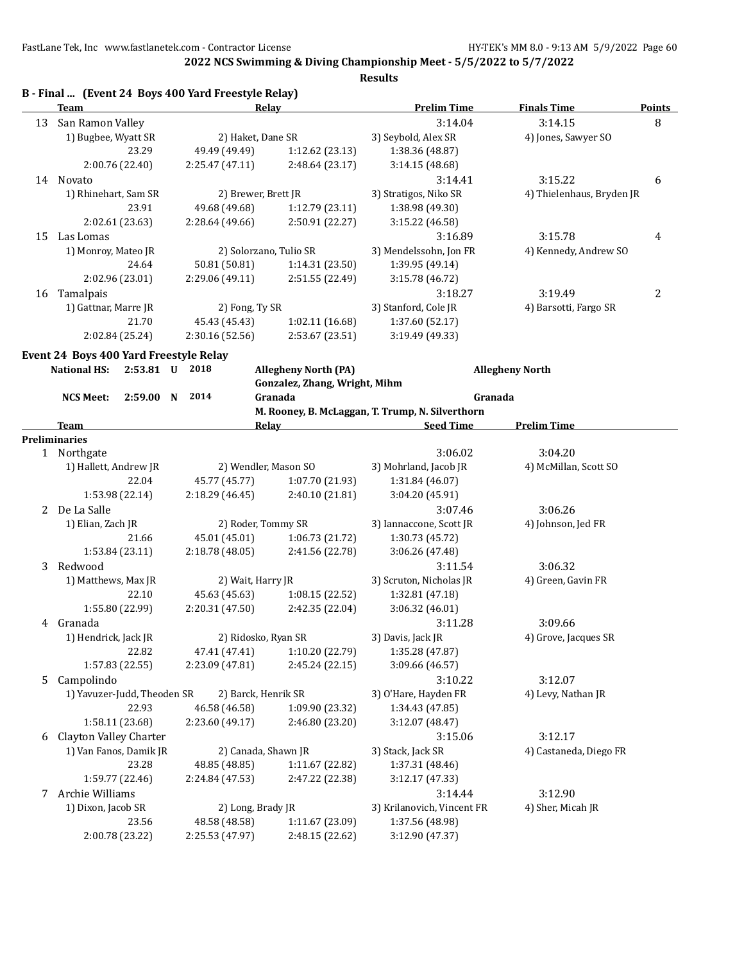**2022 NCS Swimming & Diving Championship Meet - 5/5/2022 to 5/7/2022**

|                       | Team                                   | Relay                  |                                                              | <b>Prelim Time</b>                               | <b>Finals Time</b>        | <b>Points</b>  |
|-----------------------|----------------------------------------|------------------------|--------------------------------------------------------------|--------------------------------------------------|---------------------------|----------------|
|                       | 13 San Ramon Valley                    |                        |                                                              | 3:14.04                                          | 3:14.15                   | 8              |
|                       | 1) Bugbee, Wyatt SR                    | 2) Haket, Dane SR      |                                                              | 3) Seybold, Alex SR                              | 4) Jones, Sawyer SO       |                |
|                       | 23.29                                  | 49.49 (49.49)          | 1:12.62 (23.13)                                              | 1:38.36 (48.87)                                  |                           |                |
|                       | 2:00.76 (22.40)                        | 2:25.47(47.11)         | 2:48.64 (23.17)                                              | 3:14.15 (48.68)                                  |                           |                |
|                       | 14 Novato                              |                        |                                                              | 3:14.41                                          | 3:15.22                   | 6              |
|                       | 1) Rhinehart, Sam SR                   | 2) Brewer, Brett JR    |                                                              | 3) Stratigos, Niko SR                            | 4) Thielenhaus, Bryden JR |                |
|                       | 23.91                                  | 49.68 (49.68)          | 1:12.79(23.11)                                               | 1:38.98 (49.30)                                  |                           |                |
|                       | 2:02.61 (23.63)                        | 2:28.64 (49.66)        | 2:50.91 (22.27)                                              | 3:15.22 (46.58)                                  |                           |                |
|                       | 15 Las Lomas                           |                        |                                                              | 3:16.89                                          | 3:15.78                   |                |
|                       |                                        |                        |                                                              |                                                  |                           | 4              |
|                       | 1) Monroy, Mateo JR                    | 2) Solorzano, Tulio SR |                                                              | 3) Mendelssohn, Jon FR                           | 4) Kennedy, Andrew SO     |                |
|                       | 24.64                                  | 50.81 (50.81)          | 1:14.31 (23.50)                                              | 1:39.95 (49.14)                                  |                           |                |
|                       | 2:02.96 (23.01)                        | 2:29.06 (49.11)        | 2:51.55 (22.49)                                              | 3:15.78 (46.72)                                  |                           |                |
|                       | 16 Tamalpais                           |                        |                                                              | 3:18.27                                          | 3:19.49                   | $\overline{2}$ |
|                       | 1) Gattnar, Marre JR                   | 2) Fong, Ty SR         |                                                              | 3) Stanford, Cole JR                             | 4) Barsotti, Fargo SR     |                |
|                       | 21.70                                  | 45.43 (45.43)          | 1:02.11 (16.68)                                              | 1:37.60 (52.17)                                  |                           |                |
|                       | 2:02.84 (25.24)                        | 2:30.16 (52.56)        | 2:53.67 (23.51)                                              | 3:19.49 (49.33)                                  |                           |                |
|                       | Event 24 Boys 400 Yard Freestyle Relay |                        |                                                              |                                                  |                           |                |
|                       | <b>National HS:</b><br>2:53.81 U 2018  |                        | <b>Allegheny North (PA)</b>                                  |                                                  | <b>Allegheny North</b>    |                |
|                       |                                        |                        | Gonzalez, Zhang, Wright, Mihm                                |                                                  |                           |                |
|                       | 2:59.00 N<br><b>NCS Meet:</b>          | 2014                   | Granada                                                      | Granada                                          |                           |                |
|                       |                                        |                        |                                                              | M. Rooney, B. McLaggan, T. Trump, N. Silverthorn |                           |                |
|                       | <b>Team</b>                            |                        | <b>Relay</b><br><u> 1980 - Johann Barn, fransk politik (</u> | <b>Seed Time</b>                                 | <b>Prelim Time</b>        |                |
|                       | Preliminaries                          |                        |                                                              |                                                  |                           |                |
|                       | 1 Northgate                            |                        |                                                              | 3:06.02                                          | 3:04.20                   |                |
|                       | 1) Hallett, Andrew JR                  | 2) Wendler, Mason SO   |                                                              | 3) Mohrland, Jacob JR                            | 4) McMillan, Scott SO     |                |
|                       | 22.04                                  | 45.77 (45.77)          | 1:07.70 (21.93)                                              | 1:31.84 (46.07)                                  |                           |                |
|                       | 1:53.98 (22.14)                        | 2:18.29 (46.45)        | 2:40.10 (21.81)                                              | 3:04.20 (45.91)                                  |                           |                |
|                       |                                        |                        |                                                              |                                                  |                           |                |
| $\mathbf{2}^{\prime}$ | De La Salle                            |                        |                                                              | 3:07.46                                          | 3:06.26                   |                |
|                       | 1) Elian, Zach JR                      | 2) Roder, Tommy SR     |                                                              | 3) Iannaccone, Scott JR                          | 4) Johnson, Jed FR        |                |
|                       | 21.66                                  | 45.01 (45.01)          | 1:06.73 (21.72)                                              | 1:30.73 (45.72)                                  |                           |                |
|                       | 1:53.84 (23.11)                        | 2:18.78(48.05)         | 2:41.56 (22.78)                                              | 3:06.26 (47.48)                                  |                           |                |
| 3                     | Redwood                                |                        |                                                              | 3:11.54                                          | 3:06.32                   |                |
|                       | 1) Matthews, Max JR                    | 2) Wait, Harry JR      |                                                              | 3) Scruton, Nicholas JR                          | 4) Green, Gavin FR        |                |
|                       | 22.10                                  | 45.63 (45.63)          | 1:08.15(22.52)                                               | 1:32.81 (47.18)                                  |                           |                |
|                       | 1:55.80 (22.99)                        | 2:20.31 (47.50)        | 2:42.35 (22.04)                                              | 3:06.32 (46.01)                                  |                           |                |
|                       | 4 Granada                              |                        |                                                              | 3:11.28                                          | 3:09.66                   |                |
|                       | 1) Hendrick, Jack JR                   | 2) Ridosko, Ryan SR    |                                                              | 3) Davis, Jack JR                                | 4) Grove, Jacques SR      |                |
|                       | 22.82                                  | 47.41 (47.41)          | 1:10.20 (22.79)                                              | 1:35.28 (47.87)                                  |                           |                |
|                       | 1:57.83 (22.55)                        | 2:23.09 (47.81)        | 2:45.24 (22.15)                                              | 3:09.66 (46.57)                                  |                           |                |
|                       | 5 Campolindo                           |                        |                                                              | 3:10.22                                          | 3:12.07                   |                |
|                       | 1) Yavuzer-Judd, Theoden SR            | 2) Barck, Henrik SR    |                                                              | 3) O'Hare, Hayden FR                             | 4) Levy, Nathan JR        |                |
|                       | 22.93                                  | 46.58 (46.58)          | 1:09.90 (23.32)                                              | 1:34.43 (47.85)                                  |                           |                |
|                       | 1:58.11 (23.68)                        | 2:23.60 (49.17)        | 2:46.80 (23.20)                                              | 3:12.07 (48.47)                                  |                           |                |
| 6                     | Clayton Valley Charter                 |                        |                                                              | 3:15.06                                          | 3:12.17                   |                |
|                       | 1) Van Fanos, Damik JR                 |                        |                                                              |                                                  |                           |                |
|                       |                                        | 2) Canada, Shawn JR    |                                                              | 3) Stack, Jack SR                                | 4) Castaneda, Diego FR    |                |
|                       | 23.28                                  | 48.85 (48.85)          | 1:11.67 (22.82)                                              | 1:37.31 (48.46)                                  |                           |                |
|                       | 1:59.77 (22.46)                        | 2:24.84 (47.53)        | 2:47.22 (22.38)                                              | 3:12.17 (47.33)                                  |                           |                |
|                       | 7 Archie Williams                      |                        |                                                              | 3:14.44                                          | 3:12.90                   |                |
|                       | 1) Dixon, Jacob SR                     | 2) Long, Brady JR      |                                                              | 3) Krilanovich, Vincent FR                       | 4) Sher, Micah JR         |                |
|                       | 23.56                                  | 48.58 (48.58)          | 1:11.67 (23.09)                                              | 1:37.56 (48.98)                                  |                           |                |
|                       | 2:00.78 (23.22)                        | 2:25.53 (47.97)        | 2:48.15 (22.62)                                              | 3:12.90 (47.37)                                  |                           |                |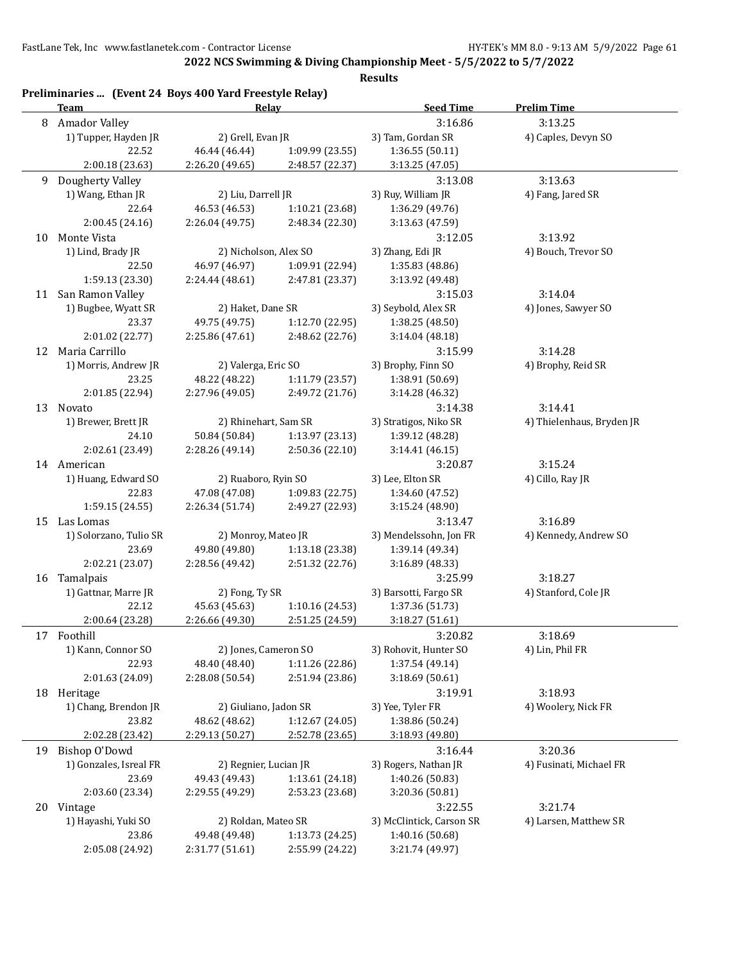**2022 NCS Swimming & Diving Championship Meet - 5/5/2022 to 5/7/2022**

|    | Preliminaries  (Event 24 Boys 400 Yard Freestyle Relay)<br><b>Team</b> | Relay                 |                 | <b>Seed Time</b>         | <b>Prelim Time</b>        |
|----|------------------------------------------------------------------------|-----------------------|-----------------|--------------------------|---------------------------|
|    | 8 Amador Valley                                                        |                       |                 | 3:16.86                  | 3:13.25                   |
|    | 1) Tupper, Hayden JR                                                   | 2) Grell, Evan JR     |                 | 3) Tam, Gordan SR        | 4) Caples, Devyn SO       |
|    | 22.52                                                                  | 46.44 (46.44)         | 1:09.99 (23.55) | 1:36.55(50.11)           |                           |
|    | 2:00.18 (23.63)                                                        | 2:26.20 (49.65)       | 2:48.57 (22.37) | 3:13.25 (47.05)          |                           |
| 9  | Dougherty Valley                                                       |                       |                 | 3:13.08                  | 3:13.63                   |
|    | 1) Wang, Ethan JR                                                      | 2) Liu, Darrell JR    |                 | 3) Ruy, William JR       | 4) Fang, Jared SR         |
|    | 22.64                                                                  | 46.53 (46.53)         | 1:10.21 (23.68) | 1:36.29 (49.76)          |                           |
|    | 2:00.45 (24.16)                                                        | 2:26.04 (49.75)       | 2:48.34 (22.30) | 3:13.63 (47.59)          |                           |
|    | 10 Monte Vista                                                         |                       |                 | 3:12.05                  | 3:13.92                   |
|    | 1) Lind, Brady JR                                                      | 2) Nicholson, Alex SO |                 | 3) Zhang, Edi JR         | 4) Bouch, Trevor SO       |
|    | 22.50                                                                  | 46.97 (46.97)         | 1:09.91 (22.94) | 1:35.83 (48.86)          |                           |
|    | 1:59.13 (23.30)                                                        | 2:24.44 (48.61)       | 2:47.81 (23.37) | 3:13.92 (49.48)          |                           |
|    | 11 San Ramon Valley                                                    |                       |                 | 3:15.03                  | 3:14.04                   |
|    | 1) Bugbee, Wyatt SR                                                    | 2) Haket, Dane SR     |                 | 3) Seybold, Alex SR      | 4) Jones, Sawyer SO       |
|    | 23.37                                                                  | 49.75 (49.75)         | 1:12.70 (22.95) | 1:38.25 (48.50)          |                           |
|    | 2:01.02 (22.77)                                                        | 2:25.86 (47.61)       | 2:48.62 (22.76) | 3:14.04 (48.18)          |                           |
|    | 12 Maria Carrillo                                                      |                       |                 | 3:15.99                  | 3:14.28                   |
|    | 1) Morris, Andrew JR                                                   | 2) Valerga, Eric SO   |                 | 3) Brophy, Finn SO       | 4) Brophy, Reid SR        |
|    | 23.25                                                                  | 48.22 (48.22)         | 1:11.79(23.57)  | 1:38.91 (50.69)          |                           |
|    | 2:01.85 (22.94)                                                        | 2:27.96 (49.05)       | 2:49.72 (21.76) | 3:14.28 (46.32)          |                           |
|    | 13 Novato                                                              |                       |                 | 3:14.38                  | 3:14.41                   |
|    | 1) Brewer, Brett JR                                                    | 2) Rhinehart, Sam SR  |                 | 3) Stratigos, Niko SR    | 4) Thielenhaus, Bryden JR |
|    | 24.10                                                                  | 50.84 (50.84)         | 1:13.97 (23.13) | 1:39.12 (48.28)          |                           |
|    | 2:02.61 (23.49)                                                        | 2:28.26 (49.14)       | 2:50.36 (22.10) | 3:14.41 (46.15)          |                           |
|    | 14 American                                                            |                       |                 | 3:20.87                  | 3:15.24                   |
|    | 1) Huang, Edward SO                                                    | 2) Ruaboro, Ryin SO   |                 | 3) Lee, Elton SR         | 4) Cillo, Ray JR          |
|    | 22.83                                                                  | 47.08 (47.08)         | 1:09.83 (22.75) | 1:34.60 (47.52)          |                           |
|    | 1:59.15 (24.55)                                                        | 2:26.34 (51.74)       | 2:49.27 (22.93) | 3:15.24 (48.90)          |                           |
|    | 15 Las Lomas                                                           |                       |                 | 3:13.47                  | 3:16.89                   |
|    | 1) Solorzano, Tulio SR                                                 | 2) Monroy, Mateo JR   |                 | 3) Mendelssohn, Jon FR   | 4) Kennedy, Andrew SO     |
|    | 23.69                                                                  | 49.80 (49.80)         | 1:13.18 (23.38) | 1:39.14 (49.34)          |                           |
|    | 2:02.21 (23.07)                                                        | 2:28.56 (49.42)       | 2:51.32 (22.76) | 3:16.89 (48.33)          |                           |
|    | 16 Tamalpais                                                           |                       |                 | 3:25.99                  | 3:18.27                   |
|    | 1) Gattnar, Marre JR                                                   | 2) Fong, Ty SR        |                 | 3) Barsotti, Fargo SR    | 4) Stanford, Cole JR      |
|    | 22.12                                                                  | 45.63 (45.63)         | 1:10.16 (24.53) | 1:37.36 (51.73)          |                           |
|    | 2:00.64 (23.28)                                                        | 2:26.66 (49.30)       | 2:51.25 (24.59) | 3:18.27(51.61)           |                           |
|    | 17 Foothill                                                            |                       |                 | 3:20.82                  | 3:18.69                   |
|    | 1) Kann, Connor SO                                                     | 2) Jones, Cameron SO  |                 | 3) Rohovit, Hunter SO    | 4) Lin, Phil FR           |
|    | 22.93                                                                  | 48.40 (48.40)         | 1:11.26 (22.86) | 1:37.54 (49.14)          |                           |
|    | 2:01.63 (24.09)                                                        | 2:28.08 (50.54)       | 2:51.94 (23.86) | 3:18.69(50.61)           |                           |
|    | 18 Heritage                                                            |                       |                 | 3:19.91                  | 3:18.93                   |
|    | 1) Chang, Brendon JR                                                   | 2) Giuliano, Jadon SR |                 | 3) Yee, Tyler FR         | 4) Woolery, Nick FR       |
|    | 23.82                                                                  | 48.62 (48.62)         | 1:12.67 (24.05) | 1:38.86 (50.24)          |                           |
|    | 2:02.28 (23.42)                                                        | 2:29.13 (50.27)       | 2:52.78 (23.65) | 3:18.93 (49.80)          |                           |
| 19 | <b>Bishop O'Dowd</b>                                                   |                       |                 | 3:16.44                  | 3:20.36                   |
|    | 1) Gonzales, Isreal FR<br>2) Regnier, Lucian JR                        |                       |                 | 3) Rogers, Nathan JR     | 4) Fusinati, Michael FR   |
|    | 23.69                                                                  | 49.43 (49.43)         | 1:13.61 (24.18) | 1:40.26 (50.83)          |                           |
|    | 2:03.60 (23.34)                                                        | 2:29.55 (49.29)       | 2:53.23 (23.68) | 3:20.36 (50.81)          |                           |
| 20 | Vintage                                                                |                       |                 | 3:22.55                  | 3:21.74                   |
|    | 1) Hayashi, Yuki SO                                                    | 2) Roldan, Mateo SR   |                 | 3) McClintick, Carson SR | 4) Larsen, Matthew SR     |
|    | 23.86                                                                  | 49.48 (49.48)         | 1:13.73 (24.25) | 1:40.16 (50.68)          |                           |
|    | 2:05.08 (24.92)                                                        | 2:31.77 (51.61)       | 2:55.99 (24.22) | 3:21.74 (49.97)          |                           |
|    |                                                                        |                       |                 |                          |                           |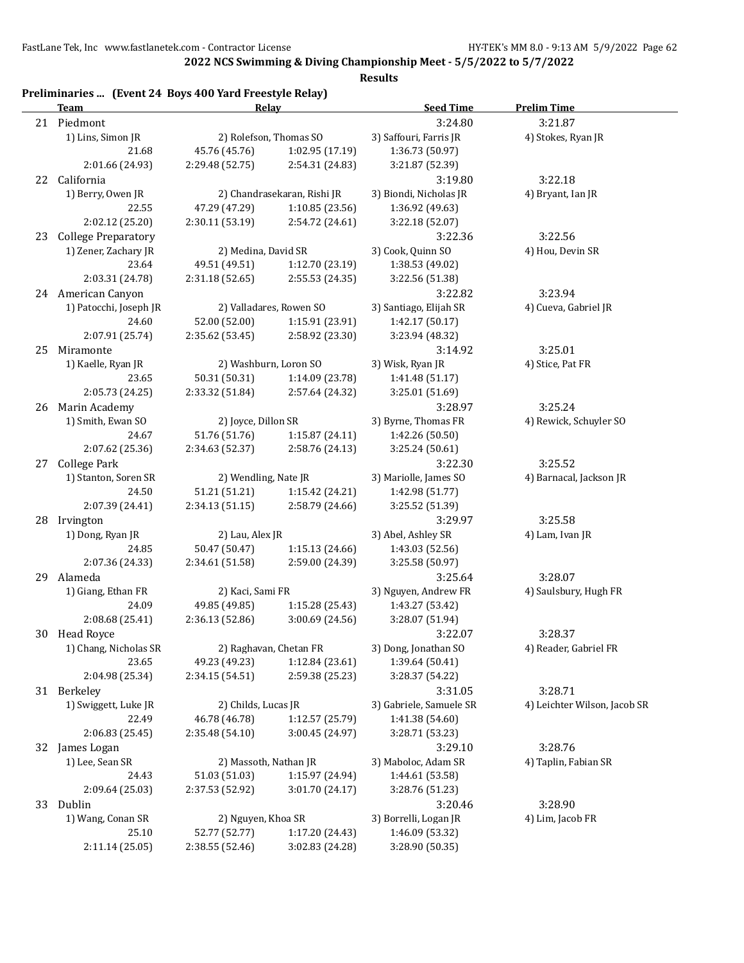**2022 NCS Swimming & Diving Championship Meet - 5/5/2022 to 5/7/2022**

|    | Preliminaries  (Event 24 Boys 400 Yard Freestyle Relay)<br>Team | Relay                  |                             | <b>Seed Time</b>                        | <b>Prelim Time</b>           |
|----|-----------------------------------------------------------------|------------------------|-----------------------------|-----------------------------------------|------------------------------|
|    | 21 Piedmont                                                     |                        |                             | 3:24.80                                 | 3:21.87                      |
|    | 1) Lins, Simon JR                                               | 2) Rolefson, Thomas SO |                             | 3) Saffouri, Farris JR                  | 4) Stokes, Ryan JR           |
|    | 21.68                                                           | 45.76 (45.76)          | 1:02.95 (17.19)             | 1:36.73 (50.97)                         |                              |
|    | 2:01.66 (24.93)                                                 | 2:29.48 (52.75)        | 2:54.31 (24.83)             | 3:21.87 (52.39)                         |                              |
|    | 22 California                                                   |                        |                             | 3:19.80                                 | 3:22.18                      |
|    | 1) Berry, Owen JR                                               |                        | 2) Chandrasekaran, Rishi JR | 3) Biondi, Nicholas JR                  | 4) Bryant, Ian JR            |
|    | 22.55                                                           | 47.29 (47.29)          | 1:10.85 (23.56)             | 1:36.92 (49.63)                         |                              |
|    | 2:02.12 (25.20)                                                 | 2:30.11 (53.19)        | 2:54.72 (24.61)             | 3:22.18 (52.07)                         |                              |
|    |                                                                 |                        |                             |                                         |                              |
| 23 | <b>College Preparatory</b><br>2) Medina, David SR               |                        |                             | 3:22.36                                 | 3:22.56                      |
|    | 1) Zener, Zachary JR                                            |                        |                             | 3) Cook, Quinn SO                       | 4) Hou, Devin SR             |
|    | 23.64                                                           | 49.51 (49.51)          | 1:12.70 (23.19)             | 1:38.53 (49.02)                         |                              |
|    | 2:03.31 (24.78)                                                 | 2:31.18(52.65)         | 2:55.53 (24.35)             | 3:22.56 (51.38)                         |                              |
|    | 24 American Canyon                                              |                        |                             | 3:22.82                                 | 3:23.94                      |
|    | 1) Patocchi, Joseph JR                                          |                        | 2) Valladares, Rowen SO     | 3) Santiago, Elijah SR                  | 4) Cueva, Gabriel JR         |
|    | 24.60                                                           | 52.00 (52.00)          | 1:15.91 (23.91)             | 1:42.17 (50.17)                         |                              |
|    | 2:07.91 (25.74)                                                 | 2:35.62 (53.45)        | 2:58.92 (23.30)             | 3:23.94 (48.32)                         |                              |
| 25 | Miramonte                                                       |                        |                             | 3:14.92                                 | 3:25.01                      |
|    | 1) Kaelle, Ryan JR                                              | 2) Washburn, Loron SO  |                             | 3) Wisk, Ryan JR                        | 4) Stice, Pat FR             |
|    | 23.65                                                           | 50.31 (50.31)          | 1:14.09 (23.78)             | 1:41.48 (51.17)                         |                              |
|    | 2:05.73 (24.25)                                                 | 2:33.32 (51.84)        | 2:57.64 (24.32)             | 3:25.01 (51.69)                         |                              |
|    | 26 Marin Academy                                                |                        |                             | 3:28.97                                 | 3:25.24                      |
|    | 1) Smith, Ewan SO                                               | 2) Joyce, Dillon SR    |                             | 3) Byrne, Thomas FR                     | 4) Rewick, Schuyler SO       |
|    | 24.67                                                           | 51.76 (51.76)          | 1:15.87 (24.11)             | 1:42.26 (50.50)                         |                              |
|    | 2:07.62 (25.36)                                                 | 2:34.63 (52.37)        | 2:58.76 (24.13)             | 3:25.24 (50.61)                         |                              |
|    | 27 College Park                                                 |                        |                             | 3:22.30                                 | 3:25.52                      |
|    | 1) Stanton, Soren SR<br>2) Wendling, Nate JR                    |                        |                             | 3) Mariolle, James SO                   | 4) Barnacal, Jackson JR      |
|    | 24.50                                                           | 51.21 (51.21)          | 1:15.42 (24.21)             | 1:42.98 (51.77)                         |                              |
|    | 2:07.39 (24.41)                                                 | 2:34.13 (51.15)        | 2:58.79 (24.66)             | 3:25.52 (51.39)                         |                              |
|    | 28 Irvington                                                    |                        |                             | 3:29.97                                 | 3:25.58                      |
|    | 1) Dong, Ryan JR                                                | 2) Lau, Alex JR        |                             | 3) Abel, Ashley SR                      | 4) Lam, Ivan JR              |
|    | 24.85                                                           | 50.47 (50.47)          | 1:15.13 (24.66)             | 1:43.03 (52.56)                         |                              |
|    | 2:07.36 (24.33)                                                 | 2:34.61 (51.58)        | 2:59.00 (24.39)             | 3:25.58 (50.97)                         |                              |
| 29 | Alameda                                                         |                        |                             | 3:25.64                                 | 3:28.07                      |
|    | 1) Giang, Ethan FR                                              | 2) Kaci, Sami FR       |                             | 3) Nguyen, Andrew FR                    | 4) Saulsbury, Hugh FR        |
|    | 24.09                                                           | 49.85 (49.85)          | 1:15.28 (25.43)             | 1:43.27 (53.42)                         |                              |
|    | 2:08.68 (25.41)                                                 | 2:36.13 (52.86)        | 3:00.69 (24.56)             | 3:28.07 (51.94)                         |                              |
|    |                                                                 |                        |                             |                                         | 3:28.37                      |
| 30 | Head Royce<br>1) Chang, Nicholas SR                             |                        | 2) Raghavan, Chetan FR      | 3:22.07                                 | 4) Reader, Gabriel FR        |
|    | 23.65                                                           | 49.23 (49.23)          | 1:12.84(23.61)              | 3) Dong, Jonathan SO<br>1:39.64 (50.41) |                              |
|    |                                                                 |                        |                             |                                         |                              |
|    | 2:04.98 (25.34)                                                 | 2:34.15 (54.51)        | 2:59.38 (25.23)             | 3:28.37 (54.22)                         |                              |
| 31 | Berkeley                                                        |                        |                             | 3:31.05                                 | 3:28.71                      |
|    | 1) Swiggett, Luke JR                                            | 2) Childs, Lucas JR    |                             | 3) Gabriele, Samuele SR                 | 4) Leichter Wilson, Jacob SR |
|    | 22.49                                                           | 46.78 (46.78)          | 1:12.57 (25.79)             | 1:41.38 (54.60)                         |                              |
|    | 2:06.83 (25.45)                                                 | 2:35.48 (54.10)        | 3:00.45 (24.97)             | 3:28.71 (53.23)                         |                              |
|    | 32 James Logan                                                  |                        | 3:29.10                     | 3:28.76                                 |                              |
|    | 2) Massoth, Nathan JR<br>1) Lee, Sean SR                        |                        | 3) Maboloc, Adam SR         | 4) Taplin, Fabian SR                    |                              |
|    | 24.43                                                           | 51.03 (51.03)          | 1:15.97 (24.94)             | 1:44.61 (53.58)                         |                              |
|    | 2:09.64 (25.03)                                                 | 2:37.53 (52.92)        | 3:01.70 (24.17)             | 3:28.76 (51.23)                         |                              |
| 33 | Dublin                                                          |                        |                             | 3:20.46                                 | 3:28.90                      |
|    | 1) Wang, Conan SR                                               | 2) Nguyen, Khoa SR     |                             | 3) Borrelli, Logan JR                   | 4) Lim, Jacob FR             |
|    | 25.10                                                           | 52.77 (52.77)          | 1:17.20 (24.43)             | 1:46.09 (53.32)                         |                              |
|    | 2:11.14 (25.05)                                                 | 2:38.55 (52.46)        | 3:02.83 (24.28)             | 3:28.90 (50.35)                         |                              |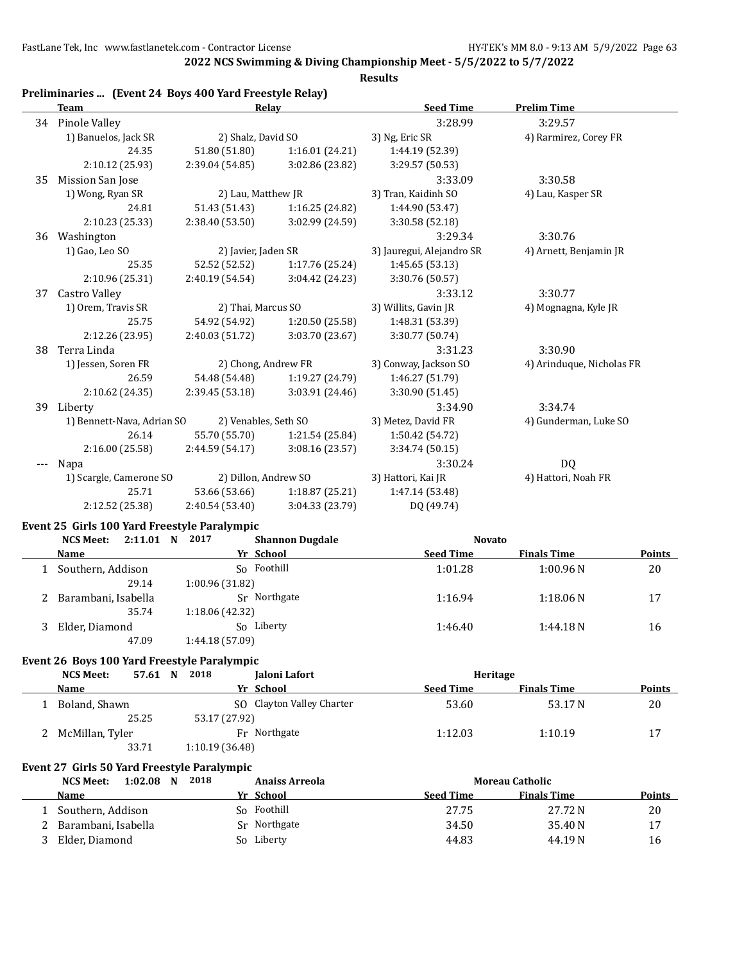**2022 NCS Swimming & Diving Championship Meet - 5/5/2022 to 5/7/2022**

|    | Preliminaries  (Event 24 Boys 400 Yard Freestyle Relay)<br>Team                    | Relay                            |                           | <b>Seed Time</b>                  | <b>Prelim Time</b>        |               |
|----|------------------------------------------------------------------------------------|----------------------------------|---------------------------|-----------------------------------|---------------------------|---------------|
|    | 34 Pinole Valley                                                                   |                                  |                           | 3:28.99                           | 3:29.57                   |               |
|    | 1) Banuelos, Jack SR                                                               | 2) Shalz, David SO               |                           | 3) Ng, Eric SR                    | 4) Rarmirez, Corey FR     |               |
|    | 24.35                                                                              | 51.80 (51.80)                    | 1:16.01(24.21)            | 1:44.19 (52.39)                   |                           |               |
|    | 2:10.12 (25.93)                                                                    | 2:39.04 (54.85)                  | 3:02.86 (23.82)           | 3:29.57 (50.53)                   |                           |               |
| 35 | Mission San Jose                                                                   |                                  |                           | 3:33.09                           | 3:30.58                   |               |
|    | 1) Wong, Ryan SR                                                                   | 2) Lau, Matthew JR               |                           | 3) Tran, Kaidinh SO               | 4) Lau, Kasper SR         |               |
|    | 24.81                                                                              | 51.43 (51.43)<br>1:16.25 (24.82) |                           | 1:44.90 (53.47)                   |                           |               |
|    | 2:10.23 (25.33)                                                                    | 2:38.40 (53.50)                  | 3:02.99 (24.59)           | 3:30.58 (52.18)                   |                           |               |
|    | 36 Washington                                                                      |                                  |                           | 3:29.34                           | 3:30.76                   |               |
|    | 1) Gao, Leo SO                                                                     | 2) Javier, Jaden SR              |                           | 3) Jauregui, Alejandro SR         | 4) Arnett, Benjamin JR    |               |
|    | 25.35                                                                              | 52.52 (52.52)                    | 1:17.76 (25.24)           | 1:45.65 (53.13)                   |                           |               |
|    | 2:10.96 (25.31)                                                                    | 2:40.19 (54.54)                  | 3:04.42 (24.23)           | 3:30.76 (50.57)                   |                           |               |
| 37 | <b>Castro Valley</b>                                                               |                                  |                           | 3:33.12                           | 3:30.77                   |               |
|    | 1) Orem, Travis SR                                                                 | 2) Thai, Marcus SO               |                           | 3) Willits, Gavin JR              | 4) Mognagna, Kyle JR      |               |
|    | 25.75                                                                              | 54.92 (54.92)                    | 1:20.50 (25.58)           | 1:48.31 (53.39)                   |                           |               |
|    | 2:12.26 (23.95)                                                                    | 2:40.03 (51.72)                  | 3:03.70 (23.67)           | 3:30.77 (50.74)                   |                           |               |
|    |                                                                                    |                                  |                           |                                   |                           |               |
| 38 | Terra Linda                                                                        |                                  |                           | 3:31.23                           | 3:30.90                   |               |
|    | 1) Jessen, Soren FR                                                                | 2) Chong, Andrew FR              |                           | 3) Conway, Jackson SO             | 4) Arinduque, Nicholas FR |               |
|    | 26.59                                                                              | 54.48 (54.48)                    | 1:19.27 (24.79)           | 1:46.27 (51.79)                   |                           |               |
|    | 2:10.62 (24.35)                                                                    | 2:39.45 (53.18)                  | 3:03.91 (24.46)           | 3:30.90 (51.45)                   |                           |               |
|    | 39 Liberty                                                                         |                                  |                           | 3:34.90                           | 3:34.74                   |               |
|    | 1) Bennett-Nava, Adrian SO                                                         | 2) Venables, Seth SO             |                           | 3) Metez, David FR                | 4) Gunderman, Luke SO     |               |
|    | 26.14                                                                              | 55.70 (55.70)                    | 1:21.54 (25.84)           | 1:50.42 (54.72)                   |                           |               |
|    | 2:16.00 (25.58)                                                                    | 2:44.59(54.17)                   | 3:08.16 (23.57)           | 3:34.74 (50.15)                   |                           |               |
|    | Napa                                                                               |                                  |                           | 3:30.24                           | DQ                        |               |
|    | 1) Scargle, Camerone SO                                                            | 2) Dillon, Andrew SO             |                           | 3) Hattori, Kai JR                | 4) Hattori, Noah FR       |               |
|    | 25.71                                                                              | 53.66 (53.66)                    | 1:18.87 (25.21)           | 1:47.14 (53.48)                   |                           |               |
|    | 2:12.52 (25.38)                                                                    | 2:40.54(53.40)                   | 3:04.33 (23.79)           | DQ (49.74)                        |                           |               |
|    | Event 25 Girls 100 Yard Freestyle Paralympic<br>2:11.01 N 2017<br><b>NCS Meet:</b> |                                  |                           |                                   |                           |               |
|    | Name                                                                               | Yr School                        | <b>Shannon Dugdale</b>    | <b>Novato</b><br><b>Seed Time</b> | <b>Finals Time</b>        | Points        |
|    |                                                                                    |                                  |                           |                                   |                           |               |
|    | 1 Southern, Addison                                                                | So Foothill                      |                           | 1:01.28                           | 1:00.96N                  | 20            |
|    | 29.14                                                                              | 1:00.96 (31.82)<br>Sr Northgate  |                           |                                   |                           |               |
|    | 2 Barambani, Isabella                                                              |                                  |                           | 1:16.94                           | 1:18.06N                  | 17            |
|    | 35.74                                                                              | 1:18.06 (42.32)                  |                           |                                   |                           |               |
|    | 3 Elder, Diamond                                                                   | So Liberty                       |                           | 1:46.40                           | 1:44.18N                  | 16            |
|    | 47.09                                                                              | 1:44.18 (57.09)                  |                           |                                   |                           |               |
|    | Event 26 Boys 100 Yard Freestyle Paralympic                                        |                                  |                           |                                   |                           |               |
|    | <b>NCS Meet:</b>                                                                   | 57.61 N 2018                     | Jaloni Lafort             | Heritage                          |                           |               |
|    | <b>Name</b>                                                                        | Yr School                        |                           | <b>Seed Time</b>                  | <b>Finals Time</b>        | <b>Points</b> |
|    | 1 Boland, Shawn                                                                    |                                  | SO Clayton Valley Charter | 53.60                             | 53.17N                    | 20            |
|    | 25.25                                                                              | 53.17 (27.92)                    |                           |                                   |                           |               |
|    | 2 McMillan, Tyler                                                                  | Fr Northgate                     |                           | 1:12.03                           | 1:10.19                   | 17            |
|    | 33.71                                                                              | 1:10.19 (36.48)                  |                           |                                   |                           |               |
|    | Event 27 Girls 50 Yard Freestyle Paralympic                                        |                                  |                           |                                   |                           |               |
|    | <b>NCS Meet:</b><br>1:02.08 N 2018                                                 |                                  | <b>Anaiss Arreola</b>     |                                   | <b>Moreau Catholic</b>    |               |
|    | <b>Name</b>                                                                        | Yr School                        |                           | <b>Seed Time</b>                  | <b>Finals Time</b>        | <b>Points</b> |
|    |                                                                                    |                                  |                           |                                   |                           |               |
|    | 1 Southern, Addison                                                                | So Foothill                      |                           | 27.75                             | 27.72N                    | 20            |
| 2  | Barambani, Isabella                                                                | Sr Northgate                     |                           | 34.50                             | 35.40N                    | 17            |